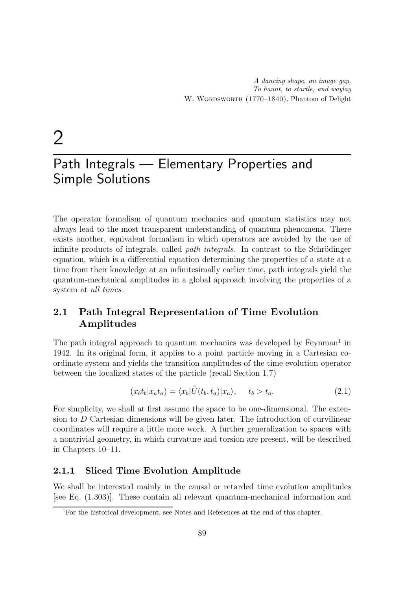# 2

# Path Integrals — Elementary Properties and Simple Solutions

The operator formalism of quantum mechanics and quantum statistics may not always lead to the most transparent understanding of quantum phenomena. There exists another, equivalent formalism in which operators are avoided by the use of infinite products of integrals, called *path integrals*. In contrast to the Schrödinger equation, which is a differential equation determining the properties of a state at a time from their knowledge at an infinitesimally earlier time, path integrals yield the quantum-mechanical amplitudes in a global approach involving the properties of a system at all times.

# 2.1 Path Integral Representation of Time Evolution Amplitudes

The path integral approach to quantum mechanics was developed by Feynman<sup>1</sup> in 1942. In its original form, it applies to a point particle moving in a Cartesian coordinate system and yields the transition amplitudes of the time evolution operator between the localized states of the particle (recall Section 1.7)

$$
(x_b t_b | x_a t_a) = \langle x_b | \hat{U}(t_b, t_a) | x_a \rangle, \quad t_b > t_a. \tag{2.1}
$$

For simplicity, we shall at first assume the space to be one-dimensional. The extension to  $D$  Cartesian dimensions will be given later. The introduction of curvilinear coordinates will require a little more work. A further generalization to spaces with a nontrivial geometry, in which curvature and torsion are present, will be described in Chapters 10–11.

## 2.1.1 Sliced Time Evolution Amplitude

We shall be interested mainly in the causal or retarded time evolution amplitudes [see Eq. (1.303)]. These contain all relevant quantum-mechanical information and

<sup>1</sup>For the historical development, see Notes and References at the end of this chapter.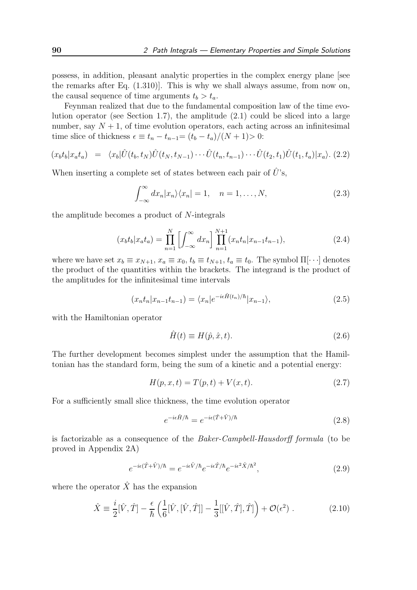possess, in addition, pleasant analytic properties in the complex energy plane [see the remarks after Eq. (1.310)]. This is why we shall always assume, from now on, the causal sequence of time arguments  $t_b > t_a$ .

Feynman realized that due to the fundamental composition law of the time evolution operator (see Section 1.7), the amplitude (2.1) could be sliced into a large number, say  $N + 1$ , of time evolution operators, each acting across an infinitesimal time slice of thickness  $\epsilon \equiv t_n - t_{n-1} = (t_b - t_a)/(N + 1) > 0$ :

$$
(x_b t_b | x_a t_a) = \langle x_b | \hat{U}(t_b, t_N) \hat{U}(t_N, t_{N-1}) \cdots \hat{U}(t_n, t_{n-1}) \cdots \hat{U}(t_2, t_1) \hat{U}(t_1, t_a) | x_a \rangle. (2.2)
$$

When inserting a complete set of states between each pair of  $\hat{U}$ 's,

$$
\int_{-\infty}^{\infty} dx_n |x_n\rangle \langle x_n| = 1, \quad n = 1, \dots, N,
$$
\n(2.3)

the amplitude becomes a product of N-integrals

$$
(x_b t_b | x_a t_a) = \prod_{n=1}^{N} \left[ \int_{-\infty}^{\infty} dx_n \right] \prod_{n=1}^{N+1} (x_n t_n | x_{n-1} t_{n-1}), \tag{2.4}
$$

where we have set  $x_b \equiv x_{N+1}$ ,  $x_a \equiv x_0$ ,  $t_b \equiv t_{N+1}$ ,  $t_a \equiv t_0$ . The symbol  $\Pi[\cdots]$  denotes the product of the quantities within the brackets. The integrand is the product of the amplitudes for the infinitesimal time intervals

$$
(x_n t_n | x_{n-1} t_{n-1}) = \langle x_n | e^{-i\epsilon \hat{H}(t_n)/\hbar} | x_{n-1} \rangle,
$$
\n(2.5)

with the Hamiltonian operator

$$
\hat{H}(t) \equiv H(\hat{p}, \hat{x}, t). \tag{2.6}
$$

The further development becomes simplest under the assumption that the Hamiltonian has the standard form, being the sum of a kinetic and a potential energy:

$$
H(p, x, t) = T(p, t) + V(x, t).
$$
\n(2.7)

For a sufficiently small slice thickness, the time evolution operator

$$
e^{-i\epsilon \hat{H}/\hbar} = e^{-i\epsilon(\hat{T} + \hat{V})/\hbar}
$$
\n(2.8)

is factorizable as a consequence of the Baker-Campbell-Hausdorff formula (to be proved in Appendix 2A)

$$
e^{-i\epsilon(\hat{T}+\hat{V})/\hbar} = e^{-i\epsilon\hat{V}/\hbar}e^{-i\epsilon\hat{T}/\hbar}e^{-i\epsilon^2\hat{X}/\hbar^2},\tag{2.9}
$$

where the operator  $\hat{X}$  has the expansion

$$
\hat{X} \equiv \frac{i}{2} [\hat{V}, \hat{T}] - \frac{\epsilon}{\hbar} \left( \frac{1}{6} [\hat{V}, [\hat{V}, \hat{T}]] - \frac{1}{3} [[\hat{V}, \hat{T}], \hat{T}] \right) + \mathcal{O}(\epsilon^2) . \tag{2.10}
$$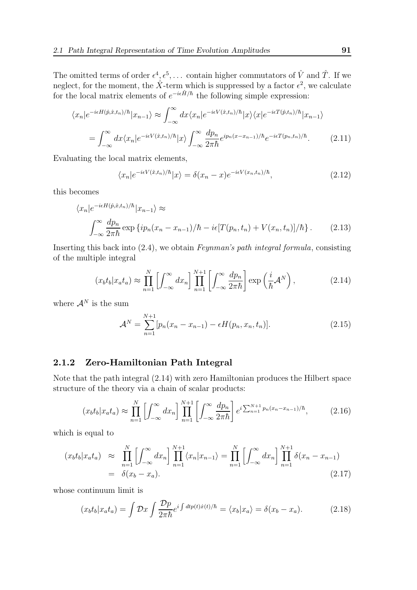The omitted terms of order  $\epsilon^4, \epsilon^5, \ldots$  contain higher commutators of  $\hat{V}$  and  $\hat{T}$ . If we neglect, for the moment, the  $\hat{X}$ -term which is suppressed by a factor  $\epsilon^2$ , we calculate for the local matrix elements of  $e^{-i\epsilon \hat{H}/\hbar}$  the following simple expression:

$$
\langle x_n | e^{-i\epsilon H(\hat{p}, \hat{x}, t_n)/\hbar} | x_{n-1} \rangle \approx \int_{-\infty}^{\infty} dx \langle x_n | e^{-i\epsilon V(\hat{x}, t_n)/\hbar} | x \rangle \langle x | e^{-i\epsilon T(\hat{p}, t_n)/\hbar} | x_{n-1} \rangle
$$

$$
= \int_{-\infty}^{\infty} dx \langle x_n | e^{-i\epsilon V(\hat{x}, t_n)/\hbar} | x \rangle \int_{-\infty}^{\infty} \frac{dp_n}{2\pi \hbar} e^{ip_n(x - x_{n-1})/\hbar} e^{-i\epsilon T(p_n, t_n)/\hbar} . \tag{2.11}
$$

Evaluating the local matrix elements,

$$
\langle x_n | e^{-i\epsilon V(\hat{x}, t_n)/\hbar} | x \rangle = \delta(x_n - x) e^{-i\epsilon V(x_n, t_n)/\hbar}, \qquad (2.12)
$$

this becomes

$$
\langle x_n | e^{-i\epsilon H(\hat{p}, \hat{x}, t_n)/\hbar} | x_{n-1} \rangle \approx
$$
  

$$
\int_{-\infty}^{\infty} \frac{dp_n}{2\pi \hbar} \exp \{ip_n (x_n - x_{n-1})/\hbar - i\epsilon [T(p_n, t_n) + V(x_n, t_n)]/\hbar\}.
$$
 (2.13)

Inserting this back into (2.4), we obtain Feynman's path integral formula, consisting of the multiple integral

$$
(x_b t_b | x_a t_a) \approx \prod_{n=1}^N \left[ \int_{-\infty}^\infty dx_n \right] \prod_{n=1}^{N+1} \left[ \int_{-\infty}^\infty \frac{dp_n}{2\pi\hbar} \right] \exp\left(\frac{i}{\hbar} \mathcal{A}^N\right),\tag{2.14}
$$

where  $\mathcal{A}^N$  is the sum

$$
\mathcal{A}^N = \sum_{n=1}^{N+1} [p_n(x_n - x_{n-1}) - \epsilon H(p_n, x_n, t_n)]. \tag{2.15}
$$

#### 2.1.2 Zero-Hamiltonian Path Integral

Note that the path integral (2.14) with zero Hamiltonian produces the Hilbert space structure of the theory via a chain of scalar products:

$$
(x_b t_b | x_a t_a) \approx \prod_{n=1}^{N} \left[ \int_{-\infty}^{\infty} dx_n \right] \prod_{n=1}^{N+1} \left[ \int_{-\infty}^{\infty} \frac{dp_n}{2\pi\hbar} \right] e^{i \sum_{n=1}^{N+1} p_n (x_n - x_{n-1})/\hbar}, \tag{2.16}
$$

which is equal to

$$
(x_b t_b | x_a t_a) \approx \prod_{n=1}^N \left[ \int_{-\infty}^{\infty} dx_n \right] \prod_{n=1}^{N+1} \langle x_n | x_{n-1} \rangle = \prod_{n=1}^N \left[ \int_{-\infty}^{\infty} dx_n \right] \prod_{n=1}^{N+1} \delta(x_n - x_{n-1})
$$
  
=  $\delta(x_b - x_a).$  (2.17)

whose continuum limit is

$$
(x_b t_b | x_a t_a) = \int \mathcal{D}x \int \frac{\mathcal{D}p}{2\pi\hbar} e^{i \int dt p(t)\dot{x}(t)/\hbar} = \langle x_b | x_a \rangle = \delta(x_b - x_a). \tag{2.18}
$$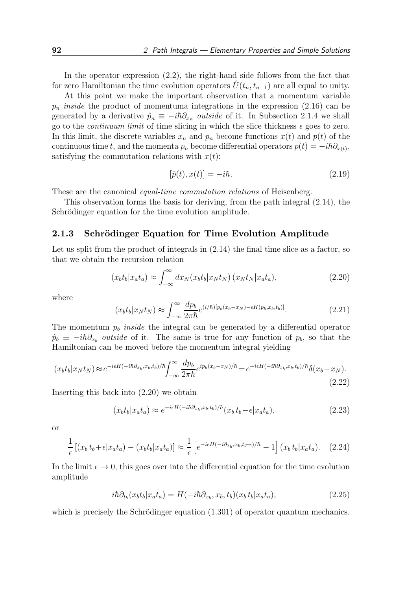In the operator expression (2.2), the right-hand side follows from the fact that for zero Hamiltonian the time evolution operators  $U(t_n, t_{n-1})$  are all equal to unity.

At this point we make the important observation that a momentum variable  $p_n$  inside the product of momentuma integrations in the expression (2.16) can be generated by a derivative  $\hat{p}_n \equiv -i\hbar \partial_{x_n}$  outside of it. In Subsection 2.1.4 we shall go to the *continuum limit* of time slicing in which the slice thickness  $\epsilon$  goes to zero. In this limit, the discrete variables  $x_n$  and  $p_n$  become functions  $x(t)$  and  $p(t)$  of the continuous time t, and the momenta  $p_n$  become differential operators  $p(t) = -i\hbar \partial_{x(t)}$ , satisfying the commutation relations with  $x(t)$ :

$$
[\hat{p}(t), x(t)] = -i\hbar. \tag{2.19}
$$

These are the canonical *equal-time commutation relations* of Heisenberg.

This observation forms the basis for deriving, from the path integral (2.14), the Schrödinger equation for the time evolution amplitude.

#### 2.1.3 Schrödinger Equation for Time Evolution Amplitude

Let us split from the product of integrals in  $(2.14)$  the final time slice as a factor, so that we obtain the recursion relation

$$
(x_b t_b | x_a t_a) \approx \int_{-\infty}^{\infty} dx_N (x_b t_b | x_N t_N) (x_N t_N | x_a t_a), \qquad (2.20)
$$

where

$$
(x_b t_b | x_N t_N) \approx \int_{-\infty}^{\infty} \frac{dp_b}{2\pi\hbar} e^{(i/\hbar)[p_b(x_b - x_N) - \epsilon H(p_b, x_b, t_b)]}.
$$
 (2.21)

The momentum  $p_b$  *inside* the integral can be generated by a differential operator  $\hat{p}_b \equiv -i\hbar \partial_{x_b}$  outside of it. The same is true for any function of  $p_b$ , so that the Hamiltonian can be moved before the momentum integral yielding

$$
(x_b t_b | x_N t_N) \approx e^{-i\epsilon H(-i\hbar \partial_{x_b}, x_b, t_b)/\hbar} \int_{-\infty}^{\infty} \frac{dp_b}{2\pi \hbar} e^{ip_b(x_b - x_N)/\hbar} = e^{-i\epsilon H(-i\hbar \partial_{x_b}, x_b, t_b)/\hbar} \delta(x_b - x_N). \tag{2.22}
$$

Inserting this back into (2.20) we obtain

$$
(x_b t_b | x_a t_a) \approx e^{-i\epsilon H(-i\hbar \partial_{x_b}, x_b, t_b)/\hbar} (x_b t_b - \epsilon | x_a t_a), \tag{2.23}
$$

or

$$
\frac{1}{\epsilon} \left[ (x_b t_b + \epsilon | x_a t_a) - (x_b t_b | x_a t_a) \right] \approx \frac{1}{\epsilon} \left[ e^{-i\epsilon H(-i\partial_{x_b}, x_b, t_b + \epsilon)/\hbar} - 1 \right] (x_b t_b | x_a t_a). \tag{2.24}
$$

In the limit  $\epsilon \to 0$ , this goes over into the differential equation for the time evolution amplitude

$$
i\hbar\partial_{t_b}(x_b t_b | x_a t_a) = H(-i\hbar\partial_{x_b}, x_b, t_b)(x_b t_b | x_a t_a), \qquad (2.25)
$$

which is precisely the Schrödinger equation  $(1.301)$  of operator quantum mechanics.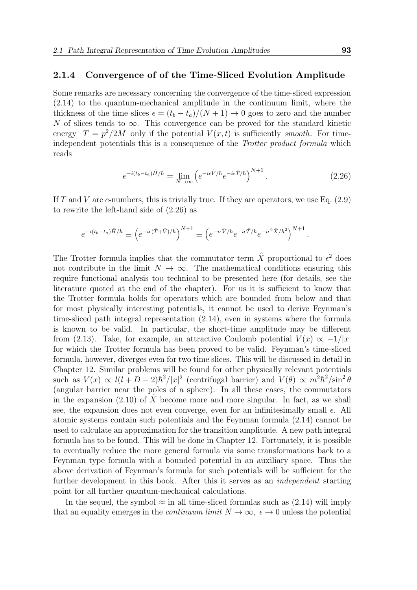#### 2.1.4 Convergence of of the Time-Sliced Evolution Amplitude

Some remarks are necessary concerning the convergence of the time-sliced expression (2.14) to the quantum-mechanical amplitude in the continuum limit, where the thickness of the time slices  $\epsilon = (t_b - t_a)/(N + 1) \rightarrow 0$  goes to zero and the number N of slices tends to  $\infty$ . This convergence can be proved for the standard kinetic energy  $T = p^2/2M$  only if the potential  $V(x, t)$  is sufficiently smooth. For timeindependent potentials this is a consequence of the Trotter product formula which reads

$$
e^{-i(t_b - t_a)\hat{H}/\hbar} = \lim_{N \to \infty} \left( e^{-i\epsilon \hat{V}/\hbar} e^{-i\epsilon \hat{T}/\hbar} \right)^{N+1} . \tag{2.26}
$$

If T and V are c-numbers, this is trivially true. If they are operators, we use Eq.  $(2.9)$ to rewrite the left-hand side of (2.26) as

$$
e^{-i(t_b-t_a)\hat{H}/\hbar} \equiv \left(e^{-i\epsilon(\hat{T}+\hat{V})/\hbar}\right)^{N+1} \equiv \left(e^{-i\epsilon\hat{V}/\hbar}e^{-i\epsilon\hat{T}/\hbar}e^{-i\epsilon^2\hat{X}/\hbar^2}\right)^{N+1}
$$

The Trotter formula implies that the commutator term  $\hat{X}$  proportional to  $\epsilon^2$  does not contribute in the limit  $N \to \infty$ . The mathematical conditions ensuring this require functional analysis too technical to be presented here (for details, see the literature quoted at the end of the chapter). For us it is sufficient to know that the Trotter formula holds for operators which are bounded from below and that for most physically interesting potentials, it cannot be used to derive Feynman's time-sliced path integral representation (2.14), even in systems where the formula is known to be valid. In particular, the short-time amplitude may be different from (2.13). Take, for example, an attractive Coulomb potential  $V(x) \propto -1/|x|$ for which the Trotter formula has been proved to be valid. Feynman's time-sliced formula, however, diverges even for two time slices. This will be discussed in detail in Chapter 12. Similar problems will be found for other physically relevant potentials such as  $V(x) \propto l(l+D-2)\hbar^2/|x|^2$  (centrifugal barrier) and  $V(\theta) \propto m^2\hbar^2/\sin^2\theta$ (angular barrier near the poles of a sphere). In all these cases, the commutators in the expansion  $(2.10)$  of X become more and more singular. In fact, as we shall see, the expansion does not even converge, even for an infinitesimally small  $\epsilon$ . All atomic systems contain such potentials and the Feynman formula (2.14) cannot be used to calculate an approximation for the transition amplitude. A new path integral formula has to be found. This will be done in Chapter 12. Fortunately, it is possible to eventually reduce the more general formula via some transformations back to a Feynman type formula with a bounded potential in an auxiliary space. Thus the above derivation of Feynman's formula for such potentials will be sufficient for the further development in this book. After this it serves as an independent starting point for all further quantum-mechanical calculations.

In the sequel, the symbol  $\approx$  in all time-sliced formulas such as (2.14) will imply that an equality emerges in the *continuum limit*  $N \to \infty$ ,  $\epsilon \to 0$  unless the potential

.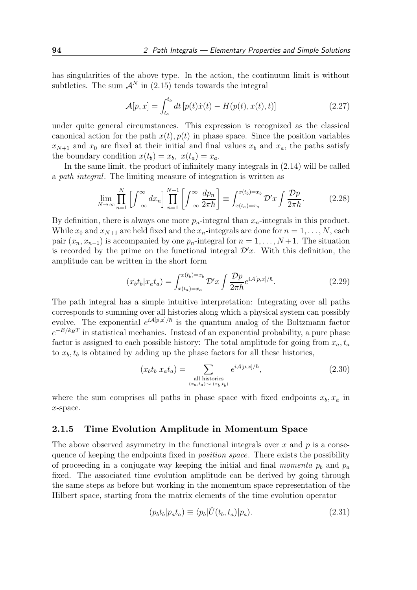has singularities of the above type. In the action, the continuum limit is without subtleties. The sum  $\mathcal{A}^N$  in (2.15) tends towards the integral

$$
\mathcal{A}[p,x] = \int_{t_a}^{t_b} dt \left[ p(t)\dot{x}(t) - H(p(t),x(t),t) \right]
$$
 (2.27)

under quite general circumstances. This expression is recognized as the classical canonical action for the path  $x(t)$ ,  $p(t)$  in phase space. Since the position variables  $x_{N+1}$  and  $x_0$  are fixed at their initial and final values  $x_b$  and  $x_a$ , the paths satisfy the boundary condition  $x(t_b) = x_b$ ,  $x(t_a) = x_a$ .

In the same limit, the product of infinitely many integrals in (2.14) will be called a path integral. The limiting measure of integration is written as

$$
\lim_{N \to \infty} \prod_{n=1}^{N} \left[ \int_{-\infty}^{\infty} dx_n \right] \prod_{n=1}^{N+1} \left[ \int_{-\infty}^{\infty} \frac{dp_n}{2\pi\hbar} \right] \equiv \int_{x(t_a) = x_a}^{x(t_b) = x_b} \mathcal{D}'x \int \frac{\mathcal{D}p}{2\pi\hbar}.
$$
 (2.28)

By definition, there is always one more  $p_n$ -integral than  $x_n$ -integrals in this product. While  $x_0$  and  $x_{N+1}$  are held fixed and the  $x_n$ -integrals are done for  $n = 1, \ldots, N$ , each pair  $(x_n, x_{n-1})$  is accompanied by one  $p_n$ -integral for  $n = 1, \ldots, N+1$ . The situation is recorded by the prime on the functional integral  $\mathcal{D}'x$ . With this definition, the amplitude can be written in the short form

$$
(x_b t_b | x_a t_a) = \int_{x(t_a) = x_a}^{x(t_b) = x_b} \mathcal{D}'x \int \frac{\mathcal{D}p}{2\pi\hbar} e^{i\mathcal{A}[p,x]/\hbar}.
$$
 (2.29)

The path integral has a simple intuitive interpretation: Integrating over all paths corresponds to summing over all histories along which a physical system can possibly evolve. The exponential  $e^{iA[p,x]/\hbar}$  is the quantum analog of the Boltzmann factor  $e^{-E/k_BT}$  in statistical mechanics. Instead of an exponential probability, a pure phase factor is assigned to each possible history: The total amplitude for going from  $x_a, t_a$ to  $x_b, t_b$  is obtained by adding up the phase factors for all these histories,

$$
(x_b t_b | x_a t_a) = \sum_{\substack{\text{all histories} \\ (x_a, t_a) \sim (x_b, t_b)}} e^{iA[p, x]/\hbar},\tag{2.30}
$$

where the sum comprises all paths in phase space with fixed endpoints  $x_b, x_a$  in x-space.

#### 2.1.5 Time Evolution Amplitude in Momentum Space

The above observed asymmetry in the functional integrals over  $x$  and  $p$  is a consequence of keeping the endpoints fixed in *position space*. There exists the possibility of proceeding in a conjugate way keeping the initial and final *momenta*  $p_b$  and  $p_a$ fixed. The associated time evolution amplitude can be derived by going through the same steps as before but working in the momentum space representation of the Hilbert space, starting from the matrix elements of the time evolution operator

$$
(p_b t_b | p_a t_a) \equiv \langle p_b | \hat{U}(t_b, t_a) | p_a \rangle. \tag{2.31}
$$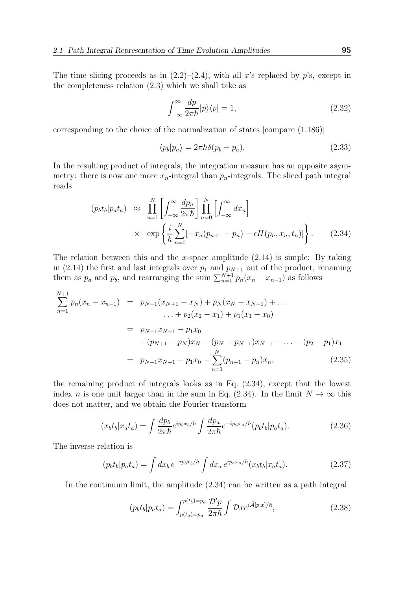The time slicing proceeds as in  $(2.2)$ – $(2.4)$ , with all x's replaced by p's, except in the completeness relation (2.3) which we shall take as

$$
\int_{-\infty}^{\infty} \frac{dp}{2\pi\hbar} |p\rangle\langle p| = 1,
$$
\n(2.32)

corresponding to the choice of the normalization of states [compare (1.186)]

$$
\langle p_b | p_a \rangle = 2\pi \hbar \delta(p_b - p_a). \tag{2.33}
$$

In the resulting product of integrals, the integration measure has an opposite asymmetry: there is now one more  $x_n$ -integral than  $p_n$ -integrals. The sliced path integral reads

$$
(p_b t_b | p_a t_a) \approx \prod_{n=1}^N \left[ \int_{-\infty}^{\infty} \frac{dp_n}{2\pi \hbar} \right] \prod_{n=0}^N \left[ \int_{-\infty}^{\infty} dx_n \right]
$$

$$
\times \exp \left\{ \frac{i}{\hbar} \sum_{n=0}^N \left[ -x_n (p_{n+1} - p_n) - \epsilon H(p_n, x_n, t_n) \right] \right\}.
$$
 (2.34)

The relation between this and the x-space amplitude  $(2.14)$  is simple: By taking in (2.14) the first and last integrals over  $p_1$  and  $p_{N+1}$  out of the product, renaming them as  $p_a$  and  $p_b$ , and rearranging the sum  $\sum_{n=1}^{N+1} p_n(x_n - x_{n-1})$  as follows

$$
\sum_{n=1}^{N+1} p_n(x_n - x_{n-1}) = p_{N+1}(x_{N+1} - x_N) + p_N(x_N - x_{N-1}) + \dots
$$
  
\n
$$
\dots + p_2(x_2 - x_1) + p_1(x_1 - x_0)
$$
  
\n
$$
= p_{N+1}x_{N+1} - p_1x_0
$$
  
\n
$$
-(p_{N+1} - p_N)x_N - (p_N - p_{N-1})x_{N-1} - \dots - (p_2 - p_1)x_1
$$
  
\n
$$
= p_{N+1}x_{N+1} - p_1x_0 - \sum_{n=1}^{N} (p_{n+1} - p_n)x_n,
$$
 (2.35)

the remaining product of integrals looks as in Eq. (2.34), except that the lowest index n is one unit larger than in the sum in Eq. (2.34). In the limit  $N \to \infty$  this does not matter, and we obtain the Fourier transform

$$
(x_b t_b | x_a t_a) = \int \frac{dp_b}{2\pi\hbar} e^{ip_b x_b/\hbar} \int \frac{dp_a}{2\pi\hbar} e^{-ip_a x_a/\hbar} (p_b t_b | p_a t_a). \tag{2.36}
$$

The inverse relation is

$$
(p_b t_b | p_a t_a) = \int dx_b e^{-ip_b x_b/\hbar} \int dx_a e^{ip_a x_a/\hbar} (x_b t_b | x_a t_a).
$$
 (2.37)

In the continuum limit, the amplitude (2.34) can be written as a path integral

$$
(p_b t_b | p_a t_a) = \int_{p(t_a) = p_a}^{p(t_b) = p_b} \frac{\mathcal{D}' p}{2\pi \hbar} \int \mathcal{D} x e^{i\bar{\mathcal{A}}[p, x]/\hbar}, \tag{2.38}
$$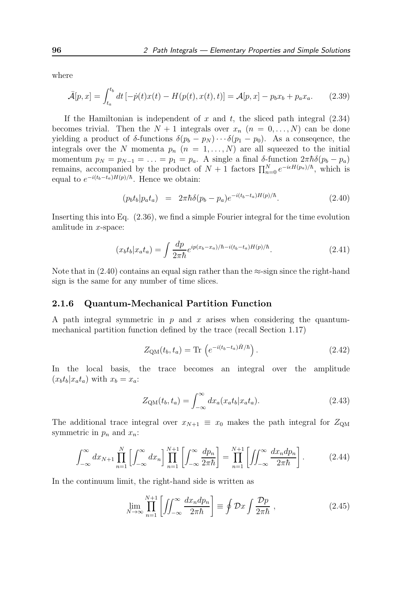where

$$
\bar{\mathcal{A}}[p,x] = \int_{t_a}^{t_b} dt \left[ -\dot{p}(t)x(t) - H(p(t),x(t),t) \right] = \mathcal{A}[p,x] - p_b x_b + p_a x_a. \tag{2.39}
$$

If the Hamiltonian is independent of x and t, the sliced path integral  $(2.34)$ becomes trivial. Then the  $N + 1$  integrals over  $x_n$   $(n = 0, \ldots, N)$  can be done yielding a product of  $\delta$ -functions  $\delta(p_b - p_N) \cdots \delta(p_1 - p_0)$ . As a consequence, the integrals over the N momenta  $p_n$   $(n = 1, ..., N)$  are all squeezed to the initial momentum  $p_N = p_{N-1} = \ldots = p_1 = p_a$ . A single a final δ-function  $2\pi\hbar\delta(p_b - p_a)$ remains, accompanied by the product of  $N+1$  factors  $\prod_{n=0}^{N} e^{-i\epsilon H(p_a)/\hbar}$ , which is equal to  $e^{-i(t_b-t_a)H(p)/\hbar}$ . Hence we obtain:

$$
(p_b t_b | p_a t_a) = 2\pi \hbar \delta(p_b - p_a) e^{-i(t_b - t_a)H(p)/\hbar}.
$$
 (2.40)

Inserting this into Eq. (2.36), we find a simple Fourier integral for the time evolution amlitude in x-space:

$$
(x_b t_b | x_a t_a) = \int \frac{dp}{2\pi\hbar} e^{ip(x_b - x_a)/\hbar - i(t_b - t_a)H(p)/\hbar}.
$$
\n(2.41)

Note that in  $(2.40)$  contains an equal sign rather than the  $\approx$ -sign since the right-hand sign is the same for any number of time slices.

#### 2.1.6 Quantum-Mechanical Partition Function

A path integral symmetric in  $p$  and  $x$  arises when considering the quantummechanical partition function defined by the trace (recall Section 1.17)

$$
Z_{\rm QM}(t_b, t_a) = \text{Tr}\left(e^{-i(t_b - t_a)\hat{H}/\hbar}\right). \tag{2.42}
$$

In the local basis, the trace becomes an integral over the amplitude  $(x_b t_b | x_a t_a)$  with  $x_b = x_a$ :

$$
Z_{\text{QM}}(t_b, t_a) = \int_{-\infty}^{\infty} dx_a(x_a t_b | x_a t_a). \tag{2.43}
$$

The additional trace integral over  $x_{N+1} \equiv x_0$  makes the path integral for  $Z_{QM}$ symmetric in  $p_n$  and  $x_n$ :

$$
\int_{-\infty}^{\infty} dx_{N+1} \prod_{n=1}^{N} \left[ \int_{-\infty}^{\infty} dx_n \right] \prod_{n=1}^{N+1} \left[ \int_{-\infty}^{\infty} \frac{dp_n}{2\pi\hbar} \right] = \prod_{n=1}^{N+1} \left[ \iint_{-\infty}^{\infty} \frac{dx_n dp_n}{2\pi\hbar} \right].
$$
 (2.44)

In the continuum limit, the right-hand side is written as

$$
\lim_{N \to \infty} \prod_{n=1}^{N+1} \left[ \iint_{-\infty}^{\infty} \frac{dx_n dp_n}{2\pi \hbar} \right] \equiv \oint \mathcal{D}x \int \frac{\mathcal{D}p}{2\pi \hbar} \;, \tag{2.45}
$$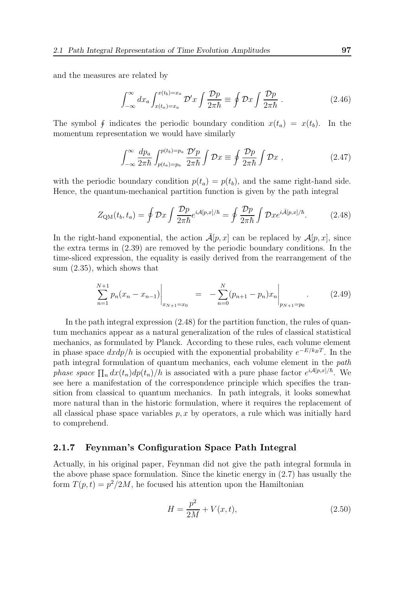and the measures are related by

$$
\int_{-\infty}^{\infty} dx_a \int_{x(t_a)=x_a}^{x(t_b)=x_a} \mathcal{D}'x \int \frac{\mathcal{D}p}{2\pi\hbar} \equiv \oint \mathcal{D}x \int \frac{\mathcal{D}p}{2\pi\hbar} \ . \tag{2.46}
$$

The symbol  $\oint$  indicates the periodic boundary condition  $x(t_a) = x(t_b)$ . In the momentum representation we would have similarly

$$
\int_{-\infty}^{\infty} \frac{dp_a}{2\pi\hbar} \int_{p(t_a)=p_a}^{p(t_b)=p_a} \frac{\mathcal{D}'p}{2\pi\hbar} \int \mathcal{D}x \equiv \oint \frac{\mathcal{D}p}{2\pi\hbar} \int \mathcal{D}x \;, \tag{2.47}
$$

with the periodic boundary condition  $p(t_a) = p(t_b)$ , and the same right-hand side. Hence, the quantum-mechanical partition function is given by the path integral

$$
Z_{\rm QM}(t_b, t_a) = \oint \mathcal{D}x \int \frac{\mathcal{D}p}{2\pi\hbar} e^{i\mathcal{A}[p,x]/\hbar} = \oint \frac{\mathcal{D}p}{2\pi\hbar} \int \mathcal{D}x e^{i\bar{\mathcal{A}}[p,x]/\hbar}.
$$
 (2.48)

In the right-hand exponential, the action  $\bar{\mathcal{A}}[p, x]$  can be replaced by  $\mathcal{A}[p, x]$ , since the extra terms in (2.39) are removed by the periodic boundary conditions. In the time-sliced expression, the equality is easily derived from the rearrangement of the sum (2.35), which shows that

$$
\sum_{n=1}^{N+1} p_n (x_n - x_{n-1}) \Big|_{x_{N+1} = x_0} = - \sum_{n=0}^{N} (p_{n+1} - p_n) x_n \Big|_{p_{N+1} = p_0} . \tag{2.49}
$$

In the path integral expression  $(2.48)$  for the partition function, the rules of quantum mechanics appear as a natural generalization of the rules of classical statistical mechanics, as formulated by Planck. According to these rules, each volume element in phase space  $dx dp/h$  is occupied with the exponential probability  $e^{-E/k_BT}$ . In the path integral formulation of quantum mechanics, each volume element in the path phase space  $\prod_n dx(t_n)dp(t_n)/h$  is associated with a pure phase factor  $e^{i\mathcal{A}[p,x]/\hbar}$ . We see here a manifestation of the correspondence principle which specifies the transition from classical to quantum mechanics. In path integrals, it looks somewhat more natural than in the historic formulation, where it requires the replacement of all classical phase space variables  $p, x$  by operators, a rule which was initially hard to comprehend.

#### 2.1.7 Feynman's Configuration Space Path Integral

Actually, in his original paper, Feynman did not give the path integral formula in the above phase space formulation. Since the kinetic energy in (2.7) has usually the form  $T(p,t) = p^2/2M$ , he focused his attention upon the Hamiltonian

$$
H = \frac{p^2}{2M} + V(x, t),
$$
\n(2.50)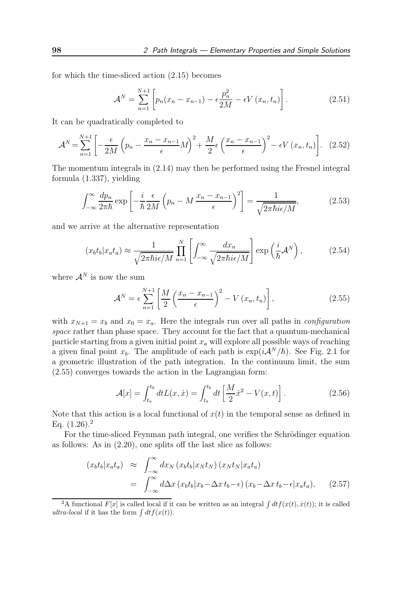for which the time-sliced action (2.15) becomes

$$
\mathcal{A}^{N} = \sum_{n=1}^{N+1} \left[ p_n(x_n - x_{n-1}) - \epsilon \frac{p_n^2}{2M} - \epsilon V(x_n, t_n) \right].
$$
 (2.51)

It can be quadratically completed to

$$
\mathcal{A}^{N} = \sum_{n=1}^{N+1} \left[ -\frac{\epsilon}{2M} \left( p_n - \frac{x_n - x_{n-1}}{\epsilon} M \right)^2 + \frac{M}{2} \epsilon \left( \frac{x_n - x_{n-1}}{\epsilon} \right)^2 - \epsilon V \left( x_n, t_n \right) \right]. \tag{2.52}
$$

The momentum integrals in (2.14) may then be performed using the Fresnel integral formula (1.337), yielding

$$
\int_{-\infty}^{\infty} \frac{dp_n}{2\pi\hbar} \exp\left[-\frac{i}{\hbar} \frac{\epsilon}{2M} \left(p_n - M \frac{x_n - x_{n-1}}{\epsilon}\right)^2\right] = \frac{1}{\sqrt{2\pi\hbar i\epsilon/M}},\tag{2.53}
$$

and we arrive at the alternative representation

$$
(x_b t_b | x_a t_a) \approx \frac{1}{\sqrt{2\pi\hbar i\epsilon/M}} \prod_{n=1}^N \left[ \int_{-\infty}^\infty \frac{dx_n}{\sqrt{2\pi\hbar i\epsilon/M}} \right] \exp\left(\frac{i}{\hbar} \mathcal{A}^N\right),\tag{2.54}
$$

where  $\mathcal{A}^N$  is now the sum

$$
\mathcal{A}^{N} = \epsilon \sum_{n=1}^{N+1} \left[ \frac{M}{2} \left( \frac{x_n - x_{n-1}}{\epsilon} \right)^2 - V(x_n, t_n) \right],
$$
 (2.55)

with  $x_{N+1} = x_b$  and  $x_0 = x_a$ . Here the integrals run over all paths in *configuration* space rather than phase space. They account for the fact that a quantum-mechanical particle starting from a given initial point  $x_a$  will explore all possible ways of reaching a given final point  $x_b$ . The amplitude of each path is  $\exp(i{\cal A}^N/\hbar)$ . See Fig. 2.1 for a geometric illustration of the path integration. In the continuum limit, the sum (2.55) converges towards the action in the Lagrangian form:

$$
\mathcal{A}[x] = \int_{t_a}^{t_b} dt L(x, \dot{x}) = \int_{t_a}^{t_b} dt \left[ \frac{M}{2} \dot{x}^2 - V(x, t) \right]. \tag{2.56}
$$

Note that this action is a local functional of  $x(t)$  in the temporal sense as defined in Eq.  $(1.26)^2$ 

For the time-sliced Feynman path integral, one verifies the Schrödinger equation as follows: As in (2.20), one splits off the last slice as follows:

$$
(x_b t_b | x_a t_a) \approx \int_{-\infty}^{\infty} dx_N (x_b t_b | x_N t_N) (x_N t_N | x_a t_a)
$$
  
= 
$$
\int_{-\infty}^{\infty} d\Delta x (x_b t_b | x_b - \Delta x t_b - \epsilon) (x_b - \Delta x t_b - \epsilon | x_a t_a), \qquad (2.57)
$$

<sup>&</sup>lt;sup>2</sup>A functional  $F[x]$  is called local if it can be written as an integral  $\int dt f(x(t), \dot{x}(t))$ ; it is called ultra-local if it has the form  $\int dt f(x(t))$ .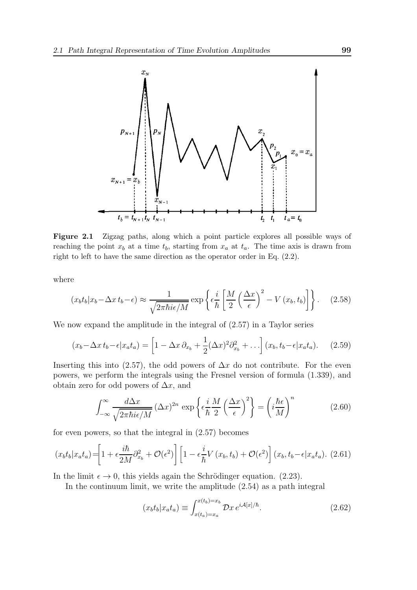

Figure 2.1 Zigzag paths, along which a point particle explores all possible ways of reaching the point  $x_b$  at a time  $t_b$ , starting from  $x_a$  at  $t_a$ . The time axis is drawn from right to left to have the same direction as the operator order in Eq. (2.2).

where

$$
(x_b t_b | x_b - \Delta x t_b - \epsilon) \approx \frac{1}{\sqrt{2\pi\hbar i\epsilon/M}} \exp\left\{\epsilon \frac{i}{\hbar} \left[\frac{M}{2} \left(\frac{\Delta x}{\epsilon}\right)^2 - V(x_b, t_b)\right]\right\}.
$$
 (2.58)

We now expand the amplitude in the integral of (2.57) in a Taylor series

$$
(x_b - \Delta x t_b - \epsilon | x_a t_a) = \left[1 - \Delta x \partial_{x_b} + \frac{1}{2} (\Delta x)^2 \partial_{x_b}^2 + \ldots \right] (x_b, t_b - \epsilon | x_a t_a). \tag{2.59}
$$

Inserting this into (2.57), the odd powers of  $\Delta x$  do not contribute. For the even powers, we perform the integrals using the Fresnel version of formula (1.339), and obtain zero for odd powers of  $\Delta x$ , and

$$
\int_{-\infty}^{\infty} \frac{d\Delta x}{\sqrt{2\pi\hbar i\epsilon/M}} \left(\Delta x\right)^{2n} \exp\left\{\epsilon \frac{i}{\hbar} \frac{M}{2} \left(\frac{\Delta x}{\epsilon}\right)^{2}\right\} = \left(i\frac{\hbar\epsilon}{M}\right)^{n} \tag{2.60}
$$

for even powers, so that the integral in (2.57) becomes

$$
(x_b t_b | x_a t_a) = \left[1 + \epsilon \frac{i\hbar}{2M} \partial_{x_b}^2 + \mathcal{O}(\epsilon^2)\right] \left[1 - \epsilon \frac{i}{\hbar} V(x_b, t_b) + \mathcal{O}(\epsilon^2)\right] (x_b, t_b - \epsilon | x_a t_a). \tag{2.61}
$$

In the limit  $\epsilon \to 0$ , this yields again the Schrödinger equation. (2.23).

In the continuum limit, we write the amplitude (2.54) as a path integral

$$
(x_b t_b | x_a t_a) \equiv \int_{x(t_a) = x_a}^{x(t_b) = x_b} \mathcal{D}x \, e^{i\mathcal{A}[x]/\hbar}.
$$
 (2.62)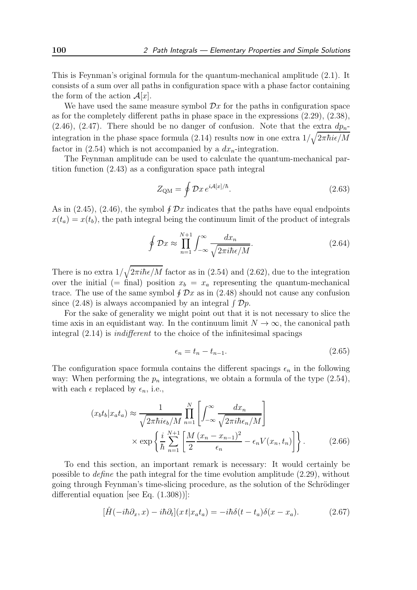This is Feynman's original formula for the quantum-mechanical amplitude (2.1). It consists of a sum over all paths in configuration space with a phase factor containing the form of the action  $\mathcal{A}[x]$ .

We have used the same measure symbol  $\mathcal{D}x$  for the paths in configuration space as for the completely different paths in phase space in the expressions (2.29), (2.38), (2.46), (2.47). There should be no danger of confusion. Note that the extra  $dp_n$ integration in the phase space formula (2.14) results now in one extra  $1/\sqrt{2\pi\hbar i\epsilon/M}$ factor in  $(2.54)$  which is not accompanied by a  $dx_n$ -integration.

The Feynman amplitude can be used to calculate the quantum-mechanical partition function (2.43) as a configuration space path integral

$$
Z_{\rm QM} = \oint \mathcal{D}x \, e^{i\mathcal{A}[x]/\hbar}.\tag{2.63}
$$

As in (2.45), (2.46), the symbol  $\oint \mathcal{D}x$  indicates that the paths have equal endpoints  $x(t_a) = x(t_b)$ , the path integral being the continuum limit of the product of integrals

$$
\oint \mathcal{D}x \approx \prod_{n=1}^{N+1} \int_{-\infty}^{\infty} \frac{dx_n}{\sqrt{2\pi i\hbar\epsilon/M}}.
$$
\n(2.64)

There is no extra  $1/\sqrt{2\pi i\hbar\epsilon/M}$  factor as in (2.54) and (2.62), due to the integration over the initial (= final) position  $x_b = x_a$  representing the quantum-mechanical trace. The use of the same symbol  $\oint \mathcal{D}x$  as in (2.48) should not cause any confusion since (2.48) is always accompanied by an integral  $\int \mathcal{D}p$ .

For the sake of generality we might point out that it is not necessary to slice the time axis in an equidistant way. In the continuum limit  $N \to \infty$ , the canonical path integral (2.14) is indifferent to the choice of the infinitesimal spacings

$$
\epsilon_n = t_n - t_{n-1}.\tag{2.65}
$$

The configuration space formula contains the different spacings  $\epsilon_n$  in the following way: When performing the  $p_n$  integrations, we obtain a formula of the type  $(2.54)$ , with each  $\epsilon$  replaced by  $\epsilon_n$ , i.e.,

$$
(x_b t_b | x_a t_a) \approx \frac{1}{\sqrt{2\pi\hbar i\epsilon_b/M}} \prod_{n=1}^N \left[ \int_{-\infty}^{\infty} \frac{dx_n}{\sqrt{2\pi i\hbar \epsilon_n/M}} \right] \times \exp\left\{ \frac{i}{\hbar} \sum_{n=1}^{N+1} \left[ \frac{M}{2} \frac{(x_n - x_{n-1})^2}{\epsilon_n} - \epsilon_n V(x_n, t_n) \right] \right\}.
$$
 (2.66)

To end this section, an important remark is necessary: It would certainly be possible to *define* the path integral for the time evolution amplitude  $(2.29)$ , without going through Feynman's time-slicing procedure, as the solution of the Schrödinger differential equation [see Eq. (1.308))]:

$$
[\hat{H}(-i\hbar\partial_x,x) - i\hbar\partial_t](x\,t|x_a t_a) = -i\hbar\delta(t-t_a)\delta(x-x_a). \tag{2.67}
$$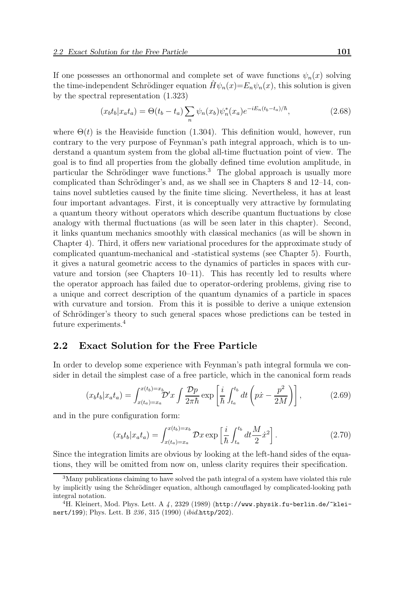If one possesses an orthonormal and complete set of wave functions  $\psi_n(x)$  solving the time-independent Schrödinger equation  $\hat{H}\psi_n(x)=E_n\psi_n(x)$ , this solution is given by the spectral representation (1.323)

$$
(x_b t_b | x_a t_a) = \Theta(t_b - t_a) \sum_n \psi_n(x_b) \psi_n^*(x_a) e^{-iE_n(t_b - t_a)/\hbar}, \qquad (2.68)
$$

where  $\Theta(t)$  is the Heaviside function (1.304). This definition would, however, run contrary to the very purpose of Feynman's path integral approach, which is to understand a quantum system from the global all-time fluctuation point of view. The goal is to find all properties from the globally defined time evolution amplitude, in particular the Schrödinger wave functions.<sup>3</sup> The global approach is usually more complicated than Schrödinger's and, as we shall see in Chapters  $8$  and  $12-14$ , contains novel subtleties caused by the finite time slicing. Nevertheless, it has at least four important advantages. First, it is conceptually very attractive by formulating a quantum theory without operators which describe quantum fluctuations by close analogy with thermal fluctuations (as will be seen later in this chapter). Second, it links quantum mechanics smoothly with classical mechanics (as will be shown in Chapter 4). Third, it offers new variational procedures for the approximate study of complicated quantum-mechanical and -statistical systems (see Chapter 5). Fourth, it gives a natural geometric access to the dynamics of particles in spaces with curvature and torsion (see Chapters 10–11). This has recently led to results where the operator approach has failed due to operator-ordering problems, giving rise to a unique and correct description of the quantum dynamics of a particle in spaces with curvature and torsion. From this it is possible to derive a unique extension of Schrödinger's theory to such general spaces whose predictions can be tested in future experiments.<sup>4</sup>

#### 2.2 Exact Solution for the Free Particle

In order to develop some experience with Feynman's path integral formula we consider in detail the simplest case of a free particle, which in the canonical form reads

$$
(x_b t_b | x_a t_a) = \int_{x(t_a) = x_a}^{x(t_b) = x_b} \mathcal{D}'x \int \frac{\mathcal{D}p}{2\pi\hbar} \exp\left[\frac{i}{\hbar} \int_{t_a}^{t_b} dt \left(p\dot{x} - \frac{p^2}{2M}\right)\right],\tag{2.69}
$$

and in the pure configuration form:

$$
(x_b t_b | x_a t_a) = \int_{x(t_a) = x_a}^{x(t_b) = x_b} \mathcal{D}x \exp\left[\frac{i}{\hbar} \int_{t_a}^{t_b} dt \frac{M}{2} \dot{x}^2\right]. \tag{2.70}
$$

Since the integration limits are obvious by looking at the left-hand sides of the equations, they will be omitted from now on, unless clarity requires their specification.

<sup>3</sup>Many publications claiming to have solved the path integral of a system have violated this rule by implicitly using the Schrödinger equation, although camouflaged by complicated-looking path integral notation.

<sup>&</sup>lt;sup>4</sup>H. Kleinert, Mod. Phys. Lett. A  $\frac{4}{3299}$  (1989) (http://www.physik.fu-berlin.de/"kleinert/199); Phys. Lett. B 236, 315 (1990) (ibid.http/202).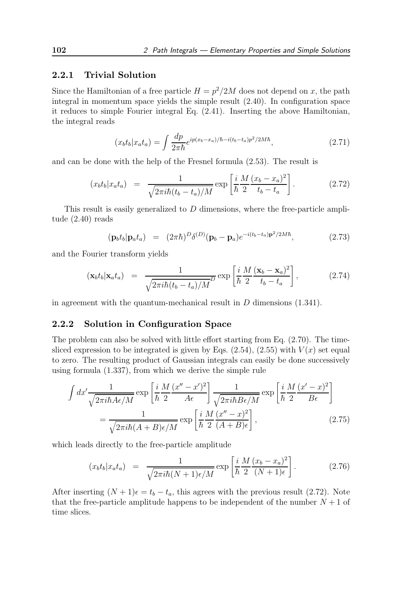#### 2.2.1 Trivial Solution

Since the Hamiltonian of a free particle  $H = p^2/2M$  does not depend on x, the path integral in momentum space yields the simple result (2.40). In configuration space it reduces to simple Fourier integral Eq. (2.41). Inserting the above Hamiltonian, the integral reads

$$
(x_b t_b | x_a t_a) = \int \frac{dp}{2\pi\hbar} e^{ip(x_b - x_a)/\hbar - i(t_b - t_a)p^2/2M\hbar}, \qquad (2.71)
$$

and can be done with the help of the Fresnel formula (2.53). The result is

$$
(x_b t_b | x_a t_a) = \frac{1}{\sqrt{2\pi i\hbar (t_b - t_a)/M}} \exp\left[\frac{i}{\hbar} \frac{M}{2} \frac{(x_b - x_a)^2}{t_b - t_a}\right].
$$
 (2.72)

This result is easily generalized to D dimensions, where the free-particle amplitude (2.40) reads

$$
(\mathbf{p}_b t_b | \mathbf{p}_a t_a) = (2\pi \hbar)^D \delta^{(D)} (\mathbf{p}_b - \mathbf{p}_a) e^{-i(t_b - t_a)\mathbf{p}^2 / 2M\hbar}, \qquad (2.73)
$$

and the Fourier transform yields

$$
(\mathbf{x}_b t_b | \mathbf{x}_a t_a) = \frac{1}{\sqrt{2\pi i\hbar (t_b - t_a)/M}} \exp\left[\frac{i}{\hbar} \frac{M}{2} \frac{(\mathbf{x}_b - \mathbf{x}_a)^2}{t_b - t_a}\right],
$$
(2.74)

in agreement with the quantum-mechanical result in  $D$  dimensions  $(1.341)$ .

#### 2.2.2 Solution in Configuration Space

The problem can also be solved with little effort starting from Eq.  $(2.70)$ . The timesliced expression to be integrated is given by Eqs.  $(2.54)$ ,  $(2.55)$  with  $V(x)$  set equal to zero. The resulting product of Gaussian integrals can easily be done successively using formula (1.337), from which we derive the simple rule

$$
\int dx' \frac{1}{\sqrt{2\pi i\hbar A\epsilon/M}} \exp\left[\frac{i}{\hbar} \frac{M}{2} \frac{(x'' - x')^2}{A\epsilon}\right] \frac{1}{\sqrt{2\pi i\hbar B\epsilon/M}} \exp\left[\frac{i}{\hbar} \frac{M}{2} \frac{(x' - x)^2}{B\epsilon}\right]
$$

$$
= \frac{1}{\sqrt{2\pi i\hbar (A + B)\epsilon/M}} \exp\left[\frac{i}{\hbar} \frac{M}{2} \frac{(x'' - x)^2}{(A + B)\epsilon}\right],
$$
(2.75)

which leads directly to the free-particle amplitude

$$
(x_b t_b | x_a t_a) = \frac{1}{\sqrt{2\pi i\hbar (N+1)\epsilon/M}} \exp\left[\frac{i}{\hbar} \frac{M}{2} \frac{(x_b - x_a)^2}{(N+1)\epsilon}\right].
$$
 (2.76)

After inserting  $(N + 1)\epsilon = t_b - t_a$ , this agrees with the previous result (2.72). Note that the free-particle amplitude happens to be independent of the number  $N + 1$  of time slices.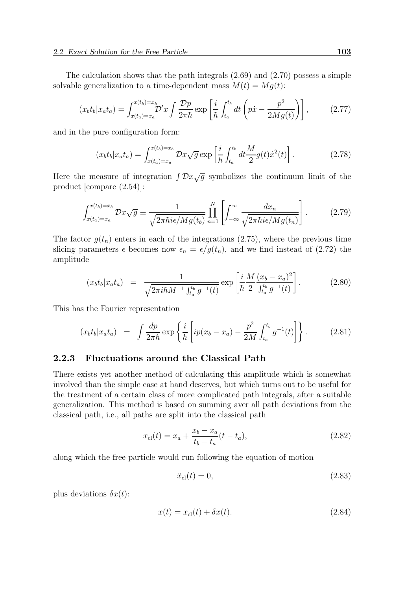The calculation shows that the path integrals (2.69) and (2.70) possess a simple solvable generalization to a time-dependent mass  $M(t) = Mg(t)$ :

$$
(x_b t_b | x_a t_a) = \int_{x(t_a) = x_a}^{x(t_b) = x_b} \mathcal{D}'x \int \frac{\mathcal{D}p}{2\pi\hbar} \exp\left[\frac{i}{\hbar} \int_{t_a}^{t_b} dt \left(p\dot{x} - \frac{p^2}{2Mg(t)}\right)\right],\tag{2.77}
$$

and in the pure configuration form:

$$
(x_b t_b | x_a t_a) = \int_{x(t_a) = x_a}^{x(t_b) = x_b} \mathcal{D}x \sqrt{g} \exp\left[\frac{i}{\hbar} \int_{t_a}^{t_b} dt \frac{M}{2} g(t) \dot{x}^2(t)\right]. \tag{2.78}
$$

Here the measure of integration  $\int \mathcal{D}x\sqrt{g}$  symbolizes the continuum limit of the product [compare (2.54)]:

$$
\int_{x(t_a)=x_a}^{x(t_b)=x_b} \mathcal{D}x \sqrt{g} \equiv \frac{1}{\sqrt{2\pi\hbar i\epsilon/Mg(t_b)}} \prod_{n=1}^N \left[ \int_{-\infty}^{\infty} \frac{dx_n}{\sqrt{2\pi\hbar i\epsilon/Mg(t_n)}} \right].
$$
 (2.79)

The factor  $g(t_n)$  enters in each of the integrations (2.75), where the previous time slicing parameters  $\epsilon$  becomes now  $\epsilon_n = \epsilon/g(t_n)$ , and we find instead of (2.72) the amplitude

$$
(x_b t_b | x_a t_a) = \frac{1}{\sqrt{2\pi i\hbar M^{-1} \int_{t_a}^{t_b} g^{-1}(t)}} \exp\left[\frac{i}{\hbar} \frac{M}{2} \frac{(x_b - x_a)^2}{\int_{t_a}^{t_b} g^{-1}(t)}\right].
$$
 (2.80)

This has the Fourier representation

$$
(x_b t_b | x_a t_a) = \int \frac{dp}{2\pi\hbar} \exp\left\{ \frac{i}{\hbar} \left[ ip(x_b - x_a) - \frac{p^2}{2M} \int_{t_a}^{t_b} g^{-1}(t) \right] \right\}.
$$
 (2.81)

#### 2.2.3 Fluctuations around the Classical Path

There exists yet another method of calculating this amplitude which is somewhat involved than the simple case at hand deserves, but which turns out to be useful for the treatment of a certain class of more complicated path integrals, after a suitable generalization. This method is based on summing aver all path deviations from the classical path, i.e., all paths are split into the classical path

$$
x_{\rm cl}(t) = x_a + \frac{x_b - x_a}{t_b - t_a}(t - t_a),\tag{2.82}
$$

along which the free particle would run following the equation of motion

$$
\ddot{x}_{\rm cl}(t) = 0,\tag{2.83}
$$

plus deviations  $\delta x(t)$ :

$$
x(t) = x_{cl}(t) + \delta x(t).
$$
 (2.84)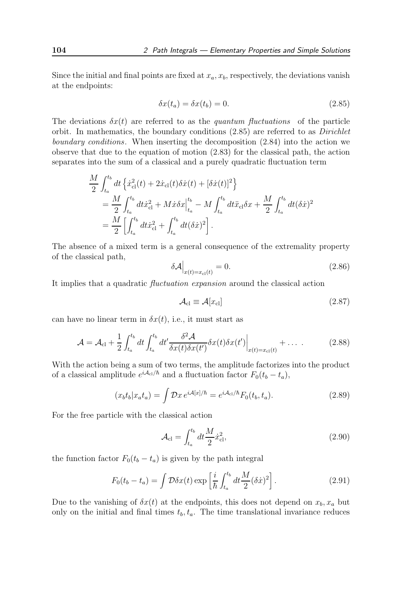Since the initial and final points are fixed at  $x_a, x_b$ , respectively, the deviations vanish at the endpoints:

$$
\delta x(t_a) = \delta x(t_b) = 0. \tag{2.85}
$$

The deviations  $\delta x(t)$  are referred to as the quantum fluctuations of the particle orbit. In mathematics, the boundary conditions  $(2.85)$  are referred to as *Dirichlet* boundary conditions. When inserting the decomposition (2.84) into the action we observe that due to the equation of motion (2.83) for the classical path, the action separates into the sum of a classical and a purely quadratic fluctuation term

$$
\frac{M}{2} \int_{t_a}^{t_b} dt \left\{ \dot{x}_{\text{cl}}^2(t) + 2\dot{x}_{\text{cl}}(t)\delta \dot{x}(t) + [\delta \dot{x}(t)]^2 \right\}
$$
\n
$$
= \frac{M}{2} \int_{t_a}^{t_b} dt \dot{x}_{\text{cl}}^2 + M\dot{x}\delta x \Big|_{t_a}^{t_b} - M \int_{t_a}^{t_b} dt \ddot{x}_{\text{cl}} \delta x + \frac{M}{2} \int_{t_a}^{t_b} dt (\delta \dot{x})^2
$$
\n
$$
= \frac{M}{2} \left[ \int_{t_a}^{t_b} dt \dot{x}_{\text{cl}}^2 + \int_{t_a}^{t_b} dt (\delta \dot{x})^2 \right].
$$

The absence of a mixed term is a general consequence of the extremality property of the classical path,

$$
\delta \mathcal{A}\Big|_{x(t)=x_{\text{cl}}(t)} = 0. \tag{2.86}
$$

It implies that a quadratic fluctuation expansion around the classical action

$$
\mathcal{A}_{\rm cl} \equiv \mathcal{A}[x_{\rm cl}] \tag{2.87}
$$

can have no linear term in  $\delta x(t)$ , i.e., it must start as

$$
\mathcal{A} = \mathcal{A}_{\text{cl}} + \frac{1}{2} \int_{t_a}^{t_b} dt \int_{t_a}^{t_b} dt' \frac{\delta^2 \mathcal{A}}{\delta x(t) \delta x(t')} \delta x(t) \delta x(t') \Big|_{x(t) = x_{\text{cl}}(t)} + \dots \qquad (2.88)
$$

With the action being a sum of two terms, the amplitude factorizes into the product of a classical amplitude  $e^{iA_{\text{cl}}/\hbar}$  and a fluctuation factor  $F_0(t_b - t_a)$ ,

$$
(x_b t_b | x_a t_a) = \int \mathcal{D}x \, e^{i\mathcal{A}[x]/\hbar} = e^{i\mathcal{A}_{\text{cl}}/\hbar} F_0(t_b, t_a). \tag{2.89}
$$

For the free particle with the classical action

$$
\mathcal{A}_{\rm cl} = \int_{t_a}^{t_b} dt \frac{M}{2} \dot{x}_{\rm cl}^2,\tag{2.90}
$$

the function factor  $F_0(t_b - t_a)$  is given by the path integral

$$
F_0(t_b - t_a) = \int \mathcal{D}\delta x(t) \exp\left[\frac{i}{\hbar} \int_{t_a}^{t_b} dt \frac{M}{2} (\delta \dot{x})^2\right]. \tag{2.91}
$$

Due to the vanishing of  $\delta x(t)$  at the endpoints, this does not depend on  $x_b, x_a$  but only on the initial and final times  $t_b, t_a$ . The time translational invariance reduces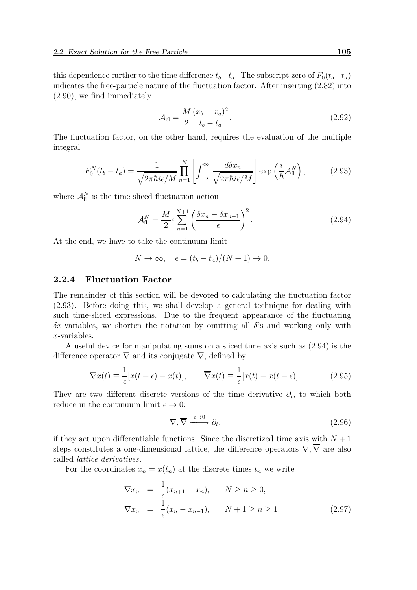this dependence further to the time difference  $t_b-t_a$ . The subscript zero of  $F_0(t_b-t_a)$ indicates the free-particle nature of the fluctuation factor. After inserting (2.82) into (2.90), we find immediately

$$
\mathcal{A}_{\rm cl} = \frac{M}{2} \frac{(x_b - x_a)^2}{t_b - t_a}.
$$
\n(2.92)

The fluctuation factor, on the other hand, requires the evaluation of the multiple integral

$$
F_0^N(t_b - t_a) = \frac{1}{\sqrt{2\pi\hbar i\epsilon/M}} \prod_{n=1}^N \left[ \int_{-\infty}^\infty \frac{d\delta x_n}{\sqrt{2\pi\hbar i\epsilon/M}} \right] \exp\left(\frac{i}{\hbar} \mathcal{A}_\text{fl}^N\right),\tag{2.93}
$$

where  $\mathcal{A}_{\text{fl}}^N$  is the time-sliced fluctuation action

$$
\mathcal{A}_{\rm fl}^N = \frac{M}{2} \epsilon \sum_{n=1}^{N+1} \left( \frac{\delta x_n - \delta x_{n-1}}{\epsilon} \right)^2.
$$
 (2.94)

At the end, we have to take the continuum limit

$$
N \to \infty, \quad \epsilon = (t_b - t_a)/(N + 1) \to 0.
$$

#### 2.2.4 Fluctuation Factor

The remainder of this section will be devoted to calculating the fluctuation factor (2.93). Before doing this, we shall develop a general technique for dealing with such time-sliced expressions. Due to the frequent appearance of the fluctuating  $\delta x$ -variables, we shorten the notation by omitting all  $\delta$ 's and working only with x-variables.

A useful device for manipulating sums on a sliced time axis such as (2.94) is the difference operator  $\nabla$  and its conjugate  $\overline{\nabla}$ , defined by

$$
\nabla x(t) \equiv \frac{1}{\epsilon} [x(t+\epsilon) - x(t)], \qquad \overline{\nabla} x(t) \equiv \frac{1}{\epsilon} [x(t) - x(t-\epsilon)]. \tag{2.95}
$$

They are two different discrete versions of the time derivative  $\partial_t$ , to which both reduce in the continuum limit  $\epsilon \to 0$ :

$$
\nabla, \overline{\nabla} \xrightarrow{\epsilon \to 0} \partial_t,\tag{2.96}
$$

if they act upon differentiable functions. Since the discretized time axis with  $N + 1$ steps constitutes a one-dimensional lattice, the difference operators  $\nabla, \overline{\nabla}$  are also called lattice derivatives.

For the coordinates  $x_n = x(t_n)$  at the discrete times  $t_n$  we write

$$
\nabla x_n = \frac{1}{\epsilon} (x_{n+1} - x_n), \qquad N \ge n \ge 0,
$$
  

$$
\overline{\nabla} x_n = \frac{1}{\epsilon} (x_n - x_{n-1}), \qquad N + 1 \ge n \ge 1.
$$
 (2.97)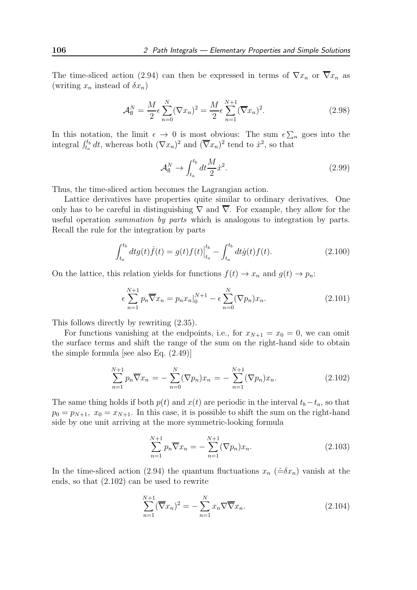The time-sliced action (2.94) can then be expressed in terms of  $\nabla x_n$  or  $\overline{\nabla} x_n$  as (writing  $x_n$  instead of  $\delta x_n$ )

$$
\mathcal{A}_{\mathrm{fl}}^N = \frac{M}{2} \epsilon \sum_{n=0}^N (\nabla x_n)^2 = \frac{M}{2} \epsilon \sum_{n=1}^{N+1} (\overline{\nabla} x_n)^2.
$$
 (2.98)

In this notation, the limit  $\epsilon \to 0$  is most obvious: The sum  $\epsilon \sum_n$  goes into the integral  $\int_{t_a}^{t_b} dt$ , whereas both  $(\nabla x_n)^2$  and  $(\overline{\nabla} x_n)^2$  tend to  $\dot{x}^2$ , so that

$$
\mathcal{A}_{\mathrm{fl}}^N \to \int_{t_a}^{t_b} dt \frac{M}{2} \dot{x}^2. \tag{2.99}
$$

Thus, the time-sliced action becomes the Lagrangian action.

Lattice derivatives have properties quite similar to ordinary derivatives. One only has to be careful in distinguishing  $\nabla$  and  $\nabla$ . For example, they allow for the useful operation summation by parts which is analogous to integration by parts. Recall the rule for the integration by parts

$$
\int_{t_a}^{t_b} dt g(t) \dot{f}(t) = g(t) f(t) \Big|_{t_a}^{t_b} - \int_{t_a}^{t_b} dt \dot{g}(t) f(t).
$$
 (2.100)

On the lattice, this relation yields for functions  $f(t) \to x_n$  and  $g(t) \to p_n$ .

$$
\epsilon \sum_{n=1}^{N+1} p_n \overline{\nabla} x_n = p_n x_n \big|_0^{N+1} - \epsilon \sum_{n=0}^N (\nabla p_n) x_n.
$$
 (2.101)

This follows directly by rewriting (2.35).

For functions vanishing at the endpoints, i.e., for  $x_{N+1} = x_0 = 0$ , we can omit the surface terms and shift the range of the sum on the right-hand side to obtain the simple formula [see also Eq. (2.49)]

$$
\sum_{n=1}^{N+1} p_n \overline{\nabla} x_n = -\sum_{n=0}^{N} (\nabla p_n) x_n = -\sum_{n=1}^{N+1} (\nabla p_n) x_n.
$$
 (2.102)

The same thing holds if both  $p(t)$  and  $x(t)$  are periodic in the interval  $t_b - t_a$ , so that  $p_0 = p_{N+1}, x_0 = x_{N+1}.$  In this case, it is possible to shift the sum on the right-hand side by one unit arriving at the more symmetric-looking formula

$$
\sum_{n=1}^{N+1} p_n \overline{\nabla} x_n = -\sum_{n=1}^{N+1} (\nabla p_n) x_n.
$$
 (2.103)

In the time-sliced action (2.94) the quantum fluctuations  $x_n$  ( $\hat{=} \delta x_n$ ) vanish at the ends, so that (2.102) can be used to rewrite

$$
\sum_{n=1}^{N+1} (\overline{\nabla} x_n)^2 = -\sum_{n=1}^N x_n \nabla \overline{\nabla} x_n.
$$
\n(2.104)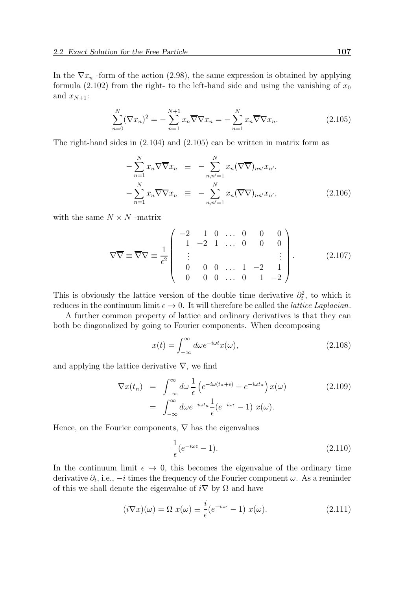In the  $\nabla x_n$ -form of the action (2.98), the same expression is obtained by applying formula (2.102) from the right- to the left-hand side and using the vanishing of  $x_0$ and  $x_{N+1}$ :

$$
\sum_{n=0}^{N} (\nabla x_n)^2 = -\sum_{n=1}^{N+1} x_n \overline{\nabla} \nabla x_n = -\sum_{n=1}^{N} x_n \overline{\nabla} \nabla x_n.
$$
 (2.105)

The right-hand sides in (2.104) and (2.105) can be written in matrix form as

$$
-\sum_{n=1}^{N} x_n \nabla \overline{\nabla} x_n \equiv -\sum_{n,n'=1}^{N} x_n (\nabla \overline{\nabla})_{nn'} x_{n'},
$$
  

$$
-\sum_{n=1}^{N} x_n \overline{\nabla} \nabla x_n \equiv -\sum_{n,n'=1}^{N} x_n (\overline{\nabla} \nabla)_{nn'} x_{n'},
$$
(2.106)

with the same  $N \times N$  -matrix

$$
\nabla \overline{\nabla} \equiv \overline{\nabla} \nabla \equiv \frac{1}{\epsilon^2} \begin{pmatrix} -2 & 1 & 0 & \dots & 0 & 0 & 0 \\ 1 & -2 & 1 & \dots & 0 & 0 & 0 \\ \vdots & & & & & \vdots \\ 0 & 0 & 0 & \dots & 1 & -2 & 1 \\ 0 & 0 & 0 & \dots & 0 & 1 & -2 \end{pmatrix} .
$$
 (2.107)

This is obviously the lattice version of the double time derivative  $\partial_t^2$ , to which it reduces in the continuum limit  $\epsilon \to 0$ . It will therefore be called the *lattice Laplacian*.

A further common property of lattice and ordinary derivatives is that they can both be diagonalized by going to Fourier components. When decomposing

$$
x(t) = \int_{-\infty}^{\infty} d\omega e^{-i\omega t} x(\omega),
$$
\n(2.108)

and applying the lattice derivative  $\nabla$ , we find

$$
\nabla x(t_n) = \int_{-\infty}^{\infty} d\omega \frac{1}{\epsilon} \left( e^{-i\omega(t_n + \epsilon)} - e^{-i\omega t_n} \right) x(\omega)
$$
\n
$$
= \int_{-\infty}^{\infty} d\omega e^{-i\omega t_n} \frac{1}{\epsilon} (e^{-i\omega \epsilon} - 1) x(\omega).
$$
\n(2.109)

Hence, on the Fourier components,  $\nabla$  has the eigenvalues

$$
\frac{1}{\epsilon}(e^{-i\omega\epsilon} - 1). \tag{2.110}
$$

In the continuum limit  $\epsilon \to 0$ , this becomes the eigenvalue of the ordinary time derivative  $\partial_t$ , i.e.,  $-i$  times the frequency of the Fourier component  $\omega$ . As a reminder of this we shall denote the eigenvalue of  $i\nabla$  by  $\Omega$  and have

$$
(i\nabla x)(\omega) = \Omega \ x(\omega) \equiv \frac{i}{\epsilon} (e^{-i\omega\epsilon} - 1) \ x(\omega). \tag{2.111}
$$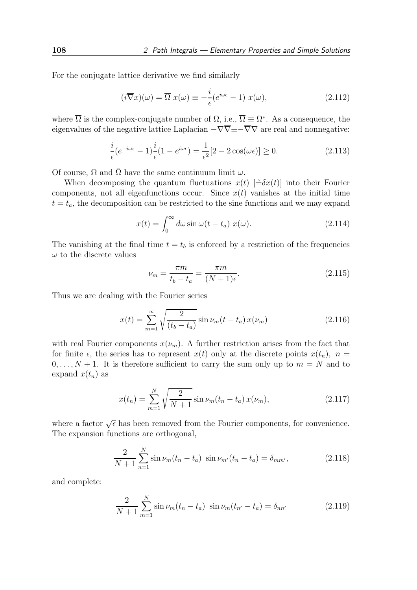For the conjugate lattice derivative we find similarly

$$
(i\overline{\nabla}x)(\omega) = \overline{\Omega} x(\omega) \equiv -\frac{i}{\epsilon}(e^{i\omega\epsilon} - 1) x(\omega), \qquad (2.112)
$$

where  $\overline{\Omega}$  is the complex-conjugate number of  $\Omega$ , i.e.,  $\overline{\Omega} \equiv \Omega^*$ . As a consequence, the eigenvalues of the negative lattice Laplacian  $-\nabla \overline{\nabla} = -\nabla \nabla$  are real and nonnegative:

$$
\frac{i}{\epsilon}(e^{-i\omega\epsilon} - 1)\frac{i}{\epsilon}(1 - e^{i\omega\epsilon}) = \frac{1}{\epsilon^2}[2 - 2\cos(\omega\epsilon)] \ge 0.
$$
\n(2.113)

Of course,  $\Omega$  and  $\overline{\Omega}$  have the same continuum limit  $\omega$ .

When decomposing the quantum fluctuations  $x(t)$   $[\hat{=} \delta x(t)]$  into their Fourier components, not all eigenfunctions occur. Since  $x(t)$  vanishes at the initial time  $t = t_a$ , the decomposition can be restricted to the sine functions and we may expand

$$
x(t) = \int_0^\infty d\omega \sin \omega (t - t_a) \ x(\omega). \tag{2.114}
$$

The vanishing at the final time  $t = t_b$  is enforced by a restriction of the frequencies  $\omega$  to the discrete values

$$
\nu_m = \frac{\pi m}{t_b - t_a} = \frac{\pi m}{(N+1)\epsilon}.
$$
\n(2.115)

Thus we are dealing with the Fourier series

$$
x(t) = \sum_{m=1}^{\infty} \sqrt{\frac{2}{(t_b - t_a)}} \sin \nu_m (t - t_a) x(\nu_m)
$$
 (2.116)

with real Fourier components  $x(\nu_m)$ . A further restriction arises from the fact that for finite  $\epsilon$ , the series has to represent  $x(t)$  only at the discrete points  $x(t_n)$ ,  $n =$  $0, \ldots, N + 1$ . It is therefore sufficient to carry the sum only up to  $m = N$  and to expand  $x(t_n)$  as

$$
x(t_n) = \sum_{m=1}^{N} \sqrt{\frac{2}{N+1}} \sin \nu_m (t_n - t_a) x(\nu_m),
$$
 (2.117)

where a factor  $\sqrt{\epsilon}$  has been removed from the Fourier components, for convenience. The expansion functions are orthogonal,

$$
\frac{2}{N+1} \sum_{n=1}^{N} \sin \nu_m (t_n - t_a) \sin \nu_{m'} (t_n - t_a) = \delta_{mm'}, \qquad (2.118)
$$

and complete:

$$
\frac{2}{N+1} \sum_{m=1}^{N} \sin \nu_m (t_n - t_a) \sin \nu_m (t_{n'} - t_a) = \delta_{nn'} \tag{2.119}
$$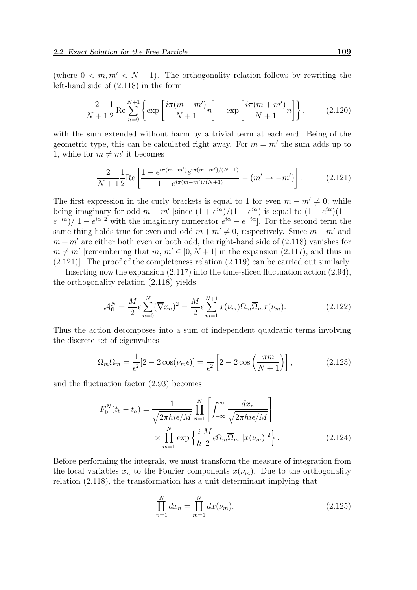(where  $0 \leq m, m' \leq N + 1$ ). The orthogonality relation follows by rewriting the left-hand side of (2.118) in the form

$$
\frac{2}{N+1} \frac{1}{2} \operatorname{Re} \sum_{n=0}^{N+1} \left\{ \exp\left[\frac{i\pi(m-m')}{N+1}n\right] - \exp\left[\frac{i\pi(m+m')}{N+1}n\right] \right\},\tag{2.120}
$$

with the sum extended without harm by a trivial term at each end. Being of the geometric type, this can be calculated right away. For  $m = m'$  the sum adds up to 1, while for  $m \neq m'$  it becomes

$$
\frac{2}{N+1} \frac{1}{2} \text{Re} \left[ \frac{1 - e^{i\pi(m-m')} e^{i\pi(m-m')/(N+1)}}{1 - e^{i\pi(m-m')/(N+1)}} - (m' \to -m') \right]. \tag{2.121}
$$

The first expression in the curly brackets is equal to 1 for even  $m - m' \neq 0$ ; while being imaginary for odd  $m - m'$  [since  $(1 + e^{i\alpha})/(1 - e^{i\alpha})$  is equal to  $(1 + e^{i\alpha})(1 (e^{-i\alpha})/|1-e^{i\alpha}|^2$  with the imaginary numerator  $e^{i\alpha}-e^{-i\alpha}$ . For the second term the same thing holds true for even and odd  $m + m' \neq 0$ , respectively. Since  $m - m'$  and  $m + m'$  are either both even or both odd, the right-hand side of  $(2.118)$  vanishes for  $m \neq m'$  [remembering that  $m, m' \in [0, N + 1]$  in the expansion (2.117), and thus in  $(2.121)$ . The proof of the completeness relation  $(2.119)$  can be carried out similarly.

Inserting now the expansion (2.117) into the time-sliced fluctuation action (2.94), the orthogonality relation (2.118) yields

$$
\mathcal{A}_{\mathrm{fl}}^N = \frac{M}{2} \epsilon \sum_{n=0}^N (\overline{\nabla} x_n)^2 = \frac{M}{2} \epsilon \sum_{m=1}^{N+1} x(\nu_m) \Omega_m \overline{\Omega}_m x(\nu_m). \tag{2.122}
$$

Thus the action decomposes into a sum of independent quadratic terms involving the discrete set of eigenvalues

$$
\Omega_m \overline{\Omega}_m = \frac{1}{\epsilon^2} [2 - 2 \cos(\nu_m \epsilon)] = \frac{1}{\epsilon^2} \left[ 2 - 2 \cos\left(\frac{\pi m}{N + 1}\right) \right],\tag{2.123}
$$

and the fluctuation factor (2.93) becomes

$$
F_0^N(t_b - t_a) = \frac{1}{\sqrt{2\pi\hbar i\epsilon/M}} \prod_{n=1}^N \left[ \int_{-\infty}^\infty \frac{dx_n}{\sqrt{2\pi\hbar i\epsilon/M}} \right]
$$

$$
\times \prod_{m=1}^N \exp\left\{ \frac{i}{\hbar} \frac{M}{2} \epsilon \Omega_m \overline{\Omega}_m \left[ x(\nu_m) \right]^2 \right\}.
$$
(2.124)

Before performing the integrals, we must transform the measure of integration from the local variables  $x_n$  to the Fourier components  $x(\nu_m)$ . Due to the orthogonality relation (2.118), the transformation has a unit determinant implying that

$$
\prod_{n=1}^{N} dx_n = \prod_{m=1}^{N} dx(\nu_m).
$$
\n(2.125)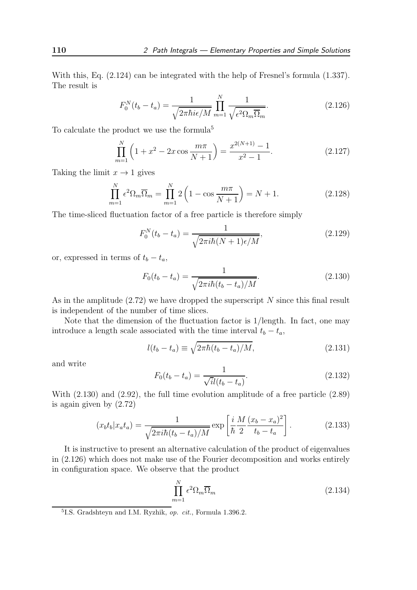With this, Eq. (2.124) can be integrated with the help of Fresnel's formula (1.337). The result is

$$
F_0^N(t_b - t_a) = \frac{1}{\sqrt{2\pi\hbar i\epsilon/M}} \prod_{m=1}^N \frac{1}{\sqrt{\epsilon^2 \Omega_m \overline{\Omega}_m}}.
$$
\n(2.126)

To calculate the product we use the formula<sup>5</sup>

$$
\prod_{m=1}^{N} \left( 1 + x^2 - 2x \cos \frac{m\pi}{N+1} \right) = \frac{x^{2(N+1)} - 1}{x^2 - 1}.
$$
\n(2.127)

Taking the limit  $x \to 1$  gives

$$
\prod_{m=1}^{N} \epsilon^2 \Omega_m \overline{\Omega}_m = \prod_{m=1}^{N} 2 \left( 1 - \cos \frac{m\pi}{N+1} \right) = N + 1.
$$
 (2.128)

The time-sliced fluctuation factor of a free particle is therefore simply

$$
F_0^N(t_b - t_a) = \frac{1}{\sqrt{2\pi i\hbar (N+1)\epsilon/M}},
$$
\n(2.129)

or, expressed in terms of  $t_b - t_a$ ,

$$
F_0(t_b - t_a) = \frac{1}{\sqrt{2\pi i\hbar(t_b - t_a)/M}}.\tag{2.130}
$$

As in the amplitude  $(2.72)$  we have dropped the superscript N since this final result is independent of the number of time slices.

Note that the dimension of the fluctuation factor is 1/length. In fact, one may introduce a length scale associated with the time interval  $t_b - t_a$ ,

$$
l(t_b - t_a) \equiv \sqrt{2\pi\hbar (t_b - t_a)/M},\tag{2.131}
$$

and write

$$
F_0(t_b - t_a) = \frac{1}{\sqrt{i}l(t_b - t_a)}.\t(2.132)
$$

With (2.130) and (2.92), the full time evolution amplitude of a free particle (2.89) is again given by (2.72)

$$
(x_b t_b | x_a t_a) = \frac{1}{\sqrt{2\pi i\hbar (t_b - t_a)/M}} \exp\left[\frac{i}{\hbar} \frac{M}{2} \frac{(x_b - x_a)^2}{t_b - t_a}\right].
$$
 (2.133)

It is instructive to present an alternative calculation of the product of eigenvalues in (2.126) which does not make use of the Fourier decomposition and works entirely in configuration space. We observe that the product

$$
\prod_{m=1}^{N} \epsilon^2 \Omega_m \overline{\Omega}_m \tag{2.134}
$$

<sup>5</sup>I.S. Gradshteyn and I.M. Ryzhik, op. cit., Formula 1.396.2.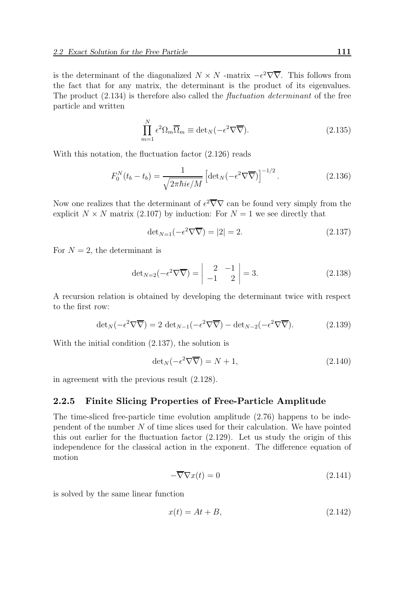is the determinant of the diagonalized  $N \times N$  -matrix  $-\epsilon^2 \nabla \overline{\nabla}$ . This follows from the fact that for any matrix, the determinant is the product of its eigenvalues. The product (2.134) is therefore also called the fluctuation determinant of the free particle and written

$$
\prod_{m=1}^{N} \epsilon^2 \Omega_m \overline{\Omega}_m \equiv \det_N(-\epsilon^2 \nabla \overline{\nabla}).
$$
\n(2.135)

With this notation, the fluctuation factor (2.126) reads

$$
F_0^N(t_b - t_b) = \frac{1}{\sqrt{2\pi\hbar i\epsilon/M}} \left[ \det_N(-\epsilon^2 \nabla \overline{\nabla}) \right]^{-1/2}.
$$
 (2.136)

Now one realizes that the determinant of  $\epsilon^2 \overline{\nabla} \nabla$  can be found very simply from the explicit  $N \times N$  matrix (2.107) by induction: For  $N = 1$  we see directly that

$$
\det_{N=1}(-\epsilon^2 \nabla \overline{\nabla}) = |2| = 2. \tag{2.137}
$$

For  $N = 2$ , the determinant is

$$
\det_{N=2}(-\epsilon^2 \nabla \overline{\nabla}) = \begin{vmatrix} 2 & -1 \\ -1 & 2 \end{vmatrix} = 3.
$$
 (2.138)

A recursion relation is obtained by developing the determinant twice with respect to the first row:

$$
\det_N(-\epsilon^2 \nabla \overline{\nabla}) = 2 \det_{N-1}(-\epsilon^2 \nabla \overline{\nabla}) - \det_{N-2}(-\epsilon^2 \nabla \overline{\nabla}).
$$
 (2.139)

With the initial condition (2.137), the solution is

$$
\det_{N}(-\epsilon^2 \nabla \overline{\nabla}) = N + 1, \tag{2.140}
$$

in agreement with the previous result (2.128).

#### 2.2.5 Finite Slicing Properties of Free-Particle Amplitude

The time-sliced free-particle time evolution amplitude (2.76) happens to be independent of the number  $N$  of time slices used for their calculation. We have pointed this out earlier for the fluctuation factor (2.129). Let us study the origin of this independence for the classical action in the exponent. The difference equation of motion

$$
-\overline{\nabla}\nabla x(t) = 0\tag{2.141}
$$

is solved by the same linear function

$$
x(t) = At + B,\tag{2.142}
$$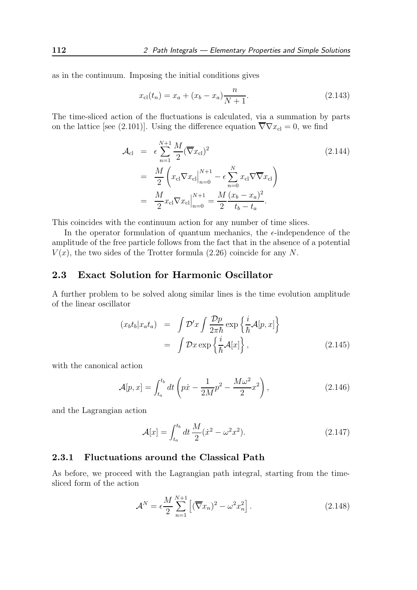as in the continuum. Imposing the initial conditions gives

$$
x_{\rm cl}(t_n) = x_a + (x_b - x_a) \frac{n}{N+1}.\tag{2.143}
$$

The time-sliced action of the fluctuations is calculated, via a summation by parts on the lattice [see (2.101)]. Using the difference equation  $\overline{\nabla}\nabla x_{\text{cl}} = 0$ , we find

$$
\mathcal{A}_{\text{cl}} = \epsilon \sum_{n=1}^{N+1} \frac{M}{2} (\overline{\nabla} x_{\text{cl}})^2
$$
\n
$$
= \frac{M}{2} \left( x_{\text{cl}} \nabla x_{\text{cl}} \Big|_{n=0}^{N+1} - \epsilon \sum_{n=0}^{N} x_{\text{cl}} \nabla \overline{\nabla} x_{\text{cl}} \right)
$$
\n
$$
= \frac{M}{2} x_{\text{cl}} \nabla x_{\text{cl}} \Big|_{n=0}^{N+1} = \frac{M}{2} \frac{(x_b - x_a)^2}{t_b - t_a}.
$$
\n(2.144)

This coincides with the continuum action for any number of time slices.

In the operator formulation of quantum mechanics, the  $\epsilon$ -independence of the amplitude of the free particle follows from the fact that in the absence of a potential  $V(x)$ , the two sides of the Trotter formula (2.26) coincide for any N.

## 2.3 Exact Solution for Harmonic Oscillator

A further problem to be solved along similar lines is the time evolution amplitude of the linear oscillator

$$
(x_b t_b | x_a t_a) = \int \mathcal{D}' x \int \frac{\mathcal{D} p}{2\pi \hbar} \exp\left\{ \frac{i}{\hbar} \mathcal{A}[p, x] \right\}
$$

$$
= \int \mathcal{D} x \exp\left\{ \frac{i}{\hbar} \mathcal{A}[x] \right\}, \tag{2.145}
$$

with the canonical action

$$
\mathcal{A}[p,x] = \int_{t_a}^{t_b} dt \left( p\dot{x} - \frac{1}{2M}p^2 - \frac{M\omega^2}{2}x^2 \right), \tag{2.146}
$$

and the Lagrangian action

$$
\mathcal{A}[x] = \int_{t_a}^{t_b} dt \, \frac{M}{2} (\dot{x}^2 - \omega^2 x^2). \tag{2.147}
$$

#### 2.3.1 Fluctuations around the Classical Path

As before, we proceed with the Lagrangian path integral, starting from the timesliced form of the action

$$
\mathcal{A}^N = \epsilon \frac{M}{2} \sum_{n=1}^{N+1} \left[ (\overline{\nabla} x_n)^2 - \omega^2 x_n^2 \right]. \tag{2.148}
$$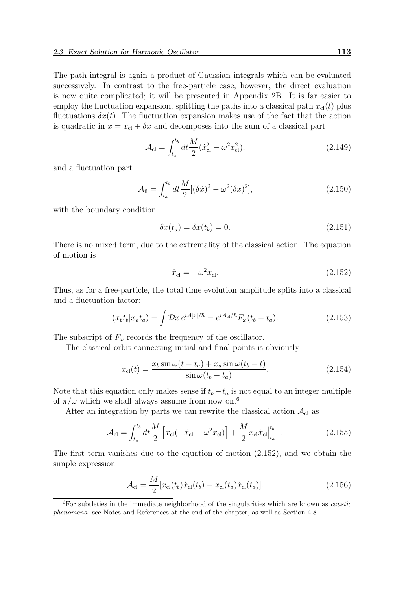The path integral is again a product of Gaussian integrals which can be evaluated successively. In contrast to the free-particle case, however, the direct evaluation is now quite complicated; it will be presented in Appendix 2B. It is far easier to employ the fluctuation expansion, splitting the paths into a classical path  $x<sub>cl</sub>(t)$  plus fluctuations  $\delta x(t)$ . The fluctuation expansion makes use of the fact that the action is quadratic in  $x = x<sub>cl</sub> + \delta x$  and decomposes into the sum of a classical part

$$
\mathcal{A}_{\rm cl} = \int_{t_a}^{t_b} dt \frac{M}{2} (\dot{x}_{\rm cl}^2 - \omega^2 x_{\rm cl}^2), \tag{2.149}
$$

and a fluctuation part

$$
\mathcal{A}_{\text{fl}} = \int_{t_a}^{t_b} dt \frac{M}{2} [(\delta \dot{x})^2 - \omega^2 (\delta x)^2], \tag{2.150}
$$

with the boundary condition

$$
\delta x(t_a) = \delta x(t_b) = 0. \tag{2.151}
$$

There is no mixed term, due to the extremality of the classical action. The equation of motion is

$$
\ddot{x}_{\rm cl} = -\omega^2 x_{\rm cl}.\tag{2.152}
$$

Thus, as for a free-particle, the total time evolution amplitude splits into a classical and a fluctuation factor:

$$
(x_b t_b | x_a t_a) = \int \mathcal{D}x \, e^{i\mathcal{A}[x]/\hbar} = e^{i\mathcal{A}_{\text{cl}}/\hbar} F_\omega (t_b - t_a). \tag{2.153}
$$

The subscript of  $F_{\omega}$  records the frequency of the oscillator.

The classical orbit connecting initial and final points is obviously

$$
x_{\rm cl}(t) = \frac{x_b \sin \omega (t - t_a) + x_a \sin \omega (t_b - t)}{\sin \omega (t_b - t_a)}.
$$
\n(2.154)

Note that this equation only makes sense if  $t_b - t_a$  is not equal to an integer multiple of  $\pi/\omega$  which we shall always assume from now on.<sup>6</sup>

After an integration by parts we can rewrite the classical action  $\mathcal{A}_{\text{cl}}$  as

$$
\mathcal{A}_{\rm cl} = \int_{t_a}^{t_b} dt \frac{M}{2} \left[ x_{\rm cl} (-\ddot{x}_{\rm cl} - \omega^2 x_{\rm cl}) \right] + \frac{M}{2} x_{\rm cl} \dot{x}_{\rm cl} \Big|_{t_a}^{t_b} \quad . \tag{2.155}
$$

The first term vanishes due to the equation of motion (2.152), and we obtain the simple expression

$$
\mathcal{A}_{\rm cl} = \frac{M}{2} [x_{\rm cl}(t_b) \dot{x}_{\rm cl}(t_b) - x_{\rm cl}(t_a) \dot{x}_{\rm cl}(t_a)]. \tag{2.156}
$$

 $6$ For subtleties in the immediate neighborhood of the singularities which are known as *caustic* phenomena, see Notes and References at the end of the chapter, as well as Section 4.8.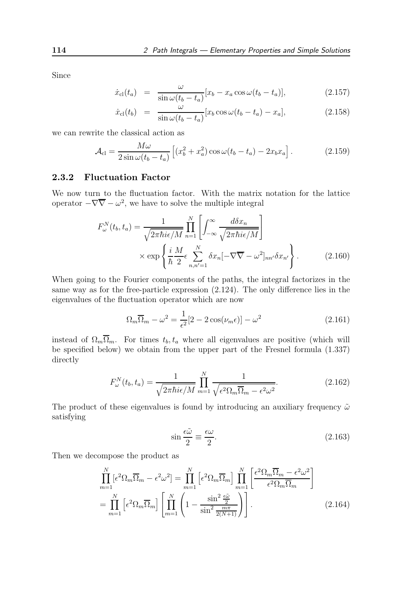Since

$$
\dot{x}_{\rm cl}(t_a) = \frac{\omega}{\sin \omega (t_b - t_a)} [x_b - x_a \cos \omega (t_b - t_a)], \qquad (2.157)
$$

$$
\dot{x}_{\rm cl}(t_b) = \frac{\omega}{\sin \omega (t_b - t_a)} [x_b \cos \omega (t_b - t_a) - x_a], \qquad (2.158)
$$

we can rewrite the classical action as

$$
\mathcal{A}_{\text{cl}} = \frac{M\omega}{2\sin\omega(t_b - t_a)} \left[ (x_b^2 + x_a^2)\cos\omega(t_b - t_a) - 2x_b x_a \right]. \tag{2.159}
$$

#### 2.3.2 Fluctuation Factor

We now turn to the fluctuation factor. With the matrix notation for the lattice operator  $-\nabla \overline{\nabla} - \omega^2$ , we have to solve the multiple integral

$$
F_{\omega}^{N}(t_{b}, t_{a}) = \frac{1}{\sqrt{2\pi\hbar i\epsilon/M}} \prod_{n=1}^{N} \left[ \int_{-\infty}^{\infty} \frac{d\delta x_{n}}{\sqrt{2\pi\hbar i\epsilon/M}} \right]
$$

$$
\times \exp\left\{ \frac{i}{\hbar} \frac{M}{2} \epsilon \sum_{n,n'=1}^{N} \delta x_{n} [-\nabla \overline{\nabla} - \omega^{2}]_{nn'} \delta x_{n'} \right\}.
$$
(2.160)

When going to the Fourier components of the paths, the integral factorizes in the same way as for the free-particle expression (2.124). The only difference lies in the eigenvalues of the fluctuation operator which are now

$$
\Omega_m \overline{\Omega}_m - \omega^2 = \frac{1}{\epsilon^2} [2 - 2 \cos(\nu_m \epsilon)] - \omega^2 \tag{2.161}
$$

instead of  $\Omega_m \overline{\Omega}_m$ . For times  $t_b, t_a$  where all eigenvalues are positive (which will be specified below) we obtain from the upper part of the Fresnel formula (1.337) directly

$$
F_{\omega}^{N}(t_b, t_a) = \frac{1}{\sqrt{2\pi\hbar i\epsilon/M}} \prod_{m=1}^{N} \frac{1}{\sqrt{\epsilon^2 \Omega_m \Omega_m - \epsilon^2 \omega^2}}.
$$
 (2.162)

The product of these eigenvalues is found by introducing an auxiliary frequency  $\tilde{\omega}$ satisfying

$$
\sin\frac{\epsilon\tilde{\omega}}{2} \equiv \frac{\epsilon\omega}{2}.
$$
\n(2.163)

Then we decompose the product as

$$
\prod_{m=1}^{N} \left[ \epsilon^2 \Omega_m \overline{\Omega}_m - \epsilon^2 \omega^2 \right] = \prod_{m=1}^{N} \left[ \epsilon^2 \Omega_m \overline{\Omega}_m \right] \prod_{m=1}^{N} \left[ \frac{\epsilon^2 \Omega_m \overline{\Omega}_m - \epsilon^2 \omega^2}{\epsilon^2 \Omega_m \overline{\Omega}_m} \right]
$$
\n
$$
= \prod_{m=1}^{N} \left[ \epsilon^2 \Omega_m \overline{\Omega}_m \right] \left[ \prod_{m=1}^{N} \left( 1 - \frac{\sin^2 \frac{\epsilon \tilde{\omega}}{2}}{\sin^2 \frac{m \pi}{2(N+1)}} \right) \right].
$$
\n(2.164)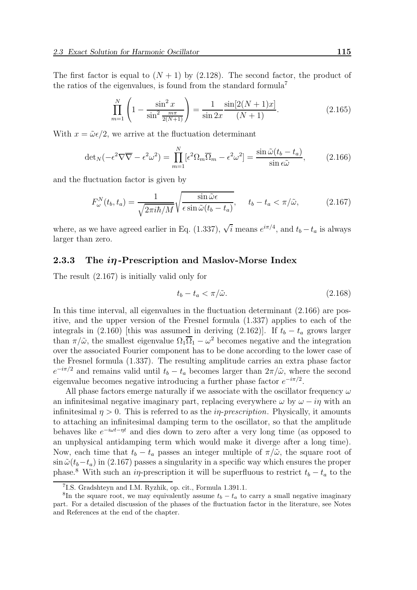The first factor is equal to  $(N + 1)$  by (2.128). The second factor, the product of the ratios of the eigenvalues, is found from the standard formula<sup>7</sup>

$$
\prod_{m=1}^{N} \left( 1 - \frac{\sin^2 x}{\sin^2 \frac{m\pi}{2(N+1)}} \right) = \frac{1}{\sin 2x} \frac{\sin[2(N+1)x]}{(N+1)}.
$$
\n(2.165)

With  $x = \tilde{\omega} \epsilon/2$ , we arrive at the fluctuation determinant

$$
\det_N(-\epsilon^2 \nabla \overline{\nabla} - \epsilon^2 \omega^2) = \prod_{m=1}^N [\epsilon^2 \Omega_m \overline{\Omega}_m - \epsilon^2 \omega^2] = \frac{\sin \tilde{\omega} (t_b - t_a)}{\sin \epsilon \tilde{\omega}},\tag{2.166}
$$

and the fluctuation factor is given by

$$
F_{\omega}^{N}(t_{b}, t_{a}) = \frac{1}{\sqrt{2\pi i\hbar/M}}\sqrt{\frac{\sin\tilde{\omega}\epsilon}{\epsilon\sin\tilde{\omega}(t_{b} - t_{a})}}, \quad t_{b} - t_{a} < \pi/\tilde{\omega}, \tag{2.167}
$$

where, as we have agreed earlier in Eq. (1.337),  $\sqrt{i}$  means  $e^{i\pi/4}$ , and  $t_b - t_a$  is always larger than zero.

#### 2.3.3 The  $i\eta$ -Prescription and Maslov-Morse Index

The result (2.167) is initially valid only for

$$
t_b - t_a < \pi/\tilde{\omega}.\tag{2.168}
$$

In this time interval, all eigenvalues in the fluctuation determinant (2.166) are positive, and the upper version of the Fresnel formula (1.337) applies to each of the integrals in (2.160) [this was assumed in deriving (2.162)]. If  $t_b - t_a$  grows larger than  $\pi/\tilde{\omega}$ , the smallest eigenvalue  $\Omega_1 \overline{\Omega}_1 - \omega^2$  becomes negative and the integration over the associated Fourier component has to be done according to the lower case of the Fresnel formula (1.337). The resulting amplitude carries an extra phase factor  $e^{-i\pi/2}$  and remains valid until  $t_b - t_a$  becomes larger than  $2\pi/\tilde{\omega}$ , where the second eigenvalue becomes negative introducing a further phase factor  $e^{-i\pi/2}$ .

All phase factors emerge naturally if we associate with the oscillator frequency  $\omega$ an infinitesimal negative imaginary part, replacing everywhere  $\omega$  by  $\omega - i\eta$  with an infinitesimal  $\eta > 0$ . This is referred to as the *in-prescription*. Physically, it amounts to attaching an infinitesimal damping term to the oscillator, so that the amplitude behaves like  $e^{-i\omega t-\eta t}$  and dies down to zero after a very long time (as opposed to an unphysical antidamping term which would make it diverge after a long time). Now, each time that  $t_b - t_a$  passes an integer multiple of  $\pi/\tilde{\omega}$ , the square root of  $\sin \tilde{\omega}(t_b-t_a)$  in (2.167) passes a singularity in a specific way which ensures the proper phase.<sup>8</sup> With such an i<sub>n</sub>-prescription it will be superfluous to restrict  $t_b - t_a$  to the

<sup>7</sup> I.S. Gradshteyn and I.M. Ryzhik, op. cit., Formula 1.391.1.

<sup>&</sup>lt;sup>8</sup>In the square root, we may equivalently assume  $t_b - t_a$  to carry a small negative imaginary part. For a detailed discussion of the phases of the fluctuation factor in the literature, see Notes and References at the end of the chapter.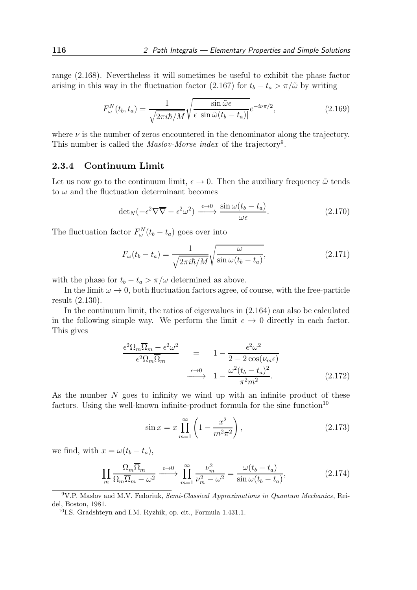range (2.168). Nevertheless it will sometimes be useful to exhibit the phase factor arising in this way in the fluctuation factor (2.167) for  $t_b - t_a > \pi/\tilde{\omega}$  by writing

$$
F_{\omega}^{N}(t_b, t_a) = \frac{1}{\sqrt{2\pi i\hbar/M}} \sqrt{\frac{\sin\tilde{\omega}\epsilon}{\epsilon|\sin\tilde{\omega}(t_b - t_a)|}} e^{-i\nu\pi/2}, \qquad (2.169)
$$

where  $\nu$  is the number of zeros encountered in the denominator along the trajectory. This number is called the *Maslov-Morse index* of the trajectory<sup>9</sup>.

#### 2.3.4 Continuum Limit

Let us now go to the continuum limit,  $\epsilon \to 0$ . Then the auxiliary frequency  $\tilde{\omega}$  tends to  $\omega$  and the fluctuation determinant becomes

$$
\det_N(-\epsilon^2 \nabla \overline{\nabla} - \epsilon^2 \omega^2) \xrightarrow{\epsilon \to 0} \frac{\sin \omega (t_b - t_a)}{\omega \epsilon}.
$$
 (2.170)

The fluctuation factor  $F_{\omega}^{N}(t_b - t_a)$  goes over into

$$
F_{\omega}(t_b - t_a) = \frac{1}{\sqrt{2\pi i\hbar/M}} \sqrt{\frac{\omega}{\sin\omega(t_b - t_a)}},\tag{2.171}
$$

with the phase for  $t_b - t_a > \pi/\omega$  determined as above.

In the limit  $\omega \to 0$ , both fluctuation factors agree, of course, with the free-particle result (2.130).

In the continuum limit, the ratios of eigenvalues in (2.164) can also be calculated in the following simple way. We perform the limit  $\epsilon \to 0$  directly in each factor. This gives

$$
\frac{\epsilon^2 \Omega_m \overline{\Omega}_m - \epsilon^2 \omega^2}{\epsilon^2 \Omega_m \overline{\Omega}_m} = 1 - \frac{\epsilon^2 \omega^2}{2 - 2 \cos(\nu_m \epsilon)}
$$
\n
$$
\xrightarrow{\epsilon \to 0} 1 - \frac{\omega^2 (t_b - t_a)^2}{\pi^2 m^2}.
$$
\n(2.172)

As the number  $N$  goes to infinity we wind up with an infinite product of these factors. Using the well-known infinite-product formula for the sine function<sup>10</sup>

$$
\sin x = x \prod_{m=1}^{\infty} \left( 1 - \frac{x^2}{m^2 \pi^2} \right),
$$
\n(2.173)

we find, with  $x = \omega(t_b - t_a)$ ,

$$
\prod_{m} \frac{\Omega_m \overline{\Omega}_m}{\Omega_m \overline{\Omega}_m - \omega^2} \xrightarrow{\epsilon \to 0} \prod_{m=1}^{\infty} \frac{\nu_m^2}{\nu_m^2 - \omega^2} = \frac{\omega(t_b - t_a)}{\sin \omega(t_b - t_a)},
$$
\n(2.174)

 $9V.P.$  Maslov and M.V. Fedoriuk, Semi-Classical Approximations in Quantum Mechanics, Reidel, Boston, 1981.

<sup>10</sup>I.S. Gradshteyn and I.M. Ryzhik, op. cit., Formula 1.431.1.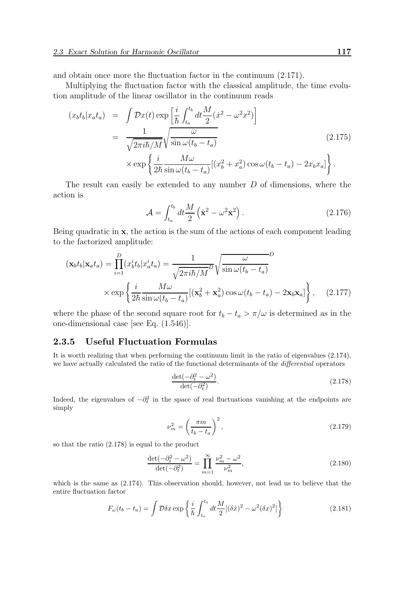and obtain once more the fluctuation factor in the continuum (2.171).

Multiplying the fluctuation factor with the classical amplitude, the time evolution amplitude of the linear oscillator in the continuum reads

$$
(x_b t_b | x_a t_a) = \int \mathcal{D}x(t) \exp\left[\frac{i}{\hbar} \int_{t_a}^{t_b} dt \frac{M}{2} (\dot{x}^2 - \omega^2 x^2)\right]
$$
  

$$
= \frac{1}{\sqrt{2\pi i \hbar/M}} \sqrt{\frac{\omega}{\sin \omega (t_b - t_a)}} \tag{2.175}
$$
  

$$
\times \exp\left\{\frac{i}{2\hbar} \frac{M\omega}{\sin \omega (t_b - t_a)} [(x_b^2 + x_a^2) \cos \omega (t_b - t_a) - 2x_b x_a]\right\}.
$$

The result can easily be extended to any number D of dimensions, where the action is

$$
\mathcal{A} = \int_{t_a}^{t_b} dt \frac{M}{2} \left( \dot{\mathbf{x}}^2 - \omega^2 \mathbf{x}^2 \right). \tag{2.176}
$$

Being quadratic in x, the action is the sum of the actions of each component leading to the factorized amplitude:

$$
(\mathbf{x}_b t_b | \mathbf{x}_a t_a) = \prod_{i=1}^D (x_b^i t_b | x_a^i t_a) = \frac{1}{\sqrt{2\pi i\hbar/M}} \sqrt{\frac{\omega}{\sin \omega (t_b - t_a)}} \times \exp\left\{\frac{i}{2\hbar} \frac{M\omega}{\sin \omega (t_b - t_a)}[(\mathbf{x}_b^2 + \mathbf{x}_a^2)\cos \omega (t_b - t_a) - 2\mathbf{x}_b \mathbf{x}_a]\right\}, \quad (2.177)
$$

where the phase of the second square root for  $t_b - t_a > \pi/\omega$  is determined as in the one-dimensional case [see Eq. (1.546)].

#### 2.3.5 Useful Fluctuation Formulas

It is worth realizing that when performing the continuum limit in the ratio of eigenvalues (2.174), we have actually calculated the ratio of the functional determinants of the *differential* operators

$$
\frac{\det(-\partial_t^2 - \omega^2)}{\det(-\partial_t^2)}.
$$
\n(2.178)

Indeed, the eigenvalues of  $-\partial_t^2$  in the space of real fluctuations vanishing at the endpoints are simply

$$
\nu_m^2 = \left(\frac{\pi m}{t_b - t_a}\right)^2,\tag{2.179}
$$

so that the ratio (2.178) is equal to the product

$$
\frac{\det(-\partial_t^2 - \omega^2)}{\det(-\partial_t^2)} = \prod_{m=1}^{\infty} \frac{\nu_m^2 - \omega^2}{\nu_m^2},
$$
\n(2.180)

which is the same as  $(2.174)$ . This observation should, however, not lead us to believe that the entire fluctuation factor

$$
F_{\omega}(t_b - t_a) = \int \mathcal{D}\delta x \exp\left\{\frac{i}{\hbar} \int_{t_a}^{t_b} dt \frac{M}{2} [(\delta \dot{x})^2 - \omega^2 (\delta x)^2] \right\}
$$
(2.181)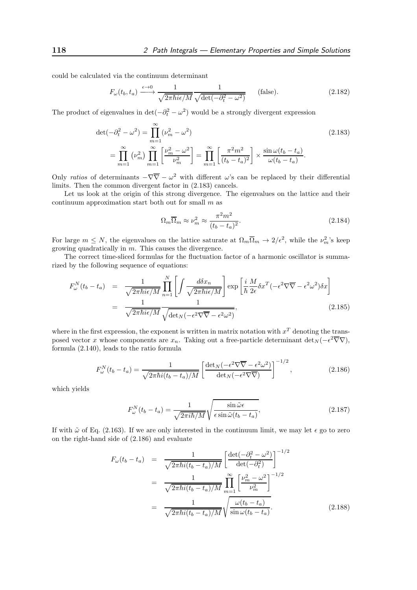could be calculated via the continuum determinant

$$
F_{\omega}(t_b, t_a) \xrightarrow{\epsilon \to 0} \frac{1}{\sqrt{2\pi\hbar i\epsilon/M}} \frac{1}{\sqrt{\det(-\partial_t^2 - \omega^2)}} \qquad \text{(false)}.
$$
 (2.182)

The product of eigenvalues in  $\det(-\partial_t^2 - \omega^2)$  would be a strongly divergent expression

$$
\det(-\partial_t^2 - \omega^2) = \prod_{m=1}^{\infty} (\nu_m^2 - \omega^2)
$$
\n
$$
= \prod_{m=1}^{\infty} (\nu_m^2) \prod_{m=1}^{\infty} \left[ \frac{\nu_m^2 - \omega^2}{\nu_m^2} \right] = \prod_{m=1}^{\infty} \left[ \frac{\pi^2 m^2}{(t_b - t_a)^2} \right] \times \frac{\sin \omega (t_b - t_a)}{\omega (t_b - t_a)}.
$$
\n(2.183)

Only ratios of determinants  $-\nabla \overline{\nabla} - \omega^2$  with different  $\omega$ 's can be replaced by their differential limits. Then the common divergent factor in (2.183) cancels.

Let us look at the origin of this strong divergence. The eigenvalues on the lattice and their continuum approximation start both out for small  $m$  as

$$
\Omega_m \overline{\Omega}_m \approx \nu_m^2 \approx \frac{\pi^2 m^2}{(t_b - t_a)^2}.
$$
\n(2.184)

For large  $m \leq N$ , the eigenvalues on the lattice saturate at  $\Omega_m \overline{\Omega}_m \to 2/\epsilon^2$ , while the  $\nu_m^2$ 's keep growing quadratically in m. This causes the divergence.

The correct time-sliced formulas for the fluctuation factor of a harmonic oscillator is summarized by the following sequence of equations:

$$
F_{\omega}^{N}(t_{b} - t_{a}) = \frac{1}{\sqrt{2\pi\hbar i\epsilon/M}} \prod_{n=1}^{N} \left[ \int \frac{d\delta x_{n}}{\sqrt{2\pi\hbar i\epsilon/M}} \right] \exp\left[ \frac{i}{\hbar} \frac{M}{2\epsilon} \delta x^{T} (-\epsilon^{2} \nabla \overline{\nabla} - \epsilon^{2} \omega^{2}) \delta x \right]
$$

$$
= \frac{1}{\sqrt{2\pi\hbar i\epsilon/M}} \frac{1}{\sqrt{\det_{N} (-\epsilon^{2} \nabla \overline{\nabla} - \epsilon^{2} \omega^{2})}},
$$
(2.185)

where in the first expression, the exponent is written in matrix notation with  $x<sup>T</sup>$  denoting the transposed vector x whose components are  $x_n$ . Taking out a free-particle determinant det<sub>N</sub> ( $-\epsilon^2 \overline{\nabla} \nabla$ ), formula (2.140), leads to the ratio formula

$$
F_{\omega}^{N}(t_b - t_a) = \frac{1}{\sqrt{2\pi\hbar i (t_b - t_a)/M}} \left[ \frac{\det_{N}(-\epsilon^2 \nabla \overline{\nabla} - \epsilon^2 \omega^2)}{\det_{N}(-\epsilon^2 \nabla \overline{\nabla})} \right]^{-1/2}, \qquad (2.186)
$$

which yields

$$
F_{\omega}^{N}(t_{b}-t_{a}) = \frac{1}{\sqrt{2\pi i\hbar/M}}\sqrt{\frac{\sin\tilde{\omega}\epsilon}{\epsilon\sin\tilde{\omega}(t_{b}-t_{a})}},
$$
\n(2.187)

If with  $\tilde{\omega}$  of Eq. (2.163). If we are only interested in the continuum limit, we may let  $\epsilon$  go to zero on the right-hand side of (2.186) and evaluate

$$
F_{\omega}(t_b - t_a) = \frac{1}{\sqrt{2\pi\hbar i (t_b - t_a)/M}} \left[ \frac{\det(-\partial_t^2 - \omega^2)}{\det(-\partial_t^2)} \right]^{-1/2}
$$
  

$$
= \frac{1}{\sqrt{2\pi\hbar i (t_b - t_a)/M}} \prod_{m=1}^{\infty} \left[ \frac{\nu_m^2 - \omega^2}{\nu_m^2} \right]^{-1/2}
$$
  

$$
= \frac{1}{\sqrt{2\pi\hbar i (t_b - t_a)/M}} \sqrt{\frac{\omega(t_b - t_a)}{\sin \omega(t_b - t_a)}}.
$$
(2.188)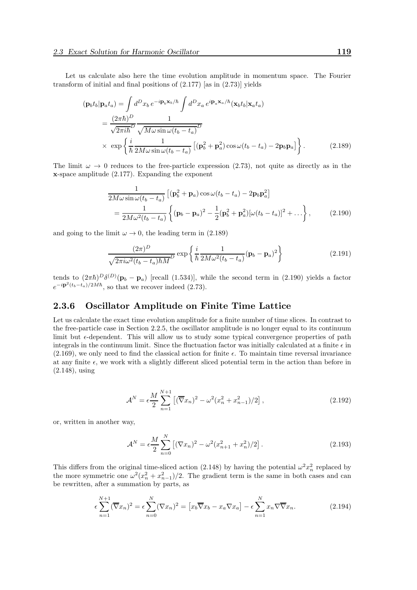Let us calculate also here the time evolution amplitude in momentum space. The Fourier transform of initial and final positions of  $(2.177)$  [as in  $(2.73)$ ] yields

$$
(\mathbf{p}_b t_b | \mathbf{p}_a t_a) = \int d^D x_b e^{-i \mathbf{p}_b \mathbf{x}_b / \hbar} \int d^D x_a e^{i \mathbf{p}_a \mathbf{x}_a / \hbar} (\mathbf{x}_b t_b | \mathbf{x}_a t_a)
$$
  
= 
$$
\frac{(2\pi \hbar)^D}{\sqrt{2\pi i \hbar}^D} \frac{1}{\sqrt{M\omega \sin \omega (t_b - t_a)}} \mathbf{D}
$$
  

$$
\times \exp\left\{\frac{i}{\hbar} \frac{1}{2M\omega \sin \omega (t_b - t_a)} \left[ (\mathbf{p}_b^2 + \mathbf{p}_a^2) \cos \omega (t_b - t_a) - 2\mathbf{p}_b \mathbf{p}_a \right] \right\}.
$$
 (2.189)

The limit  $\omega \to 0$  reduces to the free-particle expression (2.73), not quite as directly as in the x-space amplitude (2.177). Expanding the exponent

$$
\frac{1}{2M\omega\sin\omega(t_b - t_a)} \left[ (\mathbf{p}_b^2 + \mathbf{p}_a)\cos\omega(t_b - t_a) - 2\mathbf{p}_b \mathbf{p}_a^2 \right]
$$
\n
$$
= \frac{1}{2M\omega^2(t_b - t_a)} \left\{ (\mathbf{p}_b - \mathbf{p}_a)^2 - \frac{1}{2} (\mathbf{p}_b^2 + \mathbf{p}_a^2) [\omega(t_b - t_a)]^2 + \dots \right\},\tag{2.190}
$$

and going to the limit  $\omega \to 0$ , the leading term in (2.189)

$$
\frac{(2\pi)^D}{\sqrt{2\pi i \omega^2 (t_b - t_a)\hbar M^D}} \exp\left\{\frac{i}{\hbar} \frac{1}{2M\omega^2 (t_b - t_a)} (\mathbf{p}_b - \mathbf{p}_a)^2\right\}
$$
(2.191)

tends to  $(2\pi\hbar)^D \delta^{(D)}(\mathbf{p}_b - \mathbf{p}_a)$  [recall (1.534)], while the second term in (2.190) yields a factor  $e^{-i\mathbf{p}^2(t_b-t_a)/2M\hbar}$ , so that we recover indeed (2.73).

#### 2.3.6 Oscillator Amplitude on Finite Time Lattice

Let us calculate the exact time evolution amplitude for a finite number of time slices. In contrast to the free-particle case in Section 2.2.5, the oscillator amplitude is no longer equal to its continuum limit but  $\epsilon$ -dependent. This will allow us to study some typical convergence properties of path integrals in the continuum limit. Since the fluctuation factor was initially calculated at a finite  $\epsilon$  in  $(2.169)$ , we only need to find the classical action for finite  $\epsilon$ . To maintain time reversal invariance at any finite  $\epsilon$ , we work with a slightly different sliced potential term in the action than before in (2.148), using

$$
\mathcal{A}^N = \epsilon \frac{M}{2} \sum_{n=1}^{N+1} \left[ (\overline{\nabla} x_n)^2 - \omega^2 (x_n^2 + x_{n-1}^2)/2 \right],
$$
 (2.192)

or, written in another way,

$$
\mathcal{A}^N = \epsilon \frac{M}{2} \sum_{n=0}^N \left[ (\nabla x_n)^2 - \omega^2 (x_{n+1}^2 + x_n^2)/2 \right]. \tag{2.193}
$$

This differs from the original time-sliced action (2.148) by having the potential  $\omega^2 x_n^2$  replaced by the more symmetric one  $\omega^2(x_n^2 + x_{n-1}^2)/2$ . The gradient term is the same in both cases and can be rewritten, after a summation by parts, as

$$
\epsilon \sum_{n=1}^{N+1} (\overline{\nabla} x_n)^2 = \epsilon \sum_{n=0}^{N} (\nabla x_n)^2 = [x_b \overline{\nabla} x_b - x_a \nabla x_a] - \epsilon \sum_{n=1}^{N} x_n \nabla \overline{\nabla} x_n.
$$
 (2.194)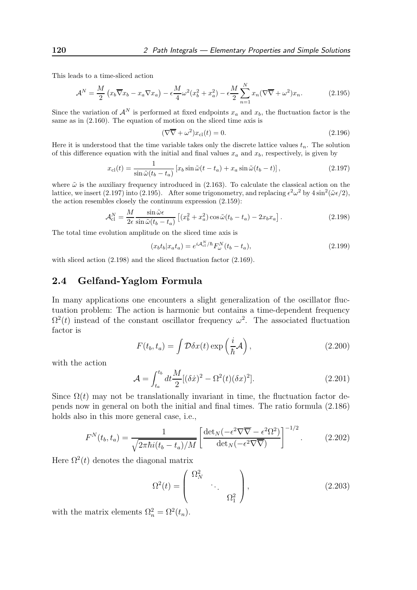This leads to a time-sliced action

$$
\mathcal{A}^N = \frac{M}{2} \left( x_b \overline{\nabla} x_b - x_a \nabla x_a \right) - \epsilon \frac{M}{4} \omega^2 (x_b^2 + x_a^2) - \epsilon \frac{M}{2} \sum_{n=1}^N x_n (\nabla \overline{\nabla} + \omega^2) x_n.
$$
 (2.195)

Since the variation of  $\mathcal{A}^N$  is performed at fixed endpoints  $x_a$  and  $x_b$ , the fluctuation factor is the same as in (2.160). The equation of motion on the sliced time axis is

$$
(\nabla \overline{\nabla} + \omega^2) x_{\text{cl}}(t) = 0. \tag{2.196}
$$

Here it is understood that the time variable takes only the discrete lattice values  $t_n$ . The solution of this difference equation with the initial and final values  $x_a$  and  $x_b$ , respectively, is given by

$$
x_{\rm cl}(t) = \frac{1}{\sin \tilde{\omega}(t_b - t_a)} \left[ x_b \sin \tilde{\omega}(t - t_a) + x_a \sin \tilde{\omega}(t_b - t) \right],\tag{2.197}
$$

where  $\tilde{\omega}$  is the auxiliary frequency introduced in (2.163). To calculate the classical action on the lattice, we insert (2.197) into (2.195). After some trigonometry, and replacing  $\epsilon^2 \omega^2$  by  $4 \sin^2(\tilde{\omega} \epsilon/2)$ , the action resembles closely the continuum expression (2.159):

$$
\mathcal{A}_{\text{cl}}^N = \frac{M}{2\epsilon} \frac{\sin \tilde{\omega}\epsilon}{\sin \tilde{\omega}(t_b - t_a)} \left[ (x_b^2 + x_a^2) \cos \tilde{\omega}(t_b - t_a) - 2x_b x_a \right]. \tag{2.198}
$$

The total time evolution amplitude on the sliced time axis is

$$
(x_b t_b | x_a t_a) = e^{iA_{\text{cl}}^N/\hbar} F_{\omega}^N(t_b - t_a), \qquad (2.199)
$$

with sliced action  $(2.198)$  and the sliced fluctuation factor  $(2.169)$ .

#### 2.4 Gelfand-Yaglom Formula

In many applications one encounters a slight generalization of the oscillator fluctuation problem: The action is harmonic but contains a time-dependent frequency  $\Omega^2(t)$  instead of the constant oscillator frequency  $\omega^2$ . The associated fluctuation factor is

$$
F(t_b, t_a) = \int \mathcal{D}\delta x(t) \exp\left(\frac{i}{\hbar} \mathcal{A}\right), \qquad (2.200)
$$

with the action

$$
\mathcal{A} = \int_{t_a}^{t_b} dt \frac{M}{2} [(\delta \dot{x})^2 - \Omega^2(t) (\delta x)^2].
$$
 (2.201)

Since  $\Omega(t)$  may not be translationally invariant in time, the fluctuation factor depends now in general on both the initial and final times. The ratio formula (2.186) holds also in this more general case, i.e.,

$$
F^{N}(t_{b},t_{a}) = \frac{1}{\sqrt{2\pi\hbar i(t_{b}-t_{a})/M}} \left[ \frac{\det_{N}(-\epsilon^{2}\nabla\overline{\nabla}-\epsilon^{2}\Omega^{2})}{\det_{N}(-\epsilon^{2}\nabla\overline{\nabla})} \right]^{-1/2}.
$$
 (2.202)

Here  $\Omega^2(t)$  denotes the diagonal matrix

$$
\Omega^2(t) = \begin{pmatrix} \Omega_N^2 & & \\ & \ddots & \\ & & \Omega_1^2 \end{pmatrix}, \tag{2.203}
$$

with the matrix elements  $\Omega_n^2 = \Omega^2(t_n)$ .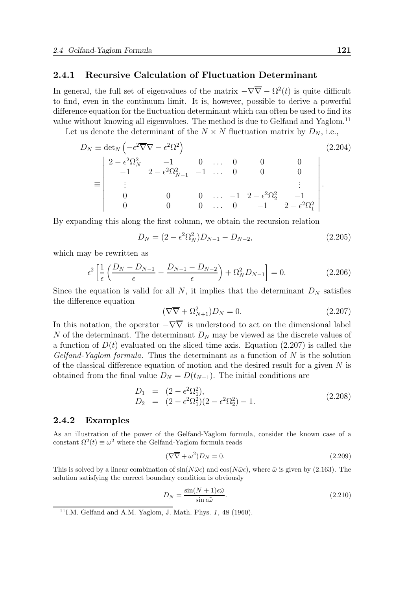#### 2.4.1 Recursive Calculation of Fluctuation Determinant

In general, the full set of eigenvalues of the matrix  $-\nabla \overline{\nabla} - \Omega^2(t)$  is quite difficult to find, even in the continuum limit. It is, however, possible to derive a powerful difference equation for the fluctuation determinant which can often be used to find its value without knowing all eigenvalues. The method is due to Gelfand and Yaglom.<sup>11</sup>

Let us denote the determinant of the  $N \times N$  fluctuation matrix by  $D_N$ , i.e.,

$$
D_N \equiv \det_N \left( -\epsilon^2 \overline{\nabla} \nabla - \epsilon^2 \Omega^2 \right)
$$
\n
$$
\equiv \begin{vmatrix}\n2 - \epsilon^2 \Omega_N^2 & -1 & 0 & \dots & 0 & 0 & 0 \\
-1 & 2 - \epsilon^2 \Omega_{N-1}^2 & -1 & \dots & 0 & 0 & 0 \\
\vdots & & & & & \vdots \\
0 & 0 & 0 & \dots & -1 & 2 - \epsilon^2 \Omega_2^2 & -1 \\
0 & 0 & 0 & \dots & 0 & -1 & 2 - \epsilon^2 \Omega_1^2\n\end{vmatrix}
$$
\n(2.204)

By expanding this along the first column, we obtain the recursion relation

$$
D_N = (2 - \epsilon^2 \Omega_N^2) D_{N-1} - D_{N-2}, \qquad (2.205)
$$

which may be rewritten as

$$
\epsilon^2 \left[ \frac{1}{\epsilon} \left( \frac{D_N - D_{N-1}}{\epsilon} - \frac{D_{N-1} - D_{N-2}}{\epsilon} \right) + \Omega_N^2 D_{N-1} \right] = 0. \tag{2.206}
$$

Since the equation is valid for all N, it implies that the determinant  $D<sub>N</sub>$  satisfies the difference equation

$$
(\nabla \overline{\nabla} + \Omega_{N+1}^2) D_N = 0. \qquad (2.207)
$$

In this notation, the operator  $-\nabla\overline{\nabla}$  is understood to act on the dimensional label N of the determinant. The determinant  $D<sub>N</sub>$  may be viewed as the discrete values of a function of  $D(t)$  evaluated on the sliced time axis. Equation (2.207) is called the  $Gelfand-Yaglom formula.$  Thus the determinant as a function of N is the solution of the classical difference equation of motion and the desired result for a given  $N$  is obtained from the final value  $D_N = D(t_{N+1})$ . The initial conditions are

$$
D_1 = (2 - \epsilon^2 \Omega_1^2), \nD_2 = (2 - \epsilon^2 \Omega_1^2)(2 - \epsilon^2 \Omega_2^2) - 1.
$$
\n(2.208)

#### 2.4.2 Examples

As an illustration of the power of the Gelfand-Yaglom formula, consider the known case of a constant  $\Omega^2(t) \equiv \omega^2$  where the Gelfand-Yaglom formula reads

$$
(\nabla \overline{\nabla} + \omega^2) D_N = 0. \tag{2.209}
$$

This is solved by a linear combination of  $\sin(N\tilde{\omega}\epsilon)$  and  $\cos(N\tilde{\omega}\epsilon)$ , where  $\tilde{\omega}$  is given by (2.163). The solution satisfying the correct boundary condition is obviously

$$
D_N = \frac{\sin(N+1)\epsilon\tilde{\omega}}{\sin \epsilon\tilde{\omega}}.\tag{2.210}
$$

 $11$ I.M. Gelfand and A.M. Yaglom, J. Math. Phys. 1, 48 (1960).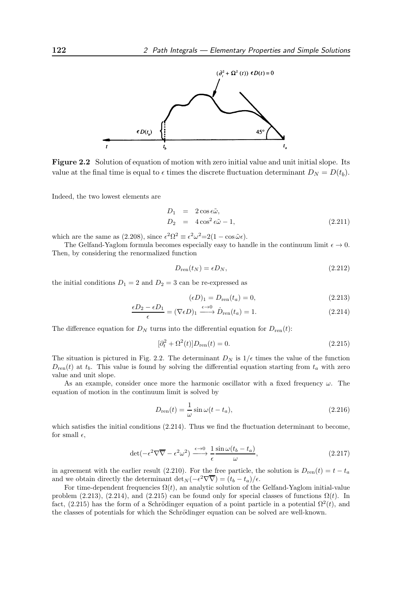

Figure 2.2 Solution of equation of motion with zero initial value and unit initial slope. Its value at the final time is equal to  $\epsilon$  times the discrete fluctuation determinant  $D_N = D(t_b)$ .

Indeed, the two lowest elements are

$$
D_1 = 2 \cos \epsilon \tilde{\omega},
$$
  
\n
$$
D_2 = 4 \cos^2 \epsilon \tilde{\omega} - 1,
$$
\n(2.211)

which are the same as (2.208), since  $\epsilon^2 \Omega^2 \equiv \epsilon^2 \omega^2 = 2(1 - \cos \tilde{\omega} \epsilon)$ .

The Gelfand-Yaglom formula becomes especially easy to handle in the continuum limit  $\epsilon \to 0$ . Then, by considering the renormalized function

$$
D_{\rm ren}(t_N) = \epsilon D_N,\tag{2.212}
$$

the initial conditions  $D_1 = 2$  and  $D_2 = 3$  can be re-expressed as

$$
(\epsilon D)_1 = D_{\rm ren}(t_a) = 0,\t(2.213)
$$

$$
\frac{\epsilon D_2 - \epsilon D_1}{\epsilon} = (\nabla \epsilon D)_1 \xrightarrow{\epsilon \to 0} \dot{D}_{\text{ren}}(t_a) = 1.
$$
\n(2.214)

The difference equation for  $D_N$  turns into the differential equation for  $D_{ren}(t)$ :

$$
[\partial_t^2 + \Omega^2(t)]D_{\text{ren}}(t) = 0.
$$
\n(2.215)

The situation is pictured in Fig. 2.2. The determinant  $D_N$  is  $1/\epsilon$  times the value of the function  $D_{\text{ren}}(t)$  at  $t_b$ . This value is found by solving the differential equation starting from  $t_a$  with zero value and unit slope.

As an example, consider once more the harmonic oscillator with a fixed frequency  $\omega$ . The equation of motion in the continuum limit is solved by

$$
D_{\rm ren}(t) = \frac{1}{\omega} \sin \omega (t - t_a), \qquad (2.216)
$$

which satisfies the initial conditions  $(2.214)$ . Thus we find the fluctuation determinant to become, for small  $\epsilon$ ,

$$
\det(-\epsilon^2 \nabla \overline{\nabla} - \epsilon^2 \omega^2) \xrightarrow{\epsilon \to 0} \frac{1}{\epsilon} \frac{\sin \omega (t_b - t_a)}{\omega}, \tag{2.217}
$$

in agreement with the earlier result (2.210). For the free particle, the solution is  $D_{ren}(t) = t - t_a$ and we obtain directly the determinant  $\det_N(-\epsilon^2 \nabla \overline{\nabla}) = (t_b - t_a)/\epsilon$ .

For time-dependent frequencies  $\Omega(t)$ , an analytic solution of the Gelfand-Yaglom initial-value problem (2.213), (2.214), and (2.215) can be found only for special classes of functions  $\Omega(t)$ . In fact, (2.215) has the form of a Schrödinger equation of a point particle in a potential  $\Omega^2(t)$ , and the classes of potentials for which the Schrödinger equation can be solved are well-known.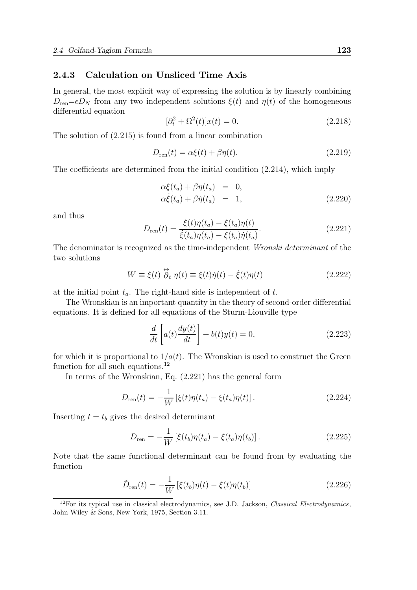#### 2.4.3 Calculation on Unsliced Time Axis

In general, the most explicit way of expressing the solution is by linearly combining  $D_{\text{ren}}=\epsilon D_N$  from any two independent solutions  $\xi(t)$  and  $\eta(t)$  of the homogeneous differential equation

$$
[\partial_t^2 + \Omega^2(t)]x(t) = 0.
$$
\n(2.218)

The solution of (2.215) is found from a linear combination

$$
D_{\text{ren}}(t) = \alpha \xi(t) + \beta \eta(t). \qquad (2.219)
$$

The coefficients are determined from the initial condition (2.214), which imply

$$
\alpha \xi(t_a) + \beta \eta(t_a) = 0,\n\alpha \dot{\xi}(t_a) + \beta \dot{\eta}(t_a) = 1,
$$
\n(2.220)

and thus

$$
D_{\rm ren}(t) = \frac{\xi(t)\eta(t_a) - \xi(t_a)\eta(t)}{\xi(t_a)\eta(t_a) - \xi(t_a)\dot{\eta}(t_a)}.
$$
\n(2.221)

The denominator is recognized as the time-independent Wronski determinant of the two solutions

$$
W \equiv \xi(t) \stackrel{\leftrightarrow}{\partial} t \eta(t) \equiv \xi(t)\dot{\eta}(t) - \dot{\xi}(t)\eta(t)
$$
\n(2.222)

at the initial point  $t_a$ . The right-hand side is independent of  $t$ .

The Wronskian is an important quantity in the theory of second-order differential equations. It is defined for all equations of the Sturm-Liouville type

$$
\frac{d}{dt}\left[a(t)\frac{dy(t)}{dt}\right] + b(t)y(t) = 0,
$$
\n(2.223)

for which it is proportional to  $1/a(t)$ . The Wronskian is used to construct the Green function for all such equations.<sup>12</sup>

In terms of the Wronskian, Eq. (2.221) has the general form

$$
D_{\text{ren}}(t) = -\frac{1}{W} \left[ \xi(t)\eta(t_a) - \xi(t_a)\eta(t) \right].
$$
 (2.224)

Inserting  $t = t_b$  gives the desired determinant

$$
D_{\text{ren}} = -\frac{1}{W} \left[ \xi(t_b) \eta(t_a) - \xi(t_a) \eta(t_b) \right]. \tag{2.225}
$$

Note that the same functional determinant can be found from by evaluating the function

$$
\tilde{D}_{\text{ren}}(t) = -\frac{1}{W} \left[ \xi(t_b) \eta(t) - \xi(t) \eta(t_b) \right]
$$
\n(2.226)

 $12$ For its typical use in classical electrodynamics, see J.D. Jackson, *Classical Electrodynamics*, John Wiley & Sons, New York, 1975, Section 3.11.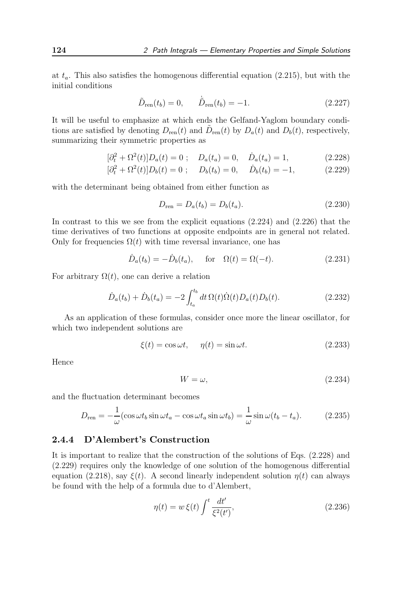at  $t_a$ . This also satisfies the homogenous differential equation (2.215), but with the initial conditions

$$
\tilde{D}_{ren}(t_b) = 0, \qquad \dot{\tilde{D}}_{ren}(t_b) = -1.
$$
\n(2.227)

It will be useful to emphasize at which ends the Gelfand-Yaglom boundary conditions are satisfied by denoting  $D_{ren}(t)$  and  $\tilde{D}_{ren}(t)$  by  $D_a(t)$  and  $D_b(t)$ , respectively, summarizing their symmetric properties as

$$
[\partial_t^2 + \Omega^2(t)]D_a(t) = 0 \; ; \quad D_a(t_a) = 0, \quad \dot{D}_a(t_a) = 1, \tag{2.228}
$$

$$
[\partial_t^2 + \Omega^2(t)]D_b(t) = 0; \quad D_b(t_b) = 0, \quad \dot{D}_b(t_b) = -1,
$$
 (2.229)

with the determinant being obtained from either function as

$$
D_{\text{ren}} = D_a(t_b) = D_b(t_a). \tag{2.230}
$$

In contrast to this we see from the explicit equations (2.224) and (2.226) that the time derivatives of two functions at opposite endpoints are in general not related. Only for frequencies  $\Omega(t)$  with time reversal invariance, one has

$$
\dot{D}_a(t_b) = -\dot{D}_b(t_a), \quad \text{for} \quad \Omega(t) = \Omega(-t). \tag{2.231}
$$

For arbitrary  $\Omega(t)$ , one can derive a relation

$$
\dot{D}_a(t_b) + \dot{D}_b(t_a) = -2 \int_{t_a}^{t_b} dt \, \Omega(t) \dot{\Omega}(t) D_a(t) D_b(t).
$$
\n(2.232)

As an application of these formulas, consider once more the linear oscillator, for which two independent solutions are

$$
\xi(t) = \cos \omega t, \quad \eta(t) = \sin \omega t. \tag{2.233}
$$

Hence

$$
W = \omega,\tag{2.234}
$$

and the fluctuation determinant becomes

$$
D_{\rm ren} = -\frac{1}{\omega} (\cos \omega t_b \sin \omega t_a - \cos \omega t_a \sin \omega t_b) = \frac{1}{\omega} \sin \omega (t_b - t_a). \tag{2.235}
$$

#### 2.4.4 D'Alembert's Construction

It is important to realize that the construction of the solutions of Eqs. (2.228) and (2.229) requires only the knowledge of one solution of the homogenous differential equation (2.218), say  $\xi(t)$ . A second linearly independent solution  $\eta(t)$  can always be found with the help of a formula due to d'Alembert,

$$
\eta(t) = w \,\xi(t) \int^t \frac{dt'}{\xi^2(t')},\tag{2.236}
$$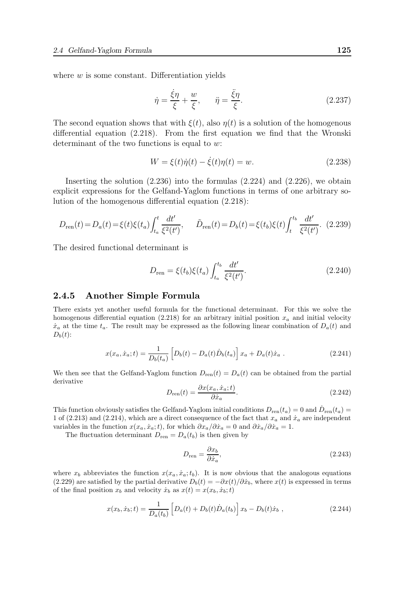where  $w$  is some constant. Differentiation yields

$$
\dot{\eta} = \frac{\dot{\xi}\eta}{\xi} + \frac{w}{\xi}, \qquad \ddot{\eta} = \frac{\ddot{\xi}\eta}{\xi}.
$$
\n(2.237)

The second equation shows that with  $\xi(t)$ , also  $\eta(t)$  is a solution of the homogenous differential equation (2.218). From the first equation we find that the Wronski determinant of the two functions is equal to  $w$ :

$$
W = \xi(t)\dot{\eta}(t) - \dot{\xi}(t)\eta(t) = w.
$$
 (2.238)

Inserting the solution (2.236) into the formulas (2.224) and (2.226), we obtain explicit expressions for the Gelfand-Yaglom functions in terms of one arbitrary solution of the homogenous differential equation (2.218):

$$
D_{\text{ren}}(t) = D_a(t) = \xi(t)\xi(t_a)\int_{t_a}^t \frac{dt'}{\xi^2(t')}, \qquad \tilde{D}_{\text{ren}}(t) = D_b(t) = \xi(t_b)\xi(t)\int_t^{t_b} \frac{dt'}{\xi^2(t')}.
$$
 (2.239)

The desired functional determinant is

$$
D_{\rm ren} = \xi(t_b)\xi(t_a) \int_{t_a}^{t_b} \frac{dt'}{\xi^2(t')}.
$$
\n(2.240)

#### 2.4.5 Another Simple Formula

There exists yet another useful formula for the functional determinant. For this we solve the homogenous differential equation (2.218) for an arbitrary initial position  $x_a$  and initial velocity  $\dot{x}_a$  at the time  $t_a$ . The result may be expressed as the following linear combination of  $D_a(t)$  and  $D_b(t)$ :

$$
x(x_a, \dot{x}_a; t) = \frac{1}{D_b(t_a)} \left[ D_b(t) - D_a(t) \dot{D}_b(t_a) \right] x_a + D_a(t) \dot{x}_a . \tag{2.241}
$$

We then see that the Gelfand-Yaglom function  $D_{ren}(t) = D_a(t)$  can be obtained from the partial derivative

$$
D_{\rm ren}(t) = \frac{\partial x(x_a, \dot{x}_a; t)}{\partial \dot{x}_a}.
$$
\n(2.242)

This function obviously satisfies the Gelfand-Yaglom initial conditions  $D_{ren}(t_a) = 0$  and  $\dot{D}_{ren}(t_a) =$ 1 of (2.213) and (2.214), which are a direct consequence of the fact that  $x_a$  and  $\dot{x}_a$  are independent variables in the function  $x(x_a, \dot{x}_a; t)$ , for which  $\partial x_a/\partial \dot{x}_a = 0$  and  $\partial \dot{x}_a/\partial \dot{x}_a = 1$ .

The fluctuation determinant  $D_{ren} = D_a(t_b)$  is then given by

$$
D_{\rm ren} = \frac{\partial x_b}{\partial \dot{x}_a},\tag{2.243}
$$

where  $x_b$  abbreviates the function  $x(x_a, \dot{x}_a; t_b)$ . It is now obvious that the analogous equations (2.229) are satisfied by the partial derivative  $D_b(t) = -\partial x(t)/\partial \dot{x}_b$ , where  $x(t)$  is expressed in terms of the final position  $x_b$  and velocity  $\dot{x}_b$  as  $x(t) = x(x_b, \dot{x}_b; t)$ 

$$
x(x_b, \dot{x}_b; t) = \frac{1}{D_a(t_b)} \left[ D_a(t) + D_b(t) \dot{D}_a(t_b) \right] x_b - D_b(t) \dot{x}_b , \qquad (2.244)
$$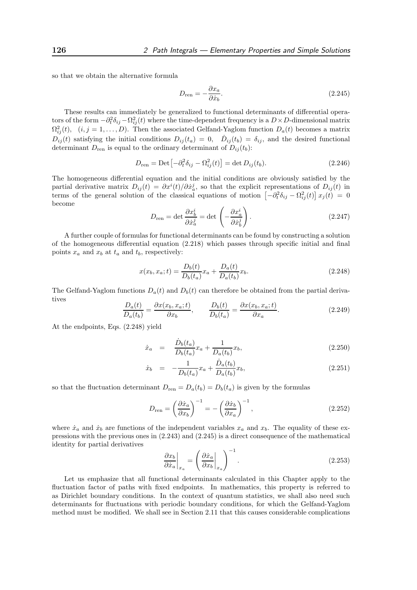so that we obtain the alternative formula

$$
D_{\rm ren} = -\frac{\partial x_a}{\partial \dot{x}_b}.\tag{2.245}
$$

These results can immediately be generalized to functional determinants of differential operators of the form  $-\partial_t^2 \delta_{ij} - \Omega_{ij}^2(t)$  where the time-dependent frequency is a  $D \times D$ -dimensional matrix  $\Omega_{ij}^2(t)$ ,  $(i, j = 1, ..., D)$ . Then the associated Gelfand-Yaglom function  $D_a(t)$  becomes a matrix  $D_{ij}(t)$  satisfying the initial conditions  $D_{ij}(t_a) = 0$ ,  $\dot{D}_{ij}(t_b) = \delta_{ij}$ , and the desired functional determinant  $D_{ren}$  is equal to the ordinary determinant of  $D_{ij}(t_b)$ :

$$
D_{\text{ren}} = \text{Det}\left[-\partial_t^2 \delta_{ij} - \Omega_{ij}^2(t)\right] = \det D_{ij}(t_b). \tag{2.246}
$$

The homogeneous differential equation and the initial conditions are obviously satisfied by the partial derivative matrix  $D_{ij}(t) = \partial x^i(t)/\partial x^j_a$ , so that the explicit representations of  $D_{ij}(t)$  in terms of the general solution of the classical equations of motion  $\left[-\partial_t^2 \delta_{ij} - \Omega_{ij}^2(t)\right] x_j(t) = 0$ become

$$
D_{\rm ren} = \det \frac{\partial x_b^i}{\partial \dot{x}_a^j} = \det \left( -\frac{\partial x_a^i}{\partial \dot{x}_b^j} \right). \tag{2.247}
$$

A further couple of formulas for functional determinants can be found by constructing a solution of the homogeneous differential equation (2.218) which passes through specific initial and final points  $x_a$  and  $x_b$  at  $t_a$  and  $t_b$ , respectively:

$$
x(x_b, x_a; t) = \frac{D_b(t)}{D_b(t_a)} x_a + \frac{D_a(t)}{D_a(t_b)} x_b.
$$
\n(2.248)

The Gelfand-Yaglom functions  $D_a(t)$  and  $D_b(t)$  can therefore be obtained from the partial derivatives

$$
\frac{D_a(t)}{D_a(t_b)} = \frac{\partial x(x_b, x_a; t)}{\partial x_b}, \qquad \frac{D_b(t)}{D_b(t_a)} = \frac{\partial x(x_b, x_a; t)}{\partial x_a}.
$$
\n(2.249)

At the endpoints, Eqs. (2.248) yield

$$
\dot{x}_a = \frac{\dot{D}_b(t_a)}{D_b(t_a)} x_a + \frac{1}{D_a(t_b)} x_b,
$$
\n(2.250)

$$
\dot{x}_b = -\frac{1}{D_b(t_a)}x_a + \frac{\dot{D}_a(t_b)}{D_a(t_b)}x_b,
$$
\n(2.251)

so that the fluctuation determinant  $D_{ren} = D_a(t_b) = D_b(t_a)$  is given by the formulas

$$
D_{\text{ren}} = \left(\frac{\partial \dot{x}_a}{\partial x_b}\right)^{-1} = -\left(\frac{\partial \dot{x}_b}{\partial x_a}\right)^{-1},\tag{2.252}
$$

where  $\dot{x}_a$  and  $\dot{x}_b$  are functions of the independent variables  $x_a$  and  $x_b$ . The equality of these expressions with the previous ones in (2.243) and (2.245) is a direct consequence of the mathematical identity for partial derivatives

$$
\left. \frac{\partial x_b}{\partial \dot{x}_a} \right|_{x_a} = \left( \left. \frac{\partial \dot{x}_a}{\partial x_b} \right|_{x_a} \right)^{-1} . \tag{2.253}
$$

Let us emphasize that all functional determinants calculated in this Chapter apply to the fluctuation factor of paths with fixed endpoints. In mathematics, this property is referred to as Dirichlet boundary conditions. In the context of quantum statistics, we shall also need such determinants for fluctuations with periodic boundary conditions, for which the Gelfand-Yaglom method must be modified. We shall see in Section 2.11 that this causes considerable complications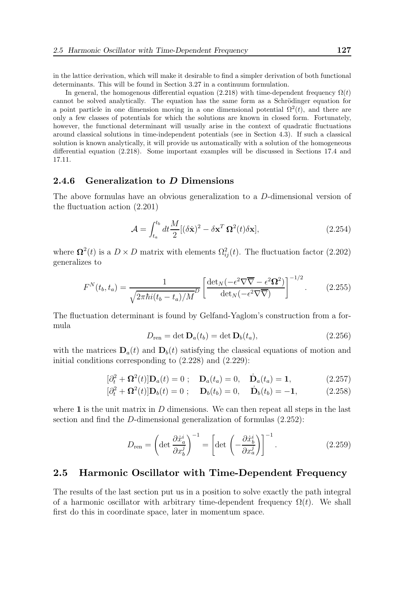in the lattice derivation, which will make it desirable to find a simpler derivation of both functional determinants. This will be found in Section 3.27 in a continuum formulation.

In general, the homogenous differential equation (2.218) with time-dependent frequency  $\Omega(t)$ cannot be solved analytically. The equation has the same form as a Schrödinger equation for a point particle in one dimension moving in a one dimensional potential  $\Omega^2(t)$ , and there are only a few classes of potentials for which the solutions are known in closed form. Fortunately, however, the functional determinant will usually arise in the context of quadratic fluctuations around classical solutions in time-independent potentials (see in Section 4.3). If such a classical solution is known analytically, it will provide us automatically with a solution of the homogeneous differential equation (2.218). Some important examples will be discussed in Sections 17.4 and 17.11.

## 2.4.6 Generalization to D Dimensions

The above formulas have an obvious generalization to a D-dimensional version of the fluctuation action (2.201)

$$
\mathcal{A} = \int_{t_a}^{t_b} dt \frac{M}{2} [(\delta \dot{\mathbf{x}})^2 - \delta \mathbf{x}^T \, \mathbf{\Omega}^2(t) \delta \mathbf{x}],\tag{2.254}
$$

where  $\Omega^2(t)$  is a  $D \times D$  matrix with elements  $\Omega^2_{ij}(t)$ . The fluctuation factor (2.202) generalizes to

$$
F^{N}(t_{b},t_{a}) = \frac{1}{\sqrt{2\pi\hbar i(t_{b}-t_{a})/M}} \left[ \frac{\det_{N}(-\epsilon^{2}\nabla\overline{\nabla}-\epsilon^{2}\Omega^{2})}{\det_{N}(-\epsilon^{2}\nabla\overline{\nabla})} \right]^{-1/2}.
$$
 (2.255)

The fluctuation determinant is found by Gelfand-Yaglom's construction from a formula

$$
D_{\text{ren}} = \det \mathbf{D}_a(t_b) = \det \mathbf{D}_b(t_a), \qquad (2.256)
$$

with the matrices  $D_a(t)$  and  $D_b(t)$  satisfying the classical equations of motion and initial conditions corresponding to (2.228) and (2.229):

$$
[\partial_t^2 + \mathbf{\Omega}^2(t)]\mathbf{D}_a(t) = 0; \quad \mathbf{D}_a(t_a) = 0, \quad \dot{\mathbf{D}}_a(t_a) = 1,
$$
 (2.257)

$$
[\partial_t^2 + \Omega^2(t)]\mathbf{D}_b(t) = 0; \quad \mathbf{D}_b(t_b) = 0, \quad \dot{\mathbf{D}}_b(t_b) = -1,
$$
 (2.258)

where  $\bf{1}$  is the unit matrix in  $D$  dimensions. We can then repeat all steps in the last section and find the D-dimensional generalization of formulas (2.252):

$$
D_{\text{ren}} = \left(\det \frac{\partial \dot{x}_a^i}{\partial x_b^j}\right)^{-1} = \left[\det \left(-\frac{\partial \dot{x}_b^i}{\partial x_a^j}\right)\right]^{-1}.\tag{2.259}
$$

#### 2.5 Harmonic Oscillator with Time-Dependent Frequency

The results of the last section put us in a position to solve exactly the path integral of a harmonic oscillator with arbitrary time-dependent frequency  $\Omega(t)$ . We shall first do this in coordinate space, later in momentum space.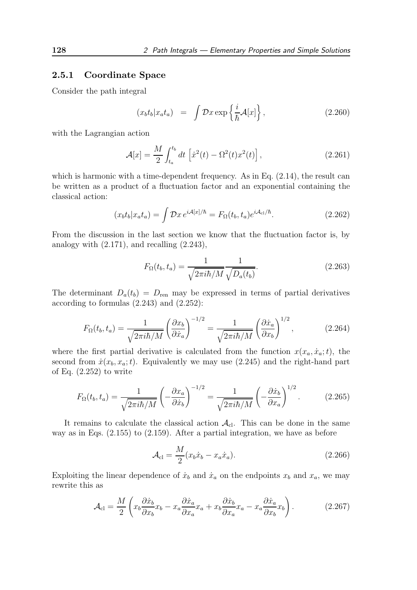#### 2.5.1 Coordinate Space

Consider the path integral

$$
(x_b t_b | x_a t_a) = \int \mathcal{D}x \exp\left\{\frac{i}{\hbar} \mathcal{A}[x]\right\},\qquad(2.260)
$$

with the Lagrangian action

$$
\mathcal{A}[x] = \frac{M}{2} \int_{t_a}^{t_b} dt \, \left[ \dot{x}^2(t) - \Omega^2(t) x^2(t) \right],\tag{2.261}
$$

which is harmonic with a time-dependent frequency. As in Eq.  $(2.14)$ , the result can be written as a product of a fluctuation factor and an exponential containing the classical action:

$$
(x_b t_b | x_a t_a) = \int \mathcal{D}x \, e^{i\mathcal{A}[x]/\hbar} = F_\Omega(t_b, t_a) e^{i\mathcal{A}_{\text{cl}}/\hbar}.
$$
\n(2.262)

From the discussion in the last section we know that the fluctuation factor is, by analogy with  $(2.171)$ , and recalling  $(2.243)$ ,

$$
F_{\Omega}(t_b, t_a) = \frac{1}{\sqrt{2\pi i\hbar/M}} \frac{1}{\sqrt{D_a(t_b)}}.
$$
\n(2.263)

The determinant  $D_a(t_b) = D_{\text{ren}}$  may be expressed in terms of partial derivatives according to formulas (2.243) and (2.252):

$$
F_{\Omega}(t_b, t_a) = \frac{1}{\sqrt{2\pi i\hbar/M}} \left(\frac{\partial x_b}{\partial \dot{x}_a}\right)^{-1/2} = \frac{1}{\sqrt{2\pi i\hbar/M}} \left(\frac{\partial \dot{x}_a}{\partial x_b}\right)^{1/2},\tag{2.264}
$$

where the first partial derivative is calculated from the function  $x(x_a, \dot{x}_a; t)$ , the second from  $\dot{x}(x_b, x_a; t)$ . Equivalently we may use (2.245) and the right-hand part of Eq. (2.252) to write

$$
F_{\Omega}(t_b, t_a) = \frac{1}{\sqrt{2\pi i\hbar/M}} \left(-\frac{\partial x_a}{\partial \dot{x}_b}\right)^{-1/2} = \frac{1}{\sqrt{2\pi i\hbar/M}} \left(-\frac{\partial \dot{x}_b}{\partial x_a}\right)^{1/2}.
$$
 (2.265)

It remains to calculate the classical action  $A_{\text{cl}}$ . This can be done in the same way as in Eqs. (2.155) to (2.159). After a partial integration, we have as before

$$
\mathcal{A}_{\rm cl} = \frac{M}{2} (x_b \dot{x}_b - x_a \dot{x}_a). \tag{2.266}
$$

Exploiting the linear dependence of  $\dot{x}_b$  and  $\dot{x}_a$  on the endpoints  $x_b$  and  $x_a$ , we may rewrite this as

$$
\mathcal{A}_{\rm cl} = \frac{M}{2} \left( x_b \frac{\partial \dot{x}_b}{\partial x_b} x_b - x_a \frac{\partial \dot{x}_a}{\partial x_a} x_a + x_b \frac{\partial \dot{x}_b}{\partial x_a} x_a - x_a \frac{\partial \dot{x}_a}{\partial x_b} x_b \right). \tag{2.267}
$$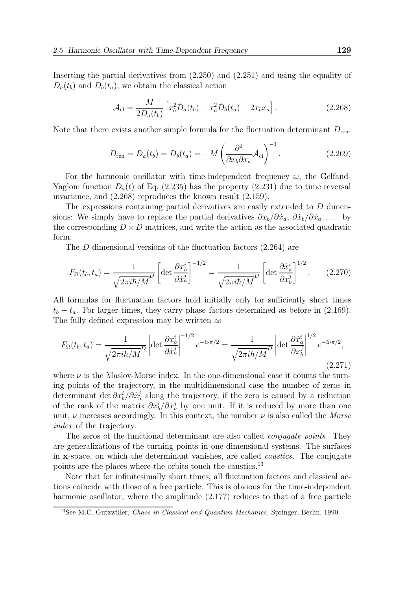Inserting the partial derivatives from (2.250) and (2.251) and using the equality of  $D_a(t_b)$  and  $D_b(t_a)$ , we obtain the classical action

$$
\mathcal{A}_{\rm cl} = \frac{M}{2D_a(t_b)} \left[ x_b^2 \dot{D}_a(t_b) - x_a^2 \dot{D}_b(t_a) - 2x_b x_a \right]. \tag{2.268}
$$

Note that there exists another simple formula for the fluctuation determinant  $D_{\text{ren}}$ :

$$
D_{\text{ren}} = D_a(t_b) = D_b(t_a) = -M \left( \frac{\partial^2}{\partial x_b \partial x_a} \mathcal{A}_{\text{cl}} \right)^{-1}.
$$
 (2.269)

For the harmonic oscillator with time-independent frequency  $\omega$ , the Gelfand-Yaglom function  $D_a(t)$  of Eq. (2.235) has the property (2.231) due to time reversal invariance, and (2.268) reproduces the known result (2.159).

The expressions containing partial derivatives are easily extended to D dimensions: We simply have to replace the partial derivatives  $\partial x_b/\partial \dot{x}_a, \partial \dot{x}_b/\partial \dot{x}_a, \ldots$  by the corresponding  $D \times D$  matrices, and write the action as the associated quadratic form.

The D-dimensional versions of the fluctuation factors (2.264) are

$$
F_{\Omega}(t_b, t_a) = \frac{1}{\sqrt{2\pi i\hbar/M}} \left[ \det \frac{\partial x_b^i}{\partial \dot{x}_a^j} \right]^{-1/2} = \frac{1}{\sqrt{2\pi i\hbar/M}} \left[ \det \frac{\partial \dot{x}_a^i}{\partial x_b^j} \right]^{1/2}.
$$
 (2.270)

All formulas for fluctuation factors hold initially only for sufficiently short times  $t_b - t_a$ . For larger times, they carry phase factors determined as before in (2.169). The fully defined expression may be written as

$$
F_{\Omega}(t_b, t_a) = \frac{1}{\sqrt{2\pi i\hbar/M}} \left| \det \frac{\partial x_b^i}{\partial \dot{x}_a^j} \right|^{-1/2} e^{-i\nu\pi/2} = \frac{1}{\sqrt{2\pi i\hbar/M}} \left| \det \frac{\partial \dot{x}_a^i}{\partial x_b^j} \right|^{1/2} e^{-i\nu\pi/2},\tag{2.271}
$$

where  $\nu$  is the Maslov-Morse index. In the one-dimensional case it counts the turning points of the trajectory, in the multidimensional case the number of zeros in determinant det  $\partial x_b^i / \partial x_a^j$  along the trajectory, if the zero is caused by a reduction of the rank of the matrix  $\partial x_b^i / \partial x_a^j$  by one unit. If it is reduced by more than one unit,  $\nu$  increases accordingly. In this context, the number  $\nu$  is also called the *Morse* index of the trajectory.

The zeros of the functional determinant are also called *conjugate points*. They are generalizations of the turning points in one-dimensional systems. The surfaces in x-space, on which the determinant vanishes, are called caustics. The conjugate points are the places where the orbits touch the caustics.<sup>13</sup>

Note that for infinitesimally short times, all fluctuation factors and classical actions coincide with those of a free particle. This is obvious for the time-independent harmonic oscillator, where the amplitude (2.177) reduces to that of a free particle

<sup>&</sup>lt;sup>13</sup>See M.C. Gutzwiller, *Chaos in Classical and Quantum Mechanics*, Springer, Berlin, 1990.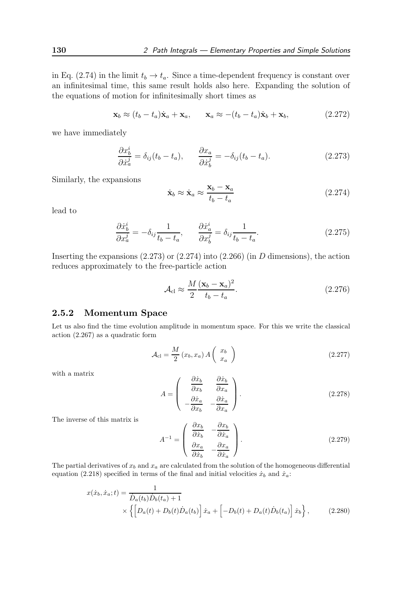in Eq. (2.74) in the limit  $t_b \to t_a$ . Since a time-dependent frequency is constant over an infinitesimal time, this same result holds also here. Expanding the solution of the equations of motion for infinitesimally short times as

$$
\mathbf{x}_b \approx (t_b - t_a)\dot{\mathbf{x}}_a + \mathbf{x}_a, \qquad \mathbf{x}_a \approx -(t_b - t_a)\dot{\mathbf{x}}_b + \mathbf{x}_b,
$$
 (2.272)

we have immediately

$$
\frac{\partial x_b^i}{\partial \dot{x}_a^j} = \delta_{ij}(t_b - t_a), \qquad \frac{\partial x_a}{\partial \dot{x}_b^j} = -\delta_{ij}(t_b - t_a). \tag{2.273}
$$

Similarly, the expansions

$$
\dot{\mathbf{x}}_b \approx \dot{\mathbf{x}}_a \approx \frac{\mathbf{x}_b - \mathbf{x}_a}{t_b - t_a} \tag{2.274}
$$

lead to

$$
\frac{\partial \dot{x}_b^i}{\partial x_a^j} = -\delta_{ij} \frac{1}{t_b - t_a}, \qquad \frac{\partial \dot{x}_a^i}{\partial x_b^j} = \delta_{ij} \frac{1}{t_b - t_a}.
$$
\n(2.275)

Inserting the expansions  $(2.273)$  or  $(2.274)$  into  $(2.266)$  (in D dimensions), the action reduces approximately to the free-particle action

$$
\mathcal{A}_{\rm cl} \approx \frac{M}{2} \frac{(\mathbf{x}_b - \mathbf{x}_a)^2}{t_b - t_a}.
$$
\n(2.276)

#### 2.5.2 Momentum Space

Let us also find the time evolution amplitude in momentum space. For this we write the classical action (2.267) as a quadratic form

$$
\mathcal{A}_{\rm cl} = \frac{M}{2} \left( x_b, x_a \right) A \left( \begin{array}{c} x_b \\ x_a \end{array} \right) \tag{2.277}
$$

with a matrix

$$
A = \begin{pmatrix} \frac{\partial \dot{x}_b}{\partial x_b} & \frac{\partial \dot{x}_b}{\partial x_a} \\ -\frac{\partial \dot{x}_a}{\partial x_b} & -\frac{\partial \dot{x}_a}{\partial x_a} \end{pmatrix}.
$$
 (2.278)

The inverse of this matrix is

$$
A^{-1} = \begin{pmatrix} \frac{\partial x_b}{\partial \dot{x}_b} & -\frac{\partial x_b}{\partial \dot{x}_a} \\ \frac{\partial x_a}{\partial \dot{x}_b} & -\frac{\partial x_a}{\partial \dot{x}_a} \end{pmatrix}.
$$
 (2.279)

The partial derivatives of  $x_b$  and  $x_a$  are calculated from the solution of the homogeneous differential equation (2.218) specified in terms of the final and initial velocities  $\dot{x}_b$  and  $\dot{x}_a$ :

$$
x(\dot{x}_b, \dot{x}_a; t) = \frac{1}{\dot{D}_a(t_b)\dot{D}_b(t_a) + 1} \times \left\{ \left[ D_a(t) + D_b(t)\dot{D}_a(t_b) \right] \dot{x}_a + \left[ -D_b(t) + D_a(t)\dot{D}_b(t_a) \right] \dot{x}_b \right\},
$$
(2.280)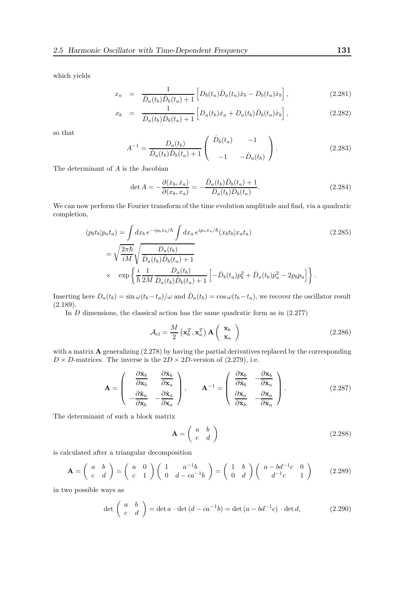which yields

$$
x_a = \frac{1}{\dot{D}_a(t_b)\dot{D}_b(t_a) + 1} \left[ D_b(t_a)\dot{D}_a(t_a)\dot{x}_b - D_b(t_a)\dot{x}_b \right],
$$
\n(2.281)

$$
x_b = \frac{1}{\dot{D}_a(t_b)\dot{D}_b(t_a) + 1} \left[ D_a(t_b)\dot{x}_a + D_a(t_b)\dot{D}_b(t_a)\dot{x}_b \right],
$$
\n(2.282)

so that

$$
A^{-1} = \frac{D_a(t_b)}{\dot{D}_a(t_b)\dot{D}_b(t_a) + 1} \begin{pmatrix} \dot{D}_b(t_a) & -1 \\ -1 & -\dot{D}_a(t_b) \end{pmatrix} . \tag{2.283}
$$

The determinant of  ${\cal A}$  is the Jacobian

$$
\det A = -\frac{\partial(\dot{x}_b, \dot{x}_a)}{\partial(x_b, x_a)} = -\frac{\dot{D}_a(t_b)\dot{D}_b(t_a) + 1}{D_a(t_b)D_b(t_a)}.
$$
\n(2.284)

We can now perform the Fourier transform of the time evolution amplitude and find, via a quadratic completion,

$$
(p_b t_b | p_a t_a) = \int dx_b e^{-ip_b x_b/\hbar} \int dx_a e^{ip_a x_a/\hbar} (x_b t_b | x_a t_a)
$$
\n
$$
= \sqrt{\frac{2\pi \hbar}{iM}} \sqrt{\frac{D_a(t_b)}{\dot{D}_a(t_b) \dot{D}_b(t_a) + 1}}
$$
\n
$$
\times \exp\left\{\frac{i}{\hbar} \frac{1}{2M} \frac{D_a(t_b)}{\dot{D}_a(t_b) \dot{D}_b(t_a) + 1} \left[ -\dot{D}_b(t_a) p_b^2 + \dot{D}_a(t_b) p_a^2 - 2p_b p_a \right] \right\}.
$$
\n(2.285)

Inserting here  $D_a(t_b) = \sin \omega (t_b - t_a)/\omega$  and  $\dot{D}_a(t_b) = \cos \omega (t_b - t_a)$ , we recover the oscillator result (2.189).

In  $D$  dimensions, the classical action has the same quadratic form as in  $(2.277)$ 

$$
\mathcal{A}_{\rm cl} = \frac{M}{2} \left( \mathbf{x}_b^T, \mathbf{x}_a^T \right) \mathbf{A} \begin{pmatrix} \mathbf{x}_b \\ \mathbf{x}_a \end{pmatrix}
$$
 (2.286)

with a matrix  $\bf{A}$  generalizing (2.278) by having the partial derivatives replaced by the corresponding  $D \times D$ -matrices. The inverse is the  $2D \times 2D$ -version of (2.279), i.e.

$$
\mathbf{A} = \begin{pmatrix} \frac{\partial \dot{\mathbf{x}}_b}{\partial \mathbf{x}_b} & \frac{\partial \dot{\mathbf{x}}_b}{\partial \mathbf{x}_a} \\ -\frac{\partial \dot{\mathbf{x}}_a}{\partial \mathbf{x}_b} & -\frac{\partial \dot{\mathbf{x}}_a}{\partial \mathbf{x}_a} \end{pmatrix}, \qquad \mathbf{A}^{-1} = \begin{pmatrix} \frac{\partial \mathbf{x}_b}{\partial \dot{\mathbf{x}}_b} & -\frac{\partial \mathbf{x}_b}{\partial \dot{\mathbf{x}}_a} \\ \frac{\partial \mathbf{x}_a}{\partial \dot{\mathbf{x}}_b} & -\frac{\partial \mathbf{x}_a}{\partial \dot{\mathbf{x}}_a} \end{pmatrix}.
$$
 (2.287)

The determinant of such a block matrix

$$
\mathbf{A} = \left(\begin{array}{cc} a & b \\ c & d \end{array}\right) \tag{2.288}
$$

is calculated after a triangular decomposition

$$
\mathbf{A} = \begin{pmatrix} a & b \\ c & d \end{pmatrix} = \begin{pmatrix} a & 0 \\ c & 1 \end{pmatrix} \begin{pmatrix} 1 & a^{-1}b \\ 0 & d - ca^{-1}b \end{pmatrix} = \begin{pmatrix} 1 & b \\ 0 & d \end{pmatrix} \begin{pmatrix} a - bd^{-1}c & 0 \\ d^{-1}c & 1 \end{pmatrix}
$$
 (2.289)

in two possible ways as

$$
\det\begin{pmatrix} a & b \\ c & d \end{pmatrix} = \det a \cdot \det (d - ca^{-1}b) = \det (a - bd^{-1}c) \cdot \det d,
$$
 (2.290)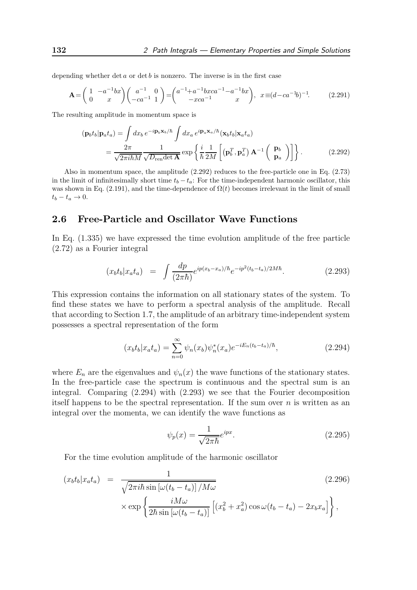depending whether det  $a$  or det  $b$  is nonzero. The inverse is in the first case

$$
\mathbf{A} = \begin{pmatrix} 1 & -a^{-1}bx \\ 0 & x \end{pmatrix} \begin{pmatrix} a^{-1} & 0 \\ -ca^{-1} & 1 \end{pmatrix} = \begin{pmatrix} a^{-1} + a^{-1}baca^{-1} - a^{-1}bx \\ -xca^{-1} & x \end{pmatrix}, \quad x \equiv (d - ca^{-1}b)^{-1}.\tag{2.291}
$$

The resulting amplitude in momentum space is

$$
(\mathbf{p}_b t_b | \mathbf{p}_a t_a) = \int dx_b e^{-i\mathbf{p}_b \mathbf{x}_b/\hbar} \int dx_a e^{i\mathbf{p}_a \mathbf{x}_a/\hbar} (\mathbf{x}_b t_b | \mathbf{x}_a t_a)
$$
  
= 
$$
\frac{2\pi}{\sqrt{2\pi i \hbar M}} \frac{1}{\sqrt{D_{\text{ren}} \det \mathbf{A}}} \exp\left\{ \frac{i}{\hbar} \frac{1}{2M} \left[ (\mathbf{p}_b^T, \mathbf{p}_a^T) \mathbf{A}^{-1} \begin{pmatrix} \mathbf{p}_b \\ \mathbf{p}_a \end{pmatrix} \right] \right\}.
$$
 (2.292)

Also in momentum space, the amplitude (2.292) reduces to the free-particle one in Eq. (2.73) in the limit of infinitesimally short time  $t_b - t_a$ : For the time-independent harmonic oscillator, this was shown in Eq. (2.191), and the time-dependence of  $\Omega(t)$  becomes irrelevant in the limit of small  $t_b - t_a \rightarrow 0.$ 

# 2.6 Free-Particle and Oscillator Wave Functions

In Eq. (1.335) we have expressed the time evolution amplitude of the free particle (2.72) as a Fourier integral

$$
(x_b t_b | x_a t_a) = \int \frac{dp}{(2\pi\hbar)} e^{ip(x_b - x_a)/\hbar} e^{-ip^2(t_b - t_a)/2M\hbar}.
$$
 (2.293)

This expression contains the information on all stationary states of the system. To find these states we have to perform a spectral analysis of the amplitude. Recall that according to Section 1.7, the amplitude of an arbitrary time-independent system possesses a spectral representation of the form

$$
(x_b t_b | x_a t_a) = \sum_{n=0}^{\infty} \psi_n(x_b) \psi_n^*(x_a) e^{-iE_n(t_b - t_a)/\hbar}, \qquad (2.294)
$$

where  $E_n$  are the eigenvalues and  $\psi_n(x)$  the wave functions of the stationary states. In the free-particle case the spectrum is continuous and the spectral sum is an integral. Comparing (2.294) with (2.293) we see that the Fourier decomposition itself happens to be the spectral representation. If the sum over  $n$  is written as an integral over the momenta, we can identify the wave functions as

$$
\psi_p(x) = \frac{1}{\sqrt{2\pi\hbar}} e^{ipx}.
$$
\n(2.295)

For the time evolution amplitude of the harmonic oscillator

$$
(x_b t_b | x_a t_a) = \frac{1}{\sqrt{2\pi i\hbar \sin\left[\omega(t_b - t_a)\right]/M\omega}} \tag{2.296}
$$

$$
\times \exp\left\{\frac{iM\omega}{2\hbar \sin\left[\omega(t_b - t_a)\right]}\left[(x_b^2 + x_a^2)\cos\omega(t_b - t_a) - 2x_b x_a\right]\right\},
$$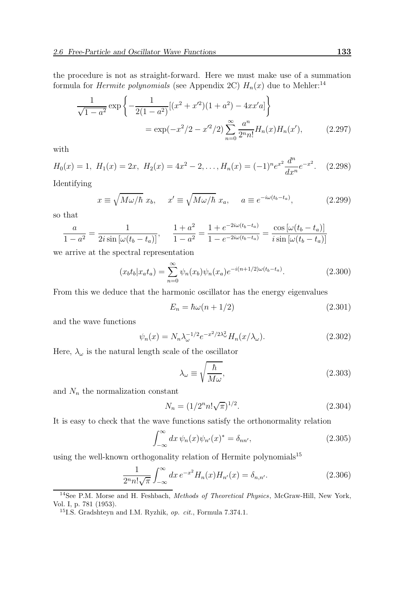the procedure is not as straight-forward. Here we must make use of a summation formula for *Hermite polynomials* (see Appendix 2C)  $H_n(x)$  due to Mehler:<sup>14</sup>

$$
\frac{1}{\sqrt{1-a^2}} \exp\left\{-\frac{1}{2(1-a^2)}[(x^2+x^2)(1+a^2)-4xx'a]\right\}
$$
  
=  $\exp(-x^2/2-x^2/2)\sum_{n=0}^{\infty}\frac{a^n}{2^n n!}H_n(x)H_n(x'),$  (2.297)

with

$$
H_0(x) = 1, H_1(x) = 2x, H_2(x) = 4x^2 - 2, ..., H_n(x) = (-1)^n e^{x^2} \frac{d^n}{dx^n} e^{-x^2}.
$$
 (2.298)

Identifying

$$
x \equiv \sqrt{M\omega/\hbar} \ x_b, \quad x' \equiv \sqrt{M\omega/\hbar} \ x_a, \quad a \equiv e^{-i\omega(t_b - t_a)}, \tag{2.299}
$$

so that

$$
\frac{a}{1-a^2} = \frac{1}{2i\sin\left[\omega(t_b - t_a)\right]}, \quad \frac{1+a^2}{1-a^2} = \frac{1+e^{-2i\omega(t_b - t_a)}}{1-e^{-2i\omega(t_b - t_a)}} = \frac{\cos\left[\omega(t_b - t_a)\right]}{i\sin\left[\omega(t_b - t_a)\right]}
$$

we arrive at the spectral representation

$$
(x_b t_b | x_a t_a) = \sum_{n=0}^{\infty} \psi_n(x_b) \psi_n(x_a) e^{-i(n+1/2)\omega(t_b - t_a)}.
$$
 (2.300)

From this we deduce that the harmonic oscillator has the energy eigenvalues

$$
E_n = \hbar\omega(n + 1/2) \tag{2.301}
$$

and the wave functions

$$
\psi_n(x) = N_n \lambda_\omega^{-1/2} e^{-x^2/2\lambda_\omega^2} H_n(x/\lambda_\omega). \tag{2.302}
$$

Here,  $\lambda_{\omega}$  is the natural length scale of the oscillator

$$
\lambda_{\omega} \equiv \sqrt{\frac{\hbar}{M\omega}},\tag{2.303}
$$

and  $N_n$  the normalization constant

$$
N_n = (1/2^n n! \sqrt{\pi})^{1/2}.
$$
\n(2.304)

It is easy to check that the wave functions satisfy the orthonormality relation

$$
\int_{-\infty}^{\infty} dx \,\psi_n(x)\psi_{n'}(x)^* = \delta_{nn'},\tag{2.305}
$$

using the well-known orthogonality relation of Hermite polynomials<sup>15</sup>

$$
\frac{1}{2^n n! \sqrt{\pi}} \int_{-\infty}^{\infty} dx \, e^{-x^2} H_n(x) H_{n'}(x) = \delta_{n,n'}.
$$
 (2.306)

<sup>&</sup>lt;sup>14</sup>See P.M. Morse and H. Feshbach, *Methods of Theoretical Physics*, McGraw-Hill, New York, Vol. I, p. 781 (1953).

<sup>15</sup>I.S. Gradshteyn and I.M. Ryzhik, op. cit., Formula 7.374.1.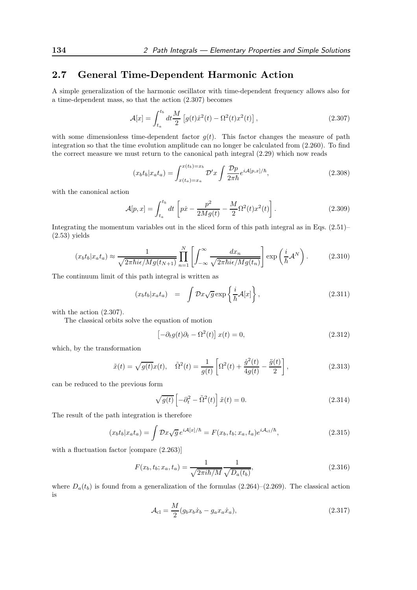# 2.7 General Time-Dependent Harmonic Action

A simple generalization of the harmonic oscillator with time-dependent frequency allows also for a time-dependent mass, so that the action (2.307) becomes

$$
\mathcal{A}[x] = \int_{t_a}^{t_b} dt \frac{M}{2} \left[ g(t) \dot{x}^2(t) - \Omega^2(t) x^2(t) \right],
$$
\n(2.307)

with some dimensionless time-dependent factor  $g(t)$ . This factor changes the measure of path integration so that the time evolution amplitude can no longer be calculated from (2.260). To find the correct measure we must return to the canonical path integral (2.29) which now reads

$$
(x_b t_b | x_a t_a) = \int_{x(t_a) = x_a}^{x(t_b) = x_b} \mathcal{D}'x \int \frac{\mathcal{D}p}{2\pi\hbar} e^{i\mathcal{A}[p,x]/\hbar}, \qquad (2.308)
$$

with the canonical action

$$
\mathcal{A}[p,x] = \int_{t_a}^{t_b} dt \left[ p\dot{x} - \frac{p^2}{2Mg(t)} - \frac{M}{2} \Omega^2(t) x^2(t) \right].
$$
 (2.309)

Integrating the momentum variables out in the sliced form of this path integral as in Eqs. (2.51)–  $(2.53)$  yields

$$
(x_b t_b | x_a t_a) \approx \frac{1}{\sqrt{2\pi\hbar i\epsilon/Mg(t_{N+1})}} \prod_{n=1}^N \left[ \int_{-\infty}^\infty \frac{dx_n}{\sqrt{2\pi\hbar i\epsilon/Mg(t_n)}} \right] \exp\left(\frac{i}{\hbar} \mathcal{A}^N\right). \tag{2.310}
$$

The continuum limit of this path integral is written as

$$
(x_b t_b | x_a t_a) = \int \mathcal{D}x \sqrt{g} \exp\left\{\frac{i}{\hbar} \mathcal{A}[x]\right\},\tag{2.311}
$$

with the action (2.307).

The classical orbits solve the equation of motion

$$
\left[-\partial_t g(t)\partial_t - \Omega^2(t)\right]x(t) = 0,\tag{2.312}
$$

which, by the transformation

$$
\tilde{x}(t) = \sqrt{g(t)}x(t), \quad \tilde{\Omega}^{2}(t) = \frac{1}{g(t)} \left[ \Omega^{2}(t) + \frac{\dot{g}^{2}(t)}{4g(t)} - \frac{\ddot{g}(t)}{2} \right],
$$
\n(2.313)

can be reduced to the previous form

$$
\sqrt{g(t)} \left[ -\partial_t^2 - \tilde{\Omega}^2(t) \right] \tilde{x}(t) = 0.
$$
\n(2.314)

The result of the path integration is therefore

$$
(x_b t_b | x_a t_a) = \int \mathcal{D}x \sqrt{g} e^{i\mathcal{A}[x]/\hbar} = F(x_b, t_b; x_a, t_a) e^{i\mathcal{A}_{\text{cl}}/\hbar},\tag{2.315}
$$

with a fluctuation factor [compare  $(2.263)$ ]

$$
F(x_b, t_b; x_a, t_a) = \frac{1}{\sqrt{2\pi i\hbar/M}} \frac{1}{\sqrt{D_a(t_b)}},
$$
\n(2.316)

where  $D_a(t_b)$  is found from a generalization of the formulas (2.264)–(2.269). The classical action is

$$
\mathcal{A}_{\rm cl} = \frac{M}{2} (g_b x_b \dot{x}_b - g_a x_a \dot{x}_a),\tag{2.317}
$$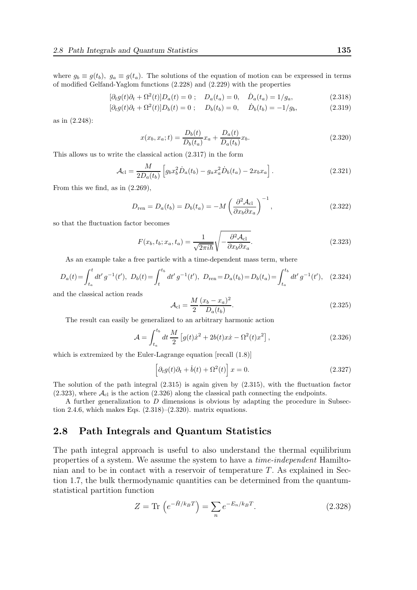where  $g_b \equiv g(t_b)$ ,  $g_a \equiv g(t_a)$ . The solutions of the equation of motion can be expressed in terms of modified Gelfand-Yaglom functions (2.228) and (2.229) with the properties

$$
[\partial_t g(t)\partial_t + \Omega^2(t)]D_a(t) = 0; \quad D_a(t_a) = 0, \quad \dot{D}_a(t_a) = 1/g_a,
$$
\n(2.318)

$$
[\partial_t g(t)\partial_t + \Omega^2(t)]D_b(t) = 0; \quad D_b(t_b) = 0, \quad \dot{D}_b(t_b) = -1/g_b,
$$
\n(2.319)

as in (2.248):

$$
x(x_b, x_a; t) = \frac{D_b(t)}{D_b(t_a)} x_a + \frac{D_a(t)}{D_a(t_b)} x_b.
$$
\n(2.320)

This allows us to write the classical action (2.317) in the form

$$
\mathcal{A}_{\rm cl} = \frac{M}{2D_a(t_b)} \left[ g_b x_b^2 \dot{D}_a(t_b) - g_a x_a^2 \dot{D}_b(t_a) - 2x_b x_a \right]. \tag{2.321}
$$

From this we find, as in (2.269),

$$
D_{\text{ren}} = D_a(t_b) = D_b(t_a) = -M \left(\frac{\partial^2 \mathcal{A}_{\text{cl}}}{\partial x_b \partial x_a}\right)^{-1},\tag{2.322}
$$

so that the fluctuation factor becomes

$$
F(x_b, t_b; x_a, t_a) = \frac{1}{\sqrt{2\pi i\hbar}} \sqrt{-\frac{\partial^2 \mathcal{A}_{\text{cl}}}{\partial x_b \partial x_a}}.
$$
\n(2.323)

As an example take a free particle with a time-dependent mass term, where

$$
D_a(t) = \int_{t_a}^t dt' \, g^{-1}(t'), \ D_b(t) = \int_t^{t_b} dt' \, g^{-1}(t'), \ D_{\text{ren}} = D_a(t_b) = D_b(t_a) = \int_{t_a}^{t_b} dt' \, g^{-1}(t'), \quad (2.324)
$$

and the classical action reads

$$
\mathcal{A}_{\rm cl} = \frac{M}{2} \frac{(x_b - x_a)^2}{D_a(t_b)}.
$$
\n(2.325)

The result can easily be generalized to an arbitrary harmonic action

$$
\mathcal{A} = \int_{t_a}^{t_b} dt \, \frac{M}{2} \left[ g(t) \dot{x}^2 + 2b(t) x \dot{x} - \Omega^2(t) x^2 \right],\tag{2.326}
$$

which is extremized by the Euler-Lagrange equation [recall (1.8)]

$$
\[ \partial_t g(t) \partial_t + \dot{b}(t) + \Omega^2(t) \] x = 0. \tag{2.327}
$$

The solution of the path integral (2.315) is again given by (2.315), with the fluctuation factor  $(2.323)$ , where  $\mathcal{A}_{\text{cl}}$  is the action  $(2.326)$  along the classical path connecting the endpoints.

A further generalization to D dimensions is obvious by adapting the procedure in Subsection 2.4.6, which makes Eqs.  $(2.318)$ – $(2.320)$ . matrix equations.

## 2.8 Path Integrals and Quantum Statistics

The path integral approach is useful to also understand the thermal equilibrium properties of a system. We assume the system to have a time-independent Hamiltonian and to be in contact with a reservoir of temperature  $T$ . As explained in Section 1.7, the bulk thermodynamic quantities can be determined from the quantumstatistical partition function

$$
Z = \text{Tr}\left(e^{-\hat{H}/k_B T}\right) = \sum_n e^{-E_n/k_B T}.\tag{2.328}
$$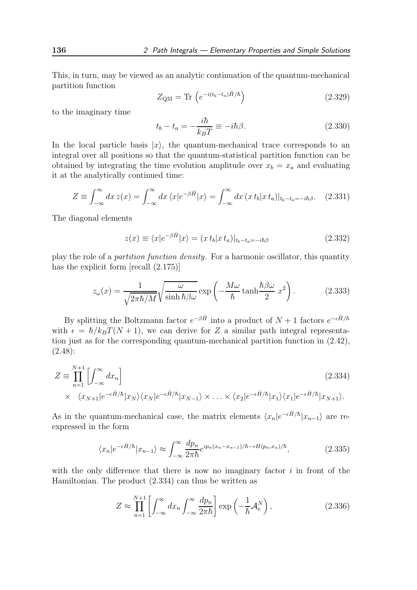This, in turn, may be viewed as an analytic continuation of the quantum-mechanical partition function

$$
Z_{\rm QM} = \text{Tr}\left(e^{-i(t_b - t_a)\hat{H}/\hbar}\right) \tag{2.329}
$$

to the imaginary time

$$
t_b - t_a = -\frac{i\hbar}{k_B T} \equiv -i\hbar\beta.
$$
 (2.330)

In the local particle basis  $|x\rangle$ , the quantum-mechanical trace corresponds to an integral over all positions so that the quantum-statistical partition function can be obtained by integrating the time evolution amplitude over  $x_b = x_a$  and evaluating it at the analytically continued time:

$$
Z \equiv \int_{-\infty}^{\infty} dx \, z(x) = \int_{-\infty}^{\infty} dx \, \langle x | e^{-\beta \hat{H}} | x \rangle = \int_{-\infty}^{\infty} dx \, (x \, t_b | x \, t_a) |_{t_b - t_a = -i\hbar \beta}.
$$
 (2.331)

The diagonal elements

$$
z(x) \equiv \langle x|e^{-\beta \hat{H}}|x\rangle = (x t_b |x t_a)|_{t_b - t_a = -i\hbar\beta}
$$
\n(2.332)

play the role of a partition function density. For a harmonic oscillator, this quantity has the explicit form [recall (2.175)]

$$
z_{\omega}(x) = \frac{1}{\sqrt{2\pi\hbar/M}} \sqrt{\frac{\omega}{\sinh\hbar\beta\omega}} \exp\left(-\frac{M\omega}{\hbar}\tanh\frac{\hbar\beta\omega}{2}x^2\right).
$$
 (2.333)

By splitting the Boltzmann factor  $e^{-\beta \hat{H}}$  into a product of  $N+1$  factors  $e^{-\epsilon \hat{H}/\hbar}$ with  $\epsilon = \hbar/k_BT(N+1)$ , we can derive for Z a similar path integral representation just as for the corresponding quantum-mechanical partition function in (2.42), (2.48):

$$
Z \equiv \prod_{n=1}^{N+1} \left[ \int_{-\infty}^{\infty} dx_n \right]
$$
\n
$$
\times \langle x_{N+1} | e^{-\epsilon \hat{H}/\hbar} | x_N \rangle \langle x_N | e^{-\epsilon \hat{H}/\hbar} | x_{N-1} \rangle \times \dots \times \langle x_2 | e^{-\epsilon \hat{H}/\hbar} | x_1 \rangle \langle x_1 | e^{-\epsilon \hat{H}/\hbar} | x_{N+1} \rangle.
$$
\n(2.334)

As in the quantum-mechanical case, the matrix elements  $\langle x_n|e^{-\epsilon \hat{H}/\hbar}|x_{n-1}\rangle$  are reexpressed in the form

$$
\langle x_n | e^{-\epsilon \hat{H}/\hbar} | x_{n-1} \rangle \approx \int_{-\infty}^{\infty} \frac{dp_n}{2\pi \hbar} e^{ip_n(x_n - x_{n-1})/\hbar - \epsilon H(p_n, x_n)/\hbar}, \tag{2.335}
$$

with the only difference that there is now no imaginary factor  $i$  in front of the Hamiltonian. The product (2.334) can thus be written as

$$
Z \approx \prod_{n=1}^{N+1} \left[ \int_{-\infty}^{\infty} dx_n \int_{-\infty}^{\infty} \frac{dp_n}{2\pi\hbar} \right] \exp\left(-\frac{1}{\hbar} \mathcal{A}_{\rm e}^N\right),\tag{2.336}
$$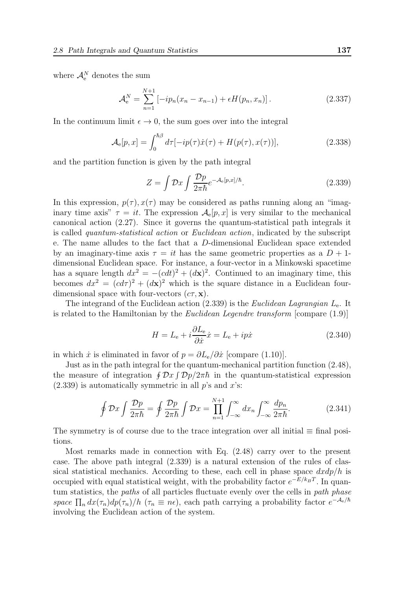where  $\mathcal{A}_{e}^{N}$  denotes the sum

$$
\mathcal{A}_e^N = \sum_{n=1}^{N+1} \left[ -ip_n(x_n - x_{n-1}) + \epsilon H(p_n, x_n) \right]. \tag{2.337}
$$

In the continuum limit  $\epsilon \to 0$ , the sum goes over into the integral

$$
\mathcal{A}_{\mathbf{e}}[p,x] = \int_0^{\hbar \beta} d\tau [-ip(\tau)\dot{x}(\tau) + H(p(\tau),x(\tau))],\tag{2.338}
$$

and the partition function is given by the path integral

$$
Z = \int \mathcal{D}x \int \frac{\mathcal{D}p}{2\pi\hbar} e^{-\mathcal{A}_e[p,x]/\hbar}.
$$
 (2.339)

In this expression,  $p(\tau)$ ,  $x(\tau)$  may be considered as paths running along an "imaginary time axis"  $\tau = it$ . The expression  $\mathcal{A}_{e}[p, x]$  is very similar to the mechanical canonical action (2.27). Since it governs the quantum-statistical path integrals it is called quantum-statistical action or Euclidean action, indicated by the subscript e. The name alludes to the fact that a D-dimensional Euclidean space extended by an imaginary-time axis  $\tau = it$  has the same geometric properties as a  $D + 1$ dimensional Euclidean space. For instance, a four-vector in a Minkowski spacetime has a square length  $dx^2 = -(cdt)^2 + (d\mathbf{x})^2$ . Continued to an imaginary time, this becomes  $dx^2 = (cd\tau)^2 + (d\mathbf{x})^2$  which is the square distance in a Euclidean fourdimensional space with four-vectors  $(c\tau, \mathbf{x})$ .

The integrand of the Euclidean action  $(2.339)$  is the *Euclidean Lagrangian*  $L_{e}$ . It is related to the Hamiltonian by the Euclidean Legendre transform [compare (1.9)]

$$
H = L_{\rm e} + i \frac{\partial L_{\rm e}}{\partial \dot{x}} \dot{x} = L_{\rm e} + ip\dot{x} \tag{2.340}
$$

in which  $\dot{x}$  is eliminated in favor of  $p = \partial L_e / \partial \dot{x}$  [compare (1.10)].

Just as in the path integral for the quantum-mechanical partition function (2.48), the measure of integration  $\oint \mathcal{D}x \int \mathcal{D}p/2\pi\hbar$  in the quantum-statistical expression  $(2.339)$  is automatically symmetric in all p's and x's:

$$
\oint \mathcal{D}x \int \frac{\mathcal{D}p}{2\pi\hbar} = \oint \frac{\mathcal{D}p}{2\pi\hbar} \int \mathcal{D}x = \prod_{n=1}^{N+1} \int_{-\infty}^{\infty} dx_n \int_{-\infty}^{\infty} \frac{dp_n}{2\pi\hbar}.
$$
\n(2.341)

The symmetry is of course due to the trace integration over all initial  $\equiv$  final positions.

Most remarks made in connection with Eq. (2.48) carry over to the present case. The above path integral (2.339) is a natural extension of the rules of classical statistical mechanics. According to these, each cell in phase space  $dxdp/h$  is occupied with equal statistical weight, with the probability factor  $e^{-E/k_BT}$ . In quantum statistics, the *paths* of all particles fluctuate evenly over the cells in *path phase* space  $\prod_n dx(\tau_n)dp(\tau_n)/h$  ( $\tau_n \equiv n\epsilon$ ), each path carrying a probability factor  $e^{-\mathcal{A}_e/\hbar}$ involving the Euclidean action of the system.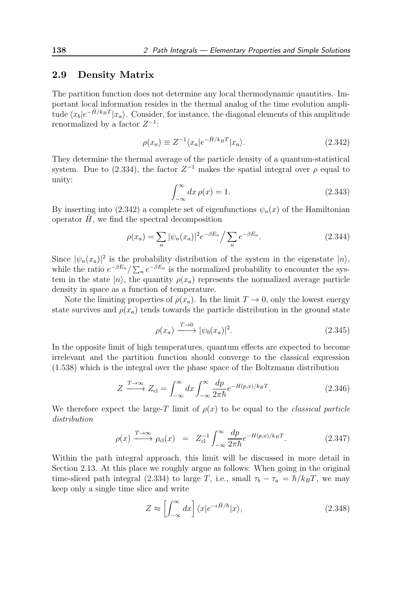### 2.9 Density Matrix

The partition function does not determine any local thermodynamic quantities. Important local information resides in the thermal analog of the time evolution amplitude  $\langle x_b | e^{-\hat{H}/k_B T} | x_a \rangle$ . Consider, for instance, the diagonal elements of this amplitude renormalized by a factor  $Z^{-1}$ :

$$
\rho(x_a) \equiv Z^{-1} \langle x_a | e^{-\hat{H}/k_B T} | x_a \rangle. \tag{2.342}
$$

They determine the thermal average of the particle density of a quantum-statistical system. Due to  $(2.334)$ , the factor  $Z^{-1}$  makes the spatial integral over  $\rho$  equal to unity:

$$
\int_{-\infty}^{\infty} dx \,\rho(x) = 1. \tag{2.343}
$$

By inserting into (2.342) a complete set of eigenfunctions  $\psi_n(x)$  of the Hamiltonian operator  $\hat{H}$ , we find the spectral decomposition

$$
\rho(x_a) = \sum_n |\psi_n(x_a)|^2 e^{-\beta E_n} / \sum_n e^{-\beta E_n}.
$$
\n(2.344)

Since  $|\psi_n(x_a)|^2$  is the probability distribution of the system in the eigenstate  $|n\rangle$ , while the ratio  $e^{-\beta E_n}/\sum_n e^{-\beta E_n}$  is the normalized probability to encounter the system in the state  $|n\rangle$ , the quantity  $\rho(x_a)$  represents the normalized average particle density in space as a function of temperature.

Note the limiting properties of  $\rho(x_a)$ . In the limit  $T \to 0$ , only the lowest energy state survives and  $\rho(x_a)$  tends towards the particle distribution in the ground state

$$
\rho(x_a) \xrightarrow{T \to 0} |\psi_0(x_a)|^2. \tag{2.345}
$$

In the opposite limit of high temperatures, quantum effects are expected to become irrelevant and the partition function should converge to the classical expression (1.538) which is the integral over the phase space of the Boltzmann distribution

$$
Z \xrightarrow{T \to \infty} Z_{\text{cl}} = \int_{-\infty}^{\infty} dx \int_{-\infty}^{\infty} \frac{dp}{2\pi\hbar} e^{-H(p,x)/k_B T}.
$$
 (2.346)

We therefore expect the large-T limit of  $\rho(x)$  to be equal to the *classical particle* distribution

$$
\rho(x) \xrightarrow{T \to \infty} \rho_{\text{cl}}(x) = Z_{\text{cl}}^{-1} \int_{-\infty}^{\infty} \frac{dp}{2\pi\hbar} e^{-H(p,x)/k_B T}.
$$
 (2.347)

Within the path integral approach, this limit will be discussed in more detail in Section 2.13. At this place we roughly argue as follows: When going in the original time-sliced path integral (2.334) to large T, i.e., small  $\tau_b - \tau_a = \hbar / k_B T$ , we may keep only a single time slice and write

$$
Z \approx \left[ \int_{-\infty}^{\infty} dx \right] \langle x | e^{-\epsilon \hat{H}/\hbar} | x \rangle, \tag{2.348}
$$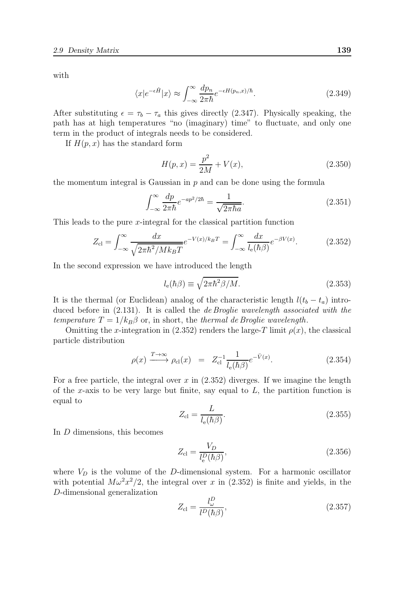with

$$
\langle x|e^{-\epsilon \hat{H}}|x\rangle \approx \int_{-\infty}^{\infty} \frac{dp_n}{2\pi\hbar} e^{-\epsilon H(p_n,x)/\hbar}.\tag{2.349}
$$

After substituting  $\epsilon = \tau_b - \tau_a$  this gives directly (2.347). Physically speaking, the path has at high temperatures "no (imaginary) time" to fluctuate, and only one term in the product of integrals needs to be considered.

If  $H(p, x)$  has the standard form

$$
H(p,x) = \frac{p^2}{2M} + V(x),
$$
\n(2.350)

the momentum integral is Gaussian in  $p$  and can be done using the formula

$$
\int_{-\infty}^{\infty} \frac{dp}{2\pi\hbar} e^{-ap^2/2\hbar} = \frac{1}{\sqrt{2\pi\hbar a}}.
$$
\n(2.351)

This leads to the pure x-integral for the classical partition function

$$
Z_{\rm cl} = \int_{-\infty}^{\infty} \frac{dx}{\sqrt{2\pi\hbar^2/Mk_BT}} e^{-V(x)/k_BT} = \int_{-\infty}^{\infty} \frac{dx}{l_{\rm e}(\hbar\beta)} e^{-\beta V(x)}.\tag{2.352}
$$

In the second expression we have introduced the length

$$
l_{\rm e}(\hbar \beta) \equiv \sqrt{2\pi \hbar^2 \beta / M}.
$$
\n(2.353)

It is the thermal (or Euclidean) analog of the characteristic length  $l(t_b - t_a)$  introduced before in  $(2.131)$ . It is called the *de Broglie wavelength associated with the* temperature  $T = 1/k_B\beta$  or, in short, the thermal de Broglie wavelength.

Omitting the x-integration in (2.352) renders the large-T limit  $\rho(x)$ , the classical particle distribution

$$
\rho(x) \xrightarrow{T \to \infty} \rho_{\text{cl}}(x) = Z_{\text{cl}}^{-1} \frac{1}{l_{\text{e}}(\hbar \beta)} e^{-\bar{V}(x)}.
$$
\n(2.354)

For a free particle, the integral over  $x$  in  $(2.352)$  diverges. If we imagine the length of the x-axis to be very large but finite, say equal to  $L$ , the partition function is equal to

$$
Z_{\rm cl} = \frac{L}{l_{\rm e}(\hbar \beta)}.\tag{2.355}
$$

In D dimensions, this becomes

$$
Z_{\rm cl} = \frac{V_D}{l_{\rm e}^D(\hbar \beta)},\tag{2.356}
$$

where  $V_D$  is the volume of the D-dimensional system. For a harmonic oscillator with potential  $M\omega^2 x^2/2$ , the integral over x in (2.352) is finite and yields, in the D-dimensional generalization

$$
Z_{\rm cl} = \frac{l_{\omega}^{D}}{l^{D}(\hbar \beta)},\tag{2.357}
$$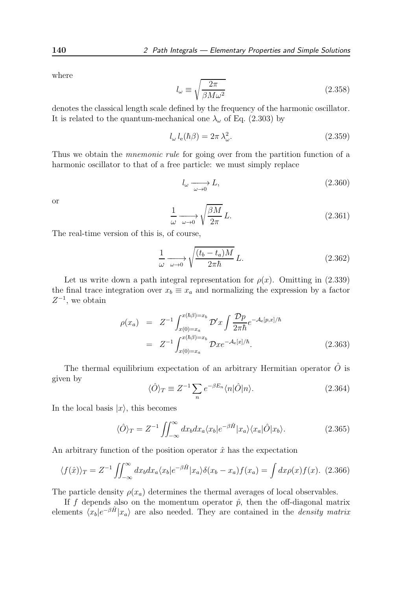where

$$
l_{\omega} \equiv \sqrt{\frac{2\pi}{\beta M \omega^2}}\tag{2.358}
$$

denotes the classical length scale defined by the frequency of the harmonic oscillator. It is related to the quantum-mechanical one  $\lambda_{\omega}$  of Eq. (2.303) by

$$
l_{\omega} l_{\rm e}(\hbar \beta) = 2\pi \lambda_{\omega}^2. \tag{2.359}
$$

Thus we obtain the *mnemonic rule* for going over from the partition function of a harmonic oscillator to that of a free particle: we must simply replace

$$
l_{\omega} \xrightarrow[\omega \to 0]{} L,\tag{2.360}
$$

or

$$
\frac{1}{\omega} \xrightarrow[\omega \to 0]{} \sqrt{\frac{\beta M}{2\pi}} L. \tag{2.361}
$$

The real-time version of this is, of course,

$$
\frac{1}{\omega} \xrightarrow[\omega \to 0]{} \sqrt{\frac{(t_b - t_a)M}{2\pi\hbar}} L.
$$
\n(2.362)

Let us write down a path integral representation for  $\rho(x)$ . Omitting in (2.339) the final trace integration over  $x_b \equiv x_a$  and normalizing the expression by a factor  $Z^{-1}$ , we obtain

$$
\rho(x_a) = Z^{-1} \int_{x(0)=x_a}^{x(\hbar\beta)=x_b} \mathcal{D}'x \int \frac{\mathcal{D}p}{2\pi\hbar} e^{-\mathcal{A}_e[p,x]/\hbar}
$$
  

$$
= Z^{-1} \int_{x(0)=x_a}^{x(\hbar\beta)=x_b} \mathcal{D}x e^{-\mathcal{A}_e[x]/\hbar}.
$$
 (2.363)

The thermal equilibrium expectation of an arbitrary Hermitian operator  $\hat{O}$  is given by

$$
\langle \hat{O} \rangle_T \equiv Z^{-1} \sum_n e^{-\beta E_n} \langle n | \hat{O} | n \rangle. \tag{2.364}
$$

In the local basis  $|x\rangle$ , this becomes

$$
\langle \hat{O} \rangle_T = Z^{-1} \iint_{-\infty}^{\infty} dx_b dx_a \langle x_b | e^{-\beta \hat{H}} | x_a \rangle \langle x_a | \hat{O} | x_b \rangle.
$$
 (2.365)

An arbitrary function of the position operator  $\hat{x}$  has the expectation

$$
\langle f(\hat{x}) \rangle_T = Z^{-1} \iint_{-\infty}^{\infty} dx_b dx_a \langle x_b | e^{-\beta \hat{H}} | x_a \rangle \delta(x_b - x_a) f(x_a) = \int dx \rho(x) f(x). \tag{2.366}
$$

The particle density  $\rho(x_a)$  determines the thermal averages of local observables.

If f depends also on the momentum operator  $\hat{p}$ , then the off-diagonal matrix elements  $\langle x_b | e^{-\beta \hat{H}} | x_a \rangle$  are also needed. They are contained in the *density matrix*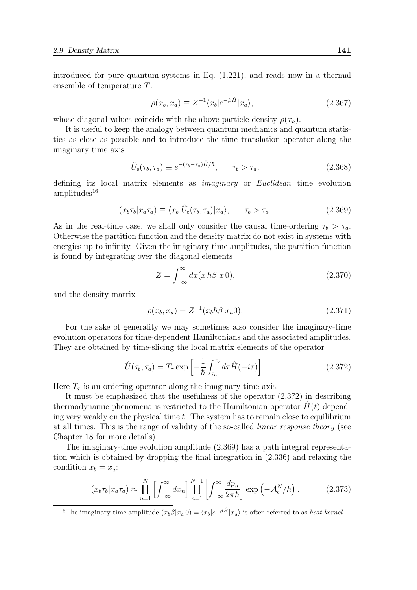introduced for pure quantum systems in Eq. (1.221), and reads now in a thermal ensemble of temperature T:

$$
\rho(x_b, x_a) \equiv Z^{-1} \langle x_b | e^{-\beta \hat{H}} | x_a \rangle, \tag{2.367}
$$

whose diagonal values coincide with the above particle density  $\rho(x_a)$ .

It is useful to keep the analogy between quantum mechanics and quantum statistics as close as possible and to introduce the time translation operator along the imaginary time axis

$$
\hat{U}_e(\tau_b, \tau_a) \equiv e^{-(\tau_b - \tau_a)\hat{H}/\hbar}, \qquad \tau_b > \tau_a,
$$
\n(2.368)

defining its local matrix elements as imaginary or Euclidean time evolution  $amplitudes<sup>16</sup>$ 

$$
(x_b \tau_b | x_a \tau_a) \equiv \langle x_b | \hat{U}_e(\tau_b, \tau_a) | x_a \rangle, \qquad \tau_b > \tau_a.
$$
 (2.369)

As in the real-time case, we shall only consider the causal time-ordering  $\tau_b > \tau_a$ . Otherwise the partition function and the density matrix do not exist in systems with energies up to infinity. Given the imaginary-time amplitudes, the partition function is found by integrating over the diagonal elements

$$
Z = \int_{-\infty}^{\infty} dx (x \,\hbar \beta |x\,0),\tag{2.370}
$$

and the density matrix

$$
\rho(x_b, x_a) = Z^{-1}(x_b \hbar \beta | x_a 0). \tag{2.371}
$$

For the sake of generality we may sometimes also consider the imaginary-time evolution operators for time-dependent Hamiltonians and the associated amplitudes. They are obtained by time-slicing the local matrix elements of the operator

$$
\hat{U}(\tau_b, \tau_a) = T_\tau \exp\left[-\frac{1}{\hbar} \int_{\tau_a}^{\tau_b} d\tau \hat{H}(-i\tau)\right].
$$
\n(2.372)

Here  $T_{\tau}$  is an ordering operator along the imaginary-time axis.

It must be emphasized that the usefulness of the operator (2.372) in describing thermodynamic phenomena is restricted to the Hamiltonian operator  $H(t)$  depending very weakly on the physical time  $t$ . The system has to remain close to equilibrium at all times. This is the range of validity of the so-called linear response theory (see Chapter 18 for more details).

The imaginary-time evolution amplitude (2.369) has a path integral representation which is obtained by dropping the final integration in (2.336) and relaxing the condition  $x_b = x_a$ :

$$
(x_b \tau_b | x_a \tau_a) \approx \prod_{n=1}^N \left[ \int_{-\infty}^\infty dx_n \right] \prod_{n=1}^{N+1} \left[ \int_{-\infty}^\infty \frac{dp_n}{2\pi\hbar} \right] \exp\left(-\mathcal{A}_e^N/\hbar\right). \tag{2.373}
$$

<sup>16</sup>The imaginary-time amplitude  $(x_b \beta | x_a 0) = \langle x_b | e^{-\beta \hat{H}} | x_a \rangle$  is often referred to as *heat kernel*.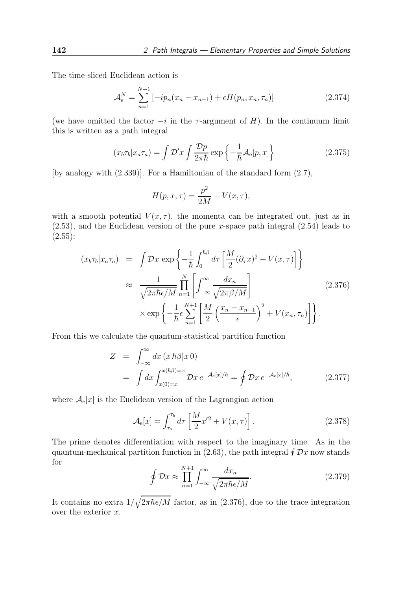The time-sliced Euclidean action is

$$
\mathcal{A}_{e}^{N} = \sum_{n=1}^{N+1} \left[ -ip_{n}(x_{n} - x_{n-1}) + \epsilon H(p_{n}, x_{n}, \tau_{n}) \right]
$$
(2.374)

(we have omitted the factor  $-i$  in the  $\tau$ -argument of H). In the continuum limit this is written as a path integral

$$
(x_b \tau_b | x_a \tau_a) = \int \mathcal{D}' x \int \frac{\mathcal{D} p}{2\pi \hbar} \exp\left\{-\frac{1}{\hbar} \mathcal{A}_e[p, x]\right\} \tag{2.375}
$$

[by analogy with (2.339)]. For a Hamiltonian of the standard form (2.7),

$$
H(p, x, \tau) = \frac{p^2}{2M} + V(x, \tau),
$$

with a smooth potential  $V(x, \tau)$ , the momenta can be integrated out, just as in  $(2.53)$ , and the Euclidean version of the pure x-space path integral  $(2.54)$  leads to  $(2.55)$ :

$$
(x_b \tau_b | x_a \tau_a) = \int \mathcal{D}x \exp\left\{-\frac{1}{\hbar} \int_0^{\hbar \beta} d\tau \left[\frac{M}{2} (\partial_\tau x)^2 + V(x, \tau)\right]\right\}
$$
  

$$
\approx \frac{1}{\sqrt{2\pi \hbar \epsilon/M}} \prod_{n=1}^N \left[\int_{-\infty}^\infty \frac{dx_n}{\sqrt{2\pi \beta/M}}\right]
$$
  

$$
\times \exp\left\{-\frac{1}{\hbar} \epsilon \sum_{n=1}^{N+1} \left[\frac{M}{2} \left(\frac{x_n - x_{n-1}}{\epsilon}\right)^2 + V(x_n, \tau_n)\right]\right\}.
$$
 (2.376)

From this we calculate the quantum-statistical partition function

$$
Z = \int_{-\infty}^{\infty} dx \left( x \, \hbar \beta | x \, 0 \right)
$$
  
= 
$$
\int dx \int_{x(0)=x}^{x(\hbar \beta)=x} \mathcal{D}x \, e^{-\mathcal{A}_e[x]/\hbar} = \oint \mathcal{D}x \, e^{-\mathcal{A}_e[x]/\hbar}, \tag{2.377}
$$

where  $\mathcal{A}_{e}[x]$  is the Euclidean version of the Lagrangian action

$$
\mathcal{A}_{\mathbf{e}}[x] = \int_{\tau_a}^{\tau_b} d\tau \left[ \frac{M}{2} x'^2 + V(x, \tau) \right]. \tag{2.378}
$$

The prime denotes differentiation with respect to the imaginary time. As in the quantum-mechanical partition function in  $(2.63)$ , the path integral  $\oint \mathcal{D}x$  now stands for

$$
\oint \mathcal{D}x \approx \prod_{n=1}^{N+1} \int_{-\infty}^{\infty} \frac{dx_n}{\sqrt{2\pi\hbar\epsilon/M}}.
$$
\n(2.379)

It contains no extra  $1/\sqrt{2\pi\hbar\epsilon/M}$  factor, as in (2.376), due to the trace integration over the exterior  $x$ .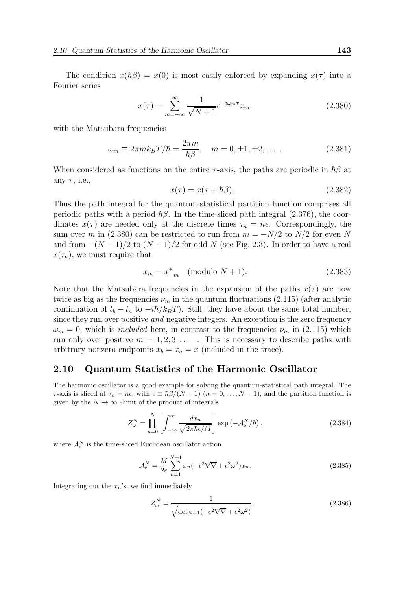The condition  $x(h\beta) = x(0)$  is most easily enforced by expanding  $x(\tau)$  into a Fourier series

$$
x(\tau) = \sum_{m = -\infty}^{\infty} \frac{1}{\sqrt{N+1}} e^{-i\omega_m \tau} x_m,
$$
\n(2.380)

with the Matsubara frequencies

$$
\omega_m \equiv 2\pi m k_B T/\hbar = \frac{2\pi m}{\hbar \beta}, \quad m = 0, \pm 1, \pm 2, \dots \tag{2.381}
$$

When considered as functions on the entire  $\tau$ -axis, the paths are periodic in  $\hbar\beta$  at any  $\tau$ , i.e.,

$$
x(\tau) = x(\tau + \hbar \beta). \tag{2.382}
$$

Thus the path integral for the quantum-statistical partition function comprises all periodic paths with a period  $\hbar\beta$ . In the time-sliced path integral (2.376), the coordinates  $x(\tau)$  are needed only at the discrete times  $\tau_n = n\epsilon$ . Correspondingly, the sum over m in (2.380) can be restricted to run from  $m = -N/2$  to  $N/2$  for even N and from  $-(N-1)/2$  to  $(N+1)/2$  for odd N (see Fig. 2.3). In order to have a real  $x(\tau_n)$ , we must require that

$$
x_m = x_{-m}^* \pmod{N+1}.\tag{2.383}
$$

Note that the Matsubara frequencies in the expansion of the paths  $x(\tau)$  are now twice as big as the frequencies  $\nu_m$  in the quantum fluctuations (2.115) (after analytic continuation of  $t_b - t_a$  to  $-i\hbar/k_B T$ ). Still, they have about the same total number, since they run over positive and negative integers. An exception is the zero frequency  $\omega_m = 0$ , which is *included* here, in contrast to the frequencies  $\nu_m$  in (2.115) which run only over positive  $m = 1, 2, 3, \ldots$ . This is necessary to describe paths with arbitrary nonzero endpoints  $x_b = x_a = x$  (included in the trace).

#### 2.10 Quantum Statistics of the Harmonic Oscillator

The harmonic oscillator is a good example for solving the quantum-statistical path integral. The  $\tau$ -axis is sliced at  $\tau_n = n\epsilon$ , with  $\epsilon \equiv \hbar \beta/(N+1)$   $(n = 0, \ldots, N+1)$ , and the partition function is given by the  $N \to \infty$  -limit of the product of integrals

$$
Z_{\omega}^{N} = \prod_{n=0}^{N} \left[ \int_{-\infty}^{\infty} \frac{dx_n}{\sqrt{2\pi\hbar\epsilon/M}} \right] \exp\left(-\mathcal{A}_{e}^{N}/\hbar\right), \qquad (2.384)
$$

where  $\mathcal{A}_{e}^{N}$  is the time-sliced Euclidean oscillator action

$$
\mathcal{A}_{\mathbf{e}}^N = \frac{M}{2\epsilon} \sum_{n=1}^{N+1} x_n \left( -\epsilon^2 \nabla \overline{\nabla} + \epsilon^2 \omega^2 \right) x_n. \tag{2.385}
$$

Integrating out the  $x_n$ 's, we find immediately

$$
Z_{\omega}^{N} = \frac{1}{\sqrt{\det_{N+1}(-\epsilon^2 \nabla \overline{\nabla} + \epsilon^2 \omega^2)}}.
$$
\n(2.386)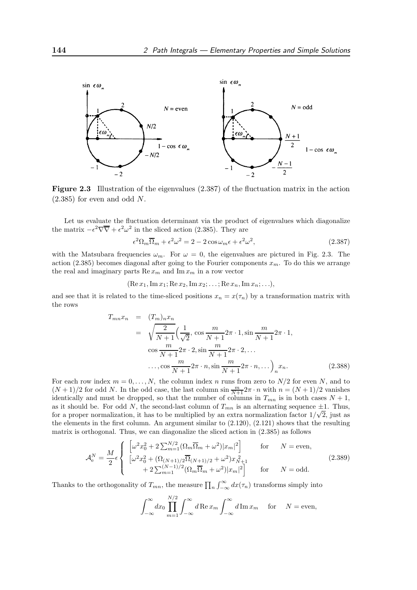

Figure 2.3 Illustration of the eigenvalues (2.387) of the fluctuation matrix in the action  $(2.385)$  for even and odd N.

Let us evaluate the fluctuation determinant via the product of eigenvalues which diagonalize the matrix  $-\epsilon^2 \nabla \overline{\nabla} + \epsilon^2 \omega^2$  in the sliced action (2.385). They are

$$
\epsilon^2 \Omega_m \overline{\Omega}_m + \epsilon^2 \omega^2 = 2 - 2 \cos \omega_m \epsilon + \epsilon^2 \omega^2, \qquad (2.387)
$$

with the Matsubara frequencies  $\omega_m$ . For  $\omega = 0$ , the eigenvalues are pictured in Fig. 2.3. The action (2.385) becomes diagonal after going to the Fourier components  $x_m$ . To do this we arrange the real and imaginary parts  $\text{Re } x_m$  and  $\text{Im } x_m$  in a row vector

$$
(\operatorname{Re} x_1, \operatorname{Im} x_1; \operatorname{Re} x_2, \operatorname{Im} x_2; \ldots; \operatorname{Re} x_n, \operatorname{Im} x_n; \ldots),
$$

and see that it is related to the time-sliced positions  $x_n = x(\tau_n)$  by a transformation matrix with the rows

$$
T_{mn}x_n = (T_m)_nx_n
$$
  
=  $\sqrt{\frac{2}{N+1}} \left( \frac{1}{\sqrt{2}}, \cos \frac{m}{N+1} 2\pi \cdot 1, \sin \frac{m}{N+1} 2\pi \cdot 1, \cos \frac{m}{N+1} 2\pi \cdot 2, \sin \frac{m}{N+1} 2\pi \cdot 2, \dots \right)$   
...,  $\cos \frac{m}{N+1} 2\pi \cdot n, \sin \frac{m}{N+1} 2\pi \cdot n, \dots \right)_n x_n.$  (2.388)

For each row index  $m = 0, \ldots, N$ , the column index n runs from zero to  $N/2$  for even N, and to  $(N+1)/2$  for odd N. In the odd case, the last column  $\sin \frac{m}{N+1} 2\pi \cdot n$  with  $n = (N+1)/2$  vanishes identically and must be dropped, so that the number of columns in  $T_{mn}$  is in both cases  $N + 1$ , as it should be. For odd N, the second-last column of  $T_{mn}$  is an alternating sequence  $\pm 1$ . Thus, for a proper normalization, it has to be multiplied by an extra normalization factor  $1/\sqrt{2}$ , just as the elements in the first column. An argument similar to (2.120), (2.121) shows that the resulting matrix is orthogonal. Thus, we can diagonalize the sliced action in (2.385) as follows

$$
\mathcal{A}_{e}^{N} = \frac{M}{2} \epsilon \begin{cases} \left[ \omega^{2} x_{0}^{2} + 2 \sum_{m=1}^{N/2} (\Omega_{m} \overline{\Omega}_{m} + \omega^{2}) |x_{m}|^{2} \right] & \text{for} \qquad N = \text{even}, \\ \left[ \omega^{2} x_{0}^{2} + (\Omega_{(N+1)/2} \overline{\Omega}_{(N+1)/2} + \omega^{2}) x_{N+1}^{2} + 2 \sum_{m=1}^{N-1} (\Omega_{m} \overline{\Omega}_{m} + \omega^{2}) |x_{m}|^{2} \right] & \text{for} \qquad N = \text{odd}. \end{cases}
$$
(2.389)

Thanks to the orthogonality of  $T_{mn}$ , the measure  $\prod_n \int_{-\infty}^{\infty} dx(\tau_n)$  transforms simply into

$$
\int_{-\infty}^{\infty} dx_0 \prod_{m=1}^{N/2} \int_{-\infty}^{\infty} d\mathop{\rm Re}\nolimits x_m \int_{-\infty}^{\infty} d\mathop{\rm Im}\nolimits x_m \quad \text{for} \quad N = \text{even},
$$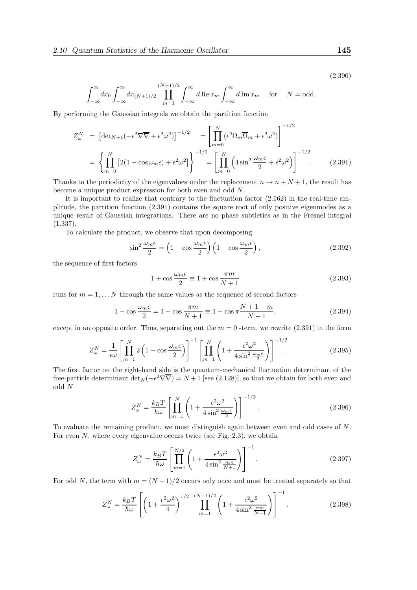(2.390)

$$
\int_{-\infty}^{\infty} dx_0 \int_{-\infty}^{\infty} dx_{(N+1)/2} \prod_{m=1}^{(N-1)/2} \int_{-\infty}^{\infty} d\mathop{\rm Re}\nolimits x_m \int_{-\infty}^{\infty} d\mathop{\rm Im}\nolimits x_m \quad \text{for} \quad N = \text{odd}.
$$

By performing the Gaussian integrals we obtain the partition function

$$
Z_{\omega}^{N} = \left[ \det_{N+1} \left( -\epsilon^{2} \nabla \overline{\nabla} + \epsilon^{2} \omega^{2} \right) \right]^{-1/2} = \left[ \prod_{m=0}^{N} \left( \epsilon^{2} \Omega_{m} \overline{\Omega}_{m} + \epsilon^{2} \omega^{2} \right) \right]^{-1/2}
$$

$$
= \left\{ \prod_{m=0}^{N} \left[ 2(1 - \cos \omega_{m} \epsilon) + \epsilon^{2} \omega^{2} \right] \right\}^{-1/2} = \left[ \prod_{m=0}^{N} \left( 4 \sin^{2} \frac{\omega_{m} \epsilon}{2} + \epsilon^{2} \omega^{2} \right) \right]^{-1/2} . \tag{2.391}
$$

Thanks to the periodicity of the eigenvalues under the replacement  $n \to n + N + 1$ , the result has become a unique product expression for both even and odd N.

It is important to realize that contrary to the fluctuation factor (2.162) in the real-time amplitude, the partition function (2.391) contains the square root of only positive eigenmodes as a unique result of Gaussian integrations. There are no phase subtleties as in the Fresnel integral (1.337).

To calculate the product, we observe that upon decomposing

$$
\sin^2 \frac{\omega_m \epsilon}{2} = \left(1 + \cos \frac{\omega_m \epsilon}{2}\right) \left(1 - \cos \frac{\omega_m \epsilon}{2}\right),\tag{2.392}
$$

the sequence of first factors

$$
1 + \cos \frac{\omega_m \epsilon}{2} \equiv 1 + \cos \frac{\pi m}{N + 1}
$$
 (2.393)

runs for  $m = 1, \ldots N$  through the same values as the sequence of second factors

$$
1 - \cos\frac{\omega_m \epsilon}{2} = 1 - \cos\frac{\pi m}{N+1} \equiv 1 + \cos\pi \frac{N+1-m}{N+1},
$$
\n(2.394)

except in an opposite order. Thus, separating out the  $m = 0$ -term, we rewrite (2.391) in the form

$$
Z_{\omega}^{N} = \frac{1}{\epsilon \omega} \left[ \prod_{m=1}^{N} 2 \left( 1 - \cos \frac{\omega_m \epsilon}{2} \right) \right]^{-1} \left[ \prod_{m=1}^{N} \left( 1 + \frac{\epsilon^2 \omega^2}{4 \sin^2 \frac{\omega_m \epsilon}{2}} \right) \right]^{-1/2}.
$$
 (2.395)

The first factor on the right-hand side is the quantum-mechanical fluctuation determinant of the free-particle determinant  $\det_N(-\epsilon^2 \nabla \overline{\nabla}) = N + 1$  [see (2.128)], so that we obtain for both even and odd N

$$
Z_{\omega}^{N} = \frac{k_B T}{\hbar \omega} \left[ \prod_{m=1}^{N} \left( 1 + \frac{\epsilon^2 \omega^2}{4 \sin^2 \frac{\omega_m \epsilon}{2}} \right) \right]^{-1/2}.
$$
 (2.396)

To evaluate the remaining product, we must distinguish again between even and odd cases of N. For even  $N$ , where every eigenvalue occurs twice (see Fig. 2.3), we obtain

$$
Z_{\omega}^{N} = \frac{k_B T}{\hbar \omega} \left[ \prod_{m=1}^{N/2} \left( 1 + \frac{\epsilon^2 \omega^2}{4 \sin^2 \frac{m \pi}{N+1}} \right) \right]^{-1}.
$$
 (2.397)

For odd N, the term with  $m = (N + 1)/2$  occurs only once and must be treated separately so that

$$
Z_{\omega}^{N} = \frac{k_{B}T}{\hbar\omega} \left[ \left( 1 + \frac{\epsilon^{2}\omega^{2}}{4} \right)^{1/2} \prod_{m=1}^{(N-1)/2} \left( 1 + \frac{\epsilon^{2}\omega^{2}}{4\sin^{2}\frac{\pi m}{N+1}} \right) \right]^{-1}.
$$
 (2.398)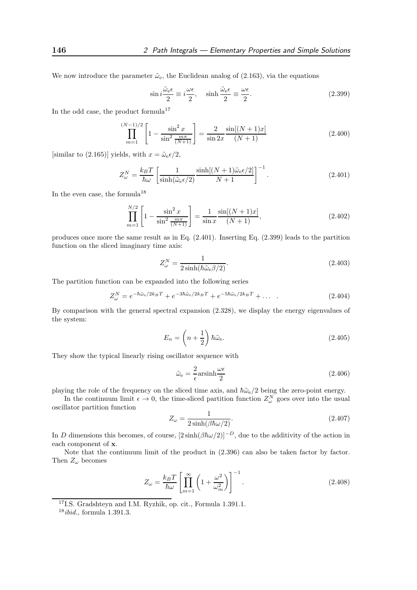We now introduce the parameter  $\tilde{\omega}_{e}$ , the Euclidean analog of (2.163), via the equations

$$
\sin i \frac{\tilde{\omega}_e \epsilon}{2} \equiv i \frac{\omega \epsilon}{2}, \quad \sinh \frac{\tilde{\omega}_e \epsilon}{2} \equiv \frac{\omega \epsilon}{2}.
$$
 (2.399)

In the odd case, the product formula<sup>17</sup>

$$
\prod_{m=1}^{(N-1)/2} \left[ 1 - \frac{\sin^2 x}{\sin^2 \frac{m\pi}{(N+1)}} \right] = \frac{2}{\sin 2x} \frac{\sin[(N+1)x]}{(N+1)}\tag{2.400}
$$

[similar to (2.165)] yields, with  $x = \tilde{\omega}_e \epsilon/2$ ,

$$
Z_{\omega}^{N} = \frac{k_{B}T}{\hbar\omega} \left[ \frac{1}{\sinh(\tilde{\omega}_{e}\epsilon/2)} \frac{\sinh[(N+1)\tilde{\omega}_{e}\epsilon/2]}{N+1} \right]^{-1}.
$$
 (2.401)

In the even case, the formula<sup>18</sup>

$$
\prod_{m=1}^{N/2} \left[ 1 - \frac{\sin^2 x}{\sin^2 \frac{m\pi}{(N+1)}} \right] = \frac{1}{\sin x} \frac{\sin[(N+1)x]}{(N+1)},\tag{2.402}
$$

produces once more the same result as in Eq. (2.401). Inserting Eq. (2.399) leads to the partition function on the sliced imaginary time axis:

$$
Z_{\omega}^{N} = \frac{1}{2\sinh(\hbar\tilde{\omega}_{e}\beta/2)}.\tag{2.403}
$$

The partition function can be expanded into the following series

$$
Z_{\omega}^{N} = e^{-\hbar \tilde{\omega}_{e}/2k_{B}T} + e^{-3\hbar \tilde{\omega}_{e}/2k_{B}T} + e^{-5\hbar \tilde{\omega}_{e}/2k_{B}T} + \dots
$$
 (2.404)

By comparison with the general spectral expansion (2.328), we display the energy eigenvalues of the system:

$$
E_n = \left(n + \frac{1}{2}\right) \hbar \tilde{\omega}_e. \tag{2.405}
$$

They show the typical linearly rising oscillator sequence with

$$
\tilde{\omega}_{\rm e} = \frac{2}{\epsilon} \text{arsinh} \frac{\omega \epsilon}{2} \tag{2.406}
$$

playing the role of the frequency on the sliced time axis, and  $\hbar\tilde{\omega}_e/2$  being the zero-point energy.

In the continuum limit  $\epsilon \to 0$ , the time-sliced partition function  $Z_{\omega}^N$  goes over into the usual oscillator partition function

$$
Z_{\omega} = \frac{1}{2\sinh(\beta\hbar\omega/2)}.\tag{2.407}
$$

In D dimensions this becomes, of course,  $[2\sinh(\beta\hbar\omega/2)]^{-D}$ , due to the additivity of the action in each component of x.

Note that the continuum limit of the product in  $(2.396)$  can also be taken factor by factor. Then  $Z_{\omega}$  becomes

$$
Z_{\omega} = \frac{k_B T}{\hbar \omega} \left[ \prod_{m=1}^{\infty} \left( 1 + \frac{\omega^2}{\omega_m^2} \right) \right]^{-1}.
$$
 (2.408)

<sup>17</sup>I.S. Gradshteyn and I.M. Ryzhik, op. cit., Formula 1.391.1.

 $18$ *ibid.*, formula 1.391.3.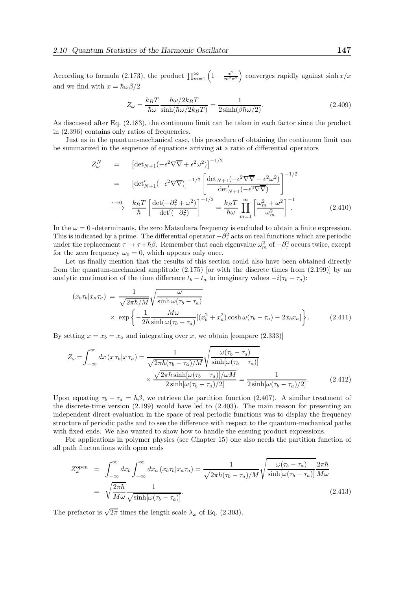According to formula (2.173), the product  $\prod_{m=1}^{\infty} \left(1 + \frac{x^2}{m^2} \right)$  $\left(\frac{x^2}{m^2\pi^2}\right)$  converges rapidly against sinh  $x/x$ and we find with  $x = \hbar \omega \beta / 2$ 

$$
Z_{\omega} = \frac{k_B T}{\hbar \omega} \frac{\hbar \omega / 2k_B T}{\sinh(\hbar \omega / 2k_B T)} = \frac{1}{2 \sinh(\beta \hbar \omega / 2)}.
$$
\n(2.409)

As discussed after Eq. (2.183), the continuum limit can be taken in each factor since the product in (2.396) contains only ratios of frequencies.

Just as in the quantum-mechanical case, this procedure of obtaining the continuum limit can be summarized in the sequence of equations arriving at a ratio of differential operators

$$
Z_{\omega}^{N} = \left[ \det_{N+1} \left( -\epsilon^{2} \nabla \overline{\nabla} + \epsilon^{2} \omega^{2} \right) \right]^{-1/2}
$$
  
\n
$$
= \left[ \det'_{N+1} \left( -\epsilon^{2} \nabla \overline{\nabla} \right) \right]^{-1/2} \left[ \frac{\det_{N+1} \left( -\epsilon^{2} \nabla \overline{\nabla} + \epsilon^{2} \omega^{2} \right)}{\det'_{N+1} \left( -\epsilon^{2} \nabla \overline{\nabla} \right)} \right]^{-1/2}
$$
  
\n
$$
\xrightarrow{\epsilon \to 0} \frac{k_{B} T}{\hbar} \left[ \frac{\det \left( -\partial_{\tau}^{2} + \omega^{2} \right)}{\det' \left( -\partial_{\tau}^{2} \right)} \right]^{-1/2} = \frac{k_{B} T}{\hbar \omega} \prod_{m=1}^{\infty} \left[ \frac{\omega_{m}^{2} + \omega^{2}}{\omega_{m}^{2}} \right]^{-1} \tag{2.410}
$$

In the  $\omega = 0$ -determinants, the zero Matsubara frequency is excluded to obtain a finite expression. This is indicated by a prime. The differential operator  $-\partial_{\tau}^{2}$  acts on real functions which are periodic under the replacement  $\tau \to \tau + \hbar \beta$ . Remember that each eigenvalue  $\omega_m^2$  of  $-\partial_\tau^2$  occurs twice, except for the zero frequency  $\omega_0 = 0$ , which appears only once.

Let us finally mention that the results of this section could also have been obtained directly from the quantum-mechanical amplitude (2.175) [or with the discrete times from (2.199)] by an analytic continuation of the time difference  $t_b - t_a$  to imaginary values  $-i(\tau_b - \tau_a)$ :

$$
(x_b \tau_b | x_a \tau_a) = \frac{1}{\sqrt{2\pi\hbar/M}} \sqrt{\frac{\omega}{\sinh \omega(\tau_b - \tau_a)}}
$$
  
 
$$
\times \exp \left\{-\frac{1}{2\hbar} \frac{M\omega}{\sinh \omega(\tau_b - \tau_a)} [(x_b^2 + x_a^2)\cosh \omega(\tau_b - \tau_a) - 2x_b x_a] \right\}.
$$
 (2.411)

By setting  $x = x_b = x_a$  and integrating over x, we obtain [compare (2.333)]

$$
Z_{\omega} = \int_{-\infty}^{\infty} dx \left( x \, \tau_b | x \, \tau_a \right) = \frac{1}{\sqrt{2\pi\hbar (\tau_b - \tau_a)/M}} \sqrt{\frac{\omega(\tau_b - \tau_a)}{\sinh[\omega(\tau_b - \tau_a)]}} \times \frac{\sqrt{2\pi\hbar \sinh[\omega(\tau_b - \tau_a)]/\omega M}}{2\sinh[\omega(\tau_b - \tau_a)/2]} = \frac{1}{2\sinh[\omega(\tau_b - \tau_a)/2]}.
$$
(2.412)

Upon equating  $\tau_b - \tau_a = \hbar \beta$ , we retrieve the partition function (2.407). A similar treatment of the discrete-time version (2.199) would have led to (2.403). The main reason for presenting an independent direct evaluation in the space of real periodic functions was to display the frequency structure of periodic paths and to see the difference with respect to the quantum-mechanical paths with fixed ends. We also wanted to show how to handle the ensuing product expressions.

For applications in polymer physics (see Chapter 15) one also needs the partition function of all path fluctuations with open ends

$$
Z_{\omega}^{\text{open}} = \int_{-\infty}^{\infty} dx_b \int_{-\infty}^{\infty} dx_a (x_b \tau_b | x_a \tau_a) = \frac{1}{\sqrt{2\pi\hbar(\tau_b - \tau_a)/M}} \sqrt{\frac{\omega(\tau_b - \tau_a)}{\sinh[\omega(\tau_b - \tau_a)]}} \frac{2\pi\hbar}{M\omega}
$$
  
=  $\sqrt{\frac{2\pi\hbar}{M\omega}} \frac{1}{\sqrt{\sinh[\omega(\tau_b - \tau_a)]}}.$  (2.413)

The prefactor is  $\sqrt{2\pi}$  times the length scale  $\lambda_{\omega}$  of Eq. (2.303).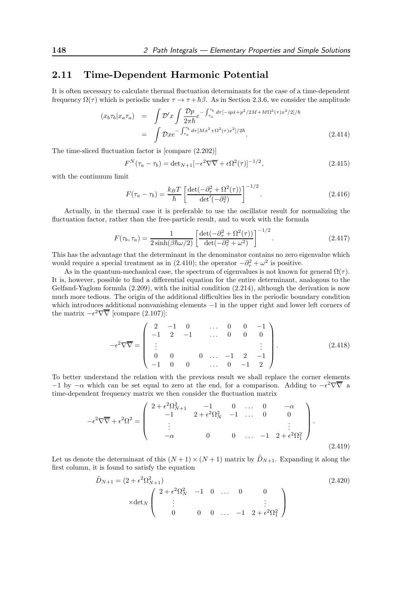## 2.11 Time-Dependent Harmonic Potential

It is often necessary to calculate thermal fluctuation determinants for the case of a time-dependent frequency  $\Omega(\tau)$  which is periodic under  $\tau \to \tau + \hbar \beta$ . As in Section 2.3.6, we consider the amplitude

$$
(x_b \tau_b | x_a \tau_a) = \int \mathcal{D}' x \int \frac{\mathcal{D}p}{2\pi \hbar} e^{-\int_{\tau_a}^{\tau_b} d\tau [-ip\dot{x} + p^2/2M + M\Omega^2(\tau)x^2/2]/\hbar}
$$
  
= 
$$
\int \mathcal{D}x e^{-\int_{\tau_a}^{\tau_b} d\tau [M\dot{x}^2 + \Omega^2(\tau)x^2]/2\hbar}.
$$
 (2.414)

The time-sliced fluctuation factor is [compare (2.202)]

$$
F^{N}(\tau_a - \tau_b) = \det_{N+1} \left[ -\epsilon^2 \nabla \overline{\nabla} + \epsilon \Omega^2(\tau) \right]^{-1/2}, \tag{2.415}
$$

with the continuum limit

$$
F(\tau_a - \tau_b) = \frac{k_B T}{\hbar} \left[ \frac{\det(-\partial_\tau^2 + \Omega^2(\tau))}{\det'(-\partial_\tau^2)} \right]^{-1/2}.
$$
\n(2.416)

Actually, in the thermal case it is preferable to use the oscillator result for normalizing the fluctuation factor, rather than the free-particle result, and to work with the formula

$$
F(\tau_b, \tau_a) = \frac{1}{2 \sinh(\beta \hbar \omega/2)} \left[ \frac{\det(-\partial_\tau^2 + \Omega^2(\tau))}{\det(-\partial_\tau^2 + \omega^2)} \right]^{-1/2}.
$$
 (2.417)

This has the advantage that the determinant in the denominator contains no zero eigenvalue which would require a special treatment as in (2.410); the operator  $-\partial_{\tau}^{2} + \omega^{2}$  is positive.

As in the quantum-mechanical case, the spectrum of eigenvalues is not known for general  $\Omega(\tau)$ . It is, however, possible to find a differential equation for the entire determinant, analogous to the Gelfand-Yaglom formula (2.209), with the initial condition (2.214), although the derivation is now much more tedious. The origin of the additional difficulties lies in the periodic boundary condition which introduces additional nonvanishing elements −1 in the upper right and lower left corners of the matrix  $-\epsilon^2 \nabla \overline{\nabla}$  [compare (2.107)]:

$$
-\epsilon^2 \nabla \overline{\nabla} = \begin{pmatrix} 2 & -1 & 0 & \dots & 0 & 0 & -1 \\ -1 & 2 & -1 & \dots & 0 & 0 & 0 \\ \vdots & & & & & \vdots \\ 0 & 0 & 0 & \dots & -1 & 2 & -1 \\ -1 & 0 & 0 & \dots & 0 & -1 & 2 \end{pmatrix} .
$$
 (2.418)

To better understand the relation with the previous result we shall replace the corner elements  $-1$  by  $-\alpha$  which can be set equal to zero at the end, for a comparison. Adding to  $-\epsilon^2 \nabla \overline{\nabla}$  a time-dependent frequency matrix we then consider the fluctuation matrix

$$
-\epsilon^2 \nabla \overline{\nabla} + \epsilon^2 \Omega^2 = \begin{pmatrix} 2 + \epsilon^2 \Omega_{N+1}^2 & -1 & 0 & \dots & 0 & -\alpha \\ -1 & 2 + \epsilon^2 \Omega_N^2 & -1 & \dots & 0 & 0 \\ \vdots & & & & \vdots & \vdots \\ -\alpha & 0 & 0 & \dots & -1 & 2 + \epsilon^2 \Omega_1^2 \end{pmatrix}.
$$
\n(2.419)

Let us denote the determinant of this  $(N+1) \times (N+1)$  matrix by  $\tilde{D}_{N+1}$ . Expanding it along the first column, it is found to satisfy the equation

$$
\tilde{D}_{N+1} = (2 + \epsilon^2 \Omega_{N+1}^2) \tag{2.420}
$$
\n
$$
\times \det_N \begin{pmatrix}\n2 + \epsilon^2 \Omega_N^2 & -1 & 0 & \dots & 0 & 0 \\
\vdots & & & & \vdots & \vdots \\
0 & 0 & 0 & \dots & -1 & 2 + \epsilon^2 \Omega_1^2\n\end{pmatrix}
$$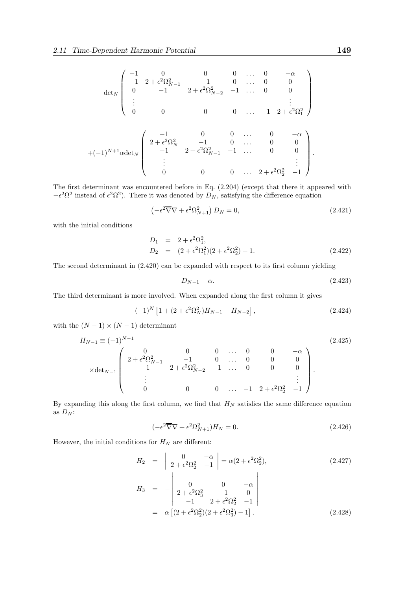$$
+ \det_{N} \begin{pmatrix} -1 & 0 & 0 & 0 & \dots & 0 & -\alpha \\ -1 & 2 + \epsilon^{2} \Omega_{N-1}^{2} & -1 & 0 & \dots & 0 & 0 \\ 0 & -1 & 2 + \epsilon^{2} \Omega_{N-2}^{2} & -1 & \dots & 0 & 0 \\ \vdots & & & & & \vdots \\ 0 & 0 & 0 & 0 & \dots & -1 & 2 + \epsilon^{2} \Omega_{1}^{2} \end{pmatrix}
$$
  
+ $(-1)^{N+1} \operatorname{adet}_{N} \begin{pmatrix} -1 & 0 & 0 & \dots & 0 & -\alpha \\ 2 + \epsilon^{2} \Omega_{N}^{2} & -1 & 0 & \dots & 0 & 0 \\ -1 & 2 + \epsilon^{2} \Omega_{N-1}^{2} & -1 & \dots & 0 & 0 \\ \vdots & & & & & \vdots \\ 0 & 0 & 0 & \dots & 2 + \epsilon^{2} \Omega_{2}^{2} & -1 \end{pmatrix}.$ 

The first determinant was encountered before in Eq. (2.204) (except that there it appeared with  $-\epsilon^2 \Omega^2$  instead of  $\epsilon^2 \Omega^2$ ). There it was denoted by  $D_N$ , satisfying the difference equation

$$
\left(-\epsilon^2 \overline{\nabla} \nabla + \epsilon^2 \Omega_{N+1}^2\right) D_N = 0, \tag{2.421}
$$

with the initial conditions

$$
D_1 = 2 + \epsilon^2 \Omega_1^2,
$$
  
\n
$$
D_2 = (2 + \epsilon^2 \Omega_1^2)(2 + \epsilon^2 \Omega_2^2) - 1.
$$
\n(2.422)

The second determinant in (2.420) can be expanded with respect to its first column yielding

$$
-D_{N-1} - \alpha. \tag{2.423}
$$

The third determinant is more involved. When expanded along the first column it gives

$$
(-1)^N \left[ 1 + (2 + \epsilon^2 \Omega_N^2) H_{N-1} - H_{N-2} \right], \tag{2.424}
$$

with the  $(N-1) \times (N-1)$  determinant

$$
H_{N-1} \equiv (-1)^{N-1}
$$
\n
$$
\times \det_{N-1} \begin{pmatrix}\n0 & 0 & 0 & \cdots & 0 & 0 & -\alpha \\
2 + \epsilon^2 \Omega_{N-1}^2 & -1 & 0 & \cdots & 0 & 0 & 0 \\
-1 & 2 + \epsilon^2 \Omega_{N-2}^2 & -1 & \cdots & 0 & 0 & 0 \\
\vdots & & & & & \vdots \\
0 & 0 & 0 & \cdots & -1 & 2 + \epsilon^2 \Omega_2^2 & -1\n\end{pmatrix}.
$$
\n(2.425)

By expanding this along the first column, we find that  $H_N$  satisfies the same difference equation as  $D_N$ :

$$
(-\epsilon^2 \overline{\nabla} \nabla + \epsilon^2 \Omega_{N+1}^2) H_N = 0. \tag{2.426}
$$

However, the initial conditions for  ${\cal H}_N$  are different:

$$
H_2 = \begin{vmatrix} 0 & -\alpha \\ 2 + \epsilon^2 \Omega_2^2 & -1 \end{vmatrix} = \alpha (2 + \epsilon^2 \Omega_2^2), \qquad (2.427)
$$
  
\n
$$
H_3 = - \begin{vmatrix} 0 & 0 & -\alpha \\ 2 + \epsilon^2 \Omega_3^2 & -1 & 0 \\ -1 & 2 + \epsilon^2 \Omega_2^2 & -1 \end{vmatrix}
$$
  
\n
$$
= \alpha \left[ (2 + \epsilon^2 \Omega_2^2)(2 + \epsilon^2 \Omega_3^2) - 1 \right]. \qquad (2.428)
$$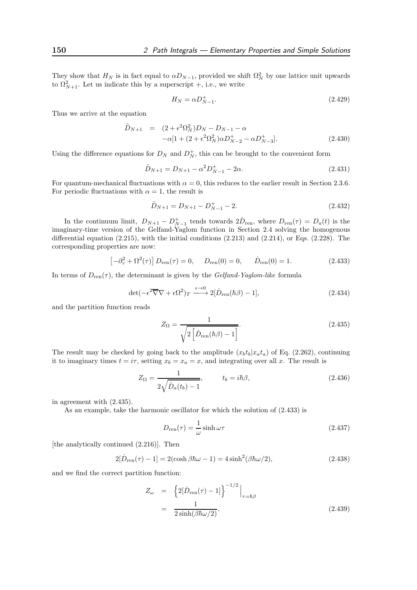They show that  $H_N$  is in fact equal to  $\alpha D_{N-1}$ , provided we shift  $\Omega_N^2$  by one lattice unit upwards to  $\Omega_{N+1}^2$ . Let us indicate this by a superscript +, i.e., we write

$$
H_N = \alpha D_{N-1}^+.\tag{2.429}
$$

Thus we arrive at the equation

$$
\tilde{D}_{N+1} = (2 + \epsilon^2 \Omega_N^2) D_N - D_{N-1} - \alpha \n- \alpha [1 + (2 + \epsilon^2 \Omega_N^2) \alpha D_{N-2}^+ - \alpha D_{N-3}^+].
$$
\n(2.430)

Using the difference equations for  $D_N$  and  $D_N^+$ , this can be brought to the convenient form

$$
\tilde{D}_{N+1} = D_{N+1} - \alpha^2 D_{N-1}^+ - 2\alpha.
$$
\n(2.431)

For quantum-mechanical fluctuations with  $\alpha = 0$ , this reduces to the earlier result in Section 2.3.6. For periodic fluctuations with  $\alpha = 1$ , the result is

$$
\tilde{D}_{N+1} = D_{N+1} - D_{N-1}^{+} - 2.
$$
\n(2.432)

In the continuum limit,  $D_{N+1} - D_{N-1}^+$  tends towards  $2D_{ren}$ , where  $D_{ren}(\tau) = D_a(t)$  is the imaginary-time version of the Gelfand-Yaglom function in Section 2.4 solving the homogenous differential equation  $(2.215)$ , with the initial conditions  $(2.213)$  and  $(2.214)$ , or Eqs.  $(2.228)$ . The corresponding properties are now:

$$
\left[-\partial_{\tau}^{2} + \Omega^{2}(\tau)\right] D_{\text{ren}}(\tau) = 0, \quad D_{\text{ren}}(0) = 0, \quad \dot{D}_{\text{ren}}(0) = 1.
$$
 (2.433)

In terms of  $D_{ren}(\tau)$ , the determinant is given by the Gelfand-Yaglom-like formula

$$
\det(-\epsilon^2 \overline{\nabla} \nabla + \epsilon \Omega^2)_T \xrightarrow{\epsilon \to 0} 2[\dot{D}_{\text{ren}}(\hbar \beta) - 1],
$$
\n(2.434)

and the partition function reads

$$
Z_{\Omega} = \frac{1}{\sqrt{2\left[\dot{D}_{\text{ren}}(\hbar\beta) - 1\right]}}.\tag{2.435}
$$

The result may be checked by going back to the amplitude  $(x_b t_b | x_a t_a)$  of Eq. (2.262), continuing it to imaginary times  $t = i\tau$ , setting  $x_b = x_a = x$ , and integrating over all x. The result is

$$
Z_{\Omega} = \frac{1}{2\sqrt{\dot{D}_a(t_b) - 1}}, \qquad t_b = i\hbar\beta,
$$
\n(2.436)

in agreement with (2.435).

As an example, take the harmonic oscillator for which the solution of (2.433) is

$$
D_{\rm ren}(\tau) = \frac{1}{\omega} \sinh \omega \tau \tag{2.437}
$$

[the analytically continued (2.216)]. Then

$$
2[\dot{D}_{\text{ren}}(\tau) - 1] = 2(\cosh\beta\hbar\omega - 1) = 4\sinh^2(\beta\hbar\omega/2),\tag{2.438}
$$

and we find the correct partition function:

$$
Z_{\omega} = \left\{ 2[\dot{D}_{\text{ren}}(\tau) - 1] \right\}^{-1/2} \Big|_{\tau = \hbar \beta}
$$
  
= 
$$
\frac{1}{2 \sinh(\beta \hbar \omega/2)}.
$$
 (2.439)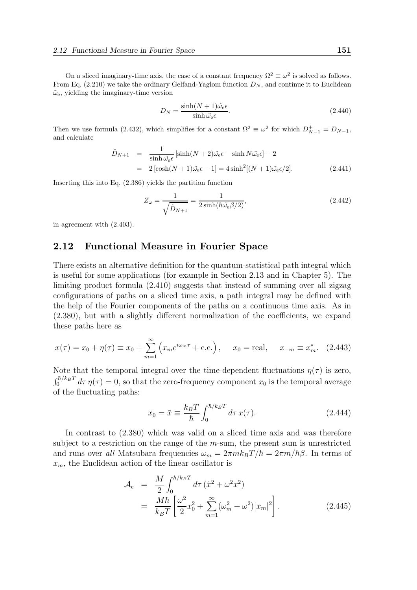On a sliced imaginary-time axis, the case of a constant frequency  $\Omega^2 \equiv \omega^2$  is solved as follows. From Eq. (2.210) we take the ordinary Gelfand-Yaglom function  $D_N$ , and continue it to Euclidean  $\tilde{\omega}_{\rm e}$ , yielding the imaginary-time version

$$
D_N = \frac{\sinh(N+1)\tilde{\omega_e}\epsilon}{\sinh \tilde{\omega_e}\epsilon}.
$$
\n(2.440)

Then we use formula (2.432), which simplifies for a constant  $\Omega^2 \equiv \omega^2$  for which  $D_{N-1}^+ = D_{N-1}$ , and calculate

$$
\tilde{D}_{N+1} = \frac{1}{\sinh \tilde{\omega}_{e} \epsilon} [\sinh(N+2) \tilde{\omega}_{e} \epsilon - \sinh N \tilde{\omega}_{e} \epsilon] - 2
$$
  
= 2 [\cosh(N+1) \tilde{\omega}\_{e} \epsilon - 1] = 4 \sinh^{2} [(N+1) \tilde{\omega}\_{e} \epsilon/2]. \t(2.441)

Inserting this into Eq. (2.386) yields the partition function

$$
Z_{\omega} = \frac{1}{\sqrt{\tilde{D}_{N+1}}} = \frac{1}{2\sinh(\hbar\tilde{\omega}_{e}\beta/2)},
$$
\n(2.442)

in agreement with (2.403).

### 2.12 Functional Measure in Fourier Space

There exists an alternative definition for the quantum-statistical path integral which is useful for some applications (for example in Section 2.13 and in Chapter 5). The limiting product formula (2.410) suggests that instead of summing over all zigzag configurations of paths on a sliced time axis, a path integral may be defined with the help of the Fourier components of the paths on a continuous time axis. As in (2.380), but with a slightly different normalization of the coefficients, we expand these paths here as

$$
x(\tau) = x_0 + \eta(\tau) \equiv x_0 + \sum_{m=1}^{\infty} (x_m e^{i\omega_m \tau} + \text{c.c.}), \quad x_0 = \text{real}, \quad x_{-m} \equiv x_m^*.
$$
 (2.443)

Note that the temporal integral over the time-dependent fluctuations  $\eta(\tau)$  is zero,  $\int_0^{\hbar/k_B T} d\tau \eta(\tau) = 0$ , so that the zero-frequency component  $x_0$  is the temporal average of the fluctuating paths:

$$
x_0 = \bar{x} \equiv \frac{k_B T}{\hbar} \int_0^{\hbar/k_B T} d\tau \, x(\tau). \tag{2.444}
$$

In contrast to (2.380) which was valid on a sliced time axis and was therefore subject to a restriction on the range of the m-sum, the present sum is unrestricted and runs over all Matsubara frequencies  $\omega_m = 2\pi m k_B T/\hbar = 2\pi m/\hbar\beta$ . In terms of  $x_m$ , the Euclidean action of the linear oscillator is

$$
\mathcal{A}_{e} = \frac{M}{2} \int_{0}^{\hbar/k_{B}T} d\tau \left(\dot{x}^{2} + \omega^{2} x^{2}\right) \n= \frac{M\hbar}{k_{B}T} \left[\frac{\omega^{2}}{2} x_{0}^{2} + \sum_{m=1}^{\infty} (\omega_{m}^{2} + \omega^{2}) |x_{m}|^{2}\right].
$$
\n(2.445)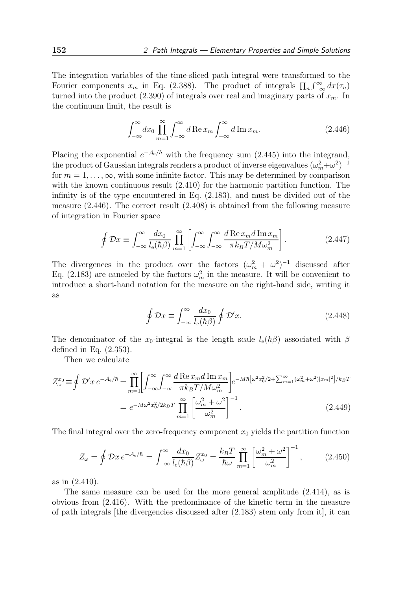The integration variables of the time-sliced path integral were transformed to the Fourier components  $x_m$  in Eq. (2.388). The product of integrals  $\prod_n \int_{-\infty}^{\infty} dx(\tau_n)$ turned into the product (2.390) of integrals over real and imaginary parts of  $x_m$ . In the continuum limit, the result is

$$
\int_{-\infty}^{\infty} dx_0 \prod_{m=1}^{\infty} \int_{-\infty}^{\infty} d\operatorname{Re} x_m \int_{-\infty}^{\infty} d\operatorname{Im} x_m.
$$
 (2.446)

Placing the exponential  $e^{-A_e/\hbar}$  with the frequency sum (2.445) into the integrand, the product of Gaussian integrals renders a product of inverse eigenvalues  $(\omega_m^2 + \omega^2)^{-1}$ for  $m = 1, \ldots, \infty$ , with some infinite factor. This may be determined by comparison with the known continuous result (2.410) for the harmonic partition function. The infinity is of the type encountered in Eq. (2.183), and must be divided out of the measure (2.446). The correct result (2.408) is obtained from the following measure of integration in Fourier space

$$
\oint \mathcal{D}x \equiv \int_{-\infty}^{\infty} \frac{dx_0}{l_{\text{e}}(\hbar \beta)} \prod_{m=1}^{\infty} \left[ \int_{-\infty}^{\infty} \int_{-\infty}^{\infty} \frac{d \operatorname{Re}x_m d \operatorname{Im}x_m}{\pi k_B T / M \omega_m^2} \right].
$$
\n(2.447)

The divergences in the product over the factors  $(\omega_m^2 + \omega^2)^{-1}$  discussed after Eq. (2.183) are canceled by the factors  $\omega_m^2$  in the measure. It will be convenient to introduce a short-hand notation for the measure on the right-hand side, writing it as

$$
\oint \mathcal{D}x \equiv \int_{-\infty}^{\infty} \frac{dx_0}{l_e(\hbar\beta)} \oint \mathcal{D}'x. \tag{2.448}
$$

The denominator of the x<sub>0</sub>-integral is the length scale  $l_e(\hbar\beta)$  associated with  $\beta$ defined in Eq. (2.353).

Then we calculate

$$
Z_{\omega}^{x_0} \equiv \oint \mathcal{D}' x \, e^{-\mathcal{A}_e/\hbar} = \prod_{m=1}^{\infty} \left[ \int_{-\infty}^{\infty} \int_{-\infty}^{\infty} \frac{d \operatorname{Re} x_m d \operatorname{Im} x_m}{\pi k_B T / M \omega_m^2} \right] e^{-M\hbar \left[\omega^2 x_0^2 / 2 + \sum_{m=1}^{\infty} (\omega_m^2 + \omega^2) |x_m|^2\right] / k_B T}
$$

$$
= e^{-M\omega^2 x_0^2 / 2k_B T} \prod_{m=1}^{\infty} \left[ \frac{\omega_m^2 + \omega^2}{\omega_m^2} \right]^{-1}.
$$
(2.449)

The final integral over the zero-frequency component  $x_0$  yields the partition function

$$
Z_{\omega} = \oint \mathcal{D}x \, e^{-\mathcal{A}_e/\hbar} = \int_{-\infty}^{\infty} \frac{dx_0}{l_e(\hbar \beta)} Z_{\omega}^{x_0} = \frac{k_B T}{\hbar \omega} \prod_{m=1}^{\infty} \left[ \frac{\omega_m^2 + \omega^2}{\omega_m^2} \right]^{-1},\tag{2.450}
$$

as in (2.410).

The same measure can be used for the more general amplitude (2.414), as is obvious from (2.416). With the predominance of the kinetic term in the measure of path integrals [the divergencies discussed after  $(2.183)$  stem only from it], it can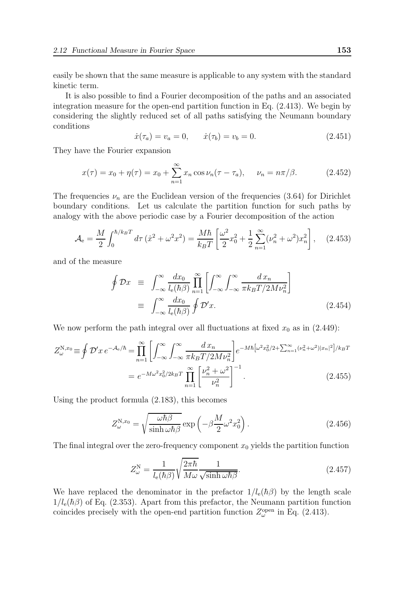easily be shown that the same measure is applicable to any system with the standard kinetic term.

It is also possible to find a Fourier decomposition of the paths and an associated integration measure for the open-end partition function in Eq. (2.413). We begin by considering the slightly reduced set of all paths satisfying the Neumann boundary conditions

$$
\dot{x}(\tau_a) = v_a = 0, \quad \dot{x}(\tau_b) = v_b = 0. \tag{2.451}
$$

They have the Fourier expansion

$$
x(\tau) = x_0 + \eta(\tau) = x_0 + \sum_{n=1}^{\infty} x_n \cos \nu_n(\tau - \tau_a), \quad \nu_n = n\pi/\beta.
$$
 (2.452)

The frequencies  $\nu_n$  are the Euclidean version of the frequencies (3.64) for Dirichlet boundary conditions. Let us calculate the partition function for such paths by analogy with the above periodic case by a Fourier decomposition of the action

$$
\mathcal{A}_{\rm e} = \frac{M}{2} \int_0^{\hbar/k_B T} d\tau \left(\dot{x}^2 + \omega^2 x^2\right) = \frac{M\hbar}{k_B T} \left[\frac{\omega^2}{2} x_0^2 + \frac{1}{2} \sum_{n=1}^{\infty} (\nu_n^2 + \omega^2) x_n^2\right],\tag{2.453}
$$

and of the measure

$$
\oint \mathcal{D}x \equiv \int_{-\infty}^{\infty} \frac{dx_0}{l_e(\hbar \beta)} \prod_{n=1}^{\infty} \left[ \int_{-\infty}^{\infty} \int_{-\infty}^{\infty} \frac{dx_n}{\pi k_B T / 2M \nu_n^2} \right]
$$
\n
$$
\equiv \int_{-\infty}^{\infty} \frac{dx_0}{l_e(\hbar \beta)} \oint \mathcal{D}'x. \tag{2.454}
$$

We now perform the path integral over all fluctuations at fixed  $x_0$  as in (2.449):

$$
Z_{\omega}^{\mathcal{N},x_0} \equiv \oint \mathcal{D}' x \, e^{-\mathcal{A}_e/\hbar} = \prod_{n=1}^{\infty} \left[ \int_{-\infty}^{\infty} \int_{-\infty}^{\infty} \frac{dx_n}{\pi k_B T / 2M \nu_n^2} \right] e^{-M\hbar \left[\omega^2 x_0^2 / 2 + \sum_{n=1}^{\infty} (\nu_n^2 + \omega^2) |x_n|^2\right] / k_B T}
$$

$$
= e^{-M\omega^2 x_0^2 / 2k_B T} \prod_{n=1}^{\infty} \left[ \frac{\nu_n^2 + \omega^2}{\nu_n^2} \right]^{-1} . \tag{2.455}
$$

Using the product formula (2.183), this becomes

$$
Z_{\omega}^{\mathbf{N},x_0} = \sqrt{\frac{\omega \hbar \beta}{\sinh \omega \hbar \beta}} \exp\left(-\beta \frac{M}{2} \omega^2 x_0^2\right). \tag{2.456}
$$

The final integral over the zero-frequency component  $x_0$  yields the partition function

$$
Z_{\omega}^{\mathcal{N}} = \frac{1}{l_{\mathcal{e}}(\hbar \beta)} \sqrt{\frac{2\pi\hbar}{M\omega}} \frac{1}{\sqrt{\sinh \omega \hbar \beta}}.
$$
\n(2.457)

We have replaced the denominator in the prefactor  $1/l_e(\hbar\beta)$  by the length scale  $1/l_e(\hbar\beta)$  of Eq. (2.353). Apart from this prefactor, the Neumann partition function coincides precisely with the open-end partition function  $Z_{\omega}^{\text{open}}$  in Eq. (2.413).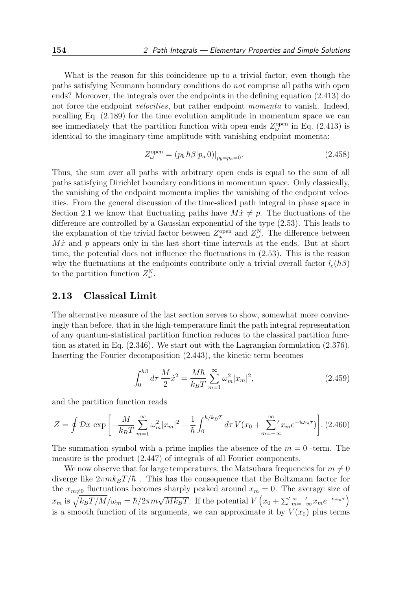What is the reason for this coincidence up to a trivial factor, even though the paths satisfying Neumann boundary conditions do not comprise all paths with open ends? Moreover, the integrals over the endpoints in the defining equation (2.413) do not force the endpoint *velocities*, but rather endpoint *momenta* to vanish. Indeed, recalling Eq. (2.189) for the time evolution amplitude in momentum space we can see immediately that the partition function with open ends  $Z_{\omega}^{\text{open}}$  in Eq. (2.413) is identical to the imaginary-time amplitude with vanishing endpoint momenta:

$$
Z_{\omega}^{\text{open}} = (p_b \,\hbar \beta | p_a \, 0)|_{p_b = p_a = 0}.\tag{2.458}
$$

Thus, the sum over all paths with arbitrary open ends is equal to the sum of all paths satisfying Dirichlet boundary conditions in momentum space. Only classically, the vanishing of the endpoint momenta implies the vanishing of the endpoint velocities. From the general discussion of the time-sliced path integral in phase space in Section 2.1 we know that fluctuating paths have  $M\dot{x} \neq p$ . The fluctuations of the difference are controlled by a Gaussian exponential of the type (2.53). This leads to the explanation of the trivial factor between  $Z_{\omega}^{\text{open}}$  and  $Z_{\omega}^{\text{N}}$ . The difference between  $M\dot{x}$  and p appears only in the last short-time intervals at the ends. But at short time, the potential does not influence the fluctuations in (2.53). This is the reason why the fluctuations at the endpoints contribute only a trivial overall factor  $l_e(h\beta)$ to the partition function  $Z_{\omega}^{\text{N}}$ .

#### 2.13 Classical Limit

The alternative measure of the last section serves to show, somewhat more convincingly than before, that in the high-temperature limit the path integral representation of any quantum-statistical partition function reduces to the classical partition function as stated in Eq. (2.346). We start out with the Lagrangian formulation (2.376). Inserting the Fourier decomposition (2.443), the kinetic term becomes

$$
\int_0^{\hbar \beta} d\tau \, \frac{M}{2} \dot{x}^2 = \frac{M \hbar}{k_B T} \sum_{m=1}^\infty \omega_m^2 |x_m|^2,\tag{2.459}
$$

and the partition function reads

$$
Z = \oint \mathcal{D}x \, \exp\left[-\frac{M}{k_B T} \sum_{m=1}^{\infty} \omega_m^2 |x_m|^2 - \frac{1}{\hbar} \int_0^{\hbar/k_B T} d\tau \, V(x_0 + \sum_{m=-\infty}^{\infty} x_m e^{-i\omega_m \tau})\right].
$$
 (2.460)

The summation symbol with a prime implies the absence of the  $m = 0$ -term. The measure is the product (2.447) of integrals of all Fourier components.

We now observe that for large temperatures, the Matsubara frequencies for  $m \neq 0$ diverge like  $2\pi mk_BT/\hbar$ . This has the consequence that the Boltzmann factor for the  $x_{m\neq0}$  fluctuations becomes sharply peaked around  $x_m = 0$ . The average size of  $x_m$  is  $\sqrt{k_B T/M}/\omega_m = \hbar/2\pi m \sqrt{Mk_B T}$ . If the potential  $V(x_0 + \sum_{m=-\infty}^{\infty} x_m e^{-i\omega_m \tau})$ is a smooth function of its arguments, we can approximate it by  $V(x_0)$  plus terms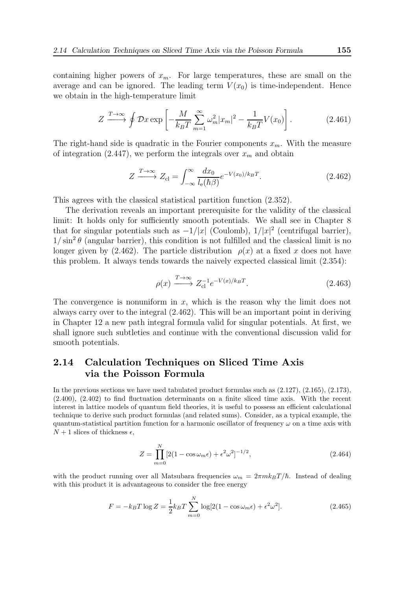containing higher powers of  $x_m$ . For large temperatures, these are small on the average and can be ignored. The leading term  $V(x_0)$  is time-independent. Hence we obtain in the high-temperature limit

$$
Z \xrightarrow{T \to \infty} \oint \mathcal{D}x \exp\left[-\frac{M}{k_B T} \sum_{m=1}^{\infty} \omega_m^2 |x_m|^2 - \frac{1}{k_B T} V(x_0)\right].
$$
 (2.461)

The right-hand side is quadratic in the Fourier components  $x_m$ . With the measure of integration (2.447), we perform the integrals over  $x_m$  and obtain

$$
Z \xrightarrow{T \to \infty} Z_{\text{cl}} = \int_{-\infty}^{\infty} \frac{dx_0}{l_{\text{e}}(\hbar \beta)} e^{-V(x_0)/k_B T}.
$$
 (2.462)

This agrees with the classical statistical partition function (2.352).

The derivation reveals an important prerequisite for the validity of the classical limit: It holds only for sufficiently smooth potentials. We shall see in Chapter 8 that for singular potentials such as  $-1/|x|$  (Coulomb),  $1/|x|^2$  (centrifugal barrier),  $1/\sin^2\theta$  (angular barrier), this condition is not fulfilled and the classical limit is no longer given by (2.462). The particle distribution  $\rho(x)$  at a fixed x does not have this problem. It always tends towards the naively expected classical limit (2.354):

$$
\rho(x) \xrightarrow{T \to \infty} Z_{\text{cl}}^{-1} e^{-V(x)/k_B T}.
$$
\n(2.463)

The convergence is nonuniform in  $x$ , which is the reason why the limit does not always carry over to the integral (2.462). This will be an important point in deriving in Chapter 12 a new path integral formula valid for singular potentials. At first, we shall ignore such subtleties and continue with the conventional discussion valid for smooth potentials.

# 2.14 Calculation Techniques on Sliced Time Axis via the Poisson Formula

In the previous sections we have used tabulated product formulas such as (2.127), (2.165), (2.173), (2.400), (2.402) to find fluctuation determinants on a finite sliced time axis. With the recent interest in lattice models of quantum field theories, it is useful to possess an efficient calculational technique to derive such product formulas (and related sums). Consider, as a typical example, the quantum-statistical partition function for a harmonic oscillator of frequency  $\omega$  on a time axis with  $N+1$  slices of thickness  $\epsilon$ ,

$$
Z = \prod_{m=0}^{N} [2(1 - \cos \omega_m \epsilon) + \epsilon^2 \omega^2]^{-1/2},
$$
\n(2.464)

with the product running over all Matsubara frequencies  $\omega_m = 2\pi m k_B T/\hbar$ . Instead of dealing with this product it is advantageous to consider the free energy

$$
F = -k_B T \log Z = \frac{1}{2} k_B T \sum_{m=0}^{N} \log[2(1 - \cos \omega_m \epsilon) + \epsilon^2 \omega^2].
$$
 (2.465)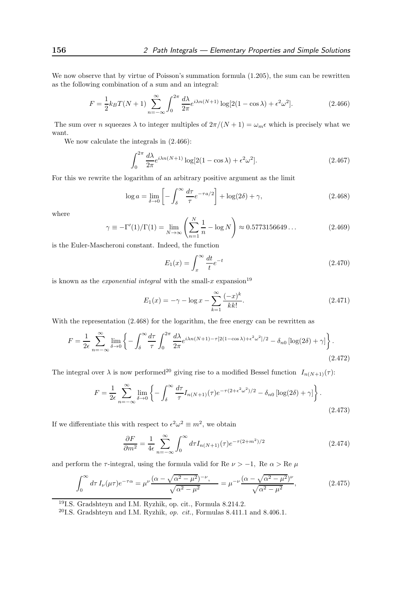We now observe that by virtue of Poisson's summation formula  $(1.205)$ , the sum can be rewritten as the following combination of a sum and an integral:

$$
F = \frac{1}{2}k_B T(N+1) \sum_{n=-\infty}^{\infty} \int_0^{2\pi} \frac{d\lambda}{2\pi} e^{i\lambda n(N+1)} \log[2(1-\cos\lambda) + \epsilon^2 \omega^2].
$$
 (2.466)

The sum over n squeezes  $\lambda$  to integer multiples of  $2\pi/(N+1) = \omega_m \epsilon$  which is precisely what we want.

We now calculate the integrals in (2.466):

$$
\int_0^{2\pi} \frac{d\lambda}{2\pi} e^{i\lambda n(N+1)} \log[2(1-\cos\lambda) + \epsilon^2 \omega^2].
$$
 (2.467)

For this we rewrite the logarithm of an arbitrary positive argument as the limit

$$
\log a = \lim_{\delta \to 0} \left[ -\int_{\delta}^{\infty} \frac{d\tau}{\tau} e^{-\tau a/2} \right] + \log(2\delta) + \gamma,
$$
\n(2.468)

where

$$
\gamma \equiv -\Gamma'(1)/\Gamma(1) = \lim_{N \to \infty} \left( \sum_{n=1}^{N} \frac{1}{n} - \log N \right) \approx 0.5773156649\dots \tag{2.469}
$$

is the Euler-Mascheroni constant. Indeed, the function

$$
E_1(x) = \int_x^{\infty} \frac{dt}{t} e^{-t}
$$
\n(2.470)

is known as the *exponential integral* with the small-x expansion<sup>19</sup>

$$
E_1(x) = -\gamma - \log x - \sum_{k=1}^{\infty} \frac{(-x)^k}{k k!}.
$$
 (2.471)

With the representation (2.468) for the logarithm, the free energy can be rewritten as

$$
F = \frac{1}{2\epsilon} \sum_{n=-\infty}^{\infty} \lim_{\delta \to 0} \left\{ -\int_{\delta}^{\infty} \frac{d\tau}{\tau} \int_{0}^{2\pi} \frac{d\lambda}{2\pi} e^{i\lambda n(N+1) - \tau [2(1-\cos\lambda) + \epsilon^2 \omega^2]/2} - \delta_{n0} \left[ \log(2\delta) + \gamma \right] \right\}.
$$
\n(2.472)

The integral over  $\lambda$  is now performed<sup>20</sup> giving rise to a modified Bessel function  $I_{n(N+1)}(\tau)$ :

$$
F = \frac{1}{2\epsilon} \sum_{n=-\infty}^{\infty} \lim_{\delta \to 0} \left\{ -\int_{\delta}^{\infty} \frac{d\tau}{\tau} I_{n(N+1)}(\tau) e^{-\tau (2 + \epsilon^2 \omega^2)/2} - \delta_{n0} \left[ \log(2\delta) + \gamma \right] \right\}.
$$
\n(2.473)

If we differentiate this with respect to  $\epsilon^2 \omega^2 \equiv m^2$ , we obtain

$$
\frac{\partial F}{\partial m^2} = \frac{1}{4\epsilon} \sum_{n=-\infty}^{\infty} \int_0^{\infty} d\tau I_{n(N+1)}(\tau) e^{-\tau(2+m^2)/2}
$$
 (2.474)

and perform the  $\tau$ -integral, using the formula valid for Re  $\nu > -1$ , Re  $\alpha >$  Re  $\mu$ 

$$
\int_0^\infty d\tau \, I_\nu(\mu \tau) e^{-\tau \alpha} = \mu^\nu \frac{(\alpha - \sqrt{\alpha^2 - \mu^2})^{-\nu}}{\sqrt{\alpha^2 - \mu^2}} = \mu^{-\nu} \frac{(\alpha - \sqrt{\alpha^2 - \mu^2})^{\nu}}{\sqrt{\alpha^2 - \mu^2}},\tag{2.475}
$$

<sup>19</sup>I.S. Gradshteyn and I.M. Ryzhik, op. cit., Formula 8.214.2.

<sup>20</sup>I.S. Gradshteyn and I.M. Ryzhik, op. cit., Formulas 8.411.1 and 8.406.1.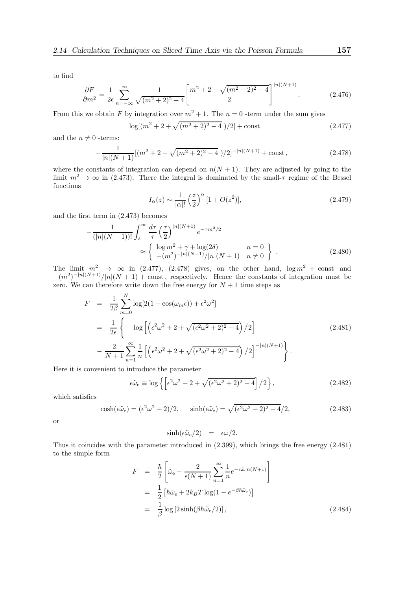to find

$$
\frac{\partial F}{\partial m^2} = \frac{1}{2\epsilon} \sum_{n=-\infty}^{\infty} \frac{1}{\sqrt{(m^2 + 2)^2 - 4}} \left[ \frac{m^2 + 2 - \sqrt{(m^2 + 2)^2 - 4}}{2} \right]^{|n|(N+1)}.
$$
 (2.476)

From this we obtain F by integration over  $m^2 + 1$ . The  $n = 0$  -term under the sum gives

$$
\log[(m^2 + 2 + \sqrt{(m^2 + 2)^2 - 4})/2] + \text{const}
$$
\n(2.477)

and the  $n \neq 0$  -terms:

$$
-\frac{1}{|n|(N+1)}[(m^2+2+\sqrt{(m^2+2)^2-4})/2]^{-|n|(N+1)} + \text{const},\tag{2.478}
$$

where the constants of integration can depend on  $n(N + 1)$ . They are adjusted by going to the limit  $m^2 \to \infty$  in (2.473). There the integral is dominated by the small- $\tau$  regime of the Bessel functions

$$
I_{\alpha}(z) \sim \frac{1}{|\alpha|!} \left(\frac{z}{2}\right)^{\alpha} [1 + O(z^2)],\tag{2.479}
$$

and the first term in (2.473) becomes

$$
-\frac{1}{(|n|(N+1))!} \int_{\delta}^{\infty} \frac{d\tau}{\tau} \left(\frac{\tau}{2}\right)^{|n|(N+1)} e^{-\tau m^2/2}
$$
  

$$
\approx \begin{cases} \log m^2 + \gamma + \log(2\delta) & n = 0 \\ -(m^2)^{-|n|(N+1)}/|n|(N+1) & n \neq 0 \end{cases} (2.480)
$$

The limit  $m^2 \rightarrow \infty$  in (2.477), (2.478) gives, on the other hand,  $\log m^2$  + const and  $-(m^2)^{-|n|(N+1)}/|n|(N+1) + \text{const}$ , respectively. Hence the constants of integration must be zero. We can therefore write down the free energy for  $N + 1$  time steps as

$$
F = \frac{1}{2\beta} \sum_{m=0}^{N} \log[2(1 - \cos(\omega_m \epsilon)) + \epsilon^2 \omega^2]
$$
  
= 
$$
\frac{1}{2\epsilon} \left\{ \log \left[ \left( \epsilon^2 \omega^2 + 2 + \sqrt{(\epsilon^2 \omega^2 + 2)^2 - 4} \right) / 2 \right] - \frac{2}{N+1} \sum_{n=1}^{\infty} \frac{1}{n} \left[ \left( \epsilon^2 \omega^2 + 2 + \sqrt{(\epsilon^2 \omega^2 + 2)^2 - 4} \right) / 2 \right]^{-|n|(N+1)} \right\}.
$$
 (2.481)

Here it is convenient to introduce the parameter

$$
\epsilon \tilde{\omega}_e \equiv \log \left\{ \left[ \epsilon^2 \omega^2 + 2 + \sqrt{(\epsilon^2 \omega^2 + 2)^2 - 4} \right] / 2 \right\},\tag{2.482}
$$

which satisfies

$$
\cosh(\epsilon \tilde{\omega}_e) = (\epsilon^2 \omega^2 + 2)/2, \quad \sinh(\epsilon \tilde{\omega}_e) = \sqrt{(\epsilon^2 \omega^2 + 2)^2 - 4}/2, \tag{2.483}
$$

or

$$
\sinh(\epsilon \tilde{\omega}_e/2) = \epsilon \omega/2.
$$

Thus it coincides with the parameter introduced in (2.399), which brings the free energy (2.481) to the simple form

$$
F = \frac{\hbar}{2} \left[ \tilde{\omega}_{\rm e} - \frac{2}{\epsilon (N+1)} \sum_{n=1}^{\infty} \frac{1}{n} e^{-\epsilon \tilde{\omega}_{\rm e} n(N+1)} \right]
$$
  
=  $\frac{1}{2} \left[ \hbar \tilde{\omega}_{\rm e} + 2k_B T \log(1 - e^{-\beta \hbar \tilde{\omega}_{\rm e}}) \right]$   
=  $\frac{1}{\beta} \log \left[ 2 \sinh(\beta \hbar \tilde{\omega}_{\rm e}/2) \right],$  (2.484)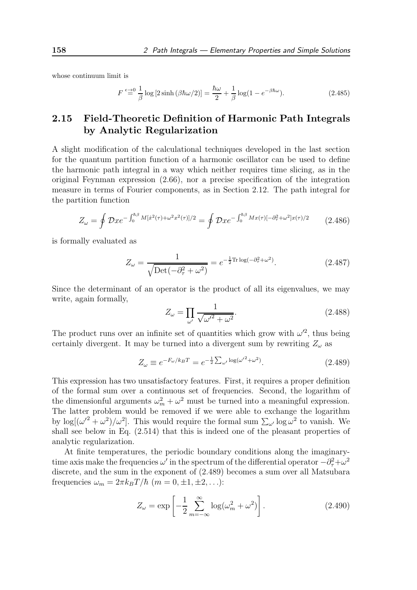whose continuum limit is

$$
F \stackrel{\epsilon \to 0}{=} \frac{1}{\beta} \log \left[ 2 \sinh \left( \beta \hbar \omega / 2 \right) \right] = \frac{\hbar \omega}{2} + \frac{1}{\beta} \log \left( 1 - e^{-\beta \hbar \omega} \right). \tag{2.485}
$$

# 2.15 Field-Theoretic Definition of Harmonic Path Integrals by Analytic Regularization

A slight modification of the calculational techniques developed in the last section for the quantum partition function of a harmonic oscillator can be used to define the harmonic path integral in a way which neither requires time slicing, as in the original Feynman expression (2.66), nor a precise specification of the integration measure in terms of Fourier components, as in Section 2.12. The path integral for the partition function

$$
Z_{\omega} = \oint \mathcal{D}x e^{-\int_0^{\hbar \beta} M[\dot{x}^2(\tau) + \omega^2 x^2(\tau)]/2} = \oint \mathcal{D}x e^{-\int_0^{\hbar \beta} Mx(\tau) [-\partial_\tau^2 + \omega^2]x(\tau)/2}
$$
(2.486)

is formally evaluated as

$$
Z_{\omega} = \frac{1}{\sqrt{\text{Det}\left(-\partial_{\tau}^{2} + \omega^{2}\right)}} = e^{-\frac{1}{2}\text{Tr}\log\left(-\partial_{\tau}^{2} + \omega^{2}\right)}.
$$
 (2.487)

Since the determinant of an operator is the product of all its eigenvalues, we may write, again formally,

$$
Z_{\omega} = \prod_{\omega'} \frac{1}{\sqrt{{\omega'}^2 + \omega^2}}.
$$
\n(2.488)

The product runs over an infinite set of quantities which grow with  $\omega^2$ , thus being certainly divergent. It may be turned into a divergent sum by rewriting  $Z_{\omega}$  as

$$
Z_{\omega} \equiv e^{-F_{\omega}/k_B T} = e^{-\frac{1}{2}\sum_{\omega'} \log(\omega'^2 + \omega^2)}.
$$
 (2.489)

This expression has two unsatisfactory features. First, it requires a proper definition of the formal sum over a continuous set of frequencies. Second, the logarithm of the dimensionful arguments  $\omega_m^2 + \omega^2$  must be turned into a meaningful expression. The latter problem would be removed if we were able to exchange the logarithm by  $\log[(\omega'^2 + \omega^2)/\omega^2]$ . This would require the formal sum  $\sum_{\omega'} \log \omega^2$  to vanish. We shall see below in Eq. (2.514) that this is indeed one of the pleasant properties of analytic regularization.

At finite temperatures, the periodic boundary conditions along the imaginarytime axis make the frequencies  $\omega'$  in the spectrum of the differential operator  $-\partial_{\tau}^2 + \omega^2$ discrete, and the sum in the exponent of (2.489) becomes a sum over all Matsubara frequencies  $\omega_m = 2\pi k_B T/\hbar$   $(m = 0, \pm 1, \pm 2, \ldots)$ :

$$
Z_{\omega} = \exp\left[-\frac{1}{2}\sum_{m=-\infty}^{\infty} \log(\omega_m^2 + \omega^2)\right].
$$
 (2.490)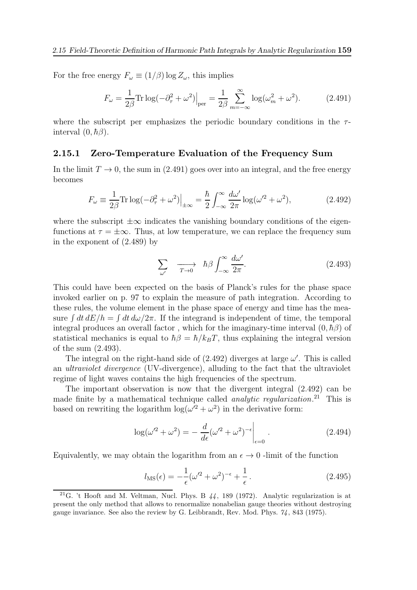For the free energy  $F_{\omega} \equiv (1/\beta) \log Z_{\omega}$ , this implies

$$
F_{\omega} = \frac{1}{2\beta} \text{Tr} \log(-\partial_{\tau}^2 + \omega^2) \Big|_{\text{per}} = \frac{1}{2\beta} \sum_{m=-\infty}^{\infty} \log(\omega_m^2 + \omega^2). \tag{2.491}
$$

where the subscript per emphasizes the periodic boundary conditions in the  $\tau$ interval  $(0, \hbar \beta)$ .

#### 2.15.1 Zero-Temperature Evaluation of the Frequency Sum

In the limit  $T \to 0$ , the sum in (2.491) goes over into an integral, and the free energy becomes

$$
F_{\omega} \equiv \frac{1}{2\beta} \text{Tr} \log(-\partial_{\tau}^{2} + \omega^{2}) \Big|_{\pm \infty} = \frac{\hbar}{2} \int_{-\infty}^{\infty} \frac{d\omega'}{2\pi} \log(\omega'^{2} + \omega^{2}), \tag{2.492}
$$

where the subscript  $\pm\infty$  indicates the vanishing boundary conditions of the eigenfunctions at  $\tau = \pm \infty$ . Thus, at low temperature, we can replace the frequency sum in the exponent of (2.489) by

$$
\sum_{\omega'} \quad \xrightarrow{T \to 0} \quad \hbar \beta \int_{-\infty}^{\infty} \frac{d\omega'}{2\pi}.
$$
\n(2.493)

This could have been expected on the basis of Planck's rules for the phase space invoked earlier on p. 97 to explain the measure of path integration. According to these rules, the volume element in the phase space of energy and time has the measure  $\int dt \, dE/h = \int dt \, d\omega/2\pi$ . If the integrand is independent of time, the temporal integral produces an overall factor, which for the imaginary-time interval  $(0, \hbar \beta)$  of statistical mechanics is equal to  $\hbar\beta = \hbar/k_BT$ , thus explaining the integral version of the sum (2.493).

The integral on the right-hand side of  $(2.492)$  diverges at large  $\omega'$ . This is called an ultraviolet divergence (UV-divergence), alluding to the fact that the ultraviolet regime of light waves contains the high frequencies of the spectrum.

The important observation is now that the divergent integral (2.492) can be made finite by a mathematical technique called *analytic regularization*.<sup>21</sup> This is based on rewriting the logarithm  $\log(\omega'^2 + \omega^2)$  in the derivative form:

$$
\log(\omega'^2 + \omega^2) = -\left. \frac{d}{d\epsilon} (\omega'^2 + \omega^2)^{-\epsilon} \right|_{\epsilon=0}.
$$
 (2.494)

Equivalently, we may obtain the logarithm from an  $\epsilon \to 0$  -limit of the function

$$
l_{\rm MS}(\epsilon) = -\frac{1}{\epsilon} (\omega'^2 + \omega^2)^{-\epsilon} + \frac{1}{\epsilon}.
$$
\n(2.495)

<sup>&</sup>lt;sup>21</sup>G. 't Hooft and M. Veltman, Nucl. Phys. B  $44$ , 189 (1972). Analytic regularization is at present the only method that allows to renormalize nonabelian gauge theories without destroying gauge invariance. See also the review by G. Leibbrandt, Rev. Mod. Phys. 74, 843 (1975).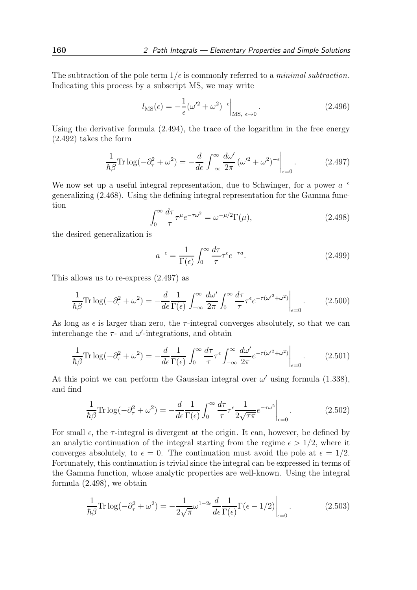The subtraction of the pole term  $1/\epsilon$  is commonly referred to a *minimal subtraction*. Indicating this process by a subscript MS, we may write

$$
l_{\rm MS}(\epsilon) = -\frac{1}{\epsilon} (\omega'^2 + \omega^2)^{-\epsilon} \Big|_{\rm MS, \ \epsilon \to 0} \,. \tag{2.496}
$$

Using the derivative formula (2.494), the trace of the logarithm in the free energy (2.492) takes the form

$$
\frac{1}{\hbar \beta} \text{Tr} \log(-\partial_{\tau}^2 + \omega^2) = -\frac{d}{d\epsilon} \int_{-\infty}^{\infty} \frac{d\omega'}{2\pi} (\omega'^2 + \omega^2)^{-\epsilon} \bigg|_{\epsilon=0}.
$$
 (2.497)

We now set up a useful integral representation, due to Schwinger, for a power  $a^{-\epsilon}$ generalizing (2.468). Using the defining integral representation for the Gamma function

$$
\int_0^\infty \frac{d\tau}{\tau} \tau^\mu e^{-\tau \omega^2} = \omega^{-\mu/2} \Gamma(\mu),\tag{2.498}
$$

the desired generalization is

$$
a^{-\epsilon} = \frac{1}{\Gamma(\epsilon)} \int_0^\infty \frac{d\tau}{\tau} \tau^{\epsilon} e^{-\tau a}.
$$
 (2.499)

This allows us to re-express (2.497) as

$$
\frac{1}{\hbar \beta} \text{Tr} \log(-\partial_{\tau}^2 + \omega^2) = -\frac{d}{d\epsilon} \frac{1}{\Gamma(\epsilon)} \int_{-\infty}^{\infty} \frac{d\omega'}{2\pi} \int_{0}^{\infty} \frac{d\tau}{\tau} \tau^{\epsilon} e^{-\tau(\omega'^2 + \omega^2)} \bigg|_{\epsilon=0}.
$$
 (2.500)

As long as  $\epsilon$  is larger than zero, the  $\tau$ -integral converges absolutely, so that we can interchange the  $\tau$ - and  $\omega'$ -integrations, and obtain

$$
\frac{1}{\hbar \beta} \text{Tr} \log(-\partial_{\tau}^2 + \omega^2) = -\frac{d}{d\epsilon} \frac{1}{\Gamma(\epsilon)} \int_0^{\infty} \frac{d\tau}{\tau} \tau^{\epsilon} \int_{-\infty}^{\infty} \frac{d\omega'}{2\pi} e^{-\tau(\omega'^2 + \omega^2)} \Big|_{\epsilon=0}.
$$
 (2.501)

At this point we can perform the Gaussian integral over  $\omega'$  using formula (1.338), and find

$$
\frac{1}{\hbar \beta} \text{Tr} \log(-\partial_{\tau}^2 + \omega^2) = -\frac{d}{d\epsilon} \frac{1}{\Gamma(\epsilon)} \int_0^{\infty} \frac{d\tau}{\tau} \tau^{\epsilon} \frac{1}{2\sqrt{\tau \pi}} e^{-\tau \omega^2} \bigg|_{\epsilon=0}.
$$
 (2.502)

For small  $\epsilon$ , the  $\tau$ -integral is divergent at the origin. It can, however, be defined by an analytic continuation of the integral starting from the regime  $\epsilon > 1/2$ , where it converges absolutely, to  $\epsilon = 0$ . The continuation must avoid the pole at  $\epsilon = 1/2$ . Fortunately, this continuation is trivial since the integral can be expressed in terms of the Gamma function, whose analytic properties are well-known. Using the integral formula (2.498), we obtain

$$
\frac{1}{\hbar \beta} \text{Tr} \log(-\partial_{\tau}^2 + \omega^2) = -\frac{1}{2\sqrt{\pi}} \omega^{1-2\epsilon} \frac{d}{d\epsilon} \frac{1}{\Gamma(\epsilon)} \Gamma(\epsilon - 1/2) \bigg|_{\epsilon=0}.
$$
 (2.503)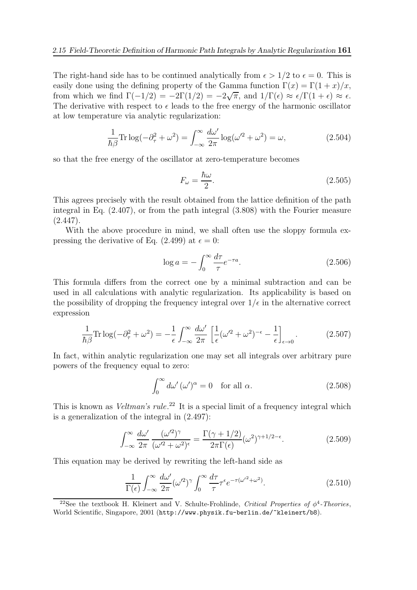The right-hand side has to be continued analytically from  $\epsilon > 1/2$  to  $\epsilon = 0$ . This is easily done using the defining property of the Gamma function  $\Gamma(x) = \Gamma(1+x)/x$ , from which we find  $\Gamma(-1/2) = -2\Gamma(1/2) = -2\sqrt{\pi}$ , and  $1/\Gamma(\epsilon) \approx \epsilon/\Gamma(1+\epsilon) \approx \epsilon$ . The derivative with respect to  $\epsilon$  leads to the free energy of the harmonic oscillator at low temperature via analytic regularization:

$$
\frac{1}{\hbar \beta} \text{Tr} \log(-\partial_{\tau}^2 + \omega^2) = \int_{-\infty}^{\infty} \frac{d\omega'}{2\pi} \log(\omega'^2 + \omega^2) = \omega,
$$
\n(2.504)

so that the free energy of the oscillator at zero-temperature becomes

$$
F_{\omega} = \frac{\hbar \omega}{2}.
$$
\n(2.505)

This agrees precisely with the result obtained from the lattice definition of the path integral in Eq. (2.407), or from the path integral (3.808) with the Fourier measure  $(2.447).$ 

With the above procedure in mind, we shall often use the sloppy formula expressing the derivative of Eq. (2.499) at  $\epsilon = 0$ :

$$
\log a = -\int_0^\infty \frac{d\tau}{\tau} e^{-\tau a}.\tag{2.506}
$$

This formula differs from the correct one by a minimal subtraction and can be used in all calculations with analytic regularization. Its applicability is based on the possibility of dropping the frequency integral over  $1/\epsilon$  in the alternative correct expression

$$
\frac{1}{\hbar \beta} \text{Tr} \log(-\partial_{\tau}^2 + \omega^2) = -\frac{1}{\epsilon} \int_{-\infty}^{\infty} \frac{d\omega'}{2\pi} \left[ \frac{1}{\epsilon} (\omega'^2 + \omega^2)^{-\epsilon} - \frac{1}{\epsilon} \right]_{\epsilon \to 0} . \tag{2.507}
$$

In fact, within analytic regularization one may set all integrals over arbitrary pure powers of the frequency equal to zero:

$$
\int_0^\infty d\omega' \, (\omega')^\alpha = 0 \quad \text{for all } \alpha. \tag{2.508}
$$

This is known as *Veltman's rule*.<sup>22</sup> It is a special limit of a frequency integral which is a generalization of the integral in (2.497):

$$
\int_{-\infty}^{\infty} \frac{d\omega'}{2\pi} \frac{(\omega'^2)^\gamma}{(\omega'^2 + \omega^2)^\epsilon} = \frac{\Gamma(\gamma + 1/2)}{2\pi \Gamma(\epsilon)} (\omega^2)^{\gamma + 1/2 - \epsilon}.
$$
 (2.509)

This equation may be derived by rewriting the left-hand side as

$$
\frac{1}{\Gamma(\epsilon)} \int_{-\infty}^{\infty} \frac{d\omega'}{2\pi} (\omega'^2)^\gamma \int_0^{\infty} \frac{d\tau}{\tau} \tau^{\epsilon} e^{-\tau(\omega'^2 + \omega^2)}.
$$
 (2.510)

<sup>22</sup>See the textbook H. Kleinert and V. Schulte-Frohlinde, Critical Properties of  $\phi^4$ -Theories, World Scientific, Singapore, 2001 (http://www.physik.fu-berlin.de/~kleinert/b8).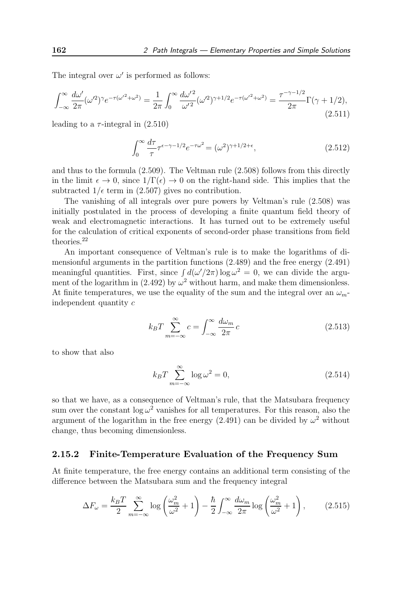The integral over  $\omega'$  is performed as follows:

$$
\int_{-\infty}^{\infty} \frac{d\omega'}{2\pi} (\omega'^2)^\gamma e^{-\tau(\omega'^2 + \omega^2)} = \frac{1}{2\pi} \int_0^{\infty} \frac{d\omega'^2}{\omega'^2} (\omega'^2)^{\gamma + 1/2} e^{-\tau(\omega'^2 + \omega^2)} = \frac{\tau^{-\gamma - 1/2}}{2\pi} \Gamma(\gamma + 1/2),\tag{2.511}
$$

leading to a  $\tau$ -integral in  $(2.510)$ 

$$
\int_0^\infty \frac{d\tau}{\tau} \tau^{\epsilon - \gamma - 1/2} e^{-\tau \omega^2} = (\omega^2)^{\gamma + 1/2 + \epsilon},\tag{2.512}
$$

and thus to the formula (2.509). The Veltman rule (2.508) follows from this directly in the limit  $\epsilon \to 0$ , since  $1/\Gamma(\epsilon) \to 0$  on the right-hand side. This implies that the subtracted  $1/\epsilon$  term in (2.507) gives no contribution.

The vanishing of all integrals over pure powers by Veltman's rule (2.508) was initially postulated in the process of developing a finite quantum field theory of weak and electromagnetic interactions. It has turned out to be extremely useful for the calculation of critical exponents of second-order phase transitions from field theories.<sup>22</sup>

An important consequence of Veltman's rule is to make the logarithms of dimensionful arguments in the partition functions (2.489) and the free energy (2.491) meaningful quantities. First, since  $\int d(\omega'/2\pi) \log \omega^2 = 0$ , we can divide the argument of the logarithm in (2.492) by  $\omega^2$  without harm, and make them dimensionless. At finite temperatures, we use the equality of the sum and the integral over an  $\omega_m$ independent quantity c

$$
k_B T \sum_{m=-\infty}^{\infty} c = \int_{-\infty}^{\infty} \frac{d\omega_m}{2\pi} c
$$
 (2.513)

to show that also

$$
k_B T \sum_{m=-\infty}^{\infty} \log \omega^2 = 0,
$$
\n(2.514)

so that we have, as a consequence of Veltman's rule, that the Matsubara frequency sum over the constant  $\log \omega^2$  vanishes for all temperatures. For this reason, also the argument of the logarithm in the free energy (2.491) can be divided by  $\omega^2$  without change, thus becoming dimensionless.

### 2.15.2 Finite-Temperature Evaluation of the Frequency Sum

At finite temperature, the free energy contains an additional term consisting of the difference between the Matsubara sum and the frequency integral

$$
\Delta F_{\omega} = \frac{k_B T}{2} \sum_{m=-\infty}^{\infty} \log \left( \frac{\omega_m^2}{\omega^2} + 1 \right) - \frac{\hbar}{2} \int_{-\infty}^{\infty} \frac{d\omega_m}{2\pi} \log \left( \frac{\omega_m^2}{\omega^2} + 1 \right), \tag{2.515}
$$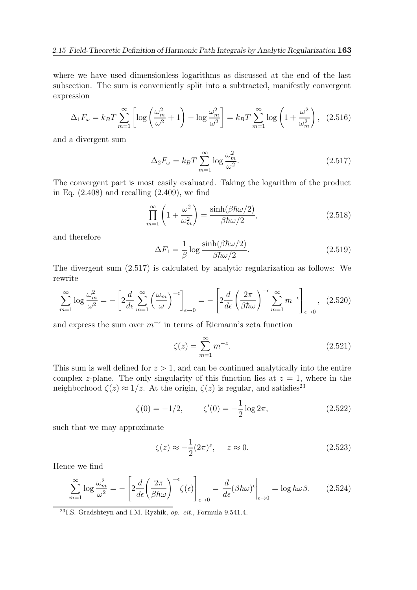where we have used dimensionless logarithms as discussed at the end of the last subsection. The sum is conveniently split into a subtracted, manifestly convergent expression

$$
\Delta_1 F_{\omega} = k_B T \sum_{m=1}^{\infty} \left[ \log \left( \frac{\omega_m^2}{\omega^2} + 1 \right) - \log \frac{\omega_m^2}{\omega^2} \right] = k_B T \sum_{m=1}^{\infty} \log \left( 1 + \frac{\omega^2}{\omega_m^2} \right), \tag{2.516}
$$

and a divergent sum

$$
\Delta_2 F_{\omega} = k_B T \sum_{m=1}^{\infty} \log \frac{\omega_m^2}{\omega^2}.
$$
\n(2.517)

The convergent part is most easily evaluated. Taking the logarithm of the product in Eq.  $(2.408)$  and recalling  $(2.409)$ , we find

$$
\prod_{m=1}^{\infty} \left( 1 + \frac{\omega^2}{\omega_m^2} \right) = \frac{\sinh(\beta \hbar \omega/2)}{\beta \hbar \omega/2},\tag{2.518}
$$

and therefore

$$
\Delta F_1 = \frac{1}{\beta} \log \frac{\sinh(\beta \hbar \omega/2)}{\beta \hbar \omega/2}.
$$
\n(2.519)

The divergent sum (2.517) is calculated by analytic regularization as follows: We rewrite

$$
\sum_{m=1}^{\infty} \log \frac{\omega_m^2}{\omega^2} = -\left[2\frac{d}{d\epsilon} \sum_{m=1}^{\infty} \left(\frac{\omega_m}{\omega}\right)^{-\epsilon}\right]_{\epsilon \to 0} = -\left[2\frac{d}{d\epsilon} \left(\frac{2\pi}{\beta\hbar\omega}\right)^{-\epsilon} \sum_{m=1}^{\infty} m^{-\epsilon}\right]_{\epsilon \to 0}, (2.520)
$$

and express the sum over  $m^{-\epsilon}$  in terms of Riemann's zeta function

$$
\zeta(z) = \sum_{m=1}^{\infty} m^{-z}.
$$
\n(2.521)

This sum is well defined for  $z > 1$ , and can be continued analytically into the entire complex z-plane. The only singularity of this function lies at  $z = 1$ , where in the neighborhood  $\zeta(z) \approx 1/z$ . At the origin,  $\zeta(z)$  is regular, and satisfies<sup>23</sup>

$$
\zeta(0) = -1/2, \qquad \zeta'(0) = -\frac{1}{2}\log 2\pi, \tag{2.522}
$$

such that we may approximate

$$
\zeta(z) \approx -\frac{1}{2}(2\pi)^z, \quad z \approx 0. \tag{2.523}
$$

Hence we find

$$
\sum_{m=1}^{\infty} \log \frac{\omega_m^2}{\omega^2} = -\left[2\frac{d}{d\epsilon} \left(\frac{2\pi}{\beta\hbar\omega}\right)^{-\epsilon} \zeta(\epsilon)\right]_{\epsilon \to 0} = \frac{d}{d\epsilon} (\beta\hbar\omega)^{\epsilon} \bigg|_{\epsilon \to 0} = \log \hbar\omega\beta. \tag{2.524}
$$

<sup>23</sup>I.S. Gradshteyn and I.M. Ryzhik, *op. cit.*, Formula 9.541.4.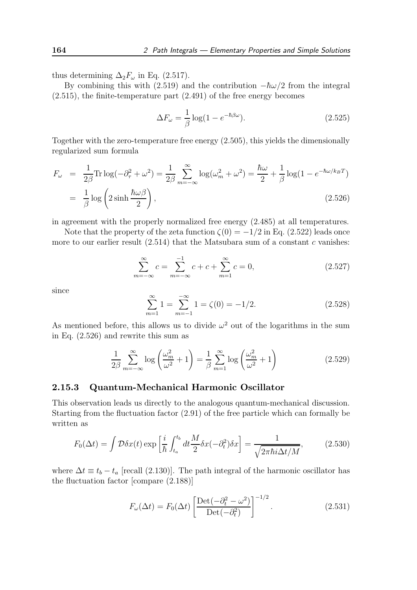thus determining  $\Delta_2 F_\omega$  in Eq. (2.517).

By combining this with (2.519) and the contribution  $-\hbar\omega/2$  from the integral (2.515), the finite-temperature part (2.491) of the free energy becomes

$$
\Delta F_{\omega} = \frac{1}{\beta} \log(1 - e^{-\hbar \beta \omega}).
$$
\n(2.525)

Together with the zero-temperature free energy (2.505), this yields the dimensionally regularized sum formula

$$
F_{\omega} = \frac{1}{2\beta} \text{Tr} \log(-\partial_{\tau}^{2} + \omega^{2}) = \frac{1}{2\beta} \sum_{m=-\infty}^{\infty} \log(\omega_{m}^{2} + \omega^{2}) = \frac{\hbar\omega}{2} + \frac{1}{\beta} \log(1 - e^{-\hbar\omega/k_{B}T})
$$

$$
= \frac{1}{\beta} \log\left(2\sinh\frac{\hbar\omega\beta}{2}\right),\tag{2.526}
$$

in agreement with the properly normalized free energy (2.485) at all temperatures.

Note that the property of the zeta function  $\zeta(0) = -1/2$  in Eq. (2.522) leads once more to our earlier result  $(2.514)$  that the Matsubara sum of a constant c vanishes:

$$
\sum_{m=-\infty}^{\infty} c = \sum_{m=-\infty}^{-1} c + c + \sum_{m=1}^{\infty} c = 0,
$$
\n(2.527)

since

$$
\sum_{m=1}^{\infty} 1 = \sum_{m=-1}^{-\infty} 1 = \zeta(0) = -1/2.
$$
 (2.528)

As mentioned before, this allows us to divide  $\omega^2$  out of the logarithms in the sum in Eq. (2.526) and rewrite this sum as

$$
\frac{1}{2\beta} \sum_{m=-\infty}^{\infty} \log \left( \frac{\omega_m^2}{\omega^2} + 1 \right) = \frac{1}{\beta} \sum_{m=1}^{\infty} \log \left( \frac{\omega_m^2}{\omega^2} + 1 \right)
$$
(2.529)

### 2.15.3 Quantum-Mechanical Harmonic Oscillator

This observation leads us directly to the analogous quantum-mechanical discussion. Starting from the fluctuation factor (2.91) of the free particle which can formally be written as

$$
F_0(\Delta t) = \int \mathcal{D}\delta x(t) \exp\left[\frac{i}{\hbar} \int_{t_a}^{t_b} dt \frac{M}{2} \delta x(-\partial_t^2) \delta x\right] = \frac{1}{\sqrt{2\pi \hbar i \Delta t/M}},\tag{2.530}
$$

where  $\Delta t \equiv t_b - t_a$  [recall (2.130)]. The path integral of the harmonic oscillator has the fluctuation factor [compare (2.188)]

$$
F_{\omega}(\Delta t) = F_0(\Delta t) \left[ \frac{\text{Det}(-\partial_t^2 - \omega^2)}{\text{Det}(-\partial_t^2)} \right]^{-1/2}.
$$
 (2.531)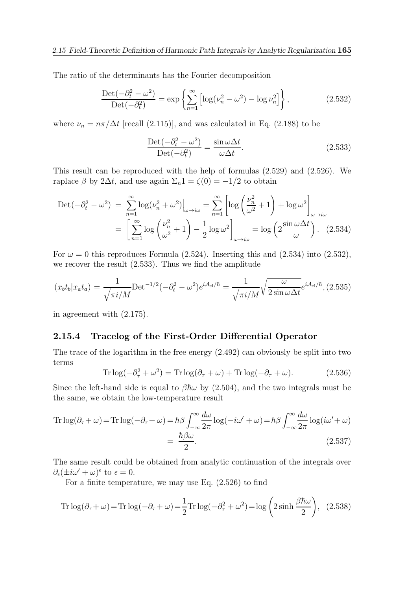The ratio of the determinants has the Fourier decomposition

$$
\frac{\text{Det}\left(-\partial_t^2 - \omega^2\right)}{\text{Det}\left(-\partial_t^2\right)} = \exp\left\{\sum_{n=1}^\infty \left[\log(\nu_n^2 - \omega^2) - \log \nu_n^2\right]\right\},\tag{2.532}
$$

where  $\nu_n = n\pi/\Delta t$  [recall (2.115)], and was calculated in Eq. (2.188) to be

$$
\frac{\text{Det}\left(-\partial_t^2 - \omega^2\right)}{\text{Det}\left(-\partial_t^2\right)} = \frac{\sin\omega\Delta t}{\omega\Delta t}.
$$
\n(2.533)

This result can be reproduced with the help of formulas (2.529) and (2.526). We raplace  $\beta$  by 2 $\Delta t$ , and use again  $\Sigma_n 1 = \zeta(0) = -1/2$  to obtain

$$
\begin{split} \text{Det}(-\partial_t^2 - \omega^2) &= \sum_{n=1}^{\infty} \log(\nu_n^2 + \omega^2) \Big|_{\omega \to i\omega} = \sum_{n=1}^{\infty} \left[ \log\left(\frac{\nu_n^2}{\omega^2} + 1\right) + \log \omega^2 \right]_{\omega \to i\omega} \\ &= \left[ \sum_{n=1}^{\infty} \log\left(\frac{\nu_n^2}{\omega^2} + 1\right) - \frac{1}{2} \log \omega^2 \right]_{\omega \to i\omega} = \log\left(2\frac{\sin \omega \Delta t}{\omega}\right). \end{split} \tag{2.534}
$$

For  $\omega = 0$  this reproduces Formula (2.524). Inserting this and (2.534) into (2.532), we recover the result (2.533). Thus we find the amplitude

$$
(x_b t_b | x_a t_a) = \frac{1}{\sqrt{\pi i/M}} \text{Det}^{-1/2}(-\partial_t^2 - \omega^2) e^{i\mathcal{A}_{\text{cl}}/\hbar} = \frac{1}{\sqrt{\pi i/M}} \sqrt{\frac{\omega}{2 \sin \omega \Delta t}} e^{i\mathcal{A}_{\text{cl}}/\hbar}, (2.535)
$$

in agreement with (2.175).

### 2.15.4 Tracelog of the First-Order Differential Operator

The trace of the logarithm in the free energy (2.492) can obviously be split into two terms

$$
\text{Tr}\log(-\partial_{\tau}^{2} + \omega^{2}) = \text{Tr}\log(\partial_{\tau} + \omega) + \text{Tr}\log(-\partial_{\tau} + \omega). \tag{2.536}
$$

Since the left-hand side is equal to  $\beta \hbar \omega$  by (2.504), and the two integrals must be the same, we obtain the low-temperature result

Tr 
$$
\log(\partial_{\tau} + \omega) = \text{Tr}\log(-\partial_{\tau} + \omega) = \hbar\beta \int_{-\infty}^{\infty} \frac{d\omega}{2\pi} \log(-i\omega' + \omega) = \hbar\beta \int_{-\infty}^{\infty} \frac{d\omega}{2\pi} \log(i\omega' + \omega)
$$
  
=  $\frac{\hbar\beta\omega}{2}$ . (2.537)

The same result could be obtained from analytic continuation of the integrals over  $\partial_{\epsilon}(\pm i\omega' + \omega)^{\epsilon}$  to  $\epsilon = 0$ .

For a finite temperature, we may use Eq. (2.526) to find

Tr 
$$
\log(\partial_{\tau} + \omega) =
$$
 Tr  $\log(-\partial_{\tau} + \omega) = \frac{1}{2}$  Tr  $\log(-\partial_{\tau}^2 + \omega^2) = \log\left(2\sinh\frac{\beta\hbar\omega}{2}\right)$ , (2.538)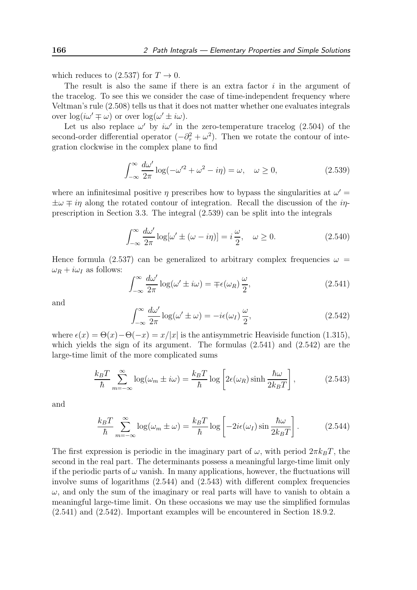which reduces to (2.537) for  $T \to 0$ .

The result is also the same if there is an extra factor  $i$  in the argument of the tracelog. To see this we consider the case of time-independent frequency where Veltman's rule (2.508) tells us that it does not matter whether one evaluates integrals over  $\log(i\omega' \mp \omega)$  or over  $\log(\omega' \pm i\omega)$ .

Let us also replace  $\omega'$  by  $i\omega'$  in the zero-temperature tracelog (2.504) of the second-order differential operator  $(-\partial_{\tau}^{2} + \omega^{2})$ . Then we rotate the contour of integration clockwise in the complex plane to find

$$
\int_{-\infty}^{\infty} \frac{d\omega'}{2\pi} \log(-\omega'^2 + \omega^2 - i\eta) = \omega, \quad \omega \ge 0,
$$
\n(2.539)

where an infinitesimal positive  $\eta$  prescribes how to bypass the singularities at  $\omega'$  =  $\pm\omega \mp i\eta$  along the rotated contour of integration. Recall the discussion of the *in*prescription in Section 3.3. The integral (2.539) can be split into the integrals

$$
\int_{-\infty}^{\infty} \frac{d\omega'}{2\pi} \log[\omega' \pm (\omega - i\eta)] = i\frac{\omega}{2}, \quad \omega \ge 0.
$$
 (2.540)

Hence formula (2.537) can be generalized to arbitrary complex frequencies  $\omega =$  $\omega_R + i\omega_I$  as follows:

$$
\int_{-\infty}^{\infty} \frac{d\omega'}{2\pi} \log(\omega' \pm i\omega) = \mp \epsilon(\omega_R) \frac{\omega}{2},\tag{2.541}
$$

and

$$
\int_{-\infty}^{\infty} \frac{d\omega'}{2\pi} \log(\omega' \pm \omega) = -i\epsilon(\omega_I) \frac{\omega}{2},\tag{2.542}
$$

where  $\epsilon(x) = \Theta(x) - \Theta(-x) = x/|x|$  is the antisymmetric Heaviside function (1.315), which yields the sign of its argument. The formulas (2.541) and (2.542) are the large-time limit of the more complicated sums

$$
\frac{k_B T}{\hbar} \sum_{m=-\infty}^{\infty} \log(\omega_m \pm i\omega) = \frac{k_B T}{\hbar} \log \left[ 2\epsilon(\omega_R) \sinh \frac{\hbar \omega}{2k_B T} \right],\tag{2.543}
$$

and

$$
\frac{k_B T}{\hbar} \sum_{m=-\infty}^{\infty} \log(\omega_m \pm \omega) = \frac{k_B T}{\hbar} \log \left[ -2i\epsilon(\omega_I) \sin \frac{\hbar \omega}{2k_B T} \right].
$$
 (2.544)

The first expression is periodic in the imaginary part of  $\omega$ , with period  $2\pi k_BT$ , the second in the real part. The determinants possess a meaningful large-time limit only if the periodic parts of  $\omega$  vanish. In many applications, however, the fluctuations will involve sums of logarithms (2.544) and (2.543) with different complex frequencies  $\omega$ , and only the sum of the imaginary or real parts will have to vanish to obtain a meaningful large-time limit. On these occasions we may use the simplified formulas (2.541) and (2.542). Important examples will be encountered in Section 18.9.2.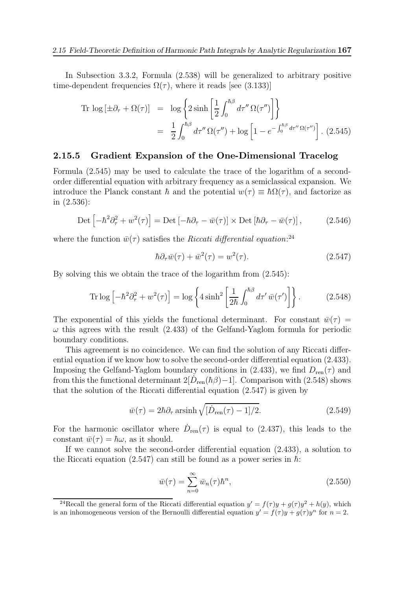In Subsection 3.3.2, Formula (2.538) will be generalized to arbitrary positive time-dependent frequencies  $\Omega(\tau)$ , where it reads [see (3.133)]

$$
\begin{split} \text{Tr}\, \log\left[\pm \partial_{\tau} + \Omega(\tau)\right] &= \, \log\left\{2\sinh\left[\frac{1}{2}\int_{0}^{\hbar\beta} d\tau'' \,\Omega(\tau'')\right]\right\} \\ &= \, \frac{1}{2} \int_{0}^{\hbar\beta} d\tau'' \,\Omega(\tau'') + \log\left[1 - e^{-\int_{0}^{\hbar\beta} d\tau'' \,\Omega(\tau'')} \right]. \end{split} \tag{2.545}
$$

### 2.15.5 Gradient Expansion of the One-Dimensional Tracelog

Formula (2.545) may be used to calculate the trace of the logarithm of a secondorder differential equation with arbitrary frequency as a semiclassical expansion. We introduce the Planck constant  $\hbar$  and the potential  $w(\tau) \equiv \hbar \Omega(\tau)$ , and factorize as in (2.536):

$$
\text{Det}\left[-\hbar^2\partial_\tau^2 + w^2(\tau)\right] = \text{Det}\left[-\hbar\partial_\tau - \bar{w}(\tau)\right] \times \text{Det}\left[\hbar\partial_\tau - \bar{w}(\tau)\right],\tag{2.546}
$$

where the function  $\bar{w}(\tau)$  satisfies the *Riccati differential equation*:<sup>24</sup>

$$
\hbar \partial_{\tau} \bar{w}(\tau) + \bar{w}^2(\tau) = w^2(\tau). \tag{2.547}
$$

By solving this we obtain the trace of the logarithm from (2.545):

$$
\operatorname{Tr}\log\left[-\hbar^2\partial_{\tau}^2 + w^2(\tau)\right] = \log\left\{4\sinh^2\left[\frac{1}{2\hbar}\int_0^{\hbar\beta}d\tau'\,\bar{w}(\tau')\right]\right\}.\tag{2.548}
$$

The exponential of this yields the functional determinant. For constant  $\bar{w}(\tau) =$  $\omega$  this agrees with the result (2.433) of the Gelfand-Yaglom formula for periodic boundary conditions.

This agreement is no coincidence. We can find the solution of any Riccati differential equation if we know how to solve the second-order differential equation  $(2.433)$ . Imposing the Gelfand-Yaglom boundary conditions in (2.433), we find  $D_{ren}(\tau)$  and from this the functional determinant  $2[D_{ren}(\hbar\beta)-1]$ . Comparison with (2.548) shows that the solution of the Riccati differential equation (2.547) is given by

$$
\bar{w}(\tau) = 2\hbar \partial_{\tau} \operatorname{arsinh} \sqrt{[\dot{D}_{\text{ren}}(\tau) - 1]/2}.
$$
\n(2.549)

For the harmonic oscillator where  $\dot{D}_{ren}(\tau)$  is equal to (2.437), this leads to the constant  $\bar{w}(\tau) = \hbar \omega$ , as it should.

If we cannot solve the second-order differential equation (2.433), a solution to the Riccati equation (2.547) can still be found as a power series in  $\hbar$ :

$$
\bar{w}(\tau) = \sum_{n=0}^{\infty} \bar{w}_n(\tau) \hbar^n, \qquad (2.550)
$$

<sup>&</sup>lt;sup>24</sup>Recall the general form of the Riccati differential equation  $y' = f(\tau)y + g(\tau)y^2 + h(y)$ , which is an inhomogeneous version of the Bernoulli differential equation  $y' = f(\tau)y + g(\tau)y^n$  for  $n = 2$ .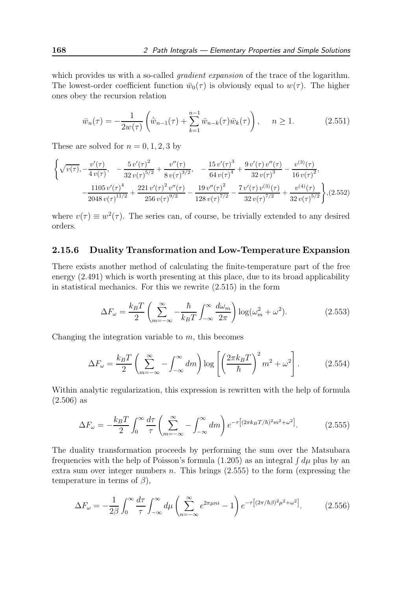which provides us with a so-called *gradient expansion* of the trace of the logarithm. The lowest-order coefficient function  $\bar{w}_0(\tau)$  is obviously equal to  $w(\tau)$ . The higher ones obey the recursion relation

$$
\bar{w}_n(\tau) = -\frac{1}{2w(\tau)} \left( \dot{\bar{w}}_{n-1}(\tau) + \sum_{k=1}^{n-1} \bar{w}_{n-k}(\tau) \bar{w}_k(\tau) \right), \quad n \ge 1.
$$
 (2.551)

These are solved for  $n = 0, 1, 2, 3$  by

$$
\left\{\sqrt{v(\tau)}, -\frac{v'(\tau)}{4v(\tau)}, -\frac{5v'(\tau)^2}{32v(\tau)^{5/2}} + \frac{v''(\tau)}{8v(\tau)^{3/2}}, -\frac{15v'(\tau)^3}{64v(\tau)^4} + \frac{9v'(\tau)v''(\tau)}{32v(\tau)^3} - \frac{v^{(3)}(\tau)}{16v(\tau)^2}, -\frac{1105v'(\tau)^4}{2048v(\tau)^{11/2}} + \frac{221v'(\tau)^2v''(\tau)}{256v(\tau)^{9/2}} - \frac{19v''(\tau)^2}{128v(\tau)^{7/2}} - \frac{7v'(\tau)v^{(3)}(\tau)}{32v(\tau)^{7/2}} + \frac{v^{(4)}(\tau)}{32v(\tau)^{5/2}}\right\}, (2.552)
$$

where  $v(\tau) \equiv w^2(\tau)$ . The series can, of course, be trivially extended to any desired orders.

## 2.15.6 Duality Transformation and Low-Temperature Expansion

There exists another method of calculating the finite-temperature part of the free energy (2.491) which is worth presenting at this place, due to its broad applicability in statistical mechanics. For this we rewrite (2.515) in the form

$$
\Delta F_{\omega} = \frac{k_B T}{2} \left( \sum_{m = -\infty}^{\infty} -\frac{\hbar}{k_B T} \int_{-\infty}^{\infty} \frac{d\omega_m}{2\pi} \right) \log(\omega_m^2 + \omega^2). \tag{2.553}
$$

Changing the integration variable to  $m$ , this becomes

$$
\Delta F_{\omega} = \frac{k_B T}{2} \left( \sum_{m=-\infty}^{\infty} - \int_{-\infty}^{\infty} dm \right) \log \left[ \left( \frac{2 \pi k_B T}{\hbar} \right)^2 m^2 + \omega^2 \right].
$$
 (2.554)

Within analytic regularization, this expression is rewritten with the help of formula (2.506) as

$$
\Delta F_{\omega} = -\frac{k_B T}{2} \int_0^{\infty} \frac{d\tau}{\tau} \left( \sum_{m=-\infty}^{\infty} -\int_{-\infty}^{\infty} dm \right) e^{-\tau \left[ (2\pi k_B T/\hbar)^2 m^2 + \omega^2 \right]}.
$$
 (2.555)

The duality transformation proceeds by performing the sum over the Matsubara frequencies with the help of Poisson's formula  $(1.205)$  as an integral  $\int d\mu$  plus by an extra sum over integer numbers  $n$ . This brings  $(2.555)$  to the form (expressing the temperature in terms of  $\beta$ ),

$$
\Delta F_{\omega} = -\frac{1}{2\beta} \int_0^{\infty} \frac{d\tau}{\tau} \int_{-\infty}^{\infty} d\mu \left( \sum_{n=-\infty}^{\infty} e^{2\pi \mu n i} - 1 \right) e^{-\tau \left[ (2\pi/\hbar \beta)^2 \mu^2 + \omega^2 \right]} . \tag{2.556}
$$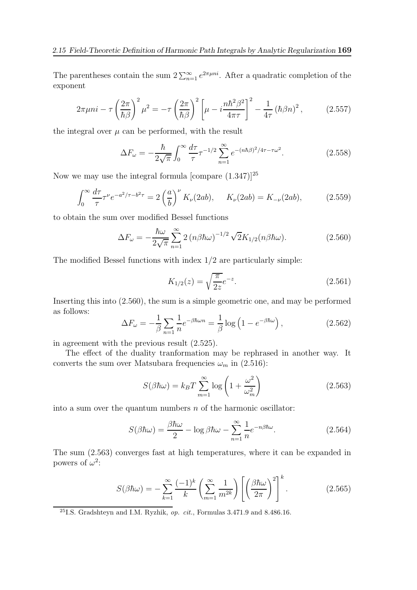The parentheses contain the sum  $2\sum_{n=1}^{\infty}e^{2\pi\mu ni}$ . After a quadratic completion of the exponent

$$
2\pi\mu n i - \tau \left(\frac{2\pi}{\hbar\beta}\right)^2 \mu^2 = -\tau \left(\frac{2\pi}{\hbar\beta}\right)^2 \left[\mu - i\frac{n\hbar^2\beta^2}{4\pi\tau}\right]^2 - \frac{1}{4\tau} \left(\hbar\beta n\right)^2, \tag{2.557}
$$

the integral over  $\mu$  can be performed, with the result

$$
\Delta F_{\omega} = -\frac{\hbar}{2\sqrt{\pi}} \int_0^{\infty} \frac{d\tau}{\tau} \tau^{-1/2} \sum_{n=1}^{\infty} e^{-(n\hbar\beta)^2/4\tau - \tau\omega^2}.
$$
 (2.558)

Now we may use the integral formula [compare  $(1.347)$ ]<sup>25</sup>

$$
\int_0^\infty \frac{d\tau}{\tau} \tau^\nu e^{-a^2/\tau - b^2 \tau} = 2 \left(\frac{a}{b}\right)^\nu K_\nu(2ab), \quad K_\nu(2ab) = K_{-\nu}(2ab), \tag{2.559}
$$

to obtain the sum over modified Bessel functions

$$
\Delta F_{\omega} = -\frac{\hbar\omega}{2\sqrt{\pi}} \sum_{n=1}^{\infty} 2\left(n\beta\hbar\omega\right)^{-1/2} \sqrt{2}K_{1/2}(n\beta\hbar\omega). \tag{2.560}
$$

The modified Bessel functions with index 1/2 are particularly simple:

$$
K_{1/2}(z) = \sqrt{\frac{\pi}{2z}}e^{-z}.
$$
\n(2.561)

Inserting this into (2.560), the sum is a simple geometric one, and may be performed as follows:

$$
\Delta F_{\omega} = -\frac{1}{\beta} \sum_{n=1} \frac{1}{n} e^{-\beta \hbar \omega n} = \frac{1}{\beta} \log \left( 1 - e^{-\beta \hbar \omega} \right), \qquad (2.562)
$$

in agreement with the previous result (2.525).

The effect of the duality tranformation may be rephrased in another way. It converts the sum over Matsubara frequencies  $\omega_m$  in (2.516):

$$
S(\beta \hbar \omega) = k_B T \sum_{m=1}^{\infty} \log \left( 1 + \frac{\omega^2}{\omega_m^2} \right)
$$
 (2.563)

into a sum over the quantum numbers  $n$  of the harmonic oscillator:

$$
S(\beta \hbar \omega) = \frac{\beta \hbar \omega}{2} - \log \beta \hbar \omega - \sum_{n=1}^{\infty} \frac{1}{n} e^{-n\beta \hbar \omega}.
$$
 (2.564)

The sum (2.563) converges fast at high temperatures, where it can be expanded in powers of  $\omega^2$ :

$$
S(\beta \hbar \omega) = -\sum_{k=1}^{\infty} \frac{(-1)^k}{k} \left( \sum_{m=1}^{\infty} \frac{1}{m^{2k}} \right) \left[ \left( \frac{\beta \hbar \omega}{2\pi} \right)^2 \right]^k.
$$
 (2.565)

<sup>25</sup>I.S. Gradshteyn and I.M. Ryzhik, *op. cit.*, Formulas  $3.471.9$  and  $8.486.16$ .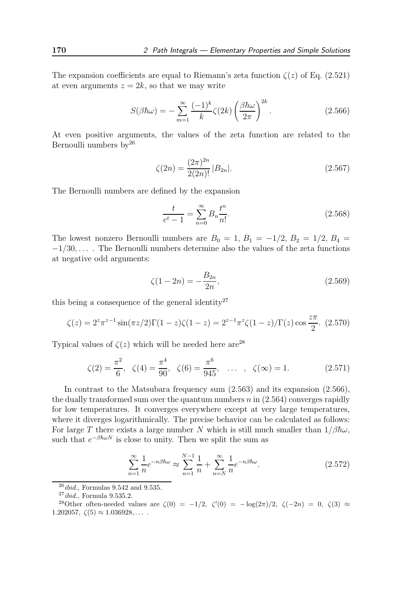The expansion coefficients are equal to Riemann's zeta function  $\zeta(z)$  of Eq. (2.521) at even arguments  $z = 2k$ , so that we may write

$$
S(\beta \hbar \omega) = -\sum_{m=1}^{\infty} \frac{(-1)^k}{k} \zeta(2k) \left(\frac{\beta \hbar \omega}{2\pi}\right)^{2k}.
$$
 (2.566)

At even positive arguments, the values of the zeta function are related to the Bernoulli numbers  $by^{26}$ 

$$
\zeta(2n) = \frac{(2\pi)^{2n}}{2(2n)!} |B_{2n}|.
$$
\n(2.567)

The Bernoulli numbers are defined by the expansion

$$
\frac{t}{e^t - 1} = \sum_{n=0}^{\infty} B_n \frac{t^n}{n!}.
$$
\n(2.568)

The lowest nonzero Bernoulli numbers are  $B_0 = 1, B_1 = -1/2, B_2 = 1/2, B_4 =$  $-1/30, \ldots$ . The Bernoulli numbers determine also the values of the zeta functions at negative odd arguments:

$$
\zeta(1 - 2n) = -\frac{B_{2n}}{2n},\tag{2.569}
$$

this being a consequence of the general identity<sup>27</sup>

$$
\zeta(z) = 2^z \pi^{z-1} \sin(\pi z/2) \Gamma(1-z) \zeta(1-z) = 2^{z-1} \pi^z \zeta(1-z) / \Gamma(z) \cos \frac{z\pi}{2}.
$$
 (2.570)

Typical values of  $\zeta(z)$  which will be needed here are<sup>28</sup>

$$
\zeta(2) = \frac{\pi^2}{6}, \quad \zeta(4) = \frac{\pi^4}{90}, \quad \zeta(6) = \frac{\pi^6}{945}, \quad \dots \quad , \quad \zeta(\infty) = 1. \tag{2.571}
$$

In contrast to the Matsubara frequency sum (2.563) and its expansion (2.566), the dually transformed sum over the quantum numbers  $n$  in  $(2.564)$  converges rapidly for low temperatures. It converges everywhere except at very large temperatures, where it diverges logarithmically. The precise behavior can be calculated as follows: For large T there exists a large number N which is still much smaller than  $1/\beta \hbar \omega$ , such that  $e^{-\beta \hbar \omega N}$  is close to unity. Then we split the sum as

$$
\sum_{n=1}^{\infty} \frac{1}{n} e^{-n\beta\hbar\omega} \approx \sum_{n=1}^{N-1} \frac{1}{n} + \sum_{n=N}^{\infty} \frac{1}{n} e^{-n\beta\hbar\omega}.
$$
 (2.572)

 $^{26}$ *ibid.*, Formulas 9.542 and 9.535.

 $27$ *ibid.*, Formula 9.535.2.

<sup>&</sup>lt;sup>28</sup>Other often-needed values are  $\zeta(0) = -1/2$ ,  $\zeta'(0) = -\log(2\pi)/2$ ,  $\zeta(-2n) = 0$ ,  $\zeta(3) \approx$ 1.202057,  $\zeta(5) \approx 1.036928,...$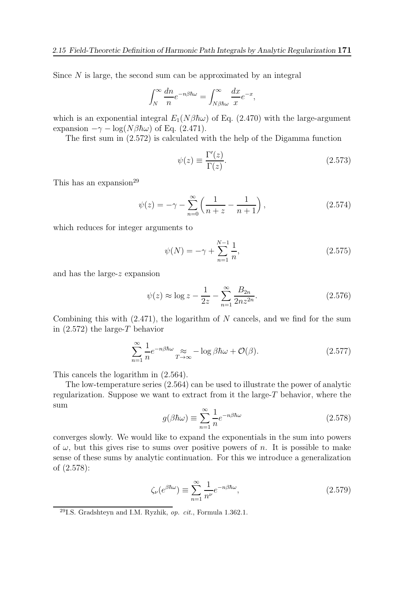Since  $N$  is large, the second sum can be approximated by an integral

$$
\int_{N}^{\infty} \frac{dn}{n} e^{-n\beta \hbar \omega} = \int_{N\beta \hbar \omega}^{\infty} \frac{dx}{x} e^{-x},
$$

which is an exponential integral  $E_1(N\beta\hbar\omega)$  of Eq. (2.470) with the large-argument expansion  $-\gamma - \log(N\beta\hbar\omega)$  of Eq. (2.471).

The first sum in (2.572) is calculated with the help of the Digamma function

$$
\psi(z) \equiv \frac{\Gamma'(z)}{\Gamma(z)}.\tag{2.573}
$$

This has an expansion<sup>29</sup>

$$
\psi(z) = -\gamma - \sum_{n=0}^{\infty} \left( \frac{1}{n+z} - \frac{1}{n+1} \right),\tag{2.574}
$$

which reduces for integer arguments to

$$
\psi(N) = -\gamma + \sum_{n=1}^{N-1} \frac{1}{n},\tag{2.575}
$$

and has the large-z expansion

$$
\psi(z) \approx \log z - \frac{1}{2z} - \sum_{n=1}^{\infty} \frac{B_{2n}}{2nz^{2n}}.
$$
\n(2.576)

Combining this with  $(2.471)$ , the logarithm of N cancels, and we find for the sum in  $(2.572)$  the large-T behavior

$$
\sum_{n=1}^{\infty} \frac{1}{n} e^{-n\beta\hbar\omega} \approx -\log \beta\hbar\omega + \mathcal{O}(\beta). \tag{2.577}
$$

This cancels the logarithm in (2.564).

The low-temperature series (2.564) can be used to illustrate the power of analytic regularization. Suppose we want to extract from it the large- $T$  behavior, where the sum

$$
g(\beta \hbar \omega) \equiv \sum_{n=1}^{\infty} \frac{1}{n} e^{-n\beta \hbar \omega} \tag{2.578}
$$

converges slowly. We would like to expand the exponentials in the sum into powers of  $\omega$ , but this gives rise to sums over positive powers of n. It is possible to make sense of these sums by analytic continuation. For this we introduce a generalization of (2.578):

$$
\zeta_{\nu}(e^{\beta \hbar \omega}) \equiv \sum_{n=1}^{\infty} \frac{1}{n^{\nu}} e^{-n\beta \hbar \omega},\tag{2.579}
$$

<sup>&</sup>lt;sup>29</sup>I.S. Gradshteyn and I.M. Ryzhik, *op. cit.*, Formula 1.362.1.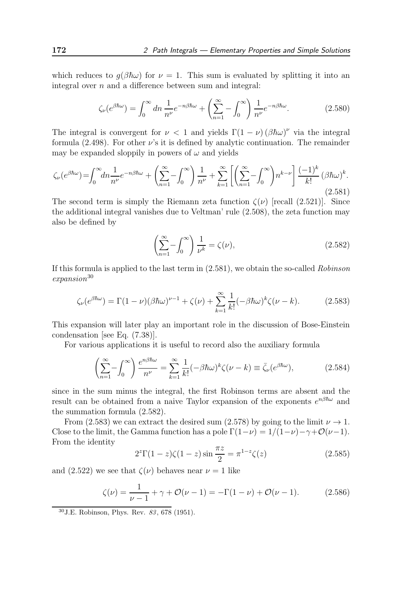which reduces to  $q(\beta \hbar \omega)$  for  $\nu = 1$ . This sum is evaluated by splitting it into an integral over n and a difference between sum and integral:

$$
\zeta_{\nu}(e^{\beta\hbar\omega}) = \int_0^\infty dn \, \frac{1}{n^{\nu}} e^{-n\beta\hbar\omega} + \left(\sum_{n=1}^\infty - \int_0^\infty\right) \frac{1}{n^{\nu}} e^{-n\beta\hbar\omega}.\tag{2.580}
$$

The integral is convergent for  $\nu < 1$  and yields  $\Gamma(1 - \nu) (\beta \hbar \omega)^{\nu}$  via the integral formula (2.498). For other  $\nu$ 's it is defined by analytic continuation. The remainder may be expanded sloppily in powers of  $\omega$  and yields

$$
\zeta_{\nu}(e^{\beta\hbar\omega}) = \int_0^{\infty} dn \frac{1}{n^{\nu}} e^{-n\beta\hbar\omega} + \left(\sum_{n=1}^{\infty} - \int_0^{\infty}\right) \frac{1}{n^{\nu}} + \sum_{k=1}^{\infty} \left[\left(\sum_{n=1}^{\infty} - \int_0^{\infty}\right) n^{k-\nu}\right] \frac{(-1)^k}{k!} \left(\beta\hbar\omega\right)^k.
$$
\n(2.581)

The second term is simply the Riemann zeta function  $\zeta(\nu)$  [recall (2.521)]. Since the additional integral vanishes due to Veltman' rule (2.508), the zeta function may also be defined by

$$
\left(\sum_{n=1}^{\infty} -\int_{0}^{\infty}\right) \frac{1}{\nu^{k}} = \zeta(\nu),\tag{2.582}
$$

If this formula is applied to the last term in (2.581), we obtain the so-called Robinson  $expansion^{30}$ 

$$
\zeta_{\nu}(e^{\beta\hbar\omega}) = \Gamma(1-\nu)(\beta\hbar\omega)^{\nu-1} + \zeta(\nu) + \sum_{k=1}^{\infty} \frac{1}{k!}(-\beta\hbar\omega)^k \zeta(\nu-k). \tag{2.583}
$$

This expansion will later play an important role in the discussion of Bose-Einstein condensation [see Eq. (7.38)].

For various applications it is useful to record also the auxiliary formula

$$
\left(\sum_{n=1}^{\infty} -\int_{0}^{\infty}\right) \frac{e^{n\beta\hbar\omega}}{n^{\nu}} = \sum_{k=1}^{\infty} \frac{1}{k!} (-\beta\hbar\omega)^{k} \zeta(\nu-k) \equiv \bar{\zeta}_{\nu}(e^{\beta\hbar\omega}),\tag{2.584}
$$

since in the sum minus the integral, the first Robinson terms are absent and the result can be obtained from a naive Taylor expansion of the exponents  $e^{n\beta\hbar\omega}$  and the summation formula (2.582).

From (2.583) we can extract the desired sum (2.578) by going to the limit  $\nu \rightarrow 1$ . Close to the limit, the Gamma function has a pole  $\Gamma(1-\nu) = 1/(1-\nu) - \gamma + \mathcal{O}(\nu-1)$ . From the identity

$$
2^{z}\Gamma(1-z)\zeta(1-z)\sin\frac{\pi z}{2} = \pi^{1-z}\zeta(z)
$$
 (2.585)

and (2.522) we see that  $\zeta(\nu)$  behaves near  $\nu = 1$  like

$$
\zeta(\nu) = \frac{1}{\nu - 1} + \gamma + \mathcal{O}(\nu - 1) = -\Gamma(1 - \nu) + \mathcal{O}(\nu - 1). \tag{2.586}
$$

<sup>30</sup>J.E. Robinson, Phys. Rev. 83, 678 (1951).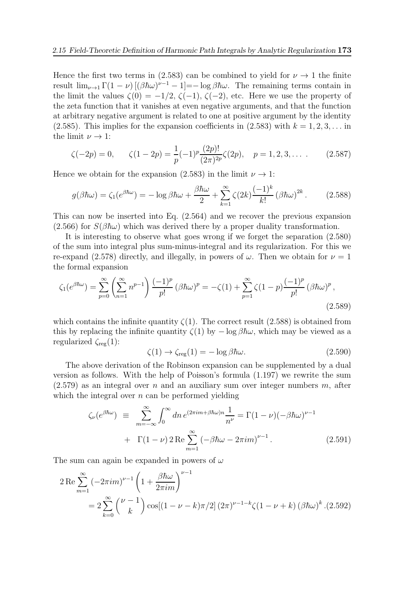Hence the first two terms in (2.583) can be combined to yield for  $\nu \rightarrow 1$  the finite result  $\lim_{\nu \to 1} \Gamma(1-\nu) \left[ (\beta \hbar \omega)^{\nu-1} - 1 \right] = -\log \beta \hbar \omega$ . The remaining terms contain in the limit the values  $\zeta(0) = -1/2$ ,  $\zeta(-1)$ ,  $\zeta(-2)$ , etc. Here we use the property of the zeta function that it vanishes at even negative arguments, and that the function at arbitrary negative argument is related to one at positive argument by the identity (2.585). This implies for the expansion coefficients in  $(2.583)$  with  $k = 1, 2, 3, \ldots$  in the limit  $\nu \rightarrow 1$ :

$$
\zeta(-2p) = 0, \qquad \zeta(1-2p) = \frac{1}{p}(-1)^p \frac{(2p)!}{(2\pi)^{2p}} \zeta(2p), \quad p = 1, 2, 3, \dots \tag{2.587}
$$

Hence we obtain for the expansion (2.583) in the limit  $\nu \rightarrow 1$ :

$$
g(\beta \hbar \omega) = \zeta_1 (e^{\beta \hbar \omega}) = -\log \beta \hbar \omega + \frac{\beta \hbar \omega}{2} + \sum_{k=1}^{\infty} \zeta(2k) \frac{(-1)^k}{k!} (\beta \hbar \omega)^{2k}.
$$
 (2.588)

This can now be inserted into Eq. (2.564) and we recover the previous expansion (2.566) for  $S(\beta \hbar \omega)$  which was derived there by a proper duality transformation.

It is interesting to observe what goes wrong if we forget the separation (2.580) of the sum into integral plus sum-minus-integral and its regularization. For this we re-expand (2.578) directly, and illegally, in powers of  $\omega$ . Then we obtain for  $\nu = 1$ the formal expansion

$$
\zeta_1(e^{\beta \hbar \omega}) = \sum_{p=0}^{\infty} \left( \sum_{n=1}^{\infty} n^{p-1} \right) \frac{(-1)^p}{p!} \left( \beta \hbar \omega \right)^p = -\zeta(1) + \sum_{p=1}^{\infty} \zeta(1-p) \frac{(-1)^p}{p!} \left( \beta \hbar \omega \right)^p,
$$
\n(2.589)

which contains the infinite quantity  $\zeta(1)$ . The correct result (2.588) is obtained from this by replacing the infinite quantity  $\zeta(1)$  by  $-\log \beta \hbar \omega$ , which may be viewed as a regularized  $\zeta_{\text{reg}}(1)$ :

$$
\zeta(1) \to \zeta_{\text{reg}}(1) = -\log \beta \hbar \omega. \tag{2.590}
$$

The above derivation of the Robinson expansion can be supplemented by a dual version as follows. With the help of Poisson's formula (1.197) we rewrite the sum  $(2.579)$  as an integral over n and an auxiliary sum over integer numbers m, after which the integral over  $n$  can be performed yielding

$$
\zeta_{\nu}(e^{\beta \hbar \omega}) \equiv \sum_{m=-\infty}^{\infty} \int_0^{\infty} dn \, e^{(2\pi i m + \beta \hbar \omega)n} \frac{1}{n^{\nu}} = \Gamma(1 - \nu)(-\beta \hbar \omega)^{\nu - 1}
$$

$$
+ \Gamma(1 - \nu) 2 \operatorname{Re} \sum_{m=1}^{\infty} (-\beta \hbar \omega - 2\pi i m)^{\nu - 1}.
$$
 (2.591)

The sum can again be expanded in powers of  $\omega$ 

$$
2 \operatorname{Re} \sum_{m=1}^{\infty} \left(-2\pi i m\right)^{\nu-1} \left(1 + \frac{\beta \hbar \omega}{2\pi i m}\right)^{\nu-1}
$$
  
= 
$$
2 \sum_{k=0}^{\infty} {\nu-1 \choose k} \cos[(1-\nu-k)\pi/2] (2\pi)^{\nu-1-k} \zeta(1-\nu+k) (\beta \hbar \omega)^k . (2.592)
$$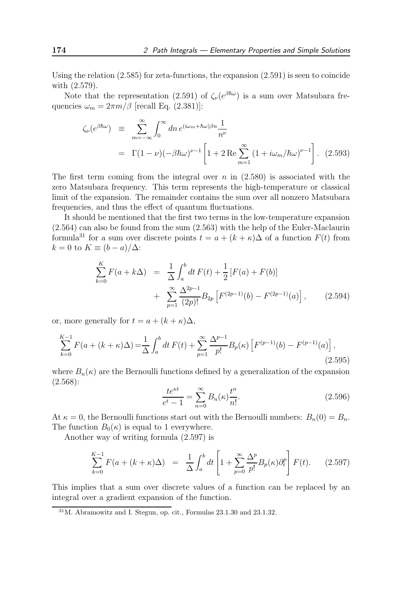Using the relation  $(2.585)$  for zeta-functions, the expansion  $(2.591)$  is seen to coincide with (2.579).

Note that the representation (2.591) of  $\zeta_\nu(e^{\beta \hbar \omega})$  is a sum over Matsubara frequencies  $\omega_m = 2\pi m/\beta$  [recall Eq. (2.381)]:

$$
\zeta_{\nu}(e^{\beta \hbar \omega}) \equiv \sum_{m=-\infty}^{\infty} \int_{0}^{\infty} dn \, e^{(i\omega_{m} + \hbar \omega)\beta n} \frac{1}{n^{\nu}}
$$
  
=  $\Gamma(1-\nu)(-\beta \hbar \omega)^{\nu-1} \left[1 + 2 \operatorname{Re} \sum_{m=1}^{\infty} \left(1 + i\omega_{m} / \hbar \omega\right)^{\nu-1}\right].$  (2.593)

The first term coming from the integral over  $n$  in  $(2.580)$  is associated with the zero Matsubara frequency. This term represents the high-temperature or classical limit of the expansion. The remainder contains the sum over all nonzero Matsubara frequencies, and thus the effect of quantum fluctuations.

It should be mentioned that the first two terms in the low-temperature expansion (2.564) can also be found from the sum (2.563) with the help of the Euler-Maclaurin formula<sup>31</sup> for a sum over discrete points  $t = a + (k + \kappa)\Delta$  of a function  $F(t)$  from  $k = 0$  to  $K \equiv (b - a)/\Delta$ :

$$
\sum_{k=0}^{K} F(a + k\Delta) = \frac{1}{\Delta} \int_{a}^{b} dt F(t) + \frac{1}{2} [F(a) + F(b)] + \sum_{p=1}^{\infty} \frac{\Delta^{2p-1}}{(2p)!} B_{2p} [F^{(2p-1)}(b) - F^{(2p-1)}(a)], \qquad (2.594)
$$

or, more generally for  $t = a + (k + \kappa)\Delta$ ,

$$
\sum_{k=0}^{K-1} F(a + (k + \kappa)\Delta) = \frac{1}{\Delta} \int_a^b dt \, F(t) + \sum_{p=1}^{\infty} \frac{\Delta^{p-1}}{p!} B_p(\kappa) \left[ F^{(p-1)}(b) - F^{(p-1)}(a) \right],\tag{2.595}
$$

where  $B_n(\kappa)$  are the Bernoulli functions defined by a generalization of the expansion (2.568):

$$
\frac{te^{\kappa t}}{e^t - 1} = \sum_{n=0}^{\infty} B_n(\kappa) \frac{t^n}{n!}.
$$
\n(2.596)

At  $\kappa = 0$ , the Bernoulli functions start out with the Bernoulli numbers:  $B_n(0) = B_n$ . The function  $B_0(\kappa)$  is equal to 1 everywhere.

Another way of writing formula (2.597) is

$$
\sum_{k=0}^{K-1} F(a+(k+\kappa)\Delta) = \frac{1}{\Delta} \int_a^b dt \left[ 1 + \sum_{p=0}^{\infty} \frac{\Delta^p}{p!} B_p(\kappa) \partial_t^p \right] F(t). \tag{2.597}
$$

This implies that a sum over discrete values of a function can be replaced by an integral over a gradient expansion of the function.

 $31$ M. Abramowitz and I. Stegun, op. cit., Formulas  $23.1.30$  and  $23.1.32$ .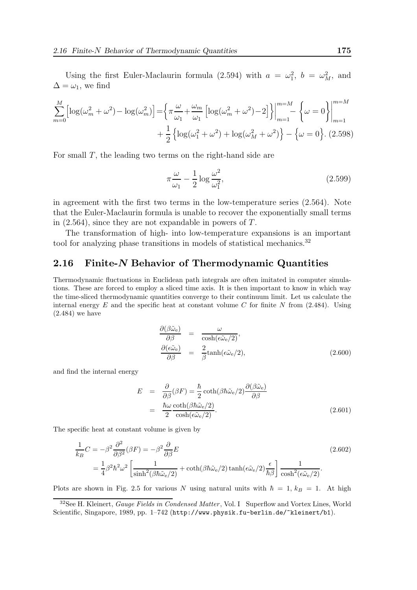Using the first Euler-Maclaurin formula (2.594) with  $a = \omega_1^2$ ,  $b = \omega_M^2$ , and  $\Delta=\omega_1,$  we find

$$
\sum_{m=0}^{M} \left[ \log(\omega_m^2 + \omega^2) - \log(\omega_m^2) \right] = \left\{ \pi \frac{\omega}{\omega_1} + \frac{\omega_m}{\omega_1} \left[ \log(\omega_m^2 + \omega^2) - 2 \right] \right\} \Big|_{m=1}^{m=M} - \left\{ \omega = 0 \right\} \Big|_{m=1}^{m=M} + \frac{1}{2} \left\{ \log(\omega_1^2 + \omega^2) + \log(\omega_M^2 + \omega^2) \right\} - \left\{ \omega = 0 \right\}. (2.598)
$$

For small T, the leading two terms on the right-hand side are

$$
\pi \frac{\omega}{\omega_1} - \frac{1}{2} \log \frac{\omega^2}{\omega_1^2},\tag{2.599}
$$

in agreement with the first two terms in the low-temperature series (2.564). Note that the Euler-Maclaurin formula is unable to recover the exponentially small terms in (2.564), since they are not expandable in powers of T.

The transformation of high- into low-temperature expansions is an important tool for analyzing phase transitions in models of statistical mechanics.<sup>32</sup>

# 2.16 Finite-N Behavior of Thermodynamic Quantities

Thermodynamic fluctuations in Euclidean path integrals are often imitated in computer simulations. These are forced to employ a sliced time axis. It is then important to know in which way the time-sliced thermodynamic quantities converge to their continuum limit. Let us calculate the internal energy  $E$  and the specific heat at constant volume  $C$  for finite  $N$  from (2.484). Using (2.484) we have

$$
\frac{\partial(\beta \tilde{\omega}_{e})}{\partial \beta} = \frac{\omega}{\cosh(\epsilon \tilde{\omega}_{e}/2)}, \n\frac{\partial(\epsilon \tilde{\omega}_{e})}{\partial \beta} = \frac{2}{\beta} \tanh(\epsilon \tilde{\omega}_{e}/2),
$$
\n(2.600)

and find the internal energy

$$
E = \frac{\partial}{\partial \beta} (\beta F) = \frac{\hbar}{2} \coth(\beta \hbar \tilde{\omega}_e/2) \frac{\partial (\beta \tilde{\omega}_e)}{\partial \beta}
$$
  
=  $\frac{\hbar \omega}{2} \frac{\coth(\beta \hbar \tilde{\omega}_e/2)}{\cosh(\epsilon \tilde{\omega}_e/2)}$ . (2.601)

The specific heat at constant volume is given by

$$
\frac{1}{k_B}C = -\beta^2 \frac{\partial^2}{\partial \beta^2} (\beta F) = -\beta^2 \frac{\partial}{\partial \beta} E
$$
\n
$$
= \frac{1}{4} \beta^2 \hbar^2 \omega^2 \left[ \frac{1}{\sinh^2(\beta \hbar \tilde{\omega}_e/2)} + \coth(\beta \hbar \tilde{\omega}_e/2) \tanh(\epsilon \tilde{\omega}_e/2) \frac{\epsilon}{\hbar \beta} \right] \frac{1}{\cosh^2(\epsilon \tilde{\omega}_e/2)}.
$$
\n(2.602)

Plots are shown in Fig. 2.5 for various N using natural units with  $\hbar = 1, k_B = 1$ . At high

 $32$ See H. Kleinert, *Gauge Fields in Condensed Matter*, Vol. I Superflow and Vortex Lines, World Scientific, Singapore, 1989, pp. 1–742 (http://www.physik.fu-berlin.de/~kleinert/b1).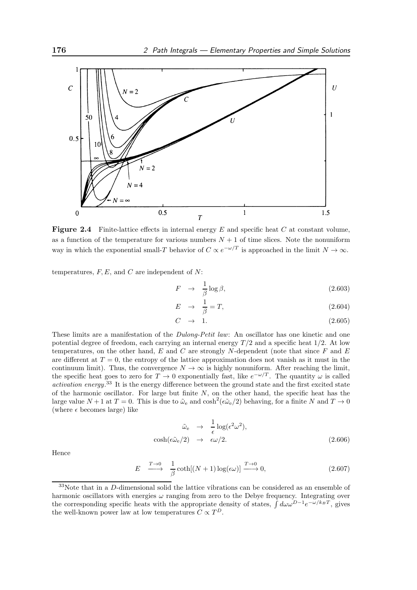

**Figure 2.4** Finite-lattice effects in internal energy  $E$  and specific heat  $C$  at constant volume, as a function of the temperature for various numbers  $N + 1$  of time slices. Note the nonuniform way in which the exponential small-T behavior of  $C \propto e^{-\omega/T}$  is approached in the limit  $N \to \infty$ .

temperatures,  $F, E$ , and  $C$  are independent of  $N$ :

$$
F \rightarrow \frac{1}{\beta} \log \beta, \tag{2.603}
$$

$$
E \rightarrow \frac{1}{\beta} = T,\tag{2.604}
$$

$$
C \rightarrow 1. \tag{2.605}
$$

These limits are a manifestation of the *Dulong-Petit law*: An oscillator has one kinetic and one potential degree of freedom, each carrying an internal energy  $T/2$  and a specific heat  $1/2$ . At low temperatures, on the other hand,  $E$  and  $C$  are strongly N-dependent (note that since  $F$  and  $E$ are different at  $T = 0$ , the entropy of the lattice approximation does not vanish as it must in the continuum limit). Thus, the convergence  $N \to \infty$  is highly nonuniform. After reaching the limit, the specific heat goes to zero for  $T \to 0$  exponentially fast, like  $e^{-\omega/T}$ . The quantity  $\omega$  is called activation energy.<sup>33</sup> It is the energy difference between the ground state and the first excited state of the harmonic oscillator. For large but finite  $N$ , on the other hand, the specific heat has the large value  $N + 1$  at  $T = 0$ . This is due to  $\tilde{\omega}_e$  and  $\cosh^2(\epsilon \tilde{\omega}_e/2)$  behaving, for a finite N and  $T \to 0$ (where  $\epsilon$  becomes large) like

$$
\tilde{\omega}_{\rm e} \rightarrow \frac{1}{\epsilon} \log(\epsilon^2 \omega^2),
$$
\n
$$
\cosh(\epsilon \tilde{\omega}_{\rm e}/2) \rightarrow \epsilon \omega/2.
$$
\n(2.606)

Hence

$$
E \xrightarrow{T \to 0} \frac{1}{\beta} \coth[(N+1)\log(\epsilon \omega)] \xrightarrow{T \to 0} 0,
$$
\n(2.607)

<sup>33</sup>Note that in a D-dimensional solid the lattice vibrations can be considered as an ensemble of harmonic oscillators with energies  $\omega$  ranging from zero to the Debye frequency. Integrating over the corresponding specific heats with the appropriate density of states,  $\int d\omega \omega^{D-1} e^{-\omega/k_BT}$ , gives the well-known power law at low temperatures  $C \propto T^D$ .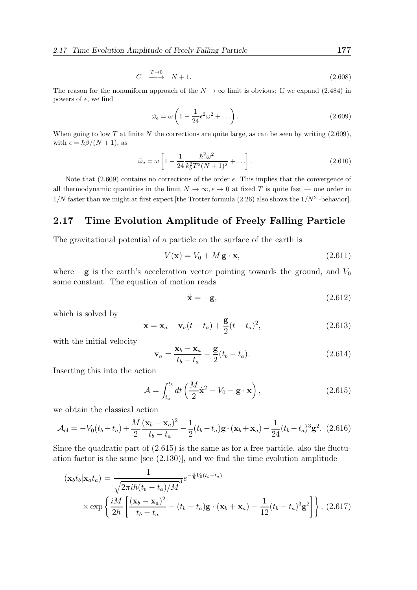$$
C \xrightarrow{T \to 0} N + 1. \tag{2.608}
$$

The reason for the nonuniform approach of the  $N \to \infty$  limit is obvious: If we expand (2.484) in powers of  $\epsilon$ , we find

$$
\tilde{\omega}_{\rm e} = \omega \left( 1 - \frac{1}{24} \epsilon^2 \omega^2 + \dots \right). \tag{2.609}
$$

When going to low  $T$  at finite  $N$  the corrections are quite large, as can be seen by writing  $(2.609)$ , with  $\epsilon = \hbar \beta/(N+1)$ , as

$$
\tilde{\omega}_{\rm e} = \omega \left[ 1 - \frac{1}{24} \frac{\hbar^2 \omega^2}{k_b^2 T^2 (N+1)^2} + \ldots \right]. \tag{2.610}
$$

Note that  $(2.609)$  contains no corrections of the order  $\epsilon$ . This implies that the convergence of all thermodynamic quantities in the limit  $N \to \infty$ ,  $\epsilon \to 0$  at fixed T is quite fast — one order in  $1/N$  faster than we might at first expect [the Trotter formula (2.26) also shows the  $1/N^2$ -behavior].

# 2.17 Time Evolution Amplitude of Freely Falling Particle

The gravitational potential of a particle on the surface of the earth is

$$
V(\mathbf{x}) = V_0 + M \mathbf{g} \cdot \mathbf{x},\tag{2.611}
$$

where  $-g$  is the earth's acceleration vector pointing towards the ground, and  $V_0$ some constant. The equation of motion reads

$$
\ddot{\mathbf{x}} = -\mathbf{g},\tag{2.612}
$$

which is solved by

$$
\mathbf{x} = \mathbf{x}_a + \mathbf{v}_a(t - t_a) + \frac{\mathbf{g}}{2}(t - t_a)^2,
$$
\n(2.613)

with the initial velocity

$$
\mathbf{v}_a = \frac{\mathbf{x}_b - \mathbf{x}_a}{t_b - t_a} - \frac{\mathbf{g}}{2}(t_b - t_a).
$$
 (2.614)

Inserting this into the action

$$
\mathcal{A} = \int_{t_a}^{t_b} dt \left( \frac{M}{2} \dot{\mathbf{x}}^2 - V_0 - \mathbf{g} \cdot \mathbf{x} \right), \qquad (2.615)
$$

we obtain the classical action

$$
\mathcal{A}_{\rm cl} = -V_0(t_b - t_a) + \frac{M}{2} \frac{(\mathbf{x}_b - \mathbf{x}_a)^2}{t_b - t_a} - \frac{1}{2} (t_b - t_a) \mathbf{g} \cdot (\mathbf{x}_b + \mathbf{x}_a) - \frac{1}{24} (t_b - t_a)^3 \mathbf{g}^2.
$$
 (2.616)

Since the quadratic part of  $(2.615)$  is the same as for a free particle, also the fluctuation factor is the same [see (2.130)], and we find the time evolution amplitude

$$
(\mathbf{x}_b t_b | \mathbf{x}_a t_a) = \frac{1}{\sqrt{2\pi i\hbar (t_b - t_a)/M^3}} e^{-\frac{i}{\hbar}V_0(t_b - t_a)}
$$

$$
\times \exp\left\{\frac{iM}{2\hbar} \left[\frac{(\mathbf{x}_b - \mathbf{x}_a)^2}{t_b - t_a} - (t_b - t_a)\mathbf{g} \cdot (\mathbf{x}_b + \mathbf{x}_a) - \frac{1}{12}(t_b - t_a)^3 \mathbf{g}^2\right]\right\}. (2.617)
$$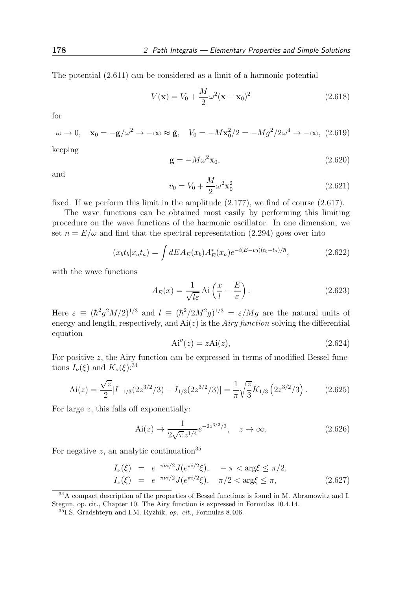The potential (2.611) can be considered as a limit of a harmonic potential

$$
V(\mathbf{x}) = V_0 + \frac{M}{2}\omega^2(\mathbf{x} - \mathbf{x}_0)^2
$$
 (2.618)

for

$$
\omega \to 0, \quad \mathbf{x}_0 = -\mathbf{g}/\omega^2 \to -\infty \approx \hat{\mathbf{g}}, \quad V_0 = -M\mathbf{x}_0^2/2 = -M g^2/2\omega^4 \to -\infty, \tag{2.619}
$$

keeping

$$
\mathbf{g} = -M\omega^2 \mathbf{x}_0,\tag{2.620}
$$

and

$$
v_0 = V_0 + \frac{M}{2} \omega^2 \mathbf{x}_0^2 \tag{2.621}
$$

fixed. If we perform this limit in the amplitude (2.177), we find of course (2.617).

The wave functions can be obtained most easily by performing this limiting procedure on the wave functions of the harmonic oscillator. In one dimension, we set  $n = E/\omega$  and find that the spectral representation (2.294) goes over into

$$
(x_b t_b | x_a t_a) = \int dE A_E(x_b) A_E^*(x_a) e^{-i(E - v_0)(t_b - t_a)/\hbar}, \qquad (2.622)
$$

with the wave functions

$$
A_E(x) = \frac{1}{\sqrt{l\varepsilon}} \text{Ai}\left(\frac{x}{l} - \frac{E}{\varepsilon}\right). \tag{2.623}
$$

Here  $\varepsilon \equiv (\hbar^2 g^2 M/2)^{1/3}$  and  $l \equiv (\hbar^2/2M^2 g)^{1/3} = \varepsilon/Mg$  are the natural units of energy and length, respectively, and  $Ai(z)$  is the *Airy function* solving the differential equation

$$
Ai''(z) = zAi(z), \tag{2.624}
$$

For positive z, the Airy function can be expressed in terms of modified Bessel functions  $I_{\nu}(\xi)$  and  $K_{\nu}(\xi)$ :<sup>34</sup>

$$
\text{Ai}(z) = \frac{\sqrt{z}}{2} [I_{-1/3} (2z^{3/2}/3) - I_{1/3} (2z^{3/2}/3)] = \frac{1}{\pi} \sqrt{\frac{z}{3}} K_{1/3} (2z^{3/2}/3). \tag{2.625}
$$

For large z, this falls off exponentially:

$$
\text{Ai}(z) \to \frac{1}{2\sqrt{\pi}z^{1/4}} e^{-2z^{3/2}/3}, \quad z \to \infty. \tag{2.626}
$$

For negative z, an analytic continuation<sup>35</sup>

$$
I_{\nu}(\xi) = e^{-\pi \nu i/2} J(e^{\pi i/2} \xi), \quad -\pi < \arg \xi \le \pi/2, I_{\nu}(\xi) = e^{-\pi \nu i/2} J(e^{\pi i/2} \xi), \quad \pi/2 < \arg \xi \le \pi,
$$
 (2.627)

<sup>&</sup>lt;sup>34</sup>A compact description of the properties of Bessel functions is found in M. Abramowitz and I. Stegun, op. cit., Chapter 10. The Airy function is expressed in Formulas 10.4.14.

<sup>35</sup>I.S. Gradshteyn and I.M. Ryzhik, op. cit., Formulas 8.406.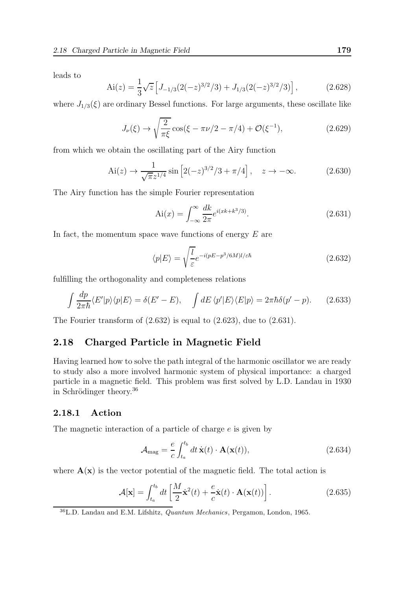leads to

$$
\text{Ai}(z) = \frac{1}{3}\sqrt{z} \left[ J_{-1/3} (2(-z)^{3/2}/3) + J_{1/3} (2(-z)^{3/2}/3) \right],\tag{2.628}
$$

where  $J_{1/3}(\xi)$  are ordinary Bessel functions. For large arguments, these oscillate like

$$
J_{\nu}(\xi) \to \sqrt{\frac{2}{\pi \xi}} \cos(\xi - \pi \nu/2 - \pi/4) + \mathcal{O}(\xi^{-1}),
$$
 (2.629)

from which we obtain the oscillating part of the Airy function

$$
Ai(z) \to \frac{1}{\sqrt{\pi}z^{1/4}} \sin\left[2(-z)^{3/2}/3 + \pi/4\right], \quad z \to -\infty.
$$
 (2.630)

The Airy function has the simple Fourier representation

$$
Ai(x) = \int_{-\infty}^{\infty} \frac{dk}{2\pi} e^{i(xk + k^3/3)}.
$$
 (2.631)

In fact, the momentum space wave functions of energy  $E$  are

$$
\langle p|E\rangle = \sqrt{\frac{l}{\varepsilon}} e^{-i(pE - p^3/6M)l/\varepsilon\hbar}
$$
\n(2.632)

fulfilling the orthogonality and completeness relations

$$
\int \frac{dp}{2\pi\hbar} \langle E'|p \rangle \langle p|E \rangle = \delta(E'-E), \quad \int dE \langle p'|E \rangle \langle E|p \rangle = 2\pi\hbar \delta(p'-p). \tag{2.633}
$$

The Fourier transform of (2.632) is equal to (2.623), due to (2.631).

## 2.18 Charged Particle in Magnetic Field

Having learned how to solve the path integral of the harmonic oscillator we are ready to study also a more involved harmonic system of physical importance: a charged particle in a magnetic field. This problem was first solved by L.D. Landau in 1930 in Schrödinger theory. $36$ 

#### 2.18.1 Action

The magnetic interaction of a particle of charge e is given by

$$
\mathcal{A}_{\text{mag}} = \frac{e}{c} \int_{t_a}^{t_b} dt \, \dot{\mathbf{x}}(t) \cdot \mathbf{A}(\mathbf{x}(t)), \tag{2.634}
$$

where  $\mathbf{A}(\mathbf{x})$  is the vector potential of the magnetic field. The total action is

$$
\mathcal{A}[\mathbf{x}] = \int_{t_a}^{t_b} dt \left[ \frac{M}{2} \dot{\mathbf{x}}^2(t) + \frac{e}{c} \dot{\mathbf{x}}(t) \cdot \mathbf{A}(\mathbf{x}(t)) \right]. \tag{2.635}
$$

 $36$ L.D. Landau and E.M. Lifshitz, *Quantum Mechanics*, Pergamon, London, 1965.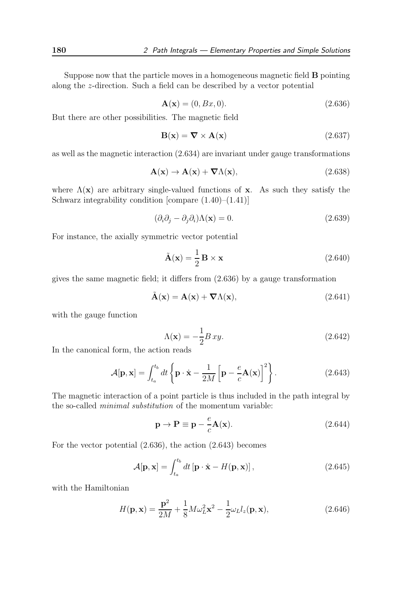Suppose now that the particle moves in a homogeneous magnetic field B pointing along the z-direction. Such a field can be described by a vector potential

$$
\mathbf{A}(\mathbf{x}) = (0, Bx, 0). \tag{2.636}
$$

But there are other possibilities. The magnetic field

$$
\mathbf{B}(\mathbf{x}) = \nabla \times \mathbf{A}(\mathbf{x}) \tag{2.637}
$$

as well as the magnetic interaction (2.634) are invariant under gauge transformations

$$
\mathbf{A}(\mathbf{x}) \to \mathbf{A}(\mathbf{x}) + \nabla \Lambda(\mathbf{x}), \tag{2.638}
$$

where  $\Lambda(\mathbf{x})$  are arbitrary single-valued functions of **x**. As such they satisfy the Schwarz integrability condition [compare  $(1.40)$ – $(1.41)$ ]

$$
(\partial_i \partial_j - \partial_j \partial_i) \Lambda(\mathbf{x}) = 0. \tag{2.639}
$$

For instance, the axially symmetric vector potential

$$
\tilde{\mathbf{A}}(\mathbf{x}) = \frac{1}{2} \mathbf{B} \times \mathbf{x}
$$
 (2.640)

gives the same magnetic field; it differs from (2.636) by a gauge transformation

$$
\tilde{\mathbf{A}}(\mathbf{x}) = \mathbf{A}(\mathbf{x}) + \nabla \Lambda(\mathbf{x}),\tag{2.641}
$$

with the gauge function

$$
\Lambda(\mathbf{x}) = -\frac{1}{2}Bxy.
$$
\n(2.642)

In the canonical form, the action reads

$$
\mathcal{A}[\mathbf{p}, \mathbf{x}] = \int_{t_a}^{t_b} dt \left\{ \mathbf{p} \cdot \dot{\mathbf{x}} - \frac{1}{2M} \left[ \mathbf{p} - \frac{e}{c} \mathbf{A}(\mathbf{x}) \right]^2 \right\}.
$$
 (2.643)

The magnetic interaction of a point particle is thus included in the path integral by the so-called minimal substitution of the momentum variable:

$$
\mathbf{p} \to \mathbf{P} \equiv \mathbf{p} - \frac{e}{c} \mathbf{A}(\mathbf{x}). \tag{2.644}
$$

For the vector potential (2.636), the action (2.643) becomes

$$
\mathcal{A}[\mathbf{p}, \mathbf{x}] = \int_{t_a}^{t_b} dt \left[ \mathbf{p} \cdot \dot{\mathbf{x}} - H(\mathbf{p}, \mathbf{x}) \right],
$$
 (2.645)

with the Hamiltonian

$$
H(\mathbf{p}, \mathbf{x}) = \frac{\mathbf{p}^2}{2M} + \frac{1}{8}M\omega_L^2 \mathbf{x}^2 - \frac{1}{2}\omega_L l_z(\mathbf{p}, \mathbf{x}),\tag{2.646}
$$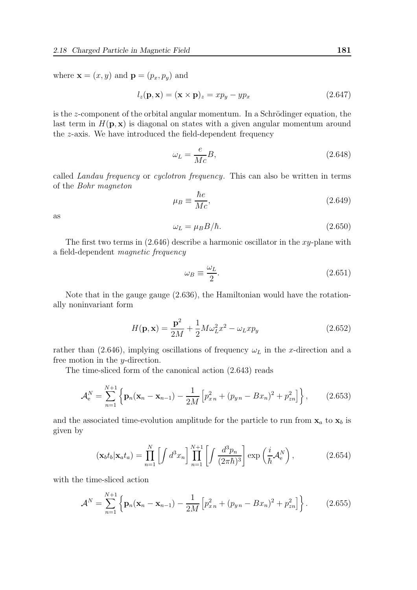where  $\mathbf{x} = (x, y)$  and  $\mathbf{p} = (p_x, p_y)$  and

$$
l_z(\mathbf{p}, \mathbf{x}) = (\mathbf{x} \times \mathbf{p})_z = xp_y - yp_x \tag{2.647}
$$

is the  $z$ -component of the orbital angular momentum. In a Schrödinger equation, the last term in  $H(\mathbf{p}, \mathbf{x})$  is diagonal on states with a given angular momentum around the z-axis. We have introduced the field-dependent frequency

$$
\omega_L = \frac{e}{Mc}B,\tag{2.648}
$$

called Landau frequency or cyclotron frequency. This can also be written in terms of the Bohr magneton

$$
\mu_B \equiv \frac{\hbar e}{Mc},\tag{2.649}
$$

as

$$
\omega_L = \mu_B B/\hbar. \tag{2.650}
$$

The first two terms in  $(2.646)$  describe a harmonic oscillator in the xy-plane with a field-dependent magnetic frequency

$$
\omega_B \equiv \frac{\omega_L}{2}.\tag{2.651}
$$

Note that in the gauge gauge (2.636), the Hamiltonian would have the rotationally noninvariant form

$$
H(\mathbf{p}, \mathbf{x}) = \frac{\mathbf{p}^2}{2M} + \frac{1}{2}M\omega_L^2 x^2 - \omega_L x p_y \qquad (2.652)
$$

rather than (2.646), implying oscillations of frequency  $\omega_L$  in the x-direction and a free motion in the y-direction.

The time-sliced form of the canonical action (2.643) reads

$$
\mathcal{A}_{e}^{N} = \sum_{n=1}^{N+1} \left\{ \mathbf{p}_{n} (\mathbf{x}_{n} - \mathbf{x}_{n-1}) - \frac{1}{2M} \left[ p_{x}^{2} + (p_{y} - Bx_{n})^{2} + p_{zn}^{2} \right] \right\}, \qquad (2.653)
$$

and the associated time-evolution amplitude for the particle to run from  $x_a$  to  $x_b$  is given by

$$
(\mathbf{x}_b t_b | \mathbf{x}_a t_a) = \prod_{n=1}^N \left[ \int d^3 x_n \right] \prod_{n=1}^{N+1} \left[ \int \frac{d^3 p_n}{(2\pi\hbar)^3} \right] \exp\left(\frac{i}{\hbar} \mathcal{A}_e^N\right),\tag{2.654}
$$

with the time-sliced action

$$
\mathcal{A}^N = \sum_{n=1}^{N+1} \left\{ \mathbf{p}_n (\mathbf{x}_n - \mathbf{x}_{n-1}) - \frac{1}{2M} \left[ p_{x_n}^2 + (p_{y_n} - Bx_n)^2 + p_{zn}^2 \right] \right\}.
$$
 (2.655)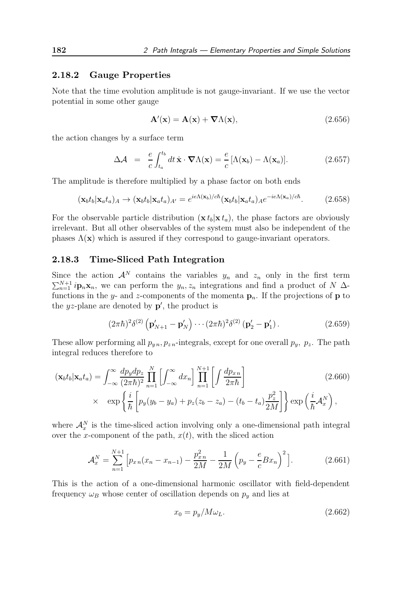### 2.18.2 Gauge Properties

Note that the time evolution amplitude is not gauge-invariant. If we use the vector potential in some other gauge

$$
\mathbf{A}'(\mathbf{x}) = \mathbf{A}(\mathbf{x}) + \nabla \Lambda(\mathbf{x}),\tag{2.656}
$$

the action changes by a surface term

$$
\Delta \mathcal{A} = \frac{e}{c} \int_{t_a}^{t_b} dt \, \dot{\mathbf{x}} \cdot \nabla \Lambda(\mathbf{x}) = \frac{e}{c} [\Lambda(\mathbf{x}_b) - \Lambda(\mathbf{x}_a)]. \tag{2.657}
$$

The amplitude is therefore multiplied by a phase factor on both ends

$$
(\mathbf{x}_b t_b | \mathbf{x}_a t_a)_A \to (\mathbf{x}_b t_b | \mathbf{x}_a t_a)_A = e^{ie\Lambda(\mathbf{x}_b)/c\hbar} (\mathbf{x}_b t_b | \mathbf{x}_a t_a)_A e^{-ie\Lambda(\mathbf{x}_a)/c\hbar}.\tag{2.658}
$$

For the observable particle distribution  $(\mathbf{x} t_b|\mathbf{x} t_a)$ , the phase factors are obviously irrelevant. But all other observables of the system must also be independent of the phases  $\Lambda(\mathbf{x})$  which is assured if they correspond to gauge-invariant operators.

### 2.18.3 Time-Sliced Path Integration

Since the action  $A^N$  contains the variables  $y_n$  and  $z_n$  only in the first term  $\sum_{n=1}^{N+1} i\mathbf{p}_n \mathbf{x}_n$ , we can perform the  $y_n, z_n$  integrations and find a product of N  $\Delta$ functions in the y- and z-components of the momenta  $\mathbf{p}_n$ . If the projections of **p** to the  $yz$ -plane are denoted by  $\mathbf{p}'$ , the product is

$$
(2\pi\hbar)^{2}\delta^{(2)}\left(\mathbf{p}'_{N+1}-\mathbf{p}'_{N}\right)\cdots(2\pi\hbar)^{2}\delta^{(2)}\left(\mathbf{p}'_{2}-\mathbf{p}'_{1}\right).
$$
 (2.659)

These allow performing all  $p_{yn}, p_{zn}$ -integrals, except for one overall  $p_y$ ,  $p_z$ . The path integral reduces therefore to

$$
(\mathbf{x}_b t_b | \mathbf{x}_a t_a) = \int_{-\infty}^{\infty} \frac{dp_y dp_z}{(2\pi\hbar)^2} \prod_{n=1}^N \left[ \int_{-\infty}^{\infty} dx_n \right] \prod_{n=1}^{N+1} \left[ \int \frac{dp_{xn}}{2\pi\hbar} \right]
$$
  
 
$$
\times \exp \left\{ \frac{i}{\hbar} \left[ p_y(y_b - y_a) + p_z(z_b - z_a) - (t_b - t_a) \frac{p_z^2}{2M} \right] \right\} \exp \left( \frac{i}{\hbar} \mathcal{A}_x^N \right),
$$
 (2.660)

where  $\mathcal{A}_x^N$  is the time-sliced action involving only a one-dimensional path integral over the x-component of the path,  $x(t)$ , with the sliced action

$$
\mathcal{A}_x^N = \sum_{n=1}^{N+1} \left[ p_{xn}(x_n - x_{n-1}) - \frac{p_{xn}^2}{2M} - \frac{1}{2M} \left( p_y - \frac{e}{c} B x_n \right)^2 \right]. \tag{2.661}
$$

This is the action of a one-dimensional harmonic oscillator with field-dependent frequency  $\omega_B$  whose center of oscillation depends on  $p_y$  and lies at

$$
x_0 = p_y / M\omega_L. \tag{2.662}
$$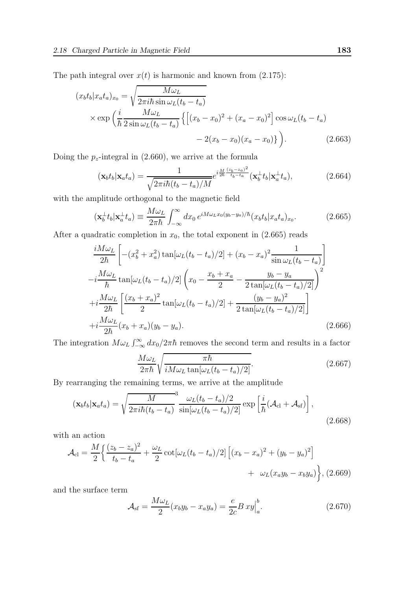The path integral over  $x(t)$  is harmonic and known from (2.175):

$$
(x_b t_b | x_a t_a)_{x_0} = \sqrt{\frac{M\omega_L}{2\pi i\hbar \sin \omega_L (t_b - t_a)}}
$$
  
\$\times \exp\left(\frac{i}{\hbar} \frac{M\omega\_L}{2\sin \omega\_L (t\_b - t\_a)} \left\{ \left[ (x\_b - x\_0)^2 + (x\_a - x\_0)^2 \right] \cos \omega\_L (t\_b - t\_a) - 2(x\_b - x\_0)(x\_a - x\_0) \right\} \right).\$ (2.663)

Doing the  $p_z$ -integral in (2.660), we arrive at the formula

$$
(\mathbf{x}_b t_b | \mathbf{x}_a t_a) = \frac{1}{\sqrt{2\pi i\hbar (t_b - t_a)/M}} e^{i\frac{M}{2\hbar} \frac{(z_b - z_a)^2}{t_b - t_a}} (\mathbf{x}_b^{\perp} t_b | \mathbf{x}_a^{\perp} t_a), \tag{2.664}
$$

with the amplitude orthogonal to the magnetic field

$$
(\mathbf{x}_b^{\perp}t_b|\mathbf{x}_a^{\perp}t_a) \equiv \frac{M\omega_L}{2\pi\hbar} \int_{-\infty}^{\infty} dx_0 e^{iM\omega_L x_0(y_b - y_a)/\hbar} (x_b t_b | x_a t_a)_{x_0}.
$$
 (2.665)

After a quadratic completion in  $x_0$ , the total exponent in  $(2.665)$  reads

$$
\frac{iM\omega_L}{2\hbar} \left[ -(x_b^2 + x_a^2) \tan[\omega_L(t_b - t_a)/2] + (x_b - x_a)^2 \frac{1}{\sin \omega_L(t_b - t_a)} \right]
$$
  
\n
$$
-i \frac{M\omega_L}{\hbar} \tan[\omega_L(t_b - t_a)/2] \left( x_0 - \frac{x_b + x_a}{2} - \frac{y_b - y_a}{2 \tan[\omega_L(t_b - t_a)/2]} \right)^2
$$
  
\n
$$
+i \frac{M\omega_L}{2\hbar} \left[ \frac{(x_b + x_a)^2}{2} \tan[\omega_L(t_b - t_a)/2] + \frac{(y_b - y_a)^2}{2 \tan[\omega_L(t_b - t_a)/2]} \right]
$$
  
\n
$$
+i \frac{M\omega_L}{2\hbar} (x_b + x_a)(y_b - y_a).
$$
\n(2.666)

The integration  $M\omega_L \int_{-\infty}^{\infty} dx_0/2\pi\hbar$  removes the second term and results in a factor

$$
\frac{M\omega_L}{2\pi\hbar} \sqrt{\frac{\pi\hbar}{iM\omega_L \tan[\omega_L(t_b - t_a)/2]}}.
$$
\n(2.667)

By rearranging the remaining terms, we arrive at the amplitude

$$
(\mathbf{x}_b t_b | \mathbf{x}_a t_a) = \sqrt{\frac{M}{2\pi i\hbar (t_b - t_a)}}^3 \frac{\omega_L (t_b - t_a)/2}{\sin[\omega_L (t_b - t_a)/2]} \exp\left[\frac{i}{\hbar}(\mathcal{A}_{\text{cl}} + \mathcal{A}_{\text{sf}})\right],\tag{2.668}
$$

with an action

$$
\mathcal{A}_{\text{cl}} = \frac{M}{2} \left\{ \frac{(z_b - z_a)^2}{t_b - t_a} + \frac{\omega_L}{2} \cot[\omega_L (t_b - t_a)/2] \left[ (x_b - x_a)^2 + (y_b - y_a)^2 \right] + \omega_L (x_a y_b - x_b y_a) \right\}, (2.669)
$$

and the surface term

$$
\mathcal{A}_{\mathrm{sf}} = \frac{M\omega_L}{2}(x_b y_b - x_a y_a) = \frac{e}{2c} B x y \Big|_a^b. \tag{2.670}
$$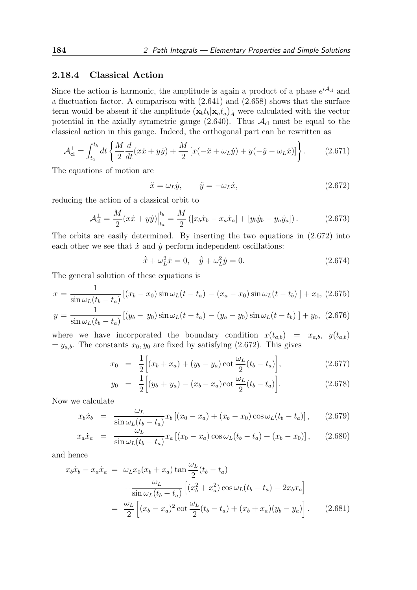### 2.18.4 Classical Action

Since the action is harmonic, the amplitude is again a product of a phase  $e^{i\mathcal{A}_{cl}}$  and a fluctuation factor. A comparison with (2.641) and (2.658) shows that the surface term would be absent if the amplitude  $(\mathbf{x}_b t_b | \mathbf{x}_a t_a)_{\tilde{A}}$  were calculated with the vector potential in the axially symmetric gauge  $(2.640)$ . Thus  $\mathcal{A}_{\text{cl}}$  must be equal to the classical action in this gauge. Indeed, the orthogonal part can be rewritten as

$$
\mathcal{A}_{\text{cl}}^{\perp} = \int_{t_a}^{t_b} dt \left\{ \frac{M}{2} \frac{d}{dt} (x\dot{x} + y\dot{y}) + \frac{M}{2} \left[ x(-\ddot{x} + \omega_L \dot{y}) + y(-\ddot{y} - \omega_L \dot{x}) \right] \right\}.
$$
 (2.671)

The equations of motion are

$$
\ddot{x} = \omega_L \dot{y}, \qquad \ddot{y} = -\omega_L \dot{x}, \qquad (2.672)
$$

reducing the action of a classical orbit to

$$
\mathcal{A}_{\text{cl}}^{\perp} = \frac{M}{2} (x\dot{x} + y\dot{y}) \Big|_{t_a}^{t_b} = \frac{M}{2} \left( \left[ x_b \dot{x}_b - x_a \dot{x}_a \right] + \left[ y_b \dot{y}_b - y_a \dot{y}_a \right] \right). \tag{2.673}
$$

The orbits are easily determined. By inserting the two equations in (2.672) into each other we see that  $\dot{x}$  and  $\dot{y}$  perform independent oscillations:

$$
\ddot{x} + \omega_L^2 \dot{x} = 0, \quad \ddot{y} + \omega_L^2 \dot{y} = 0.
$$
 (2.674)

The general solution of these equations is

$$
x = \frac{1}{\sin \omega_L (t_b - t_a)} [(x_b - x_0) \sin \omega_L (t - t_a) - (x_a - x_0) \sin \omega_L (t - t_b)] + x_0, (2.675)
$$

$$
y = \frac{1}{\sin \omega_L (t_b - t_a)} [(y_b - y_0) \sin \omega_L (t - t_a) - (y_a - y_0) \sin \omega_L (t - t_b)] + y_0, (2.676)
$$

where we have incorporated the boundary condition  $x(t_{a,b}) = x_{a,b}$ ,  $y(t_{a,b})$  $=y_{a,b}$ . The constants  $x_0, y_0$  are fixed by satisfying (2.672). This gives

$$
x_0 = \frac{1}{2} \Big[ (x_b + x_a) + (y_b - y_a) \cot \frac{\omega_L}{2} (t_b - t_a) \Big], \tag{2.677}
$$

$$
y_0 = \frac{1}{2} \Big[ (y_b + y_a) - (x_b - x_a) \cot \frac{\omega_L}{2} (t_b - t_a) \Big]. \tag{2.678}
$$

Now we calculate

$$
x_b \dot{x}_b = \frac{\omega_L}{\sin \omega_L (t_b - t_a)} x_b [(x_0 - x_a) + (x_b - x_0) \cos \omega_L (t_b - t_a)], \qquad (2.679)
$$

$$
x_a \dot{x}_a = \frac{\omega_L}{\sin \omega_L (t_b - t_a)} x_a [(x_0 - x_a) \cos \omega_L (t_b - t_a) + (x_b - x_0)], \quad (2.680)
$$

and hence

$$
x_b \dot{x}_b - x_a \dot{x}_a = \omega_L x_0 (x_b + x_a) \tan \frac{\omega_L}{2} (t_b - t_a)
$$
  
+ 
$$
\frac{\omega_L}{\sin \omega_L (t_b - t_a)} \left[ (x_b^2 + x_a^2) \cos \omega_L (t_b - t_a) - 2x_b x_a \right]
$$
  
= 
$$
\frac{\omega_L}{2} \left[ (x_b - x_a)^2 \cot \frac{\omega_L}{2} (t_b - t_a) + (x_b + x_a) (y_b - y_a) \right].
$$
 (2.681)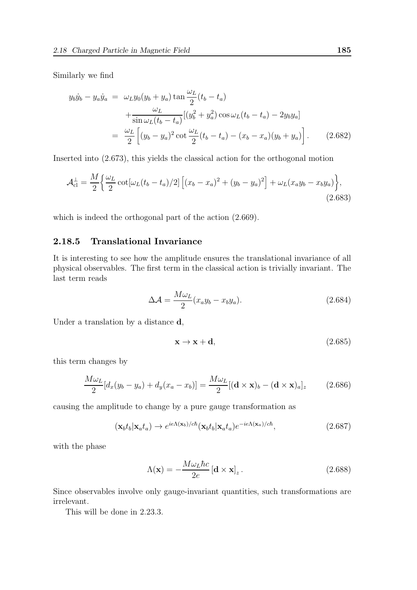Similarly we find

$$
y_b \dot{y}_b - y_a \dot{y}_a = \omega_L y_0 (y_b + y_a) \tan \frac{\omega_L}{2} (t_b - t_a)
$$
  
+ 
$$
\frac{\omega_L}{\sin \omega_L (t_b - t_a)} [(y_b^2 + y_a^2) \cos \omega_L (t_b - t_a) - 2y_b y_a]
$$
  
= 
$$
\frac{\omega_L}{2} [(y_b - y_a)^2 \cot \frac{\omega_L}{2} (t_b - t_a) - (x_b - x_a)(y_b + y_a)].
$$
 (2.682)

Inserted into (2.673), this yields the classical action for the orthogonal motion

$$
\mathcal{A}_{cl}^{\perp} = \frac{M}{2} \left\{ \frac{\omega_L}{2} \cot[\omega_L (t_b - t_a)/2] \left[ (x_b - x_a)^2 + (y_b - y_a)^2 \right] + \omega_L (x_a y_b - x_b y_a) \right\},\tag{2.683}
$$

which is indeed the orthogonal part of the action (2.669).

# 2.18.5 Translational Invariance

It is interesting to see how the amplitude ensures the translational invariance of all physical observables. The first term in the classical action is trivially invariant. The last term reads

$$
\Delta \mathcal{A} = \frac{M\omega_L}{2} (x_a y_b - x_b y_a). \tag{2.684}
$$

Under a translation by a distance **d**,

$$
\mathbf{x} \to \mathbf{x} + \mathbf{d},\tag{2.685}
$$

this term changes by

$$
\frac{M\omega_L}{2}[d_x(y_b - y_a) + d_y(x_a - x_b)] = \frac{M\omega_L}{2}[(\mathbf{d} \times \mathbf{x})_b - (\mathbf{d} \times \mathbf{x})_a]_z \tag{2.686}
$$

causing the amplitude to change by a pure gauge transformation as

$$
(\mathbf{x}_b t_b | \mathbf{x}_a t_a) \to e^{ie\Lambda(\mathbf{x}_b)/c\hbar} (\mathbf{x}_b t_b | \mathbf{x}_a t_a) e^{-ie\Lambda(\mathbf{x}_a)/c\hbar}, \tag{2.687}
$$

with the phase

$$
\Lambda(\mathbf{x}) = -\frac{M\omega_L\hbar c}{2e} \left[\mathbf{d} \times \mathbf{x}\right]_z.
$$
 (2.688)

Since observables involve only gauge-invariant quantities, such transformations are irrelevant.

This will be done in 2.23.3.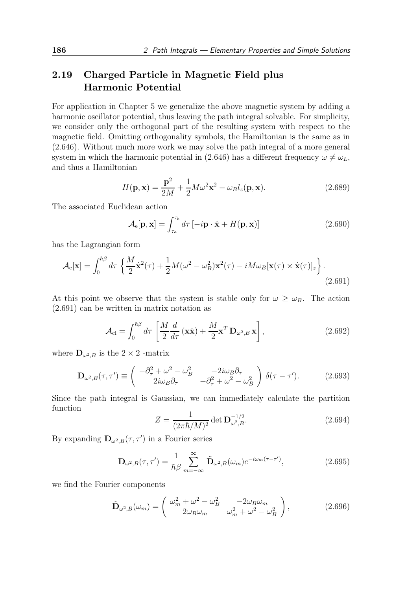# 2.19 Charged Particle in Magnetic Field plus Harmonic Potential

For application in Chapter 5 we generalize the above magnetic system by adding a harmonic oscillator potential, thus leaving the path integral solvable. For simplicity, we consider only the orthogonal part of the resulting system with respect to the magnetic field. Omitting orthogonality symbols, the Hamiltonian is the same as in (2.646). Without much more work we may solve the path integral of a more general system in which the harmonic potential in (2.646) has a different frequency  $\omega \neq \omega_L$ , and thus a Hamiltonian

$$
H(\mathbf{p}, \mathbf{x}) = \frac{\mathbf{p}^2}{2M} + \frac{1}{2}M\omega^2 \mathbf{x}^2 - \omega_B l_z(\mathbf{p}, \mathbf{x}).
$$
 (2.689)

The associated Euclidean action

$$
\mathcal{A}_{e}[\mathbf{p}, \mathbf{x}] = \int_{\tau_a}^{\tau_b} d\tau \left[ -i \mathbf{p} \cdot \dot{\mathbf{x}} + H(\mathbf{p}, \mathbf{x}) \right]
$$
(2.690)

has the Lagrangian form

$$
\mathcal{A}_{\mathbf{e}}[\mathbf{x}] = \int_0^{\hbar \beta} d\tau \left\{ \frac{M}{2} \dot{\mathbf{x}}^2(\tau) + \frac{1}{2} M (\omega^2 - \omega_B^2) \mathbf{x}^2(\tau) - i M \omega_B [\mathbf{x}(\tau) \times \dot{\mathbf{x}}(\tau)]_z \right\}.
$$
\n(2.691)

At this point we observe that the system is stable only for  $\omega \geq \omega_B$ . The action (2.691) can be written in matrix notation as

$$
\mathcal{A}_{\rm cl} = \int_0^{\hbar \beta} d\tau \left[ \frac{M}{2} \frac{d}{d\tau} (\mathbf{x} \dot{\mathbf{x}}) + \frac{M}{2} \mathbf{x}^T \mathbf{D}_{\omega^2, B} \mathbf{x} \right],
$$
 (2.692)

where  $\mathbf{D}_{\omega^2,B}$  is the 2 × 2 -matrix

$$
\mathbf{D}_{\omega^2,B}(\tau,\tau') \equiv \begin{pmatrix} -\partial_{\tau}^2 + \omega^2 - \omega_B^2 & -2i\omega_B\partial_{\tau} \\ 2i\omega_B\partial_{\tau} & -\partial_{\tau}^2 + \omega^2 - \omega_B^2 \end{pmatrix} \delta(\tau-\tau'). \tag{2.693}
$$

Since the path integral is Gaussian, we can immediately calculate the partition function

$$
Z = \frac{1}{(2\pi\hbar/M)^2} \det \mathbf{D}_{\omega^2,B}^{-1/2}.
$$
 (2.694)

By expanding  $\mathbf{D}_{\omega^2,B}(\tau,\tau')$  in a Fourier series

$$
\mathbf{D}_{\omega^2,B}(\tau,\tau') = \frac{1}{\hbar\beta} \sum_{m=-\infty}^{\infty} \tilde{\mathbf{D}}_{\omega^2,B}(\omega_m) e^{-i\omega_m(\tau-\tau')},
$$
(2.695)

we find the Fourier components

$$
\tilde{\mathbf{D}}_{\omega^2,B}(\omega_m) = \begin{pmatrix} \omega_m^2 + \omega^2 - \omega_B^2 & -2\omega_B\omega_m \\ 2\omega_B\omega_m & \omega_m^2 + \omega^2 - \omega_B^2 \end{pmatrix},
$$
\n(2.696)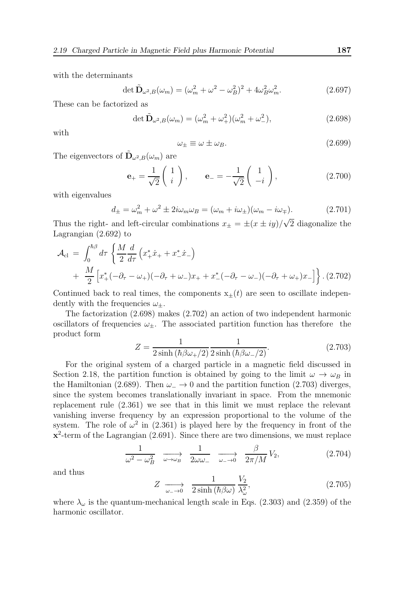with the determinants

$$
\det \tilde{\mathbf{D}}_{\omega^2,B}(\omega_m) = (\omega_m^2 + \omega^2 - \omega_B^2)^2 + 4\omega_B^2 \omega_m^2. \tag{2.697}
$$

These can be factorized as

$$
\det \tilde{\mathbf{D}}_{\omega^2,B}(\omega_m) = (\omega_m^2 + \omega_+^2)(\omega_m^2 + \omega_-^2), \tag{2.698}
$$

with

$$
\omega_{\pm} \equiv \omega \pm \omega_B. \tag{2.699}
$$

The eigenvectors of  $\tilde{\mathbf{D}}_{\omega^2,B}(\omega_m)$  are

$$
\mathbf{e}_{+} = \frac{1}{\sqrt{2}} \begin{pmatrix} 1 \\ i \end{pmatrix}, \qquad \mathbf{e}_{-} = -\frac{1}{\sqrt{2}} \begin{pmatrix} 1 \\ -i \end{pmatrix}, \tag{2.700}
$$

with eigenvalues

$$
d_{\pm} = \omega_m^2 + \omega^2 \pm 2i\omega_m\omega_B = (\omega_m + i\omega_{\pm})(\omega_m - i\omega_{\mp}).
$$
 (2.701)

Thus the right- and left-circular combinations  $x_{\pm} = \pm (x \pm iy)/\sqrt{2}$  diagonalize the Lagrangian (2.692) to

$$
\mathcal{A}_{cl} = \int_0^{\hbar \beta} d\tau \left\{ \frac{M}{2} \frac{d}{d\tau} \left( x_+^* \dot{x}_+ + x_-^* \dot{x}_- \right) + \frac{M}{2} \left[ x_+^* (-\partial_\tau - \omega_+) (-\partial_\tau + \omega_-) x_+ + x_-^* (-\partial_\tau - \omega_-) (-\partial_\tau + \omega_+) x_- \right] \right\} .
$$
 (2.702)

Continued back to real times, the components  $x_{\pm}(t)$  are seen to oscillate independently with the frequencies  $\omega_{+}$ .

The factorization (2.698) makes (2.702) an action of two independent harmonic oscillators of frequencies  $\omega_{\pm}$ . The associated partition function has therefore the product form

$$
Z = \frac{1}{2\sinh\left(\hbar\beta\omega_{+}/2\right)}\frac{1}{2\sinh\left(\hbar\beta\omega_{-}/2\right)}.\tag{2.703}
$$

For the original system of a charged particle in a magnetic field discussed in Section 2.18, the partition function is obtained by going to the limit  $\omega \to \omega_B$  in the Hamiltonian (2.689). Then  $\omega$  → 0 and the partition function (2.703) diverges, since the system becomes translationally invariant in space. From the mnemonic replacement rule (2.361) we see that in this limit we must replace the relevant vanishing inverse frequency by an expression proportional to the volume of the system. The role of  $\omega^2$  in (2.361) is played here by the frequency in front of the  $\mathbf{x}^2$ -term of the Lagrangian (2.691). Since there are two dimensions, we must replace

$$
\frac{1}{\omega^2 - \omega_B^2} \quad \longrightarrow_{\omega \to \omega_B} \quad \frac{1}{2\omega\omega_-} \quad \longrightarrow_{\omega_- \to 0} \quad \frac{\beta}{2\pi/M} V_2,\tag{2.704}
$$

and thus

$$
Z \xrightarrow[\omega_{-} \to 0]{} \frac{1}{2\sinh\left(\hbar\beta\omega\right)} \frac{V_2}{\lambda_{\omega}^2},\tag{2.705}
$$

where  $\lambda_{\omega}$  is the quantum-mechanical length scale in Eqs. (2.303) and (2.359) of the harmonic oscillator.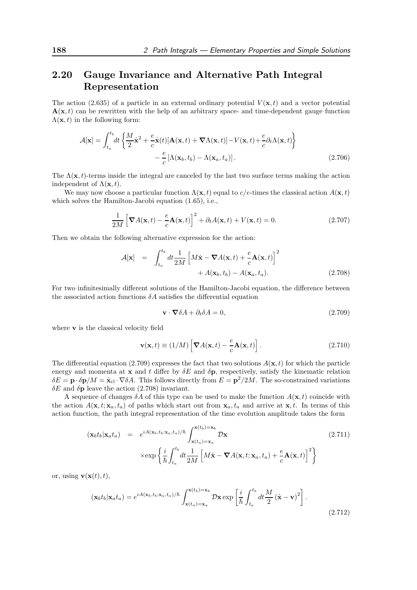# 2.20 Gauge Invariance and Alternative Path Integral Representation

The action (2.635) of a particle in an external ordinary potential  $V(\mathbf{x},t)$  and a vector potential  $\mathbf{A}(\mathbf{x},t)$  can be rewritten with the help of an arbitrary space- and time-dependent gauge function  $\Lambda(\mathbf{x}, t)$  in the following form:

$$
\mathcal{A}[\mathbf{x}] = \int_{t_a}^{t_b} dt \left\{ \frac{M}{2} \dot{\mathbf{x}}^2 + \frac{e}{c} \dot{\mathbf{x}}(t) [\mathbf{A}(\mathbf{x}, t) + \nabla \Lambda(\mathbf{x}, t)] - V(\mathbf{x}, t) + \frac{e}{c} \partial_t \Lambda(\mathbf{x}, t) \right\} - \frac{e}{c} [\Lambda(\mathbf{x}_b, t_b) - \Lambda(\mathbf{x}_a, t_a)].
$$
\n(2.706)

The  $\Lambda(\mathbf{x}, t)$ -terms inside the integral are canceled by the last two surface terms making the action independent of  $\Lambda(\mathbf{x},t)$ .

We may now choose a particular function  $\Lambda(\mathbf{x}, t)$  equal to c/e-times the classical action  $A(\mathbf{x}, t)$ which solves the Hamilton-Jacobi equation (1.65), i.e.,

$$
\frac{1}{2M} \left[ \nabla A(\mathbf{x}, t) - \frac{e}{c} \mathbf{A}(\mathbf{x}, t) \right]^2 + \partial_t A(\mathbf{x}, t) + V(\mathbf{x}, t) = 0.
$$
 (2.707)

Then we obtain the following alternative expression for the action:

$$
\mathcal{A}[\mathbf{x}] = \int_{t_a}^{t_b} dt \frac{1}{2M} \left[ M\dot{\mathbf{x}} - \nabla A(\mathbf{x}, t) + \frac{e}{c} \mathbf{A}(\mathbf{x}, t) \right]^2 + A(\mathbf{x}_b, t_b) - A(\mathbf{x}_a, t_a).
$$
 (2.708)

For two infinitesimally different solutions of the Hamilton-Jacobi equation, the difference between the associated action functions  $\delta A$  satisfies the differential equation

$$
\mathbf{v} \cdot \nabla \delta A + \partial_t \delta A = 0, \tag{2.709}
$$

where **v** is the classical velocity field

$$
\mathbf{v}(\mathbf{x},t) \equiv (1/M) \left[ \nabla A(\mathbf{x},t) - \frac{e}{c} \mathbf{A}(\mathbf{x},t) \right].
$$
 (2.710)

The differential equation (2.709) expresses the fact that two solutions  $A(\mathbf{x}, t)$  for which the particle energy and momenta at  $\bf{x}$  and t differ by  $\delta E$  and  $\delta \bf{p}$ , respectively, satisfy the kinematic relation  $\delta E = \mathbf{p} \cdot \delta \mathbf{p}/M = \dot{\mathbf{x}}_{\text{cl}} \cdot \nabla \delta A$ . This follows directly from  $E = \mathbf{p}^2/2M$ . The so-constrained variations  $\delta E$  and  $\delta \mathbf{p}$  leave the action (2.708) invariant.

A sequence of changes  $\delta A$  of this type can be used to make the function  $A(\mathbf{x}, t)$  coincide with the action  $A(\mathbf{x}, t; \mathbf{x}_a, t_a)$  of paths which start out from  $\mathbf{x}_a, t_a$  and arrive at  $\mathbf{x}, t$ . In terms of this action function, the path integral representation of the time evolution amplitude takes the form

$$
(\mathbf{x}_b t_b | \mathbf{x}_a t_a) = e^{iA(\mathbf{x}_b, t_b; \mathbf{x}_a, t_a)/\hbar} \int_{\mathbf{x}(t_a) = \mathbf{x}_a}^{\mathbf{x}(t_b) = \mathbf{x}_b} \mathcal{D}\mathbf{x}
$$
\n
$$
\times \exp\left\{\frac{i}{\hbar} \int_{t_a}^{t_b} dt \frac{1}{2M} \left[M\dot{\mathbf{x}} - \nabla A(\mathbf{x}, t; \mathbf{x}_a, t_a) + \frac{e}{c} \mathbf{A}(\mathbf{x}, t)\right]^2\right\}
$$
\n(2.711)

or, using  $\mathbf{v}(\mathbf{x}(t), t)$ ,

$$
(\mathbf{x}_b t_b | \mathbf{x}_a t_a) = e^{iA(\mathbf{x}_b, t_b; \mathbf{x}_a, t_a)/\hbar} \int_{\mathbf{x}(t_a) = \mathbf{x}_a}^{\mathbf{x}(t_b) = \mathbf{x}_b} \mathcal{D}\mathbf{x} \exp\left[\frac{i}{\hbar} \int_{t_a}^{t_b} dt \frac{M}{2} (\dot{\mathbf{x}} - \mathbf{v})^2\right].
$$
\n(2.712)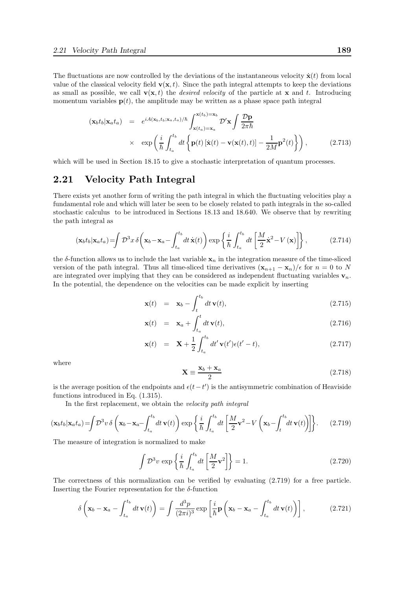The fluctuations are now controlled by the deviations of the instantaneous velocity  $\dot{\mathbf{x}}(t)$  from local value of the classical velocity field  $\mathbf{v}(\mathbf{x}, t)$ . Since the path integral attempts to keep the deviations as small as possible, we call  $\mathbf{v}(\mathbf{x}, t)$  the *desired velocity* of the particle at **x** and t. Introducing momentum variables  $p(t)$ , the amplitude may be written as a phase space path integral

$$
(\mathbf{x}_b t_b | \mathbf{x}_a t_a) = e^{iA(\mathbf{x}_b, t_b; \mathbf{x}_a, t_a)/\hbar} \int_{\mathbf{x}(t_a) = \mathbf{x}_a}^{\mathbf{x}(t_b) = \mathbf{x}_b} \mathcal{D}' \mathbf{x} \int \frac{\mathcal{D} \mathbf{p}}{2\pi \hbar}
$$
  
 
$$
\times \exp\left(\frac{i}{\hbar} \int_{t_a}^{t_b} dt \left\{ \mathbf{p}(t) \left[ \dot{\mathbf{x}}(t) - \mathbf{v}(\mathbf{x}(t), t) \right] - \frac{1}{2M} \mathbf{p}^2(t) \right\} \right), \tag{2.713}
$$

which will be used in Section 18.15 to give a stochastic interpretation of quantum processes.

# 2.21 Velocity Path Integral

There exists yet another form of writing the path integral in which the fluctuating velocities play a fundamental role and which will later be seen to be closely related to path integrals in the so-called stochastic calculus to be introduced in Sections 18.13 and 18.640. We observe that by rewriting the path integral as

$$
(\mathbf{x}_b t_b | \mathbf{x}_a t_a) = \int \mathcal{D}^3 x \, \delta\bigg(\mathbf{x}_b - \mathbf{x}_a - \int_{t_a}^{t_b} dt \, \dot{\mathbf{x}}(t)\bigg) \exp\bigg\{\frac{i}{\hbar} \int_{t_a}^{t_b} dt \left[\frac{M}{2} \dot{\mathbf{x}}^2 - V(\mathbf{x})\right]\bigg\},\tag{2.714}
$$

the  $\delta$ -function allows us to include the last variable  $x_n$  in the integration measure of the time-sliced version of the path integral. Thus all time-sliced time derivatives  $(\mathbf{x}_{n+1} - \mathbf{x}_n)/\epsilon$  for  $n = 0$  to N are integrated over implying that they can be considered as independent fluctuating variables  $\mathbf{v}_n$ . In the potential, the dependence on the velocities can be made explicit by inserting

$$
\mathbf{x}(t) = \mathbf{x}_b - \int_{t}^{t_b} dt \, \mathbf{v}(t), \tag{2.715}
$$

$$
\mathbf{x}(t) = \mathbf{x}_a + \int_{t_a}^t dt \,\mathbf{v}(t),\tag{2.716}
$$

$$
\mathbf{x}(t) = \mathbf{X} + \frac{1}{2} \int_{t_a}^{t_b} dt' \mathbf{v}(t') \epsilon(t'-t), \qquad (2.717)
$$

where

$$
\mathbf{X} \equiv \frac{\mathbf{x}_b + \mathbf{x}_a}{2} \tag{2.718}
$$

is the average position of the endpoints and  $\epsilon(t-t')$  is the antisymmetric combination of Heaviside functions introduced in Eq. (1.315).

In the first replacement, we obtain the velocity path integral

$$
(\mathbf{x}_b t_b | \mathbf{x}_a t_a) = \int \mathcal{D}^3 v \, \delta \left( \mathbf{x}_b - \mathbf{x}_a - \int_{t_a}^{t_b} dt \, \mathbf{v}(t) \right) \exp \left\{ \frac{i}{\hbar} \int_{t_a}^{t_b} dt \left[ \frac{M}{2} \mathbf{v}^2 - V \left( \mathbf{x}_b - \int_t^{t_b} dt \, \mathbf{v}(t) \right) \right] \right\}.
$$
 (2.719)

The measure of integration is normalized to make

$$
\int \mathcal{D}^3 v \, \exp\left\{ \frac{i}{\hbar} \int_{t_a}^{t_b} dt \left[ \frac{M}{2} \mathbf{v}^2 \right] \right\} = 1. \tag{2.720}
$$

The correctness of this normalization can be verified by evaluating (2.719) for a free particle. Inserting the Fourier representation for the  $\delta$ -function

$$
\delta\left(\mathbf{x}_b - \mathbf{x}_a - \int_{t_a}^{t_b} dt \,\mathbf{v}(t)\right) = \int \frac{d^3p}{(2\pi i)^3} \exp\left[\frac{i}{\hbar} \mathbf{p}\left(\mathbf{x}_b - \mathbf{x}_a - \int_{t_a}^{t_b} dt \,\mathbf{v}(t)\right)\right],\tag{2.721}
$$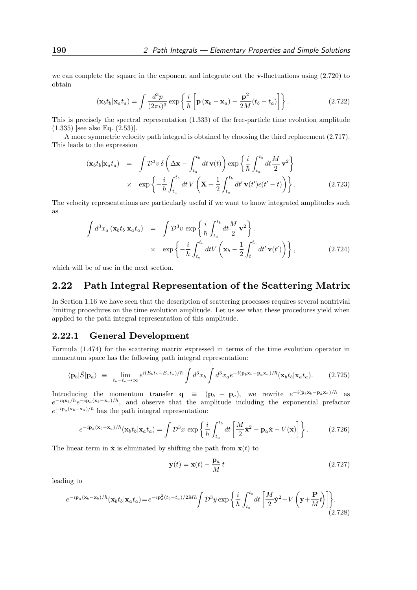we can complete the square in the exponent and integrate out the v-fluctuations using  $(2.720)$  to obtain

$$
(\mathbf{x}_b t_b | \mathbf{x}_a t_a) = \int \frac{d^3 p}{(2\pi i)^3} \exp\left\{ \frac{i}{\hbar} \left[ \mathbf{p} \left( \mathbf{x}_b - \mathbf{x}_a \right) - \frac{\mathbf{p}^2}{2M} (t_b - t_a) \right] \right\}.
$$
 (2.722)

This is precisely the spectral representation (1.333) of the free-particle time evolution amplitude (1.335) [see also Eq. (2.53)].

A more symmetric velocity path integral is obtained by choosing the third replacement (2.717). This leads to the expression

$$
(\mathbf{x}_b t_b | \mathbf{x}_a t_a) = \int \mathcal{D}^3 v \, \delta \left( \Delta \mathbf{x} - \int_{t_a}^{t_b} dt \, \mathbf{v}(t) \right) \exp \left\{ \frac{i}{\hbar} \int_{t_a}^{t_b} dt \frac{M}{2} \mathbf{v}^2 \right\} \times \exp \left\{ -\frac{i}{\hbar} \int_{t_a}^{t_b} dt \, V \left( \mathbf{X} + \frac{1}{2} \int_{t_a}^{t_b} dt' \, \mathbf{v}(t') \epsilon(t'-t) \right) \right\}.
$$
\n(2.723)

The velocity representations are particularly useful if we want to know integrated amplitudes such as

$$
\int d^3x_a \left(\mathbf{x}_b t_b | \mathbf{x}_a t_a \right) = \int \mathcal{D}^3 v \exp \left\{ \frac{i}{\hbar} \int_{t_a}^{t_b} dt \frac{M}{2} \mathbf{v}^2 \right\}.
$$
\n
$$
\times \exp \left\{ -\frac{i}{\hbar} \int_{t_a}^{t_b} dt V \left( \mathbf{x}_b - \frac{1}{2} \int_t^{t_b} dt' \mathbf{v}(t') \right) \right\},
$$
\n(2.724)

which will be of use in the next section.

# 2.22 Path Integral Representation of the Scattering Matrix

In Section 1.16 we have seen that the description of scattering processes requires several nontrivial limiting procedures on the time evolution amplitude. Let us see what these procedures yield when applied to the path integral representation of this amplitude.

## 2.22.1 General Development

Formula (1.474) for the scattering matrix expressed in terms of the time evolution operator in momentum space has the following path integral representation:

$$
\langle \mathbf{p}_b | \hat{S} | \mathbf{p}_a \rangle \equiv \lim_{t_b - t_a \to \infty} e^{i(E_b t_b - E_a t_a)/\hbar} \int d^3 x_b \int d^3 x_a e^{-i(\mathbf{p}_b \mathbf{x}_b - \mathbf{p}_a \mathbf{x}_a)/\hbar} (\mathbf{x}_b t_b | \mathbf{x}_a t_a). \tag{2.725}
$$

Introducing the momentum transfer  $\mathbf{q} \equiv (\mathbf{p}_b - \mathbf{p}_a)$ , we rewrite  $e^{-i(\mathbf{p}_b\mathbf{x}_b - \mathbf{p}_a\mathbf{x}_a)/\hbar}$  as  $e^{-i\mathbf{q}\mathbf{x}_b/\hbar}e^{-i\mathbf{p}_a(\mathbf{x}_b-\mathbf{x}_a)/\hbar}$ , and observe that the amplitude including the exponential prefactor  $e^{-i\mathbf{p}_a(\mathbf{x}_b-\mathbf{x}_a)/\hbar}$  has the path integral representation:

$$
e^{-i\mathbf{p}_a(\mathbf{x}_b - \mathbf{x}_a)/\hbar}(\mathbf{x}_b t_b | \mathbf{x}_a t_a) = \int \mathcal{D}^3 x \, \exp\left\{ \frac{i}{\hbar} \int_{t_a}^{t_b} dt \left[ \frac{M}{2} \dot{\mathbf{x}}^2 - \mathbf{p}_a \dot{\mathbf{x}} - V(\mathbf{x}) \right] \right\}.
$$
 (2.726)

The linear term in  $\dot{\mathbf{x}}$  is eliminated by shifting the path from  $\mathbf{x}(t)$  to

$$
\mathbf{y}(t) = \mathbf{x}(t) - \frac{\mathbf{p}_a}{M} t \tag{2.727}
$$

leading to

$$
e^{-i\mathbf{p}_a(\mathbf{x}_b - \mathbf{x}_b)/\hbar}(\mathbf{x}_b t_b | \mathbf{x}_a t_a) = e^{-i\mathbf{p}_a^2(t_b - t_a)/2M\hbar} \int \mathcal{D}^3 y \exp\left\{\frac{i}{\hbar} \int_{t_a}^{t_b} dt \left[\frac{M}{2} \dot{\mathbf{y}}^2 - V\left(\mathbf{y} + \frac{\mathbf{P}}{M}t\right)\right]\right\}.
$$
\n(2.728)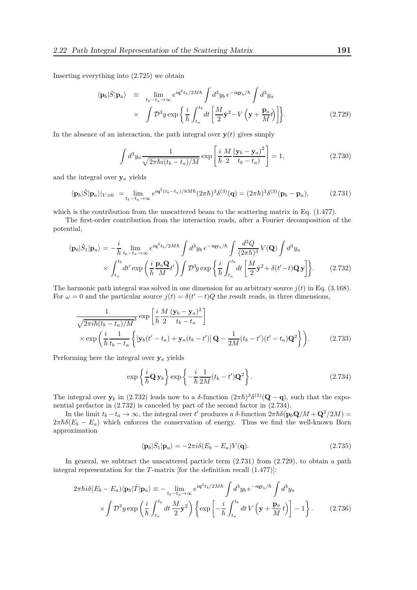Inserting everything into (2.725) we obtain

$$
\langle \mathbf{p}_b | \hat{S} | \mathbf{p}_a \rangle = \lim_{t_b - t_a \to \infty} e^{i\mathbf{q}^2 t_b / 2M\hbar} \int d^3 y_b e^{-i\mathbf{q} \mathbf{y}_b / \hbar} \int d^3 y_a
$$
  
 
$$
\times \int \mathcal{D}^3 y \exp \left\{ \frac{i}{\hbar} \int_{t_a}^{t_b} dt \left[ \frac{M}{2} \dot{\mathbf{y}}^2 - V \left( \mathbf{y} + \frac{\mathbf{p}_a}{M} t \right) \right] \right\}.
$$
 (2.729)

In the absence of an interaction, the path integral over  $y(t)$  gives simply

$$
\int d^3 y_a \frac{1}{\sqrt{2\pi\hbar i (t_b - t_a)/M}} \exp\left[\frac{i}{\hbar} \frac{M}{2} \frac{(\mathbf{y}_b - \mathbf{y}_a)^2}{t_b - t_a}\right] = 1, \tag{2.730}
$$

and the integral over  $y_a$  yields

$$
\langle \mathbf{p}_b | \hat{S} | \mathbf{p}_a \rangle |_{V \equiv 0} = \lim_{t_b - t_a \to \infty} e^{i \mathbf{q}^2 (t_b - t_a)/8M \hbar} (2\pi \hbar)^3 \delta^{(3)}(\mathbf{q}) = (2\pi \hbar)^3 \delta^{(3)}(\mathbf{p}_b - \mathbf{p}_a), \tag{2.731}
$$

which is the contribution from the unscattered beam to the scattering matrix in Eq.  $(1.477)$ .

The first-order contribution from the interaction reads, after a Fourier decomposition of the potential,

$$
\langle \mathbf{p}_b | \hat{S}_1 | \mathbf{p}_a \rangle = -\frac{i}{\hbar} \lim_{t_b - t_a \to \infty} e^{i\mathbf{q}^2 t_b / 2M\hbar} \int d^3 y_b e^{-i\mathbf{q} \mathbf{y}_b/\hbar} \int \frac{d^3 Q}{(2\pi\hbar)^3} V(\mathbf{Q}) \int d^3 y_a
$$

$$
\times \int_{t_a}^{t_b} dt' \exp\left(\frac{i}{\hbar} \frac{\mathbf{p}_a \mathbf{Q}}{M} t'\right) \int \mathcal{D}^3 y \exp\left\{\frac{i}{\hbar} \int_{t_a}^{t_b} dt \left[\frac{M}{2} \dot{\mathbf{y}}^2 + \delta(t'-t) \mathbf{Q} \mathbf{y}\right]\right\}.
$$
 (2.732)

The harmonic path integral was solved in one dimension for an arbitrary source  $j(t)$  in Eq. (3.168). For  $\omega = 0$  and the particular source  $j(t) = \delta(t'-t)Q$  the result reads, in three dimensions,

$$
\frac{1}{\sqrt{2\pi i\hbar(t_b - t_a)/M}^3} \exp\left[\frac{i}{\hbar} \frac{M}{2} \frac{(\mathbf{y}_b - \mathbf{y}_a)^2}{t_b - t_a}\right]
$$
\n
$$
\times \exp\left(\frac{i}{\hbar} \frac{1}{t_b - t_a} \left\{ [\mathbf{y}_b(t' - t_a) + \mathbf{y}_a(t_b - t')] \mathbf{Q} - \frac{1}{2M}(t_b - t')(t' - t_a)\mathbf{Q}^2 \right\} \right).
$$
\n(2.733)

Performing here the integral over  $y_a$  yields

$$
\exp\left\{\frac{i}{\hbar}\mathbf{Q}\,\mathbf{y}_b\right\}\exp\left\{-\frac{i}{\hbar}\frac{1}{2M}(t_b-t')\mathbf{Q}^2\right\}.\tag{2.734}
$$

The integral over  $y_b$  in (2.732) leads now to a δ-function  $(2\pi\hbar)^3 \delta^{(3)}(Q - q)$ , such that the exponential prefactor in (2.732) is canceled by part of the second factor in (2.734).

In the limit  $t_b - t_a \to \infty$ , the integral over t' produces a  $\delta$ -function  $2\pi\hbar\delta(\mathbf{p}_b\mathbf{Q}/M + \mathbf{Q}^2/2M) =$  $2\pi\hbar\delta(E_b - E_a)$  which enforces the conservation of energy. Thus we find the well-known Born approximation

$$
\langle \mathbf{p}_b | \hat{S}_1 | \mathbf{p}_a \rangle = -2\pi i \delta (E_b - E_a) V(\mathbf{q}). \tag{2.735}
$$

In general, we subtract the unscattered particle term (2.731) from (2.729), to obtain a path integral representation for the  $T$ -matrix [for the definition recall  $(1.477)$ ]:

$$
2\pi\hbar i\delta(E_b - E_a)\langle \mathbf{p}_b|\hat{T}|\mathbf{p}_a\rangle \equiv -\lim_{t_b - t_a \to \infty} e^{i\mathbf{q}^2 t_b/2M\hbar} \int d^3y_b e^{-i\mathbf{q}\mathbf{y}_b/\hbar} \int d^3y_a
$$
  
 
$$
\times \int \mathcal{D}^3 y \exp\left(\frac{i}{\hbar} \int_{t_a}^{t_b} dt \frac{M}{2} \dot{\mathbf{y}}^2\right) \left\{ \exp\left[-\frac{i}{\hbar} \int_{t_a}^{t_b} dt V \left(\mathbf{y} + \frac{\mathbf{p}_a}{M} t\right)\right] - 1 \right\}.
$$
 (2.736)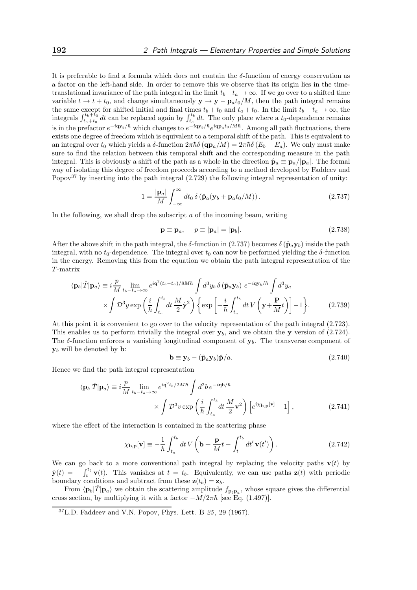It is preferable to find a formula which does not contain the  $\delta$ -function of energy conservation as a factor on the left-hand side. In order to remove this we observe that its origin lies in the timetranslational invariance of the path integral in the limit  $t_b-t_a \to \infty$ . If we go over to a shifted time variable  $t \to t + t_0$ , and change simultaneously  $y \to y - p_a t_0/M$ , then the path integral remains the same except for shifted initial and final times  $t_b + t_0$  and  $t_a + t_0$ . In the limit  $t_b - t_a \rightarrow \infty$ , the integrals  $\int_{t_a+t_0}^{t_b+t_0} dt$  can be replaced again by  $\int_{t_a}^{t_b} dt$ . The only place where a  $t_0$ -dependence remains is in the prefactor  $e^{-i\mathbf{q}\mathbf{y}_b/\hbar}$  which changes to  $e^{-i\mathbf{q}\mathbf{y}_b/\hbar}e^{i\mathbf{q}\mathbf{p}_at_0/M\hbar}$ . Among all path fluctuations, there exists one degree of freedom which is equivalent to a temporal shift of the path. This is equivalent to an integral over  $t_0$  which yields a  $\delta$ -function  $2\pi\hbar\delta(\mathbf{q}\mathbf{p}_a/M) = 2\pi\hbar\delta(E_b - E_a)$ . We only must make sure to find the relation between this temporal shift and the corresponding measure in the path integral. This is obviously a shift of the path as a whole in the direction  $\hat{\mathbf{p}}_a \equiv \mathbf{p}_a/|\mathbf{p}_a|$ . The formal way of isolating this degree of freedom proceeds according to a method developed by Faddeev and Popov<sup>37</sup> by inserting into the path integral  $(2.729)$  the following integral representation of unity:

$$
1 = \frac{|\mathbf{p}_a|}{M} \int_{-\infty}^{\infty} dt_0 \, \delta\left(\hat{\mathbf{p}}_a(\mathbf{y}_b + \mathbf{p}_a t_0/M)\right). \tag{2.737}
$$

In the following, we shall drop the subscript  $\alpha$  of the incoming beam, writing

$$
\mathbf{p} \equiv \mathbf{p}_a, \quad p \equiv |\mathbf{p}_a| = |\mathbf{p}_b|. \tag{2.738}
$$

After the above shift in the path integral, the  $\delta$ -function in (2.737) becomes  $\delta(\hat{\mathbf{p}}_a \mathbf{y}_b)$  inside the path integral, with no  $t_0$ -dependence. The integral over  $t_0$  can now be performed yielding the  $\delta$ -function in the energy. Removing this from the equation we obtain the path integral representation of the T -matrix

$$
\langle \mathbf{p}_b | \hat{T} | \mathbf{p}_a \rangle \equiv i \frac{p}{M} \lim_{t_b - t_a \to \infty} e^{i \mathbf{q}^2 (t_b - t_a)/8M\hbar} \int d^3 y_b \, \delta \left( \hat{\mathbf{p}}_a \mathbf{y}_b \right) \, e^{-i \mathbf{q} \mathbf{y}_b/\hbar} \int d^3 y_a
$$
\n
$$
\times \int \mathcal{D}^3 y \exp \left( \frac{i}{\hbar} \int_{t_a}^{t_b} dt \, \frac{M}{2} \dot{\mathbf{y}}^2 \right) \left\{ \exp \left[ -\frac{i}{\hbar} \int_{t_a}^{t_b} dt \, V \left( \mathbf{y} + \frac{\mathbf{P}}{M} t \right) \right] - 1 \right\} . \tag{2.739}
$$

At this point it is convenient to go over to the velocity representation of the path integral (2.723). This enables us to perform trivially the integral over  $y<sub>b</sub>$ , and we obtain the y version of (2.724). The  $\delta$ -function enforces a vanishing longitudinal component of  $\mathbf{y}_b$ . The transverse component of  $y_b$  will be denoted by **b**:

$$
\mathbf{b} \equiv \mathbf{y}_b - (\hat{\mathbf{p}}_a \mathbf{y}_b) \hat{\mathbf{p}}/a. \tag{2.740}
$$

Hence we find the path integral representation

$$
\langle \mathbf{p}_b | \hat{T} | \mathbf{p}_a \rangle \equiv i \frac{p}{M} \lim_{t_b - t_a \to \infty} e^{i \mathbf{q}^2 t_b / 2M \hbar} \int d^2 b \, e^{-i \mathbf{q} \mathbf{b}/\hbar} \times \int \mathcal{D}^3 v \exp\left(\frac{i}{\hbar} \int_{t_a}^{t_b} dt \, \frac{M}{2} \mathbf{v}^2\right) \left[e^{i \chi} \mathbf{b}, \mathbf{p} [\mathbf{v}] - 1\right], \tag{2.741}
$$

where the effect of the interaction is contained in the scattering phase

$$
\chi_{\mathbf{b},\mathbf{p}}[\mathbf{v}] \equiv -\frac{1}{\hbar} \int_{t_a}^{t_b} dt \, V\left(\mathbf{b} + \frac{\mathbf{p}}{M}t - \int_t^{t_b} dt' \, \mathbf{v}(t')\right). \tag{2.742}
$$

We can go back to a more conventional path integral by replacing the velocity paths  $\mathbf{v}(t)$  by  $\dot{\mathbf{y}}(t) = -\int_t^{t_b} \mathbf{v}(t)$ . This vanishes at  $t = t_b$ . Equivalently, we can use paths  $\mathbf{z}(t)$  with periodic boundary conditions and subtract from these  $\mathbf{z}(t_b) = \mathbf{z}_b$ .

From  $\langle \mathbf{p}_b | \hat{T} | \mathbf{p}_a \rangle$  we obtain the scattering amplitude  $f_{\mathbf{p}_b \mathbf{p}_a}$ , whose square gives the differential cross section, by multiplying it with a factor  $-M/2\pi\hbar$  [see Eq. (1.497)].

 $37$ L.D. Faddeev and V.N. Popov, Phys. Lett. B  $25$ , 29 (1967).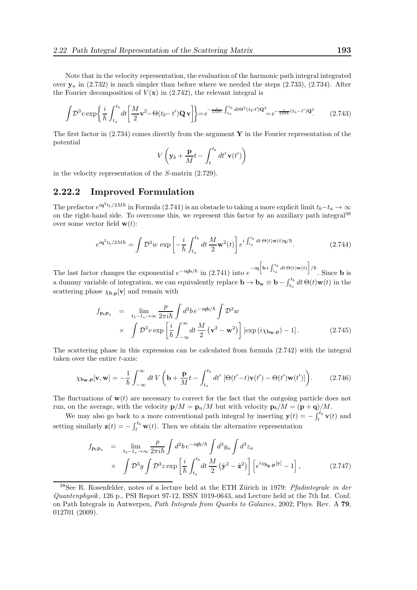Note that in the velocity representation, the evaluation of the harmonic path integral integrated over  $y_a$  in  $(2.732)$  is much simpler than before where we needed the steps  $(2.733)$ ,  $(2.734)$ . After the Fourier decomposition of  $V(\mathbf{x})$  in (2.742), the relevant integral is

$$
\int \mathcal{D}^3 v \exp\left\{\frac{i}{\hbar} \int_{t_a}^{t_b} dt \left[\frac{M}{2} \mathbf{v}^2 - \Theta(t_b - t') \mathbf{Q} \mathbf{v}\right]\right\} = e^{-\frac{i}{2M\hbar} \int_{t_a}^{t_b} dt \Theta^2(t_b - t') \mathbf{Q}^2} = e^{-\frac{i}{2M\hbar} (t_b - t') \mathbf{Q}^2}.
$$
 (2.743)

The first factor in  $(2.734)$  comes directly from the argument Y in the Fourier representation of the potential

$$
V\left(\mathbf{y}_b + \frac{\mathbf{p}}{M}t - \int_t^{t_b} dt' \mathbf{v}(t')\right)
$$

in the velocity representation of the S-matrix (2.729).

### 2.22.2 Improved Formulation

The prefactor  $e^{i\mathbf{q}^2t_b/2M\hbar}$  in Formula (2.741) is an obstacle to taking a more explicit limit  $t_b-t_a\to\infty$ on the right-hand side. To overcome this, we represent this factor by an auxiliary path integral<sup>38</sup> over some vector field  $\mathbf{w}(t)$ :

$$
e^{i\mathbf{q}^2 t_b/2M\hbar} = \int \mathcal{D}^3 w \, \exp\left[ -\frac{i}{\hbar} \int_{t_a}^{t_b} dt \, \frac{M}{2} \mathbf{w}^2(t) \right] e^{i \int_{t_a}^{t_b} dt \, \Theta(t) \mathbf{w}(t) \mathbf{q}/\hbar}.
$$
 (2.744)

The last factor changes the exponential  $e^{-i\mathbf{q}\mathbf{b}/\hbar}$  in (2.741) into  $e^{-i\mathbf{q}\left[\mathbf{b}+\int_{t_a}^{t_b}dt\Theta(t)\mathbf{w}(t)\right]/\hbar}$ . Since **b** is a dummy variable of integration, we can equivalently replace  $\mathbf{b} \to \mathbf{b_w} \equiv \mathbf{b} - \int_{t_a}^{t_b} dt \, \Theta(t) \mathbf{w}(t)$  in the scattering phase  $\chi_{\mathbf{b},\mathbf{p}}[\mathbf{v}]$  and remain with

$$
f_{\mathbf{p}_b \mathbf{p}_a} = \lim_{t_b - t_a \to \infty} \frac{p}{2\pi i \hbar} \int d^2 b \, e^{-i\mathbf{q}\mathbf{b}/\hbar} \int \mathcal{D}^3 w
$$
  
 
$$
\times \int \mathcal{D}^3 v \exp\left[\frac{i}{\hbar} \int_{-\infty}^{\infty} dt \, \frac{M}{2} \left(\mathbf{v}^2 - \mathbf{w}^2\right)\right] \left[\exp\left(i\chi_{\mathbf{b}_{\mathbf{w}},\mathbf{p}}\right) - 1\right].
$$
 (2.745)

The scattering phase in this expression can be calculated from formula (2.742) with the integral taken over the entire t-axis:

$$
\chi_{\mathbf{b_w},\mathbf{p}}[\mathbf{v},\mathbf{w}] = -\frac{1}{\hbar} \int_{-\infty}^{\infty} dt \, V\left(\mathbf{b} + \frac{\mathbf{p}}{M}t - \int_{t_a}^{t_b} dt' \left[\Theta(t'-t)\mathbf{v}(t') - \Theta(t')\mathbf{w}(t')\right]\right). \tag{2.746}
$$

The fluctuations of  $w(t)$  are necessary to correct for the fact that the outgoing particle does not run, on the average, with the velocity  $\mathbf{p}/M = \mathbf{p}_a/M$  but with velocity  $\mathbf{p}_b/M = (\mathbf{p} + \mathbf{q})/M$ .

We may also go back to a more conventional path integral by inserting  $\mathbf{y}(t) = -\int_t^{t_b} \mathbf{v}(t)$  and setting similarly  $\mathbf{z}(t) = -\int_t^{t_b} \mathbf{w}(t)$ . Then we obtain the alternative representation

$$
f_{\mathbf{p}_b \mathbf{p}_a} = \lim_{t_b - t_a \to \infty} \frac{p}{2\pi i \hbar} \int d^2 b \, e^{-i\mathbf{q}\mathbf{b}/\hbar} \int d^3 y_a \int d^3 z_a
$$
  
 
$$
\times \int \mathcal{D}^3 y \int \mathcal{D}^3 z \exp\left[\frac{i}{\hbar} \int_{t_a}^{t_b} dt \, \frac{M}{2} \left(\dot{\mathbf{y}}^2 - \dot{\mathbf{z}}^2\right)\right] \left[e^{i\chi} \mathbf{b}_\mathbf{z} \cdot \mathbf{p}[\mathbf{y}] - 1\right], \tag{2.747}
$$

 $38$ See R. Rosenfelder, notes of a lecture held at the ETH Zürich in 1979: *Pfadintegrale in der* Quantenphysik, 126 p., PSI Report 97-12, ISSN 1019-0643, and Lecture held at the 7th Int. Conf. on Path Integrals in Antwerpen, Path Integrals from Quarks to Galaxies, 2002; Phys. Rev. A 79, 012701 (2009).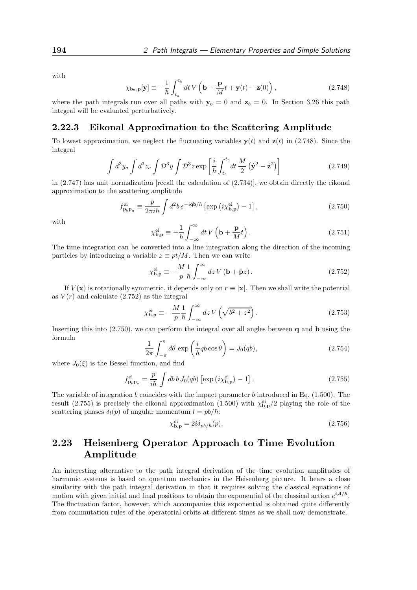with

$$
\chi_{\mathbf{b}_{\mathbf{z}},\mathbf{p}}[\mathbf{y}] \equiv -\frac{1}{\hbar} \int_{t_a}^{t_b} dt \, V\left(\mathbf{b} + \frac{\mathbf{p}}{M}t + \mathbf{y}(t) - \mathbf{z}(0)\right),\tag{2.748}
$$

where the path integrals run over all paths with  $y_b = 0$  and  $z_b = 0$ . In Section 3.26 this path integral will be evaluated perturbatively.

### 2.22.3 Eikonal Approximation to the Scattering Amplitude

To lowest approximation, we neglect the fluctuating variables  $y(t)$  and  $z(t)$  in (2.748). Since the integral

$$
\int d^3 y_a \int d^3 z_a \int \mathcal{D}^3 y \int \mathcal{D}^3 z \exp\left[\frac{i}{\hbar} \int_{t_a}^{t_b} dt \frac{M}{2} \left(\dot{\mathbf{y}}^2 - \dot{\mathbf{z}}^2\right)\right]
$$
(2.749)

in  $(2.747)$  has unit normalization [recall the calculation of  $(2.734)$ ], we obtain directly the eikonal approximation to the scattering amplitude

$$
f_{\mathbf{p}_b \mathbf{p}_a}^{\text{ei}} \equiv \frac{p}{2\pi i \hbar} \int d^2 b \, e^{-i\mathbf{q}\mathbf{b}/\hbar} \left[ \exp\left(i\chi_{\mathbf{b},\mathbf{p}}^{\text{ei}}\right) - 1 \right],\tag{2.750}
$$

with

$$
\chi_{\mathbf{b},\mathbf{p}}^{\text{ei}} \equiv -\frac{1}{\hbar} \int_{-\infty}^{\infty} dt \, V\left(\mathbf{b} + \frac{\mathbf{p}}{M}t\right). \tag{2.751}
$$

The time integration can be converted into a line integration along the direction of the incoming particles by introducing a variable  $z \equiv pt/M$ . Then we can write

$$
\chi_{\mathbf{b},\mathbf{p}}^{\mathrm{ei}} \equiv -\frac{M}{p} \frac{1}{\hbar} \int_{-\infty}^{\infty} dz \, V \left( \mathbf{b} + \hat{\mathbf{p}} z \right). \tag{2.752}
$$

If  $V(\mathbf{x})$  is rotationally symmetric, it depends only on  $r \equiv |\mathbf{x}|$ . Then we shall write the potential as  $V(r)$  and calculate  $(2.752)$  as the integral

$$
\chi_{\mathbf{b},\mathbf{p}}^{\mathrm{ei}} \equiv -\frac{M}{p} \frac{1}{\hbar} \int_{-\infty}^{\infty} dz \, V\left(\sqrt{b^2 + z^2}\right). \tag{2.753}
$$

Inserting this into  $(2.750)$ , we can perform the integral over all angles between q and b using the formula

$$
\frac{1}{2\pi} \int_{-\pi}^{\pi} d\theta \, \exp\left(\frac{i}{\hbar}qb \cos\theta\right) = J_0(qb),\tag{2.754}
$$

where  $J_0(\xi)$  is the Bessel function, and find

$$
f_{\mathbf{p}_b \mathbf{p}_a}^{\mathrm{ei}} = \frac{p}{i\hbar} \int db \, b \, J_0(qb) \left[ \exp\left(i\chi_{\mathbf{b},\mathbf{p}}^{\mathrm{ei}}\right) - 1 \right]. \tag{2.755}
$$

The variable of integration b coincides with the impact parameter b introduced in Eq.  $(1.500)$ . The result (2.755) is precisely the eikonal approximation (1.500) with  $\chi_{\mathbf{b},\mathbf{p}}^{\text{ei}}/2$  playing the role of the scattering phases  $\delta_l(p)$  of angular momentum  $l = pb/\hbar$ :

$$
\chi_{\mathbf{b},\mathbf{p}}^{\mathrm{ei}} = 2i\delta_{pb/\hbar}(p). \tag{2.756}
$$

# 2.23 Heisenberg Operator Approach to Time Evolution Amplitude

An interesting alternative to the path integral derivation of the time evolution amplitudes of harmonic systems is based on quantum mechanics in the Heisenberg picture. It bears a close similarity with the path integral derivation in that it requires solving the classical equations of motion with given initial and final positions to obtain the exponential of the classical action  $e^{iA/\hbar}$ . The fluctuation factor, however, which accompanies this exponential is obtained quite differently from commutation rules of the operatorial orbits at different times as we shall now demonstrate.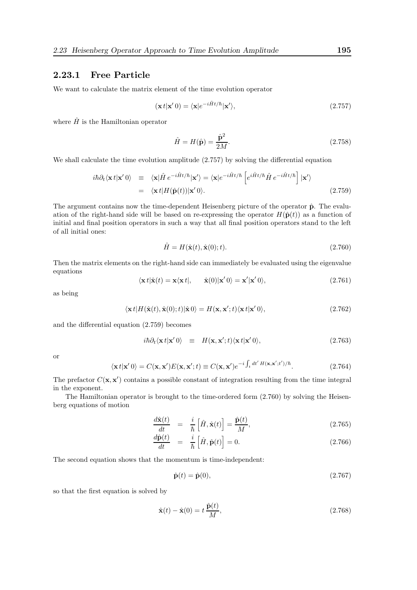## 2.23.1 Free Particle

We want to calculate the matrix element of the time evolution operator

$$
(\mathbf{x}t|\mathbf{x}'0) = \langle \mathbf{x}|e^{-i\hat{H}t/\hbar}|\mathbf{x}'\rangle, \qquad (2.757)
$$

where  $\hat{H}$  is the Hamiltonian operator

$$
\hat{H} = H(\hat{\mathbf{p}}) = \frac{\hat{\mathbf{p}}^2}{2M}.
$$
\n(2.758)

We shall calculate the time evolution amplitude (2.757) by solving the differential equation

$$
i\hbar \partial_t \langle \mathbf{x} t | \mathbf{x}' 0 \rangle = \langle \mathbf{x} | \hat{H} e^{-i\hat{H}t/\hbar} | \mathbf{x}' \rangle = \langle \mathbf{x} | e^{-i\hat{H}t/\hbar} \left[ e^{i\hat{H}t/\hbar} \hat{H} e^{-i\hat{H}t/\hbar} \right] | \mathbf{x}' \rangle
$$
  
=  $\langle \mathbf{x} t | H(\hat{\mathbf{p}}(t)) | \mathbf{x}' 0 \rangle.$  (2.759)

The argument contains now the time-dependent Heisenberg picture of the operator  $\hat{p}$ . The evaluation of the right-hand side will be based on re-expressing the operator  $H(\hat{\mathbf{p}}(t))$  as a function of initial and final position operators in such a way that all final position operators stand to the left of all initial ones:

$$
\hat{H} = H(\hat{\mathbf{x}}(t), \hat{\mathbf{x}}(0); t). \tag{2.760}
$$

Then the matrix elements on the right-hand side can immediately be evaluated using the eigenvalue equations

$$
\langle \mathbf{x} t | \hat{\mathbf{x}}(t) = \mathbf{x} \langle \mathbf{x} t |, \quad \hat{\mathbf{x}}(0) | \mathbf{x}' 0 \rangle = \mathbf{x}' | \mathbf{x}' 0 \rangle, \tag{2.761}
$$

as being

$$
\langle \mathbf{x} t | H(\hat{\mathbf{x}}(t), \hat{\mathbf{x}}(0); t) | \hat{\mathbf{x}} 0 \rangle = H(\mathbf{x}, \mathbf{x}'; t) \langle \mathbf{x} t | \mathbf{x}' 0 \rangle, \tag{2.762}
$$

and the differential equation (2.759) becomes

$$
i\hbar \partial_t \langle \mathbf{x} t | \mathbf{x}' 0 \rangle \equiv H(\mathbf{x}, \mathbf{x}'; t) \langle \mathbf{x} t | \mathbf{x}' 0 \rangle, \qquad (2.763)
$$

or

$$
\langle \mathbf{x} t | \mathbf{x}' 0 \rangle = C(\mathbf{x}, \mathbf{x}') E(\mathbf{x}, \mathbf{x}'; t) \equiv C(\mathbf{x}, \mathbf{x}') e^{-i \int_t dt' H(\mathbf{x}, \mathbf{x}'; t')/\hbar}.
$$
 (2.764)

The prefactor  $C(\mathbf{x}, \mathbf{x}')$  contains a possible constant of integration resulting from the time integral in the exponent.

The Hamiltonian operator is brought to the time-ordered form (2.760) by solving the Heisenberg equations of motion

$$
\frac{d\hat{\mathbf{x}}(t)}{dt} = \frac{i}{\hbar} \left[ \hat{H}, \hat{\mathbf{x}}(t) \right] = \frac{\hat{\mathbf{p}}(t)}{M},\tag{2.765}
$$

$$
\frac{d\hat{\mathbf{p}}(t)}{dt} = \frac{i}{\hbar} \left[ \hat{H}, \hat{\mathbf{p}}(t) \right] = 0.
$$
\n(2.766)

The second equation shows that the momentum is time-independent:

$$
\hat{\mathbf{p}}(t) = \hat{\mathbf{p}}(0),\tag{2.767}
$$

so that the first equation is solved by

$$
\hat{\mathbf{x}}(t) - \hat{\mathbf{x}}(0) = t \frac{\hat{\mathbf{p}}(t)}{M},\tag{2.768}
$$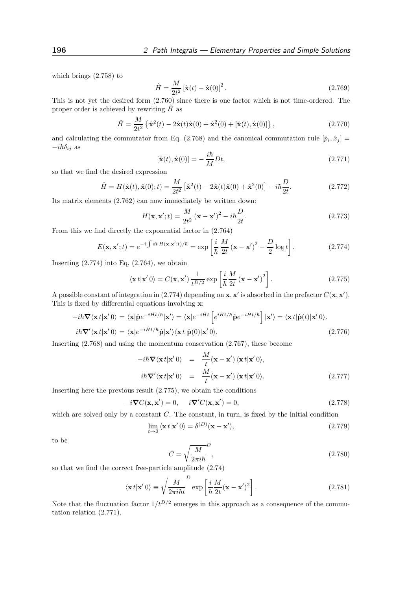which brings (2.758) to

$$
\hat{H} = \frac{M}{2t^2} \left[ \hat{\mathbf{x}}(t) - \hat{\mathbf{x}}(0) \right]^2.
$$
\n(2.769)

This is not yet the desired form (2.760) since there is one factor which is not time-ordered. The proper order is achieved by rewriting  $\hat{H}$  as

$$
\hat{H} = \frac{M}{2t^2} \left\{ \hat{\mathbf{x}}^2(t) - 2\hat{\mathbf{x}}(t)\hat{\mathbf{x}}(0) + \hat{\mathbf{x}}^2(0) + [\hat{\mathbf{x}}(t), \hat{\mathbf{x}}(0)] \right\},\tag{2.770}
$$

and calculating the commutator from Eq. (2.768) and the canonical commutation rule  $[\hat{p}_i, \hat{x}_j] =$  $-i\hbar\delta_{ij}$  as

$$
[\hat{\mathbf{x}}(t), \hat{\mathbf{x}}(0)] = -\frac{i\hbar}{M}Dt,\tag{2.771}
$$

so that we find the desired expression

$$
\hat{H} = H(\hat{\mathbf{x}}(t), \hat{\mathbf{x}}(0); t) = \frac{M}{2t^2} \left[ \hat{\mathbf{x}}^2(t) - 2\hat{\mathbf{x}}(t)\hat{\mathbf{x}}(0) + \hat{\mathbf{x}}^2(0) \right] - i\hbar \frac{D}{2t}.
$$
\n(2.772)

Its matrix elements (2.762) can now immediately be written down:

$$
H(\mathbf{x}, \mathbf{x}'; t) = \frac{M}{2t^2} (\mathbf{x} - \mathbf{x}')^2 - i\hbar \frac{D}{2t}.
$$
 (2.773)

From this we find directly the exponential factor in (2.764)

$$
E(\mathbf{x}, \mathbf{x}'; t) = e^{-i \int dt \, H(\mathbf{x}, \mathbf{x}'; t)/\hbar} = \exp\left[\frac{i}{\hbar} \frac{M}{2t} (\mathbf{x} - \mathbf{x}')^2 - \frac{D}{2} \log t\right].
$$
 (2.774)

Inserting  $(2.774)$  into Eq.  $(2.764)$ , we obtain

$$
\langle \mathbf{x} t | \mathbf{x}' 0 \rangle = C(\mathbf{x}, \mathbf{x}') \frac{1}{t^{D/2}} \exp\left[\frac{i}{\hbar} \frac{M}{2t} (\mathbf{x} - \mathbf{x}')^2\right].
$$
 (2.775)

A possible constant of integration in (2.774) depending on  $x, x'$  is absorbed in the prefactor  $C(x, x')$ . This is fixed by differential equations involving x:

$$
-i\hbar \nabla \langle \mathbf{x} t | \mathbf{x}' 0 \rangle = \langle \mathbf{x} | \hat{\mathbf{p}} e^{-i\hat{H}t/\hbar} | \mathbf{x}' \rangle = \langle \mathbf{x} | e^{-i\hat{H}t} \left[ e^{i\hat{H}t/\hbar} \hat{\mathbf{p}} e^{-i\hat{H}t/\hbar} \right] | \mathbf{x}' \rangle = \langle \mathbf{x} t | \hat{\mathbf{p}}(t) | \mathbf{x}' 0 \rangle.
$$
  
\n
$$
i\hbar \nabla' \langle \mathbf{x} t | \mathbf{x}' 0 \rangle = \langle \mathbf{x} | e^{-i\hat{H}t/\hbar} \hat{\mathbf{p}} | \mathbf{x}' \rangle \langle \mathbf{x} t | \hat{\mathbf{p}}(0) | \mathbf{x}' 0 \rangle.
$$
\n(2.776)

Inserting (2.768) and using the momentum conservation (2.767), these become

$$
-i\hbar \nabla \langle \mathbf{x} t | \mathbf{x}' 0 \rangle = \frac{M}{t} (\mathbf{x} - \mathbf{x}') \langle \mathbf{x} t | \mathbf{x}' 0 \rangle,
$$
  

$$
i\hbar \nabla' \langle \mathbf{x} t | \mathbf{x}' 0 \rangle = \frac{M}{t} (\mathbf{x} - \mathbf{x}') \langle \mathbf{x} t | \mathbf{x}' 0 \rangle.
$$
 (2.777)

Inserting here the previous result (2.775), we obtain the conditions

$$
-i\nabla C(\mathbf{x}, \mathbf{x}') = 0, \quad i\nabla C(\mathbf{x}, \mathbf{x}') = 0,
$$
\n(2.778)

which are solved only by a constant  $C$ . The constant, in turn, is fixed by the initial condition

$$
\lim_{t \to 0} \langle \mathbf{x} t | \mathbf{x}' 0 \rangle = \delta^{(D)}(\mathbf{x} - \mathbf{x}'),\tag{2.779}
$$

to be

$$
C = \sqrt{\frac{M}{2\pi i\hbar}}^{D},\tag{2.780}
$$

so that we find the correct free-particle amplitude (2.74)

$$
\langle \mathbf{x} t | \mathbf{x}' 0 \rangle \equiv \sqrt{\frac{M}{2\pi i \hbar t}}^D \exp\left[\frac{i}{\hbar} \frac{M}{2t} (\mathbf{x} - \mathbf{x}')^2\right].
$$
 (2.781)

Note that the fluctuation factor  $1/t^{D/2}$  emerges in this approach as a consequence of the commutation relation (2.771).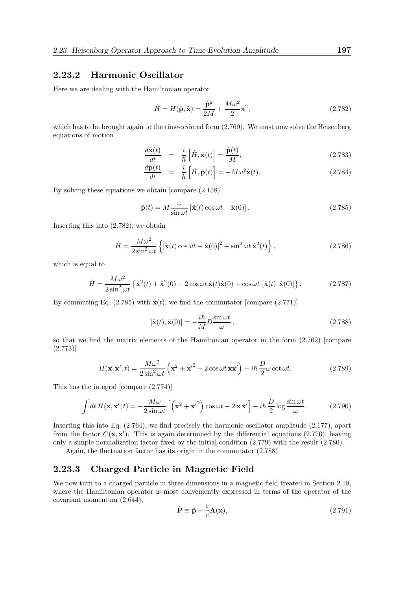#### 2.23.2 Harmonic Oscillator

Here we are dealing with the Hamiltonian operator

$$
\hat{H} = H(\hat{\mathbf{p}}, \hat{\mathbf{x}}) = \frac{\hat{\mathbf{p}}^2}{2M} + \frac{M\omega^2}{2}\mathbf{x}^2,
$$
\n(2.782)

which has to be brought again to the time-ordered form  $(2.760)$ . We must now solve the Heisenberg equations of motion

$$
\frac{d\hat{\mathbf{x}}(t)}{dt} = \frac{i}{\hbar} \left[ \hat{H}, \hat{\mathbf{x}}(t) \right] = \frac{\hat{\mathbf{p}}(t)}{M},\tag{2.783}
$$

$$
\frac{d\hat{\mathbf{p}}(t)}{dt} = \frac{i}{\hbar} \left[ \hat{H}, \hat{\mathbf{p}}(t) \right] = -M\omega^2 \hat{\mathbf{x}}(t). \tag{2.784}
$$

By solving these equations we obtain [compare (2.158)]

$$
\hat{\mathbf{p}}(t) = M \frac{\omega}{\sin \omega t} \left[ \hat{\mathbf{x}}(t) \cos \omega t - \hat{\mathbf{x}}(0) \right].
$$
\n(2.785)

Inserting this into (2.782), we obtain

$$
\hat{H} = \frac{M\omega^2}{2\sin^2\omega t} \left\{ \left[ \hat{\mathbf{x}}(t) \cos\omega t - \hat{\mathbf{x}}(0) \right]^2 + \sin^2\omega t \,\hat{\mathbf{x}}^2(t) \right\},\tag{2.786}
$$

which is equal to

$$
\hat{H} = \frac{M\omega^2}{2\sin^2\omega t} \left\{ \hat{\mathbf{x}}^2(t) + \hat{\mathbf{x}}^2(0) - 2\cos\omega t \, \hat{\mathbf{x}}(t)\hat{\mathbf{x}}(0) + \cos\omega t \, \left[ \hat{\mathbf{x}}(t), \hat{\mathbf{x}}(0) \right] \right\}.
$$
 (2.787)

By commuting Eq. (2.785) with  $\hat{\mathbf{x}}(t)$ , we find the commutator [compare (2.771)]

$$
[\hat{\mathbf{x}}(t), \hat{\mathbf{x}}(0)] = -\frac{i\hbar}{M}D\frac{\sin\omega t}{\omega},
$$
\n(2.788)

so that we find the matrix elements of the Hamiltonian operator in the form (2.762) [compare (2.773)]

$$
H(\mathbf{x}, \mathbf{x}'; t) = \frac{M\omega^2}{2\sin^2 \omega t} \left(\mathbf{x}^2 + \mathbf{x}'^2 - 2\cos \omega t \mathbf{x}\mathbf{x}'\right) - i\hbar \frac{D}{2}\omega \cot \omega t.
$$
 (2.789)

This has the integral [compare (2.774)]

$$
\int dt \, H(\mathbf{x}, \mathbf{x}'; t) = -\frac{M\omega}{2\sin\omega t} \left[ \left( \mathbf{x}^2 + \mathbf{x}'^2 \right) \cos\omega t - 2\mathbf{x}\mathbf{x}' \right] - i\hbar \frac{D}{2} \log\frac{\sin\omega t}{\omega}.
$$
 (2.790)

Inserting this into Eq. (2.764), we find precisely the harmonic oscillator amplitude (2.177), apart from the factor  $C(\mathbf{x}, \mathbf{x}')$ . This is again determined by the differential equations (2.776), leaving only a simple normalization factor fixed by the initial condition (2.779) with the result (2.780).

Again, the fluctuation factor has its origin in the commutator (2.788).

#### 2.23.3 Charged Particle in Magnetic Field

We now turn to a charged particle in three dimensions in a magnetic field treated in Section 2.18, where the Hamiltonian operator is most conveniently expressed in terms of the operator of the covariant momentum (2.644),

$$
\hat{\mathbf{P}} \equiv \hat{\mathbf{p}} - \frac{e}{c} \mathbf{A}(\hat{\mathbf{x}}),\tag{2.791}
$$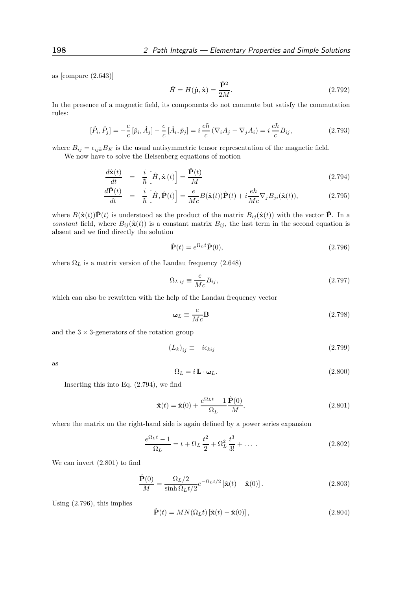as [compare (2.643)]

$$
\hat{H} = H(\hat{\mathbf{p}}, \hat{\mathbf{x}}) = \frac{\hat{\mathbf{P}}^2}{2M}.
$$
\n(2.792)

In the presence of a magnetic field, its components do not commute but satisfy the commutation rules:

$$
[\hat{P}_i, \hat{P}_j] = -\frac{e}{c} [\hat{p}_i, \hat{A}_j] - \frac{e}{c} [\hat{A}_i, \hat{p}_j] = i \frac{e\hbar}{c} (\nabla_i A_j - \nabla_j A_i) = i \frac{e\hbar}{c} B_{ij},
$$
\n(2.793)

where  $B_{ij} = \epsilon_{ijk}B_K$  is the usual antisymmetric tensor representation of the magnetic field. We now have to solve the Heisenberg equations of motion

$$
\frac{d\hat{\mathbf{x}}(t)}{dt} = \frac{i}{\hbar} \left[ \hat{H}, \hat{\mathbf{x}}(t) \right] = \frac{\hat{\mathbf{P}}(t)}{M}
$$
\n(2.794)

$$
\frac{d\hat{\mathbf{P}}(t)}{dt} = \frac{i}{\hbar} \left[ \hat{H}, \hat{\mathbf{P}}(t) \right] = \frac{e}{Mc} B(\hat{\mathbf{x}}(t)) \hat{\mathbf{P}}(t) + i \frac{e\hbar}{Mc} \nabla_j B_{ji}(\hat{\mathbf{x}}(t)),
$$
\n(2.795)

where  $B(\hat{\mathbf{x}}(t))\hat{\mathbf{P}}(t)$  is understood as the product of the matrix  $B_{ij}(\hat{\mathbf{x}}(t))$  with the vector  $\hat{\mathbf{P}}$ . In a constant field, where  $B_{ij}(\hat{\mathbf{x}}(t))$  is a constant matrix  $B_{ij}$ , the last term in the second equation is absent and we find directly the solution

$$
\hat{\mathbf{P}}(t) = e^{\Omega_L t} \hat{\mathbf{P}}(0),\tag{2.796}
$$

where  $\Omega_L$  is a matrix version of the Landau frequency (2.648)

$$
\Omega_{L\,ij} \equiv \frac{e}{Mc} B_{ij},\tag{2.797}
$$

which can also be rewritten with the help of the Landau frequency vector

$$
\omega_L \equiv \frac{e}{Mc} \mathbf{B} \tag{2.798}
$$

and the  $3 \times 3$ -generators of the rotation group

$$
(L_k)_{ij} \equiv -i\epsilon_{kij} \tag{2.799}
$$

as

$$
\Omega_L = i \mathbf{L} \cdot \mathbf{\omega}_L. \tag{2.800}
$$

Inserting this into Eq. (2.794), we find

$$
\hat{\mathbf{x}}(t) = \hat{\mathbf{x}}(0) + \frac{e^{\Omega_L t} - 1}{\Omega_L} \frac{\hat{\mathbf{P}}(0)}{M},
$$
\n(2.801)

where the matrix on the right-hand side is again defined by a power series expansion

$$
\frac{e^{\Omega_L t} - 1}{\Omega_L} = t + \Omega_L \frac{t^2}{2} + \Omega_L^2 \frac{t^3}{3!} + \dots
$$
 (2.802)

We can invert (2.801) to find

$$
\frac{\hat{\mathbf{P}}(0)}{M} = \frac{\Omega_L/2}{\sinh \Omega_L t/2} e^{-\Omega_L t/2} \left[ \hat{\mathbf{x}}(t) - \hat{\mathbf{x}}(0) \right].
$$
\n(2.803)

Using (2.796), this implies

$$
\hat{\mathbf{P}}(t) = MN(\Omega_L t) [\hat{\mathbf{x}}(t) - \hat{\mathbf{x}}(0)],
$$
\n(2.804)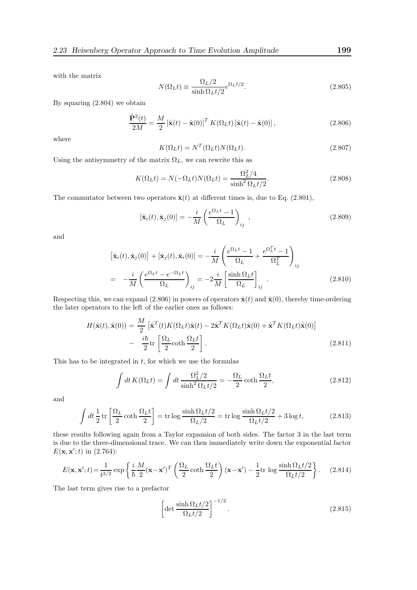with the matrix

$$
N(\Omega_L t) \equiv \frac{\Omega_L/2}{\sinh \Omega_L t/2} e^{\Omega_L t/2}.
$$
\n(2.805)

By squaring (2.804) we obtain

$$
\frac{\hat{\mathbf{P}}^2(t)}{2M} = \frac{M}{2} \left[ \hat{\mathbf{x}}(t) - \hat{\mathbf{x}}(0) \right]^T K(\Omega_L t) \left[ \hat{\mathbf{x}}(t) - \hat{\mathbf{x}}(0) \right],\tag{2.806}
$$

where

$$
K(\Omega_L t) = N^T(\Omega_L t) N(\Omega_L t). \qquad (2.807)
$$

Using the antisymmetry of the matrix  $\Omega_L$ , we can rewrite this as

$$
K(\Omega_L t) = N(-\Omega_L t)N(\Omega_L t) = \frac{\Omega_L^2/4}{\sinh^2 \Omega_L t/2}.
$$
\n(2.808)

The commutator between two operators  $\hat{\mathbf{x}}(t)$  at different times is, due to Eq. (2.801),

$$
[\hat{\mathbf{x}}_i(t), \hat{\mathbf{x}}_j(0)] = -\frac{i}{M} \left( \frac{e^{\Omega_L t} - 1}{\Omega_L} \right)_{ij} , \qquad (2.809)
$$

and

$$
\begin{aligned}\n\left[\hat{\mathbf{x}}_i(t), \hat{\mathbf{x}}_j(0)\right] + \left[\hat{\mathbf{x}}_j(t), \hat{\mathbf{x}}_i(0)\right] &= -\frac{i}{M} \left(\frac{e^{\Omega_L t} - 1}{\Omega_L} + \frac{e^{\Omega_L^T t} - 1}{\Omega_L^T}\right)_{ij} \\
&= -\frac{i}{M} \left(\frac{e^{\Omega_L t} - e^{-\Omega_L t}}{\Omega_L}\right)_{ij} = -2\frac{i}{M} \left[\frac{\sinh \Omega_L t}{\Omega_L}\right]_{ij} .\n\end{aligned} \tag{2.810}
$$

Respecting this, we can expand (2.806) in powers of operators  $\hat{\mathbf{x}}(t)$  and  $\hat{\mathbf{x}}(0)$ , thereby time-ordering the later operators to the left of the earlier ones as follows:

$$
H(\hat{\mathbf{x}}(t), \hat{\mathbf{x}}(0)) = \frac{M}{2} \left[ \hat{\mathbf{x}}^T(t) K(\Omega_L t) \hat{\mathbf{x}}(t) - 2 \hat{\mathbf{x}}^T K(\Omega_L t) \hat{\mathbf{x}}(0) + \hat{\mathbf{x}}^T K(\Omega_L t) \hat{\mathbf{x}}(0) \right]
$$

$$
- \frac{i\hbar}{2} \text{tr} \left[ \frac{\Omega_L}{2} \coth \frac{\Omega_L t}{2} \right].
$$
(2.811)

This has to be integrated in  $t$ , for which we use the formulas

$$
\int dt K(\Omega_L t) = \int dt \frac{\Omega_L^2/2}{\sinh^2 \Omega_L t/2} = -\frac{\Omega_L}{2} \coth \frac{\Omega_L t}{2},\tag{2.812}
$$

and

$$
\int dt \frac{1}{2} \operatorname{tr} \left[ \frac{\Omega_L}{2} \coth \frac{\Omega_L t}{2} \right] = \operatorname{tr} \log \frac{\sinh \Omega_L t/2}{\Omega_L/2} = \operatorname{tr} \log \frac{\sinh \Omega_L t/2}{\Omega_L t/2} + 3 \log t, \tag{2.813}
$$

these results following again from a Taylor expansion of both sides. The factor 3 in the last term is due to the three-dimensional trace. We can then immediately write down the exponential factor  $E(\mathbf{x}, \mathbf{x}'; t)$  in (2.764):

$$
E(\mathbf{x}, \mathbf{x}'; t) = \frac{1}{t^{3/2}} \exp\left\{ \frac{i}{\hbar} \frac{M}{2} (\mathbf{x} - \mathbf{x}')^T \left( \frac{\Omega_L}{2} \coth \frac{\Omega_L t}{2} \right) (\mathbf{x} - \mathbf{x}') - \frac{1}{2} \text{tr} \log \frac{\sinh \Omega_L t/2}{\Omega_L t/2} \right\}.
$$
 (2.814)

The last term gives rise to a prefactor

$$
\left[\det \frac{\sinh \Omega_L t/2}{\Omega_L t/2}\right]^{-1/2}.\tag{2.815}
$$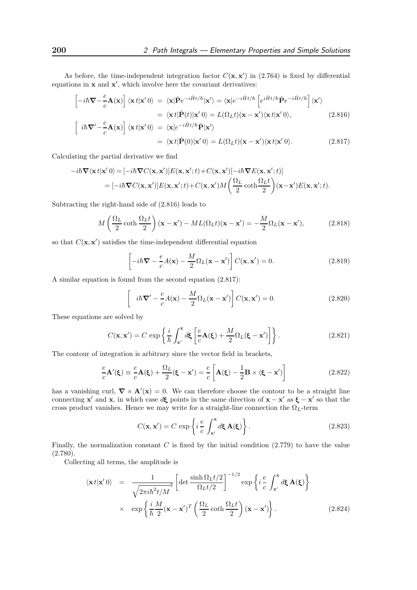As before, the time-independent integration factor  $C(\mathbf{x}, \mathbf{x}')$  in (2.764) is fixed by differential equations in  $x$  and  $x'$ , which involve here the covariant derivatives:

$$
\begin{aligned}\n\left[-i\hbar \nabla -\frac{e}{c} \mathbf{A}(\mathbf{x})\right] \langle \mathbf{x} t | \mathbf{x}' 0 \rangle &= \langle \mathbf{x} | \hat{\mathbf{P}} e^{-i\hat{H}t/\hbar} | \mathbf{x}' \rangle = \langle \mathbf{x} | e^{-i\hat{H}t/\hbar} \left[e^{i\hat{H}t/\hbar} \hat{\mathbf{P}} e^{-i\hat{H}t/\hbar}\right] | \mathbf{x}' \rangle \\
&= \langle \mathbf{x} t | \hat{\mathbf{P}}(t) | \mathbf{x}' 0 \rangle = L(\Omega_L t) (\mathbf{x} - \mathbf{x}') \langle \mathbf{x} t | \mathbf{x}' 0 \rangle, \\
\left[i\hbar \nabla' - \frac{e}{c} \mathbf{A}(\mathbf{x})\right] \langle \mathbf{x} t | \mathbf{x}' 0 \rangle &= \langle \mathbf{x} | e^{-i\hat{H}t/\hbar} \hat{\mathbf{P}} | \mathbf{x}' \rangle \\
&= \langle \mathbf{x} t | \hat{\mathbf{P}}(0) | \mathbf{x}' 0 \rangle = L(\Omega_L t) (\mathbf{x} - \mathbf{x}') \langle \mathbf{x} t | \mathbf{x}' 0 \rangle.\n\end{aligned} \tag{2.817}
$$

Calculating the partial derivative we find

$$
-i\hbar \nabla \langle \mathbf{x} t | \mathbf{x}' 0 \rangle = [-i\hbar \nabla C(\mathbf{x}, \mathbf{x}')] E(\mathbf{x}, \mathbf{x}'; t) + C(\mathbf{x}, \mathbf{x}')[-i\hbar \nabla E(\mathbf{x}, \mathbf{x}'; t)]
$$
  
=  $[-i\hbar \nabla C(\mathbf{x}, \mathbf{x}')] E(\mathbf{x}, \mathbf{x}'; t) + C(\mathbf{x}, \mathbf{x}') M \left( \frac{\Omega_L}{2} \coth \frac{\Omega_L t}{2} \right) (\mathbf{x} - \mathbf{x}') E(\mathbf{x}, \mathbf{x}'; t).$ 

Subtracting the right-hand side of (2.816) leads to

$$
M\left(\frac{\Omega_L}{2}\coth\frac{\Omega_L t}{2}\right)(\mathbf{x} - \mathbf{x}') - ML(\Omega_L t)(\mathbf{x} - \mathbf{x}') = -\frac{M}{2}\Omega_L(\mathbf{x} - \mathbf{x}'),\tag{2.818}
$$

so that  $C(\mathbf{x}, \mathbf{x}')$  satisfies the time-independent differential equation

$$
\left[-i\hbar\mathbf{\nabla} - \frac{e}{c}A(\mathbf{x}) - \frac{M}{2}\Omega_L(\mathbf{x} - \mathbf{x}')\right]C(\mathbf{x}, \mathbf{x}') = 0.
$$
 (2.819)

A similar equation is found from the second equation (2.817):

$$
\left[i\hbar\mathbf{\nabla}' - \frac{e}{c}A(\mathbf{x}) - \frac{M}{2}\Omega_L(\mathbf{x} - \mathbf{x}')\right]C(\mathbf{x}, \mathbf{x}') = 0.
$$
 (2.820)

These equations are solved by

$$
C(\mathbf{x}, \mathbf{x}') = C \exp\left\{ \frac{i}{\hbar} \int_{\mathbf{x}'}^{\mathbf{x}} d\xi \left[ \frac{e}{c} \mathbf{A}(\xi) + \frac{M}{2} \Omega_L(\xi - \mathbf{x}') \right] \right\}.
$$
 (2.821)

The contour of integration is arbitrary since the vector field in brackets,

$$
\frac{e}{c}\mathbf{A}'(\xi) \equiv \frac{e}{c}\mathbf{A}(\xi) + \frac{\Omega_L}{2}(\xi - \mathbf{x}') = \frac{e}{c}\left[\mathbf{A}(\xi) - \frac{1}{2}\mathbf{B} \times (\xi - \mathbf{x}')\right]
$$
(2.822)

has a vanishing curl,  $\nabla \times \mathbf{A}'(\mathbf{x}) = 0$ . We can therefore choose the contour to be a straight line connecting **x'** and **x**, in which case  $d\xi$  points in the same direction of **x** − **x'** as  $\xi$  − **x'** so that the cross product vanishes. Hence we may write for a straight-line connection the  $\Omega_L$ -term

$$
C(\mathbf{x}, \mathbf{x}') = C \exp\left\{i\frac{e}{c} \int_{\mathbf{x}'}^{\mathbf{x}} d\xi \mathbf{A}(\xi)\right\}.
$$
 (2.823)

Finally, the normalization constant  $C$  is fixed by the initial condition  $(2.779)$  to have the value  $(2.780).$ 

Collecting all terms, the amplitude is

$$
\langle \mathbf{x} t | \mathbf{x}' 0 \rangle = \frac{1}{\sqrt{2\pi i \hbar^2 t/M^3}} \left[ \det \frac{\sinh \Omega_L t/2}{\Omega_L t/2} \right]^{-1/2} \exp \left\{ i \frac{e}{c} \int_{\mathbf{x}'}^{\mathbf{x}} d\mathbf{\xi} \mathbf{A}(\mathbf{\xi}) \right\}
$$

$$
\times \exp \left\{ \frac{i}{\hbar} \frac{M}{2} (\mathbf{x} - \mathbf{x}')^T \left( \frac{\Omega_L}{2} \coth \frac{\Omega_L t}{2} \right) (\mathbf{x} - \mathbf{x}') \right\}. \tag{2.824}
$$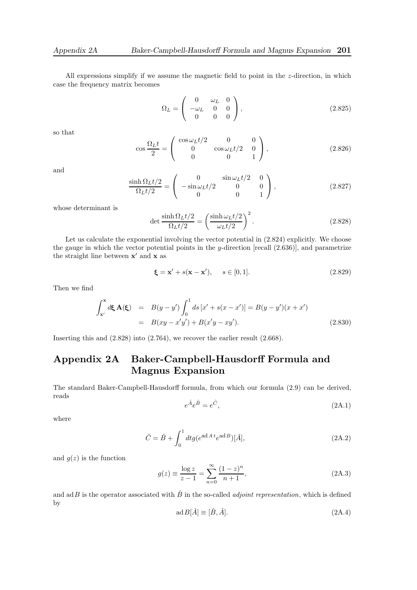All expressions simplify if we assume the magnetic field to point in the  $z$ -direction, in which case the frequency matrix becomes

$$
\Omega_L = \begin{pmatrix} 0 & \omega_L & 0 \\ -\omega_L & 0 & 0 \\ 0 & 0 & 0 \end{pmatrix},
$$
\n(2.825)

so that

$$
\cos\frac{\Omega_L t}{2} = \begin{pmatrix} \cos\omega_L t/2 & 0 & 0\\ 0 & \cos\omega_L t/2 & 0\\ 0 & 0 & 1 \end{pmatrix},
$$
\n(2.826)

and

$$
\frac{\sinh \Omega_L t/2}{\Omega_L t/2} = \begin{pmatrix} 0 & \sin \omega_L t/2 & 0 \\ -\sin \omega_L t/2 & 0 & 0 \\ 0 & 0 & 1 \end{pmatrix},
$$
(2.827)

whose determinant is

$$
\det \frac{\sinh \Omega_L t/2}{\Omega_L t/2} = \left(\frac{\sinh \omega_L t/2}{\omega_L t/2}\right)^2.
$$
 (2.828)

Let us calculate the exponential involving the vector potential in  $(2.824)$  explicitly. We choose the gauge in which the vector potential points in the y-direction [recall (2.636)], and parametrize the straight line between  $x'$  and  $x$  as

$$
\boldsymbol{\xi} = \mathbf{x}' + s(\mathbf{x} - \mathbf{x}'), \quad s \in [0, 1]. \tag{2.829}
$$

Then we find

$$
\int_{x'}^{x} d\xi \mathbf{A}(\xi) = B(y - y') \int_{0}^{1} ds [x' + s(x - x')] = B(y - y')(x + x')
$$
  
=  $B(xy - x'y') + B(x'y - xy').$  (2.830)

Inserting this and (2.828) into (2.764), we recover the earlier result (2.668).

## Appendix 2A Baker-Campbell-Hausdorff Formula and Magnus Expansion

The standard Baker-Campbell-Hausdorff formula, from which our formula (2.9) can be derived, reads

$$
e^{\hat{A}}e^{\hat{B}} = e^{\hat{C}},\tag{2A.1}
$$

where

$$
\hat{C} = \hat{B} + \int_0^1 dt g(e^{\text{ad}A \cdot t} e^{\text{ad}B})[\hat{A}], \tag{2A.2}
$$

and  $g(z)$  is the function

$$
g(z) \equiv \frac{\log z}{z - 1} = \sum_{n=0}^{\infty} \frac{(1 - z)^n}{n + 1},
$$
\n(2A.3)

and adB is the operator associated with  $\hat{B}$  in the so-called *adjoint representation*, which is defined by

$$
ad B[\hat{A}] \equiv [\hat{B}, \hat{A}]. \tag{2A.4}
$$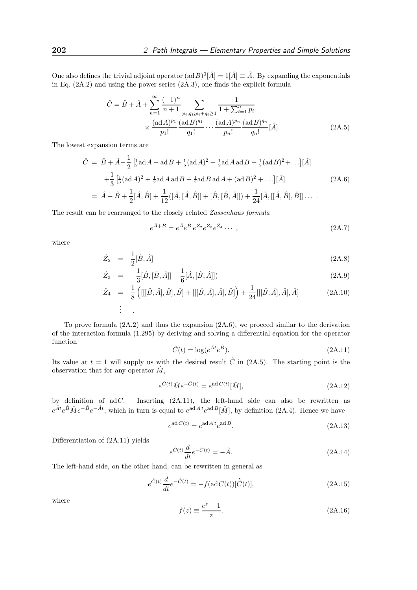One also defines the trivial adjoint operator  $(\text{ad }B)^0[\hat{A}] = 1[\hat{A}] \equiv \hat{A}$ . By expanding the exponentials in Eq. (2A.2) and using the power series (2A.3), one finds the explicit formula

$$
\hat{C} = \hat{B} + \hat{A} + \sum_{n=1}^{\infty} \frac{(-1)^n}{n+1} \sum_{p_i, q_i; p_i + q_i \ge 1} \frac{1}{1 + \sum_{i=1}^n p_i} \times \frac{(\text{ad }A)^{p_1} (\text{ad }B)^{q_1}}{p_1!} \cdots \frac{(\text{ad }A)^{p_n} (\text{ad }B)^{q_n}}{p_n!} [\hat{A}].
$$
\n(2A.5)

The lowest expansion terms are

$$
\hat{C} = \hat{B} + \hat{A} - \frac{1}{2} \left[ \frac{1}{2} \text{ad} A + \text{ad} B + \frac{1}{6} (\text{ad} A)^2 + \frac{1}{2} \text{ad} A \text{ad} B + \frac{1}{2} (\text{ad} B)^2 + \ldots \right] [\hat{A}] \n+ \frac{1}{3} \left[ \frac{1}{3} (\text{ad} A)^2 + \frac{1}{2} \text{ad} A \text{ad} B + \frac{1}{2} \text{ad} B \text{ad} A + (\text{ad} B)^2 + \ldots \right] [\hat{A}]
$$
\n
$$
= \hat{A} + \hat{B} + \frac{1}{2} [\hat{A}, \hat{B}] + \frac{1}{12} ([\hat{A}, [\hat{A}, \hat{B}]] + [\hat{B}, [\hat{B}, \hat{A}]]) + \frac{1}{24} [\hat{A}, [[\hat{A}, \hat{B}], \hat{B}]] \ldots
$$
\n(2A.6)

The result can be rearranged to the closely related Zassenhaus formula

$$
e^{\hat{A}+\hat{B}} = e^{\hat{A}}e^{\hat{B}}e^{\hat{Z}_2}e^{\hat{Z}_3}e^{\hat{Z}_4}\cdots,
$$
\n(2A.7)

where

$$
\hat{Z}_2 = \frac{1}{2} [\hat{B}, \hat{A}] \tag{2A.8}
$$

$$
\hat{Z}_3 = -\frac{1}{3} [\hat{B}, [\hat{B}, \hat{A}]] - \frac{1}{6} [\hat{A}, [\hat{B}, \hat{A}]]
$$
\n(2A.9)

$$
\hat{Z}_4 = \frac{1}{8} \left( [[[\hat{B}, \hat{A}], \hat{B}], \hat{B}] + [[[\hat{B}, \hat{A}], \hat{A}], \hat{B}] \right) + \frac{1}{24} [[[\hat{B}, \hat{A}], \hat{A}], \hat{A}]
$$
\n(2A.10)\n
$$
\vdots
$$

To prove formula (2A.2) and thus the expansion (2A.6), we proceed similar to the derivation of the interaction formula (1.295) by deriving and solving a differential equation for the operator function

$$
\hat{C}(t) = \log(e^{\hat{A}t}e^{\hat{B}}). \tag{2A.11}
$$

Its value at  $t = 1$  will supply us with the desired result  $\hat{C}$  in (2A.5). The starting point is the observation that for any operator  $\hat{M}$ ,

$$
e^{\hat{C}(t)}\hat{M}e^{-\hat{C}(t)} = e^{\operatorname{ad}C(t)}[\hat{M}],\tag{2A.12}
$$

by definition of  $adC$ . Inserting  $(2A.11)$ , the left-hand side can also be rewritten as  $e^{\hat{A}t}e^{\hat{B}}\hat{M}e^{-\hat{B}}e^{-\hat{A}t}$ , which in turn is equal to  $e^{adA}e^{adB}[\hat{M}]$ , by definition (2A.4). Hence we have

$$
e^{\operatorname{ad}C(t)} = e^{\operatorname{ad}At}e^{\operatorname{ad}B}.
$$
\n(2A.13)

Differentiation of (2A.11) yields

$$
e^{\hat{C}(t)}\frac{d}{dt}e^{-\hat{C}(t)} = -\hat{A}.
$$
 (2A.14)

The left-hand side, on the other hand, can be rewritten in general as

$$
e^{\hat{C}(t)}\frac{d}{dt}e^{-\hat{C}(t)} = -f(\text{ad}C(t))[\dot{\hat{C}}(t)],
$$
\n(2A.15)

where

$$
f(z) \equiv \frac{e^z - 1}{z}.
$$
\n(2A.16)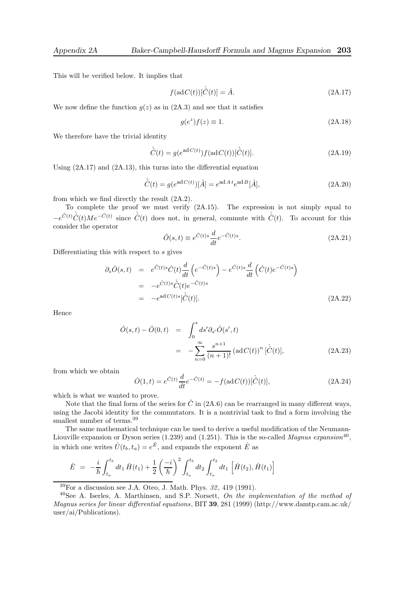This will be verified below. It implies that

$$
f(\operatorname{ad}C(t))[\dot{\hat{C}}(t)] = \hat{A}.
$$
\n(2A.17)

We now define the function  $g(z)$  as in  $(2A.3)$  and see that it satisfies

$$
g(e^z)f(z) \equiv 1. \tag{2A.18}
$$

We therefore have the trivial identity

$$
\dot{\hat{C}}(t) = g(e^{\mathrm{ad}\,C(t)})f(\mathrm{ad}\,C(t))[\dot{\hat{C}}(t)].\tag{2A.19}
$$

Using (2A.17) and (2A.13), this turns into the differential equation

$$
\dot{\hat{C}}(t) = g(e^{\mathrm{ad}\,C(t)})[\hat{A}] = e^{\mathrm{ad}\,A\,t}e^{\mathrm{ad}\,B}[\hat{A}],\tag{2A.20}
$$

from which we find directly the result (2A.2).

To complete the proof we must verify (2A.15). The expression is not simply equal to  $-e^{\hat{C}(t)}\hat{C}(t)Me^{-\hat{C}(t)}$  since  $\hat{C}(t)$  does not, in general, commute with  $\hat{C}(t)$ . To account for this consider the operator

$$
\hat{O}(s,t) \equiv e^{\hat{C}(t)s} \frac{d}{dt} e^{-\hat{C}(t)s}.
$$
\n(2A.21)

Differentiating this with respect to s gives

$$
\partial_s \hat{O}(s,t) = e^{\hat{C}(t)s} \hat{C}(t) \frac{d}{dt} \left( e^{-\hat{C}(t)s} \right) - e^{\hat{C}(t)s} \frac{d}{dt} \left( \hat{C}(t) e^{-\hat{C}(t)s} \right)
$$
  
\n
$$
= -e^{\hat{C}(t)s} \hat{C}(t) e^{-\hat{C}(t)s}
$$
  
\n
$$
= -e^{\operatorname{ad}C(t)s} [\hat{C}(t)]. \tag{2A.22}
$$

Hence

$$
\hat{O}(s,t) - \hat{O}(0,t) = \int_0^s ds' \partial_{s'} \hat{O}(s',t) \n= -\sum_{n=0}^\infty \frac{s^{n+1}}{(n+1)!} (\mathrm{ad}C(t))^n [\dot{C}(t)],
$$
\n(2A.23)

from which we obtain

$$
\hat{O}(1,t) = e^{\hat{C}(t)} \frac{d}{dt} e^{-\hat{C}(t)} = -f(\text{ad}\,C(t))[\dot{\hat{C}}(t)],\tag{2A.24}
$$

which is what we wanted to prove.

Note that the final form of the series for  $\hat{C}$  in (2A.6) can be rearranged in many different ways, using the Jacobi identity for the commutators. It is a nontrivial task to find a form involving the smallest number of terms.<sup>39</sup>

The same mathematical technique can be used to derive a useful modification of the Neumann-Liouville expansion or Dyson series (1.239) and (1.251). This is the so-called *Magnus expansion*<sup>40</sup>, in which one writes  $\hat{U}(t_b, t_a) = e^{\hat{E}}$ , and expands the exponent  $\hat{E}$  as

$$
\hat{E} = -\frac{i}{\hbar} \int_{t_a}^{t_b} dt_1 \hat{H}(t_1) + \frac{1}{2} \left(\frac{-i}{\hbar}\right)^2 \int_{t_a}^{t_b} dt_2 \int_{t_a}^{t_2} dt_1 \left[\hat{H}(t_2), \hat{H}(t_1)\right]
$$

 $39$ For a discussion see J.A. Oteo, J. Math. Phys.  $32, 419$  (1991).

 $40$ See A. Iserles, A. Marthinsen, and S.P. Norsett, On the implementation of the method of Magnus series for linear differential equations, BIT 39, 281 (1999) (http://www.damtp.cam.ac.uk/ user/ai/Publications).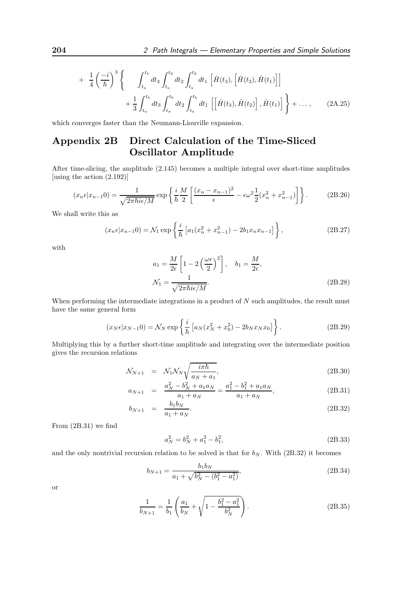$$
+\frac{1}{4}\left(\frac{-i}{\hbar}\right)^{3}\left\{\int_{t_{a}}^{t_{b}}dt_{3}\int_{t_{a}}^{t_{3}}dt_{2}\int_{t_{a}}^{t_{2}}dt_{1}\left[\hat{H}(t_{3}),\left[\hat{H}(t_{2}),\hat{H}(t_{1})\right]\right] +\frac{1}{3}\int_{t_{a}}^{t_{b}}dt_{3}\int_{t_{a}}^{t_{b}}dt_{2}\int_{t_{a}}^{t_{b}}dt_{1}\left[\left[\hat{H}(t_{3}),\hat{H}(t_{2})\right],\hat{H}(t_{1})\right]\right\} + \dots, \qquad (2A.25)
$$

which converges faster than the Neumann-Liouville expansion.

## Appendix 2B Direct Calculation of the Time-Sliced Oscillator Amplitude

After time-slicing, the amplitude (2.145) becomes a multiple integral over short-time amplitudes [using the action (2.192)]

$$
(x_n \epsilon | x_{n-1} 0) = \frac{1}{\sqrt{2\pi \hbar i \epsilon / M}} \exp\left\{ \frac{i}{\hbar} \frac{M}{2} \left[ \frac{(x_n - x_{n-1})^2}{\epsilon} - \epsilon \omega^2 \frac{1}{2} (x_n^2 + x_{n-1}^2) \right] \right\}.
$$
 (2B.26)

We shall write this as

$$
(x_n \epsilon | x_{n-1} 0) = \mathcal{N}_1 \exp\left\{ \frac{i}{\hbar} \left[ a_1 (x_n^2 + x_{n-1}^2) - 2b_1 x_n x_{n-1} \right] \right\},\tag{2B.27}
$$

with

$$
a_1 = \frac{M}{2\epsilon} \left[ 1 - 2 \left( \frac{\omega \epsilon}{2} \right)^2 \right], \quad b_1 = \frac{M}{2\epsilon},
$$
  

$$
\mathcal{N}_1 = \frac{1}{\sqrt{2\pi \hbar i \epsilon / M}}.
$$
(2B.28)

When performing the intermediate integrations in a product of  $N$  such amplitudes, the result must have the same general form

$$
(x_N \epsilon | x_{N-1} 0) = \mathcal{N}_N \exp \left\{ \frac{i}{\hbar} \left[ a_N (x_N^2 + x_0^2) - 2b_N x_N x_0 \right] \right\}.
$$
 (2B.29)

Multiplying this by a further short-time amplitude and integrating over the intermediate position gives the recursion relations

$$
\mathcal{N}_{N+1} = \mathcal{N}_1 \mathcal{N}_N \sqrt{\frac{i\pi\hbar}{a_N + a_1}},\tag{2B.30}
$$

$$
a_{N+1} = \frac{a_N^2 - b_N^2 + a_1 a_N}{a_1 + a_N} = \frac{a_1^2 - b_1^2 + a_1 a_N}{a_1 + a_N},
$$
\n(2B.31)

$$
b_{N+1} = \frac{b_1 b_N}{a_1 + a_N}.
$$
\n(2B.32)

From (2B.31) we find

$$
a_N^2 = b_N^2 + a_1^2 - b_1^2,\tag{2B.33}
$$

and the only nontrivial recursion relation to be solved is that for  $b_N$ . With (2B.32) it becomes

$$
b_{N+1} = \frac{b_1 b_N}{a_1 + \sqrt{b_N^2 - (b_1^2 - a_1^2)}},\tag{2B.34}
$$

or

$$
\frac{1}{b_{N+1}} = \frac{1}{b_1} \left( \frac{a_1}{b_N} + \sqrt{1 - \frac{b_1^2 - a_1^2}{b_N^2}} \right).
$$
 (2B.35)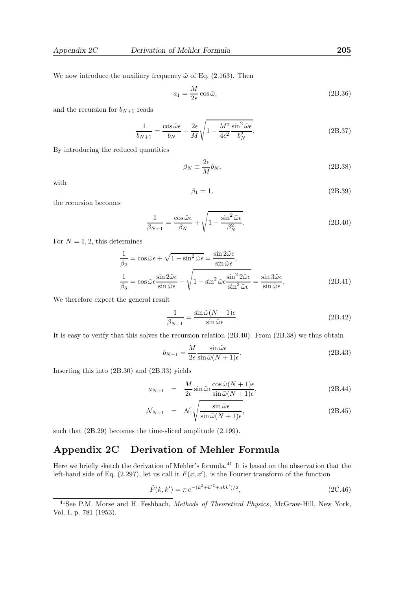We now introduce the auxiliary frequency  $\tilde{\omega}$  of Eq. (2.163). Then

$$
a_1 = \frac{M}{2\epsilon} \cos \tilde{\omega},\tag{2B.36}
$$

and the recursion for  $b_{N+1}$  reads

$$
\frac{1}{b_{N+1}} = \frac{\cos\tilde{\omega}\epsilon}{b_N} + \frac{2\epsilon}{M} \sqrt{1 - \frac{M^2}{4\epsilon^2} \frac{\sin^2\tilde{\omega}\epsilon}{b_N^2}}.
$$
\n(2B.37)

By introducing the reduced quantities

$$
\beta_N \equiv \frac{2\epsilon}{M} b_N,\tag{2B.38}
$$

with

$$
\beta_1 = 1,\tag{2B.39}
$$

the recursion becomes

$$
\frac{1}{\beta_{N+1}} = \frac{\cos \tilde{\omega} \epsilon}{\beta_N} + \sqrt{1 - \frac{\sin^2 \tilde{\omega} \epsilon}{\beta_N^2}}.
$$
\n(2B.40)

For  $N = 1, 2$ , this determines

$$
\frac{1}{\beta_2} = \cos \tilde{\omega} \epsilon + \sqrt{1 - \sin^2 \tilde{\omega} \epsilon} = \frac{\sin 2\tilde{\omega} \epsilon}{\sin \tilde{\omega} \epsilon},
$$
  

$$
\frac{1}{\beta_3} = \cos \tilde{\omega} \epsilon \frac{\sin 2\tilde{\omega} \epsilon}{\sin \tilde{\omega} \epsilon} + \sqrt{1 - \sin^2 \tilde{\omega} \epsilon \frac{\sin^2 2\tilde{\omega} \epsilon}{\sin^2 \tilde{\omega} \epsilon}} = \frac{\sin 3\tilde{\omega} \epsilon}{\sin \tilde{\omega} \epsilon}.
$$
(2B.41)

We therefore expect the general result

$$
\frac{1}{\beta_{N+1}} = \frac{\sin \tilde{\omega} (N+1)\epsilon}{\sin \tilde{\omega}\epsilon}.
$$
\n(2B.42)

It is easy to verify that this solves the recursion relation (2B.40). From (2B.38) we thus obtain

$$
b_{N+1} = \frac{M}{2\epsilon} \frac{\sin \tilde{\omega}\epsilon}{\sin \tilde{\omega}(N+1)\epsilon}.
$$
\n(2B.43)

Inserting this into (2B.30) and (2B.33) yields

$$
a_{N+1} = \frac{M}{2\epsilon} \sin \tilde{\omega} \epsilon \frac{\cos \tilde{\omega} (N+1)\epsilon}{\sin \tilde{\omega} (N+1)\epsilon},
$$
\n(2B.44)

$$
\mathcal{N}_{N+1} = \mathcal{N}_1 \sqrt{\frac{\sin \tilde{\omega} \epsilon}{\sin \tilde{\omega} (N+1) \epsilon}}, \tag{2B.45}
$$

such that (2B.29) becomes the time-sliced amplitude (2.199).

# Appendix 2C Derivation of Mehler Formula

Here we briefly sketch the derivation of Mehler's formula.<sup>41</sup> It is based on the observation that the left-hand side of Eq.  $(2.297)$ , let us call it  $F(x, x')$ , is the Fourier transform of the function

$$
\tilde{F}(k, k') = \pi e^{-(k^2 + k'^2 + akk')/2},\tag{2C.46}
$$

<sup>&</sup>lt;sup>41</sup>See P.M. Morse and H. Feshbach, *Methods of Theoretical Physics*, McGraw-Hill, New York, Vol. I, p. 781 (1953).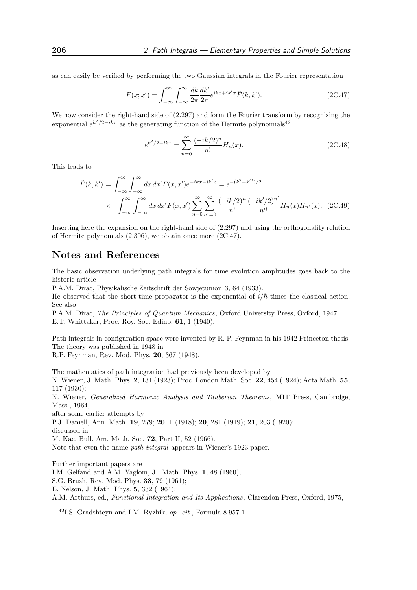as can easily be verified by performing the two Gaussian integrals in the Fourier representation

$$
F(x; x') = \int_{-\infty}^{\infty} \int_{-\infty}^{\infty} \frac{dk}{2\pi} \frac{dk'}{2\pi} e^{ikx + ik'x} \tilde{F}(k, k').
$$
 (2C.47)

We now consider the right-hand side of  $(2.297)$  and form the Fourier transform by recognizing the exponential  $e^{k^2/2-ikx}$  as the generating function of the Hermite polynomials<sup>42</sup>

$$
e^{k^2/2 - ikx} = \sum_{n=0}^{\infty} \frac{(-ik/2)^n}{n!} H_n(x).
$$
 (2C.48)

This leads to

$$
\tilde{F}(k,k') = \int_{-\infty}^{\infty} \int_{-\infty}^{\infty} dx \, dx' F(x,x') e^{-ikx - ik'x} = e^{-(k^2 + k'^2)/2}
$$
\n
$$
\times \int_{-\infty}^{\infty} \int_{-\infty}^{\infty} dx \, dx' F(x,x') \sum_{n=0}^{\infty} \sum_{n'=0}^{\infty} \frac{(-ik/2)^n}{n!} \frac{(-ik'/2)^{n'}}{n'!} H_n(x) H_{n'}(x). \tag{2C.49}
$$

Inserting here the expansion on the right-hand side of (2.297) and using the orthogonality relation of Hermite polynomials (2.306), we obtain once more (2C.47).

#### Notes and References

The basic observation underlying path integrals for time evolution amplitudes goes back to the historic article

P.A.M. Dirac, Physikalische Zeitschrift der Sowjetunion 3, 64 (1933).

He observed that the short-time propagator is the exponential of  $i/\hbar$  times the classical action. See also

P.A.M. Dirac, The Principles of Quantum Mechanics, Oxford University Press, Oxford, 1947; E.T. Whittaker, Proc. Roy. Soc. Edinb. 61, 1 (1940).

Path integrals in configuration space were invented by R. P. Feynman in his 1942 Princeton thesis. The theory was published in 1948 in

R.P. Feynman, Rev. Mod. Phys. 20, 367 (1948).

The mathematics of path integration had previously been developed by N. Wiener, J. Math. Phys. 2, 131 (1923); Proc. London Math. Soc. 22, 454 (1924); Acta Math. 55, 117 (1930); N. Wiener, Generalized Harmonic Analysis and Tauberian Theorems, MIT Press, Cambridge, Mass., 1964, after some earlier attempts by P.J. Daniell, Ann. Math. 19, 279; 20, 1 (1918); 20, 281 (1919); 21, 203 (1920); discussed in M. Kac, Bull. Am. Math. Soc. 72, Part II, 52 (1966). Note that even the name path integral appears in Wiener's 1923 paper. Further important papers are

I.M. Gelfand and A.M. Yaglom, J. Math. Phys. 1, 48 (1960); S.G. Brush, Rev. Mod. Phys. 33, 79 (1961); E. Nelson, J. Math. Phys. 5, 332 (1964); A.M. Arthurs, ed., Functional Integration and Its Applications, Clarendon Press, Oxford, 1975,

 $^{42}{\rm LS.}$  Gradshteyn and I.M. Ryzhik,  $op.$   $cit.,$  Formula 8.957.1.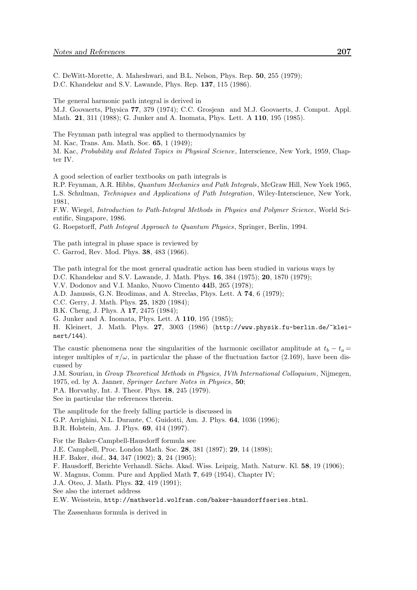C. DeWitt-Morette, A. Maheshwari, and B.L. Nelson, Phys. Rep. 50, 255 (1979); D.C. Khandekar and S.V. Lawande, Phys. Rep. 137, 115 (1986).

The general harmonic path integral is derived in

M.J. Goovaerts, Physica 77, 379 (1974); C.C. Grosjean and M.J. Goovaerts, J. Comput. Appl. Math. 21, 311 (1988); G. Junker and A. Inomata, Phys. Lett. A 110, 195 (1985).

The Feynman path integral was applied to thermodynamics by M. Kac, Trans. Am. Math. Soc. 65, 1 (1949); M. Kac, Probability and Related Topics in Physical Science, Interscience, New York, 1959, Chapter IV.

A good selection of earlier textbooks on path integrals is

R.P. Feynman, A.R. Hibbs, Quantum Mechanics and Path Integrals, McGraw Hill, New York 1965, L.S. Schulman, Techniques and Applications of Path Integration, Wiley-Interscience, New York, 1981,

F.W. Wiegel, Introduction to Path-Integral Methods in Physics and Polymer Science, World Scientific, Singapore, 1986.

G. Roepstorff, Path Integral Approach to Quantum Physics, Springer, Berlin, 1994.

The path integral in phase space is reviewed by C. Garrod, Rev. Mod. Phys. 38, 483 (1966).

The path integral for the most general quadratic action has been studied in various ways by

D.C. Khandekar and S.V. Lawande, J. Math. Phys. 16, 384 (1975); 20, 1870 (1979);

V.V. Dodonov and V.I. Manko, Nuovo Cimento 44B, 265 (1978);

A.D. Janussis, G.N. Brodimas, and A. Streclas, Phys. Lett. A 74, 6 (1979);

C.C. Gerry, J. Math. Phys. 25, 1820 (1984);

B.K. Cheng, J. Phys. A 17, 2475 (1984);

G. Junker and A. Inomata, Phys. Lett. A 110, 195 (1985);

H. Kleinert, J. Math. Phys. 27, 3003 (1986) (http://www.physik.fu-berlin.de/~kleinert/144).

The caustic phenomena near the singularities of the harmonic oscillator amplitude at  $t_b - t_a =$ integer multiples of  $\pi/\omega$ , in particular the phase of the fluctuation factor (2.169), have been discussed by

J.M. Souriau, in Group Theoretical Methods in Physics, IVth International Colloquium, Nijmegen, 1975, ed. by A. Janner, Springer Lecture Notes in Physics, 50;

P.A. Horvathy, Int. J. Theor. Phys. 18, 245 (1979).

See in particular the references therein.

The amplitude for the freely falling particle is discussed in

G.P. Arrighini, N.L. Durante, C. Guidotti, Am. J. Phys. 64, 1036 (1996); B.R. Holstein, Am. J. Phys. 69, 414 (1997).

For the Baker-Campbell-Hausdorff formula see J.E. Campbell, Proc. London Math. Soc. 28, 381 (1897); 29, 14 (1898); H.F. Baker, ibid., 34, 347 (1902); 3, 24 (1905); F. Hausdorff, Berichte Verhandl. Sächs. Akad. Wiss. Leipzig, Math. Naturw. Kl. 58, 19 (1906); W. Magnus, Comm. Pure and Applied Math 7, 649 (1954), Chapter IV; J.A. Oteo, J. Math. Phys. 32, 419 (1991); See also the internet address E.W. Weisstein, http://mathworld.wolfram.com/baker-hausdorffseries.html.

The Zassenhaus formula is derived in